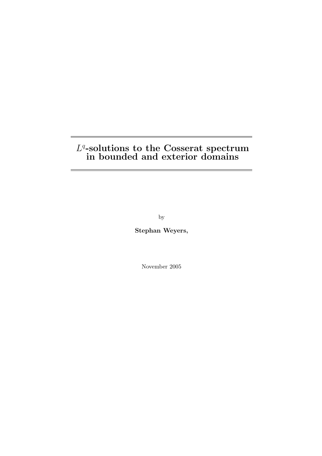## $L^q$ -solutions to the Cosserat spectrum in bounded and exterior domains

by

Stephan Weyers,

November 2005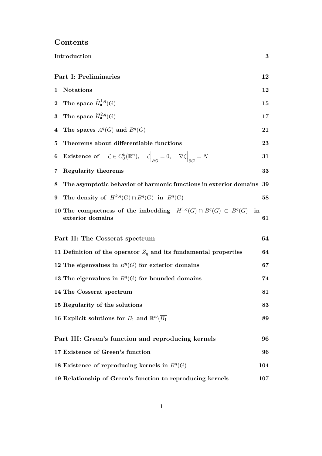|                             | Introduction                                                                                                               | 3   |  |  |  |
|-----------------------------|----------------------------------------------------------------------------------------------------------------------------|-----|--|--|--|
| Part I: Preliminaries<br>12 |                                                                                                                            |     |  |  |  |
| 1                           | <b>Notations</b>                                                                                                           | 12  |  |  |  |
|                             | 2 The space $\widehat{H}^{1,q}_{\bullet}(G)$                                                                               | 15  |  |  |  |
| $\bf{3}$                    | The space $\widehat{H}^{2,q}_{\bullet}(G)$                                                                                 | 17  |  |  |  |
| $\overline{\mathbf{4}}$     | The spaces $A^q(G)$ and $B^q(G)$                                                                                           | 21  |  |  |  |
| 5                           | Theorems about differentiable functions                                                                                    | 23  |  |  |  |
| 6                           | <b>Existence of</b> $\zeta \in C_0^k(\mathbb{R}^n)$ , $\zeta\Big _{\partial C} = 0$ , $\nabla \zeta\Big _{\partial C} = N$ | 31  |  |  |  |
| 7                           | <b>Regularity theorems</b>                                                                                                 | 33  |  |  |  |
| 8                           | The asymptotic behavior of harmonic functions in exterior domains 39                                                       |     |  |  |  |
| 9                           | The density of $H^{k,q}(G) \cap B^q(G)$ in $B^q(G)$                                                                        | 58  |  |  |  |
|                             | 10 The compactness of the imbedding $H^{1,q}(G) \cap B^q(G) \subset B^q(G)$ in<br>exterior domains                         | 61  |  |  |  |
|                             | Part II: The Cosserat spectrum                                                                                             | 64  |  |  |  |
|                             | 11 Definition of the operator $Z_q$ and its fundamental properties                                                         | 64  |  |  |  |
|                             | 12 The eigenvalues in $Bq(G)$ for exterior domains                                                                         | 67  |  |  |  |
|                             | 13 The eigenvalues in $Bq(G)$ for bounded domains                                                                          | 74  |  |  |  |
|                             | 14 The Cosserat spectrum                                                                                                   | 81  |  |  |  |
|                             | 15 Regularity of the solutions                                                                                             | 83  |  |  |  |
|                             | 16 Explicit solutions for $B_1$ and $\mathbb{R}^n \backslash \overline{B_1}$                                               | 89  |  |  |  |
|                             | Part III: Green's function and reproducing kernels                                                                         | 96  |  |  |  |
|                             | 17 Existence of Green's function                                                                                           | 96  |  |  |  |
|                             | 18 Existence of reproducing kernels in $B^q(G)$                                                                            | 104 |  |  |  |
|                             | 19 Relationship of Green's function to reproducing kernels                                                                 | 107 |  |  |  |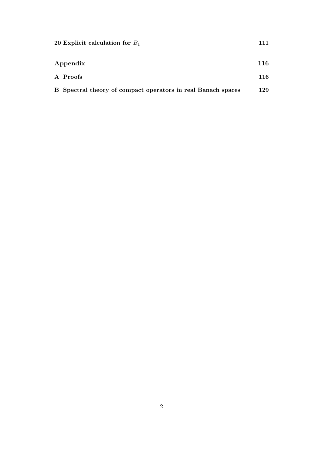| 20 Explicit calculation for $B_1$                            | 111 |
|--------------------------------------------------------------|-----|
| Appendix                                                     | 116 |
| A Proofs                                                     | 116 |
| B Spectral theory of compact operators in real Banach spaces | 129 |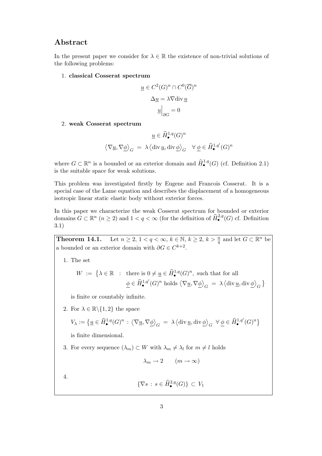### Abstract

In the present paper we consider for  $\lambda \in \mathbb{R}$  the existence of non-trivial solutions of the following problems:

1. classical Cosserat spectrum

$$
\underline{u} \in C^2(G)^n \cap C^0(\overline{G})^n
$$

$$
\Delta \underline{u} = \lambda \nabla \text{div } \underline{u}
$$

$$
\underline{u}\Big|_{\partial G} = 0
$$

2. weak Cosserat spectrum

$$
\langle \nabla \underline{u}, \nabla \underline{\phi} \rangle_G = \lambda \langle \text{div } \underline{u}, \text{div } \underline{\phi} \rangle_G \quad \forall \underline{\phi} \in \widehat{H}^{1,q'}_{\bullet}(G)^n
$$

where  $G \subset \mathbb{R}^n$  is a bounded or an exterior domain and  $\widehat{H}^{1,q}_{\bullet}(G)$  (cf. Definition 2.1) is the suitable space for weak solutions.

This problem was investigated firstly by Eugene and Francois Cosserat. It is a special case of the Lame equation and describes the displacement of a homogeneous isotropic linear static elastic body without exterior forces.

In this paper we characterize the weak Cosserat spectrum for bounded or exterior domains  $G \subset \mathbb{R}^n$   $(n \geq 2)$  and  $1 < q < \infty$  (for the definition of  $\widehat{H}^{2,q}_{\bullet}(G)$  cf. Definition 3.1)

**Theorem 14.1.** Let  $n \geq 2$ ,  $1 < q < \infty$ ,  $k \in \mathbb{N}$ ,  $k \geq 2$ ,  $k > \frac{n}{q}$  and let  $G \subset \mathbb{R}^n$  be a bounded or an exterior domain with  $\partial G \in C^{k+2}$ .

1. The set

$$
W := \left\{ \lambda \in \mathbb{R} : \text{ there is } 0 \neq \underline{u} \in \widehat{H}_{\bullet}^{1,q}(G)^n, \text{ such that for all } \underline{\phi} \in \widehat{H}_{\bullet}^{1,q'}(G)^n \text{ holds } \left\langle \nabla \underline{u}, \nabla \underline{\phi} \right\rangle_G = \lambda \left\langle \text{div } \underline{u}, \text{div } \underline{\phi} \right\rangle_G \right\}
$$

is finite or countably infinite.

2. For  $\lambda \in \mathbb{R} \backslash \{1,2\}$  the space

$$
V_\lambda:=\bigl\{\underline{u}\in \widehat{H}^{1,q}_{\bullet}(G)^n\,:\, \bigl\langle \nabla \underline{u}, \nabla \underline{\phi}\bigr\rangle_G \;=\; \lambda \,\bigl\langle \text{div}\,\underline{u}, \text{div}\,\underline{\phi}\bigr\rangle_G \;\;\forall\;\underline{\phi}\in \widehat{H}^{1,q'}_{\bullet}(G)^n\bigr\}
$$

is finite dimensional.

3. For every sequence  $(\lambda_m) \subset W$  with  $\lambda_m \neq \lambda_l$  for  $m \neq l$  holds

$$
\lambda_m \to 2 \qquad (m \to \infty)
$$

4.

$$
\{\nabla s \,:\, s \in \widehat{H}^{2,q}_{\bullet}(G)\} \subset V_1
$$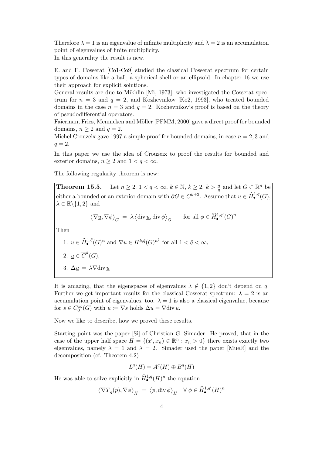Therefore  $\lambda = 1$  is an eigenvalue of infinite multiplicity and  $\lambda = 2$  is an accumulation point of eigenvalues of finite multiplicity.

In this generality the result is new.

E. and F. Cosserat [Co1-Co9] studied the classical Cosserat spectrum for certain types of domains like a ball, a spherical shell or an ellipsoid. In chapter 16 we use their approach for explicit solutions.

General results are due to Mikhlin [Mi, 1973], who investigated the Cosserat spectrum for  $n = 3$  and  $q = 2$ , and Kozhevnikov [Ko2, 1993], who treated bounded domains in the case  $n = 3$  and  $q = 2$ . Kozhevnikov's proof is based on the theory of pseudodifferential operators.

Faierman, Fries, Mennicken and Möller [FFMM, 2000] gave a direct proof for bounded domains,  $n \geq 2$  and  $q = 2$ .

Michel Crouzeix gave 1997 a simple proof for bounded domains, in case  $n = 2, 3$  and  $q=2.$ 

In this paper we use the idea of Crouzeix to proof the results for bounded and exterior domains,  $n \geq 2$  and  $1 < q < \infty$ .

The following regularity theorem is new:

**Theorem 15.5.** Let  $n \geq 2, 1 < q < \infty$ ,  $k \in \mathbb{N}$ ,  $k \geq 2$ ,  $k > \frac{n}{q}$  and let  $G \subset \mathbb{R}^n$  be either a bounded or an exterior domain with  $\partial G \in C^{k+3}$ . Assume that  $\underline{u} \in \widehat{H}_{\bullet}^{1,q}(G)$ ,  $\lambda \in \mathbb{R} \backslash \{1,2\}$  and

$$
\left\langle \nabla \underline{u}, \nabla \underline{\phi} \right\rangle_G \;=\; \lambda \left\langle \text{div}\, \underline{u}, \text{div}\, \underline{\phi} \right\rangle_G \qquad \text{for all } \underline{\phi} \in \widehat{H}^{1,q'}_\bullet(G)^n
$$

Then

\n- 1. 
$$
\underline{u} \in \widehat{H}^{1,\tilde{q}}_{\bullet}(G)^n
$$
 and  $\nabla \underline{u} \in H^{k,\tilde{q}}(G)^{n^2}$  for all  $1 < \tilde{q} < \infty$ ,
\n- 2.  $\underline{u} \in \overline{C}^k(G)$ ,
\n- 3.  $\Delta \underline{u} = \lambda \nabla \text{div} \underline{u}$
\n

It is amazing, that the eigenspaces of eigenvalues  $\lambda \notin \{1,2\}$  don't depend on q! Further we get important results for the classical Cosserat spectrum:  $\lambda = 2$  is an accumulation point of eigenvalues, too.  $\lambda = 1$  is also a classical eigenvalue, because for  $s \in C_0^{\infty}(G)$  with  $\underline{u} := \nabla s$  holds  $\Delta \underline{u} = \nabla \text{div} \underline{u}$ .

Now we like to describe, how we proved these results.

Starting point was the paper [Si] of Christian G. Simader. He proved, that in the case of the upper half space  $H = \{(x', x_n) \in \mathbb{R}^n : x_n > 0\}$  there exists exactly two eigenvalues, namely  $\lambda = 1$  and  $\lambda = 2$ . Simader used the paper [MueR] and the decomposition (cf. Theorem 4.2)

$$
L^q(H) = A^q(H) \oplus B^q(H)
$$

He was able to solve explicitly in  $\widehat{H}^{1,q}_{\bullet}(H)^n$  the equation

$$
\big\langle \nabla \underline{T}_q(p), \nabla \underline{\phi} \big\rangle_H \ = \ \big\langle p, \text{div}\, \underline{\phi} \big\rangle_H \quad \forall \ \underline{\phi} \in \widehat{H}^{1,q'}_\bullet(H)^n
$$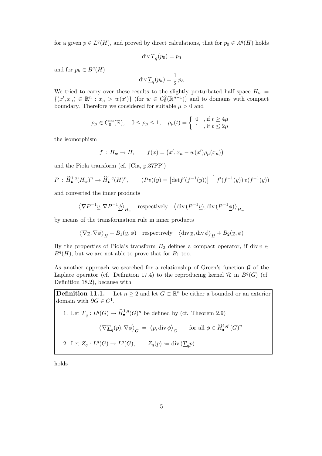for a given  $p \in L^q(H)$ , and proved by direct calculations, that for  $p_0 \in A^q(H)$  holds

$$
\operatorname{div} \underline{T}_q(p_0) = p_0
$$

and for  $p_h \in B^q(H)$ 

$$
\operatorname{div} \underline{T}_q(p_h) = \frac{1}{2} p_h
$$

We tried to carry over these results to the slightly perturbated half space  $H_w$  =  $\{(x',x_n) \in \mathbb{R}^n : x_n > w(x')\}$  (for  $w \in C_0^2(\mathbb{R}^{n-1})$ ) and to domains with compact boundary. Therefore we considered for suitable  $\mu > 0$  and

$$
\rho_{\mu} \in C_0^{\infty}(\mathbb{R}), \quad 0 \le \rho_{\mu} \le 1, \quad \rho_{\mu}(t) = \begin{cases} 0, & \text{if } t \ge 4\mu \\ 1, & \text{if } t \le 2\mu \end{cases}
$$

the isomorphism

$$
f: H_w \to H, \qquad f(x) = (x', x_n - w(x')\rho_\mu(x_n))
$$

and the Piola transform (cf. [Cia, p.37PP])

$$
P: \widehat{H}_{\bullet}^{1,q}(H_w)^n \to \widehat{H}_{\bullet}^{1,q}(H)^n, \qquad (P\underline{v})(y) = \left[\det f'(f^{-1}(y))\right]^{-1} f'(f^{-1}(y)) \underline{v}(f^{-1}(y))
$$

and converted the inner products

$$
\langle \nabla P^{-1} \underline{v}, \nabla P^{-1} \underline{\phi} \rangle_{H_w}
$$
 respectively  $\langle \text{div} (P^{-1} \underline{v}), \text{div} (P^{-1} \underline{\phi}) \rangle_{H_w}$ 

by means of the transformation rule in inner products

$$
\langle \nabla \underline{v}, \nabla \underline{\phi} \rangle_H + B_1(\underline{v}, \underline{\phi}) \quad \text{respectively} \quad \langle \text{div } \underline{v}, \text{div } \underline{\phi} \rangle_H + B_2(\underline{v}, \underline{\phi})
$$

By the properties of Piola's transform  $B_2$  defines a compact operator, if div  $\underline{v} \in$  $B<sup>q</sup>(H)$ , but we are not able to prove that for  $B<sub>1</sub>$  too.

As another approach we searched for a relationship of Green's function  $\mathcal G$  of the Laplace operator (cf. Definition 17.4) to the reproducing kernel  $\mathcal R$  in  $B^q(G)$  (cf. Definition 18.2), because with

**Definition 11.1.** Let  $n \geq 2$  and let  $G \subset \mathbb{R}^n$  be either a bounded or an exterior domain with  $\partial G \in C^1$ .

1. Let  $\underline{T}_q: L^q(G) \to \widehat{H}_{\bullet}^{1,q}(G)^n$  be defined by (cf. Theorem 2.9)

$$
\left\langle \nabla \underline{T}_q(p), \nabla \underline{\phi} \right\rangle_G \;=\; \left\langle p, \text{div}\, \underline{\phi} \right\rangle_G \qquad \text{for all $\underline{\phi} \in \widehat{H}^{1,q'}_{{\bullet}}(G)^n$}
$$

2. Let 
$$
Z_q: L^q(G) \to L^q(G)
$$
,  $Z_q(p) := \text{div}(\underline{T}_q p)$ 

holds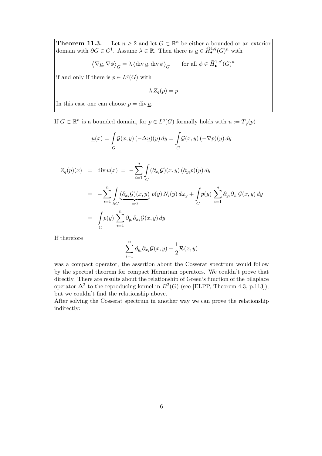**Theorem 11.3.** Let  $n \geq 2$  and let  $G \subset \mathbb{R}^n$  be either a bounded or an exterior domain with  $\partial G \in C^1$ . Assume  $\lambda \in \mathbb{R}$ . Then there is  $\underline{u} \in \widehat{H}^{1,q}_{\bullet}(G)^n$  with

$$
\left\langle \nabla \underline{u}, \nabla \underline{\phi} \right\rangle_G = \lambda \left\langle \text{div}\, \underline{u}, \text{div}\, \underline{\phi} \right\rangle_G \qquad \text{for all } \underline{\phi} \in \widehat{H}^{1,q'}_\bullet(G)^n
$$

if and only if there is  $p \in L^q(G)$  with

$$
\lambda Z_q(p) = p
$$

In this case one can choose  $p = \text{div } u$ .

If  $G \subset \mathbb{R}^n$  is a bounded domain, for  $p \in L^q(G)$  formally holds with  $\underline{u} := \underline{T}_q(p)$ 

$$
\underline{u}(x) = \int_{G} \mathcal{G}(x, y) \left( -\Delta \underline{u} \right)(y) \, dy = \int_{G} \mathcal{G}(x, y) \left( -\nabla p \right)(y) \, dy
$$

$$
Z_q(p)(x) = \text{div } \underline{u}(x) = -\sum_{i=1}^n \int_G (\partial_{x_i} \mathcal{G})(x, y) (\partial_{y_i} p)(y) dy
$$
  

$$
= -\sum_{i=1}^n \int_{\partial G} \underbrace{(\partial_{x_i} \mathcal{G})(x, y)}_{=0} p(y) N_i(y) d\omega_y + \int_G p(y) \sum_{i=1}^n \partial_{y_i} \partial_{x_i} \mathcal{G}(x, y) dy
$$
  

$$
= \int_G p(y) \sum_{i=1}^n \partial_{y_i} \partial_{x_i} \mathcal{G}(x, y) dy
$$

If therefore

$$
\sum_{i=1}^{n} \partial_{y_i} \partial_{x_i} \mathcal{G}(x, y) - \frac{1}{2} \mathcal{R}(x, y)
$$

was a compact operator, the assertion about the Cosserat spectrum would follow by the spectral theorem for compact Hermitian operators. We couldn't prove that directly. There are results about the relationship of Green's function of the bilaplace operator  $\Delta^2$  to the reproducing kernel in  $B^2(G)$  (see [ELPP, Theorem 4.3, p.113]), but we couldn't find the relationship above.

After solving the Cosserat spectrum in another way we can prove the relationship indirectly: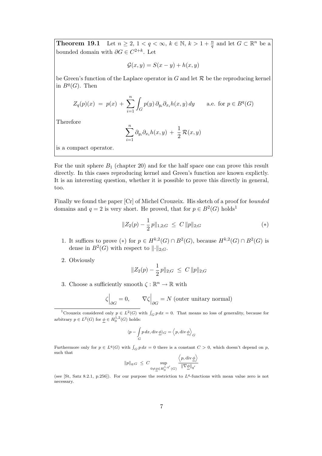**Theorem 19.1** Let  $n \geq 2$ ,  $1 < q < \infty$ ,  $k \in \mathbb{N}$ ,  $k > 1 + \frac{n}{q}$  and let  $G \subset \mathbb{R}^n$  be a bounded domain with  $\partial G \in C^{2+k}$ . Let

$$
\mathcal{G}(x, y) = S(x - y) + h(x, y)
$$

be Green's function of the Laplace operator in  $G$  and let  $\mathcal R$  be the reproducing kernel in  $B^q(G)$ . Then

$$
Z_q(p)(x) = p(x) + \sum_{i=1}^n \int_G p(y) \, \partial_{y_i} \partial_{x_i} h(x, y) \, dy \quad \text{a.e. for } p \in B^q(G)
$$

Therefore

$$
\sum_{i=1}^n \partial_{y_i} \partial_{x_i} h(x, y) + \frac{1}{2} \mathcal{R}(x, y)
$$

is a compact operator.

For the unit sphere  $B_1$  (chapter 20) and for the half space one can prove this result directly. In this cases reproducing kernel and Green's function are known explictly. It is an interesting question, whether it is possible to prove this directly in general, too.

Finally we found the paper [Cr] of Michel Crouzeix. His sketch of a proof for bounded domains and  $q = 2$  is very short. He proved, that for  $p \in B^2(G)$  holds<sup>1</sup>

$$
||Z_2(p) - \frac{1}{2}p||_{1,2;G} \leq C ||p||_{2;G} \tag{*}
$$

- 1. It suffices to prove (\*) for  $p \in H^{k,2}(G) \cap B^2(G)$ , because  $H^{k,2}(G) \cap B^2(G)$  is dense in  $B^2(G)$  with respect to  $\lVert \cdot \rVert_{2;G}$ .
- 2. Obviously

$$
||Z_2(p) - \frac{1}{2}p||_{2;G} \leq C ||p||_{2;G}
$$

3. Choose a sufficiently smooth  $\zeta : \mathbb{R}^n \to \mathbb{R}$  with

$$
\zeta\Big|_{\partial G} = 0, \qquad \nabla \zeta\Big|_{\partial G} = N \text{ (outer unitary normal)}
$$

<sup>1</sup>Crouzeix considered only  $p \in L^2(G)$  with  $\int_G p dx = 0$ . That means no loss of generality, because for arbitrary  $p \in L^2(G)$  for  $\underline{\phi} \in H_0^{1,2}(G)$  holds:

$$
\langle p - \int_G p \, dx, \operatorname{div} \underline{\phi} \rangle_G = \langle p, \operatorname{div} \underline{\phi} \rangle_G
$$

Furthermore only for  $p \in L^q(G)$  with  $\int_G p dx = 0$  there is a constant  $C > 0$ , which doesn't depend on p, such that

$$
\|p\|_{q;G} \ \leq \ C \sup_{0 \neq \underline{\phi} \in H_0^{1,q'}(G)} \frac{\left\langle p, \text{div}\,\underline{\phi}\right\rangle}{\|\nabla \underline{\phi}\|_{q'}}
$$

(see [St, Satz 8.2.1, p.256]). For our purpose the restriction to  $L<sup>q</sup>$ -functions with mean value zero is not necessary.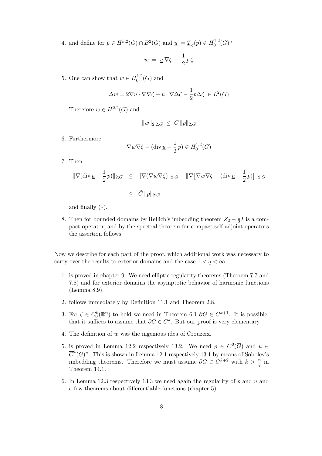4. and define for  $p \in H^{k,2}(G) \cap B^2(G)$  and  $\underline{u} := \underline{T}_q(p) \in H_0^{1,2}$  $\binom{1,2}{0}(G)^n$ 

$$
w:=\;\underline{u}\,\nabla\zeta\,-\,\frac{1}{2}\,p\,\zeta
$$

5. One can show that  $w \in H_0^{1,2}$  $_{0}^{1,2}(G)$  and

$$
\Delta w = 2\nabla \underline{u} \cdot \nabla \nabla \zeta + \underline{u} \cdot \nabla \Delta \zeta - \frac{1}{2}p\Delta \zeta \in L^2(G)
$$

Therefore  $w \in H^{2,2}(G)$  and

$$
||w||_{2,2;G} \leq C ||p||_{2;G}
$$

6. Furthermore

$$
\nabla w \nabla \zeta - (\text{div}\,\underline{u} - \frac{1}{2}\,p) \in H_0^{1,2}(G)
$$

7. Then

$$
\begin{array}{rcl}\|\nabla(\operatorname{div}\underline{u}-\frac{1}{2}p)\|_{2;G}&\leq&\|\nabla(\nabla w\nabla\zeta)\|_{2;G}+\|\nabla[\nabla w\nabla\zeta-(\operatorname{div}\underline{u}-\frac{1}{2}p)\big]\|_{2;G}\\&\leq&\tilde{C}\,\|p\|_{2;G}\end{array}
$$

and finally  $(*).$ 

8. Then for bounded domains by Rellich's imbedding theorem  $Z_2 - \frac{1}{2}$  $\frac{1}{2}I$  is a compact operator, and by the spectral theorem for compact self-adjoint operators the assertion follows.

Now we describe for each part of the proof, which additional work was necessary to carry over the results to exterior domains and the case  $1 < q < \infty$ .

- 1. is proved in chapter 9. We need elliptic regularity theorems (Theorem 7.7 and 7.8) and for exterior domains the asymptotic behavior of harmonic functions (Lemma 8.9).
- 2. follows immediately by Definition 11.1 and Theorem 2.8.
- 3. For  $\zeta \in C_0^k(\mathbb{R}^n)$  to hold we need in Theorem 6.1  $\partial G \in C^{k+1}$ . It is possible, that it suffices to assume that  $\partial G \in C^k$ . But our proof is very elementary.
- 4. The definition of w was the ingenious idea of Crouzeix.
- 5. is proved in Lemma 12.2 respectively 13.2. We need  $p \in C^0(\overline{G})$  and  $\underline{u} \in$  $\overline{C}^1(G)^n$ . This is shown in Lemma 12.1 respectively 13.1 by means of Sobolev's imbedding theorems. Therefore we must assume  $\partial G \in C^{k+2}$  with  $k > \frac{n}{q}$  in Theorem 14.1.
- 6. In Lemma 12.3 respectively 13.3 we need again the regularity of  $p$  and  $u$  and a few theorems about differentiable functions (chapter 5).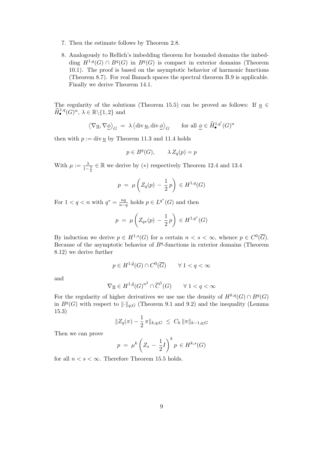- 7. Then the estimate follows by Theorem 2.8.
- 8. Analogously to Rellich's imbedding theorem for bounded domains the imbedding  $H^{1,q}(G) \cap B^q(G)$  in  $B^q(G)$  is compact in exterior domains (Theorem 10.1). The proof is based on the asymptotic behavior of harmonic functions (Theorem 8.7). For real Banach spaces the spectral theorem B.9 is applicable. Finally we derive Theorem 14.1.

The regularity of the solutions (Theorem 15.5) can be proved as follows: If  $u \in$  $\widehat{H}_{\bullet}^{1,q}(G)^n, \lambda \in \mathbb{R} \backslash \{1,2\}$  and

$$
\left\langle \nabla \underline{u}, \nabla \underline{\phi} \right\rangle_G \ = \ \lambda \left\langle \text{div} \, \underline{u}, \text{div} \, \underline{\phi} \right\rangle_G \qquad \text{for all } \underline{\phi} \in \widehat{H}^{1, q^\prime}_\bullet(G)^n
$$

then with  $p := \text{div} \underline{u}$  by Theorem 11.3 and 11.4 holds

$$
p \in B^q(G), \qquad \lambda Z_q(p) = p
$$

With  $\mu := \frac{\lambda}{1-\frac{\lambda}{2}} \in \mathbb{R}$  we derive by (\*) respectively Theorem 12.4 and 13.4

$$
p = \mu \left( Z_q(p) - \frac{1}{2}p \right) \in H^{1,q}(G)
$$

For  $1 < q < n$  with  $q^* = \frac{nq}{n-q}$  $\frac{nq}{n-q}$  holds  $p \in L^{q^*}(G)$  and then

$$
p = \mu \left( Z_{q*}(p) - \frac{1}{2}p \right) \in H^{1,q^*}(G)
$$

By induction we derive  $p \in H^{1,s}(G)$  for a certain  $n < s < \infty$ , whence  $p \in C^0(\overline{G})$ . Because of the asymptotic behavior of  $B<sup>q</sup>$ -functions in exterior domains (Theorem 8.12) we derive further

$$
p \in H^{1,\tilde{q}}(G) \cap C^0(\overline{G}) \qquad \forall \ 1 < q < \infty
$$

and

$$
\nabla \underline{u} \in H^{1,\tilde{q}}(G)^{n^2} \cap \overline{C}^1(G) \qquad \forall \ 1 < q < \infty
$$

For the regularity of higher derivatives we use use the density of  $H^{k,q}(G) \cap B^q(G)$ in  $B<sup>q</sup>(G)$  with respect to  $\lVert \cdot \rVert_{q;G}$  (Theorem 9.1 and 9.2) and the inequality (Lemma 15.3)

$$
||Z_q(\pi) - \frac{1}{2}\pi||_{k,q;G} \leq C_k ||\pi||_{k-1,q;G}
$$

Then we can prove

$$
p = \mu^k \left( Z_s - \frac{1}{2}I \right)^k p \in H^{k,s}(G)
$$

for all  $n < s < \infty$ . Therefore Theorem 15.5 holds.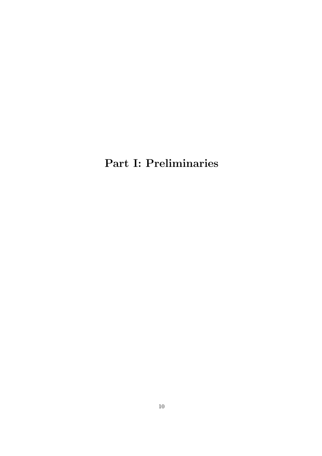Part I: Preliminaries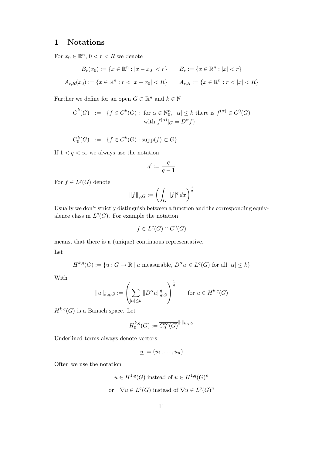## 1 Notations

For  $x_0 \in \mathbb{R}^n$ ,  $0 < r < R$  we denote

$$
B_r(x_0) := \{ x \in \mathbb{R}^n : |x - x_0| < r \} \qquad B_r := \{ x \in \mathbb{R}^n : |x| < r \}
$$
\n
$$
A_{r,R}(x_0) := \{ x \in \mathbb{R}^n : r < |x - x_0| < R \} \qquad A_{r,R} := \{ x \in \mathbb{R}^n : r < |x| < R \}
$$

Further we define for an open  $G \subset \mathbb{R}^n$  and  $k \in \mathbb{N}$ 

$$
\overline{C}^k(G) := \{ f \in C^k(G) : \text{ for } \alpha \in \mathbb{N}_0^n, |\alpha| \le k \text{ there is } f^{(\alpha)} \in C^0(\overline{G}) \}
$$
  
with  $f^{(\alpha)}|_G = D^{\alpha} f \}$ 

$$
C_0^k(G) := \{ f \in C^k(G) : \text{supp}(f) \subset G \}
$$

If  $1 < q < \infty$  we always use the notation

$$
q':=\frac{q}{q-1}
$$

For  $f \in L^q(G)$  denote

$$
\|f\|_{q;G}:=\left(\int_G\;|f|^q\,dx\right)^{\frac{1}{q}}
$$

Usually we don't strictly distinguish between a function and the corresponding equivalence class in  $L^q(G)$ . For example the notation

$$
f \in L^q(G) \cap C^0(G)
$$

means, that there is a (unique) continuous representative.

Let

$$
H^{k,q}(G) := \{ u : G \to \mathbb{R} \mid u \text{ measurable}, D^{\alpha}u \in L^q(G) \text{ for all } |\alpha| \le k \}
$$

With

$$
||u||_{k,q;G} := \left(\sum_{|\alpha| \le k} ||D^{\alpha}u||_{q;G}^q\right)^{\frac{1}{q}} \quad \text{for } u \in H^{k,q}(G)
$$

1

 $H^{k,q}(G)$  is a Banach space. Let

$$
H_0^{k,q}(G) := \overline{C_0^{\infty}(G)}^{\| \cdot \|_{k,q;G}}
$$

Underlined terms always denote vectors

$$
\underline{u} := (u_1, \ldots, u_n)
$$

Often we use the notation

$$
\underline{u} \in H^{1,q}(G) \text{ instead of } \underline{u} \in H^{1,q}(G)^n
$$
  
or 
$$
\nabla u \in L^q(G) \text{ instead of } \nabla u \in L^q(G)^n
$$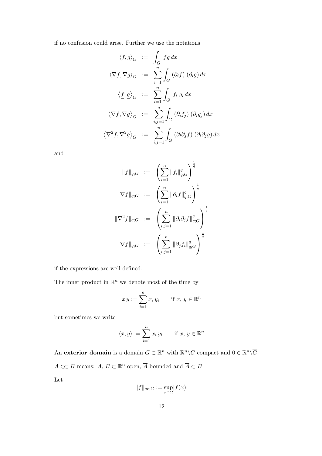if no confusion could arise. Further we use the notations

$$
\langle f, g \rangle_G := \int_G fg \, dx
$$
  

$$
\langle \nabla f, \nabla g \rangle_G := \sum_{i=1}^n \int_G (\partial_i f) (\partial_i g) \, dx
$$
  

$$
\langle \underline{f}, \underline{g} \rangle_G := \sum_{i=1}^n \int_G f_i g_i \, dx
$$
  

$$
\langle \nabla \underline{f}, \nabla \underline{g} \rangle_G := \sum_{i,j=1}^n \int_G (\partial_i f_j) (\partial_i g_j) \, dx
$$
  

$$
\langle \nabla^2 f, \nabla^2 g \rangle_G := \sum_{i,j=1}^n \int_G (\partial_i \partial_j f) (\partial_i \partial_j g) \, dx
$$

and

$$
\|\underline{f}\|_{q;G} \quad := \quad \left(\sum_{i=1}^n \|f_i\|_{q;G}^q\right)^{\frac{1}{q}}
$$
\n
$$
\|\nabla f\|_{q;G} \quad := \quad \left(\sum_{i=1}^n \|\partial_i f\|_{q;G}^q\right)^{\frac{1}{q}}
$$
\n
$$
\|\nabla^2 f\|_{q;G} \quad := \quad \left(\sum_{i,j=1}^n \|\partial_i \partial_j f\|_{q;G}^q\right)^{\frac{1}{q}}
$$
\n
$$
\|\nabla \underline{f}\|_{q;G} \quad := \quad \left(\sum_{i,j=1}^n \|\partial_j f_i\|_{q;G}^q\right)^{\frac{1}{q}}
$$

if the expressions are well defined.

The inner product in  $\mathbb{R}^n$  we denote most of the time by

$$
xy := \sum_{i=1}^{n} x_i y_i \quad \text{if } x, y \in \mathbb{R}^n
$$

but sometimes we write

$$
\langle x, y \rangle := \sum_{i=1}^{n} x_i y_i \quad \text{if } x, y \in \mathbb{R}^n
$$

An exterior domain is a domain  $G \subset \mathbb{R}^n$  with  $\mathbb{R}^n \backslash G$  compact and  $0 \in \mathbb{R}^n \backslash \overline{G}$ .  $A \subset\subset B$  means:  $A, B \subset \mathbb{R}^n$  open,  $\overline{A}$  bounded and  $\overline{A} \subset B$ Let

$$
\|f\|_{\infty;G}:=\sup_{x\in G} \lvert f(x)\rvert
$$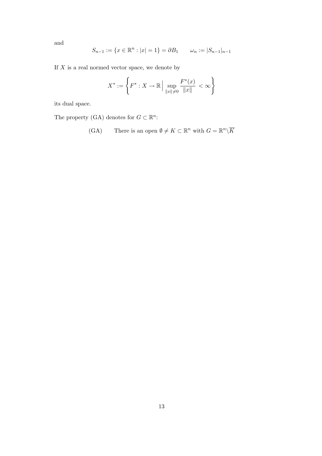and

$$
S_{n-1} := \{ x \in \mathbb{R}^n : |x| = 1 \} = \partial B_1 \qquad \omega_n := |S_{n-1}|_{n-1}
$$

If  $X$  is a real normed vector space, we denote by

$$
X^* := \left\{ F^* : X \to \mathbb{R} \, \Big| \, \sup_{\|x\| \neq 0} \frac{F^*(x)}{\|x\|} < \infty \right\}
$$

its dual space.

The property (GA) denotes for  $G \subset \mathbb{R}^n$ :

(GA) There is an open 
$$
\emptyset \neq K \subset \mathbb{R}^n
$$
 with  $G = \mathbb{R}^n \setminus \overline{K}$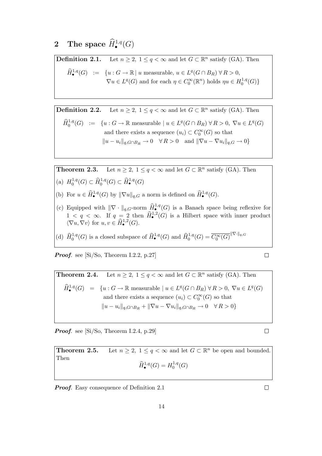# 2 The space  $\widehat{H}^{1,q}_\bullet(G)$

**Definition 2.1.** Let  $n \geq 2$ ,  $1 \leq q < \infty$  and let  $G \subset \mathbb{R}^n$  satisfy (GA). Then  $\widehat{H}_{\bullet}^{1,q}(G) \; := \; \{u : G \to \mathbb{R} \mid u \text{ measurable}, u \in L^{q}(G \cap B_{R}) \forall R > 0,$  $\nabla u \in L^q(G)$  and for each  $\eta \in C_0^{\infty}(\mathbb{R}^n)$  holds  $\eta u \in H_0^{1,q}$  $_{0}^{1,q}(G)\}$ 

**Definition 2.2.** Let  $n \geq 2$ ,  $1 \leq q < \infty$  and let  $G \subset \mathbb{R}^n$  satisfy (GA). Then

$$
\widehat{H}_0^{1,q}(G) := \{ u : G \to \mathbb{R} \text{ measurable } | u \in L^q(G \cap B_R) \forall R > 0, \nabla u \in L^q(G) \text{ and there exists a sequence } (u_i) \subset C_0^{\infty}(G) \text{ so that } ||u - u_i||_{q,G \cap B_R} \to 0 \quad \forall R > 0 \text{ and } ||\nabla u - \nabla u_i||_{q,G} \to 0 \}
$$

**Theorem 2.3.** Let  $n \geq 2$ ,  $1 \leq q < \infty$  and let  $G \subset \mathbb{R}^n$  satisfy (GA). Then (a)  $H_0^{1,q}$  $\widehat{H}_0^{1,q}(G) \subset \widehat{H}_0^{1,q}(G) \subset \widehat{H}_\bullet^{1,q}(G)$ 

- (b) For  $u \in \widehat{H}_{\bullet}^{1,q}(G)$  by  $\|\nabla u\|_{q,G}$  a norm is defined on  $\widehat{H}_{\bullet}^{1,q}(G)$ .
- (c) Equipped with  $\|\nabla \cdot \|_{q,G}$ -norm  $\hat{H}^{1,q}_\bullet(G)$  is a Banach space being reflexive for  $1 < q < \infty$ . If  $q = 2$  then  $\widehat{H}^{1,2}_\bullet(G)$  is a Hilbert space with inner product  $\langle \nabla u, \nabla v \rangle$  for  $u, v \in \widehat{H}^{1,2}(\mathbb{G})$ .
- (d)  $\widehat{H}_0^{1,q}(G)$  is a closed subspace of  $\widehat{H}_\bullet^{1,q}(G)$  and  $\widehat{H}_0^{1,q}(G) = \overline{C_0^{\infty}(G)}^{\|\nabla \cdot\|_q, G}$

**Proof.** see  $[Si/So, Theorem I.2.2, p.27]$ 

**Theorem 2.4.** Let 
$$
n \ge 2
$$
,  $1 \le q < \infty$  and let  $G \subset \mathbb{R}^n$  satisfy (GA). Then  
\n
$$
\widehat{H}_{\bullet}^{1,q}(G) = \{u : G \to \mathbb{R} \text{ measurable } | u \in L^q(G \cap B_R) \forall R > 0, \nabla u \in L^q(G) \text{ and there exists a sequence } (u_i) \subset C_0^{\infty}(G) \text{ so that }
$$
\n
$$
||u - u_i||_{q, G \cap B_R} + ||\nabla u - \nabla u_i||_{q, G \cap B_R} \to 0 \quad \forall R > 0 \}
$$

**Proof.** see  $[Si/So, Theorem I.2.4, p.29]$ 

**Theorem 2.5.** Let  $n \geq 2$ ,  $1 \leq q < \infty$  and let  $G \subset \mathbb{R}^n$  be open and bounded. Then  $\widehat{H}^{1,q}_{\bullet}(G) = H^{1,q}_{0}$  $_{0}^{1,q}(G)$ 

**Proof.** Easy consequence of Definition 2.1

 $\Box$ 

 $\Box$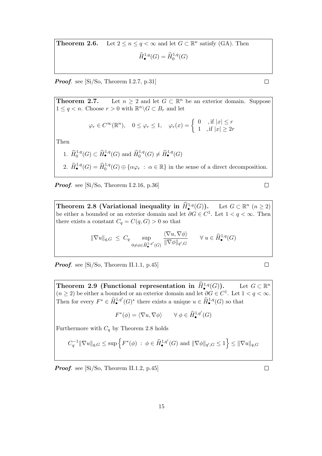**Theorem 2.6.** Let  $2 \le n \le q < \infty$  and let  $G \subset \mathbb{R}^n$  satisfy (GA). Then  $\widehat{H}^{1,q}_{\bullet}(G) = \widehat{H}^{1,q}_{0}(G)$ 

**Proof.** see  $[Si/So, Theorem I.2.7, p.31]$ 

**Theorem 2.7.** Let  $n \geq 2$  and let  $G \subset \mathbb{R}^n$  be an exterior domain. Suppose  $1 \leq q < n$ . Choose  $r > 0$  with  $\mathbb{R}^n \backslash G \subset B_r$  and let

$$
\varphi_r \in C^{\infty}(\mathbb{R}^n), \quad 0 \le \varphi_r \le 1, \quad \varphi_r(x) = \begin{cases} 0, & \text{if } |x| \le r \\ 1, & \text{if } |x| \ge 2r \end{cases}
$$

Then

1. 
$$
\widehat{H}^{1,q}_0(G) \subset \widehat{H}^{1,q}_{\bullet}(G)
$$
 and  $\widehat{H}^{1,q}_0(G) \neq \widehat{H}^{1,q}_{\bullet}(G)$   
2.  $\widehat{H}^{1,q}_{\bullet}(G) = \widehat{H}^{1,q}_0(G) \oplus {\alpha \varphi_r : \alpha \in \mathbb{R}}$  in the sense of a direct decomposition.

**Proof.** see  $[Si/So, Theorem I.2.16, p.36]$ 

Theorem 2.8 (Variational inequality in  $\hat{H}^{1,q}_{\bullet}$  $(G)$ ). Let  $G \subset \mathbb{R}^n$   $(n \geq 2)$ be either a bounded or an exterior domain and let  $\partial G \in C^1$ . Let  $1 < q < \infty$ . Then there exists a constant  $C_q = C(q, G) > 0$  so that

$$
\|\nabla u\|_{q,G} \ \leq \ C_q \sup_{0 \neq \phi \in \widehat{H}_{\bullet}^{1,q'}(G)} \frac{\langle \nabla u, \nabla \phi \rangle}{\|\nabla \phi\|_{q',G}} \qquad \forall \ u \in \widehat{H}_{\bullet}^{1,q}(G)
$$

**Proof.** see  $[Si/So, Theorem II.1.1, p.45]$ 

Theorem 2.9 (Functional representation in  $\hat{H}^{1,q}_{\bullet}$  $(G)$ ). Let  $G \subset \mathbb{R}^n$  $(n \geq 2)$  be either a bounded or an exterior domain and let  $\partial G \in C^1$ . Let  $1 < q < \infty$ . Then for every  $F^* \in \widehat{H}_{\bullet}^{1,q'}(G)^*$  there exists a unique  $u \in \widehat{H}_{\bullet}^{1,q}(G)$  so that

$$
F^*(\phi) = \langle \nabla u, \nabla \phi \rangle \qquad \forall \ \phi \in \widehat{H}^{1,q'}_{\bullet}(G)
$$

Furthermore with  $C_q$  by Theorem 2.8 holds

$$
C_q^{-1} \|\nabla u\|_{q,G} \le \sup \left\{ F^*(\phi) \ : \ \phi \in \widehat{H}^{1,q'}_{\bullet}(G) \text{ and } \|\nabla \phi\|_{q',G} \le 1 \right\} \le \|\nabla u\|_{q,G}
$$

Proof. see [Si/So, Theorem II.1.2, p.45]

 $\Box$ 

 $\Box$ 

 $\Box$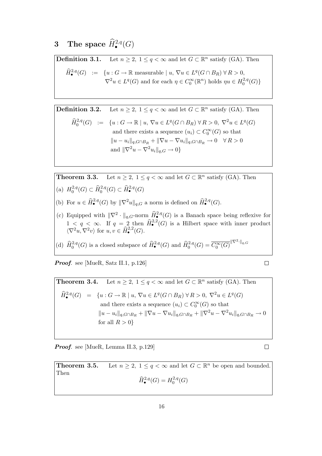# 3 The space  $\widehat{H}^{2,q}_{\bullet}(G)$

**Definition 3.1.** Let  $n \geq 2$ ,  $1 \leq q < \infty$  and let  $G \subset \mathbb{R}^n$  satisfy (GA). Then  $\widehat{H}^{2,q}_{\bullet}(G) \; := \; \{u: G \to \mathbb{R} \text{ measurable} \mid u, \, \nabla u \in L^q(G \cap B_R) \; \forall \, R > 0,$  $\nabla^2 u \in L^q(G)$  and for each  $\eta \in C_0^{\infty}(\mathbb{R}^n)$  holds  $\eta u \in H_0^{2,q}$  $C^{2,q}_0(G)$ 

**Definition 3.2.** Let  $n \geq 2$ ,  $1 \leq q < \infty$  and let  $G \subset \mathbb{R}^n$  satisfy (GA). Then

$$
\widehat{H}_0^{2,q}(G) := \{ u : G \to \mathbb{R} \mid u, \nabla u \in L^q(G \cap B_R) \,\forall R > 0, \,\nabla^2 u \in L^q(G)
$$
\nand there exists a sequence  $(u_i) \subset C_0^{\infty}(G)$  so that\n
$$
||u - u_i||_{q, G \cap B_R} + ||\nabla u - \nabla u_i||_{q, G \cap B_R} \to 0 \quad \forall R > 0
$$
\nand\n
$$
||\nabla^2 u - \nabla^2 u_i||_{q, G} \to 0 \}
$$

**Theorem 3.3.** Let  $n \geq 2$ ,  $1 \leq q < \infty$  and let  $G \subset \mathbb{R}^n$  satisfy (GA). Then (a)  $H_0^{2,q}$ 

- $\widehat{H}^{2,q}_0(G) \subset \widehat{H}^{2,q}_0(G) \subset \widehat{H}^{2,q}_\bullet(G)$
- (b) For  $u \in \widehat{H}^{2,q}_{\bullet}(G)$  by  $\|\nabla^2 u\|_{q,G}$  a norm is defined on  $\widehat{H}^{2,q}_{\bullet}(G)$ .
- (c) Equipped with  $\|\nabla^2 \cdot \|_{q,G}$ -norm  $\hat{H}^{2,q}_{\bullet}(G)$  is a Banach space being reflexive for  $1 < q < \infty$ . If  $q = 2$  then  $\widehat{H}^{2,2}_\bullet(G)$  is a Hilbert space with inner product  $\langle \nabla^2 u, \nabla^2 v \rangle$  for  $u, v \in \widehat{H}_{\bullet}^{2,2}(G)$ .
- (d)  $\widehat{H}_0^{2,q}(G)$  is a closed subspace of  $\widehat{H}_\bullet^{2,q}(G)$  and  $\widehat{H}_0^{2,q}(G) = \overline{C_0^{\infty}(G)}^{\|\nabla^2\cdot\|_{q,G}}$

Proof. see [MueR, Satz II.1, p.126]

 $\Box$ 

 $\Box$ 

**Theorem 3.4.** Let  $n \geq 2$ ,  $1 \leq q < \infty$  and let  $G \subset \mathbb{R}^n$  satisfy (GA). Then  $\widehat{H}^{2,q}_{\bullet}(G) = \{u : G \to \mathbb{R} \mid u, \, \nabla u \in L^{q}(G \cap B_{R}) \, \forall R > 0, \, \nabla^{2} u \in L^{q}(G) \}$ and there exists a sequence  $(u_i) \subset C_0^{\infty}(G)$  so that  $||u - u_i||_{q, G ∩ B_R} + ||\nabla u - \nabla u_i||_{q, G ∩ B_R} + ||\nabla^2 u - \nabla^2 u_i||_{q, G ∩ B_R} \to 0$ for all  $R > 0$ }

Proof. see [MueR, Lemma II.3, p.129]

**Theorem 3.5.** Let  $n \geq 2$ ,  $1 \leq q < \infty$  and let  $G \subset \mathbb{R}^n$  be open and bounded. Then  $\widehat{H}^{2,q}_{\bullet}(G) = H^{2,q}_{0}$  $\binom{2,q}{0}(G)$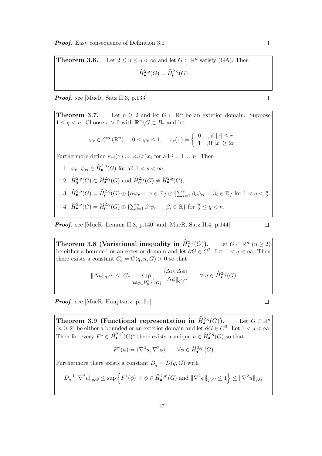**Theorem 3.6.** Let  $2 \le n \le q < \infty$  and let  $G \subset \mathbb{R}^n$  satisfy (GA). Then  $\widehat{H}^{2,q}_{\bullet}(G) = \widehat{H}^{2,q}_{0}(G)$ 

Proof. see [MueR, Satz II.3, p.133]

**Theorem 3.7.** Let  $n \geq 2$  and let  $G \subset \mathbb{R}^n$  be an exterior domain. Suppose  $1 \leq q < n$ . Choose  $r > 0$  with  $\mathbb{R}^n \backslash G \subset B_r$  and let

$$
\varphi_r \in C^{\infty}(\mathbb{R}^n), \quad 0 \le \varphi_r \le 1, \quad \varphi_r(x) = \begin{cases} 0, & \text{if } |x| \le r \\ 1, & \text{if } |x| \ge 2r \end{cases}
$$

Furthermore define  $\psi_{ri}(x) := \varphi_r(x)x_i$  for all  $i = 1, ..., n$ . Then

\n- 1. 
$$
\varphi_r
$$
,  $\psi_{ri} \in \hat{H}^{2,s}_{\bullet}(G)$  for all  $1 < s < \infty$ ,
\n- 2.  $\hat{H}^{2,q}_0(G) \subset \hat{H}^{2,q}_{\bullet}(G)$  and  $\hat{H}^{2,q}_0(G) \neq \hat{H}^{2,q}_{\bullet}(G)$ ,
\n- 3.  $\hat{H}^{2,q}_{\bullet}(G) = \hat{H}^{2,q}_0(G) \oplus \{\alpha \varphi_r : \alpha \in \mathbb{R}\} \oplus \{\sum_{i=1}^n \beta_i \psi_{ri} : \beta_i \in \mathbb{R}\}$  for  $1 < q < \frac{n}{2}$ ,
\n- 4.  $\hat{H}^{2,q}_{\bullet}(G) = \hat{H}^{2,q}_0(G) \oplus \{\sum_{i=1}^n \beta_i \psi_{ri} : \beta_i \in \mathbb{R}\}$  for  $\frac{n}{2} \leq q < n$ .
\n

Proof. see [MueR, Lemma II.8, p.140] and [MueR, Satz II.4, p.144]

$$
\qquad \qquad \Box
$$

Theorem 3.8 (Variational inequality in  $\widehat{H}^{2,q}_{\bullet}(G)$ ). Let  $G \subset \mathbb{R}^n$   $(n \geq 2)$ be either a bounded or an exterior domain and let  $\partial G \in C^2$ . Let  $1 < q < \infty$ . Then there exists a constant  $C_q = C(q, n, G) > 0$  so that

$$
\|\Delta u\|_{q,G} \leq C_q \sup_{0 \neq \phi \in \widehat{H}_{\bullet}^{2,q'}(G)} \frac{\langle \Delta u, \Delta \phi \rangle}{\|\Delta \phi\|_{q',G}} \quad \forall u \in \widehat{H}_{\bullet}^{2,q}(G)
$$

**Proof.** see [MueR, Hauptsatz, p.191]

 $\Box$ 

Theorem 3.9 (Functional representation in  $\hat{H}^{2,q}(G)$ ). Let  $G \subset \mathbb{R}^n$  $(n \geq 2)$  be either a bounded or an exterior domain and let  $\partial G \in C^2$ . Let  $1 < q < \infty$ . Then for every  $F^* \in \widehat{H}_{\bullet}^{2,q'}(G)^*$  there exists a unique  $u \in \widehat{H}_{\bullet}^{2,q}(G)$  so that

$$
F^*(\phi) = \langle \nabla^2 u, \nabla^2 \phi \rangle \qquad \forall \phi \in \widehat{H}^{2,q'}_{\bullet}(G)
$$

Furthermore there exists a constant  $D_q = D(q, G)$  with

$$
D_q^{-1} \|\nabla^2 u\|_{q,G} \le \sup \left\{ F^*(\phi) \ : \ \phi \in \widehat{H}^{\,2,q'}_{\bullet}(G) \text{ and } \|\nabla^2 \phi\|_{q',G} \le 1 \right\} \le \|\nabla^2 u\|_{q,G}
$$

 $\Box$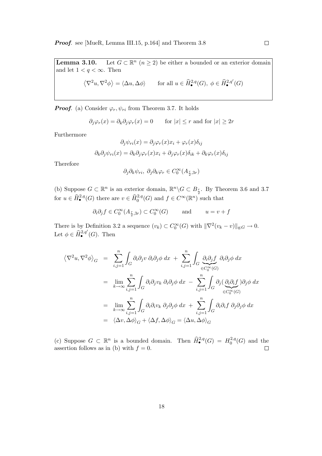Lemma  $3.10$ .  $n(n \geq 2)$  be either a bounded or an exterior domain and let  $1 < q < \infty$ . Then

$$
\left\langle \nabla^2 u, \nabla^2 \phi \right\rangle = \left\langle \Delta u, \Delta \phi \right\rangle \qquad \text{for all } u \in \widehat{H}^{2,q}_{\bullet}(G), \ \phi \in \widehat{H}^{2,q'}_{\bullet}(G)
$$

**Proof.** (a) Consider  $\varphi_r, \psi_{ri}$  from Theorem 3.7. It holds

$$
\partial_j \varphi_r(x) = \partial_k \partial_j \varphi_r(x) = 0
$$
 for  $|x| \le r$  and for  $|x| \ge 2r$ 

Furthermore

$$
\partial_j \psi_{ri}(x) = \partial_j \varphi_r(x) x_i + \varphi_r(x) \delta_{ij}
$$

$$
\partial_k \partial_j \psi_{ri}(x) = \partial_k \partial_j \varphi_r(x) x_i + \partial_j \varphi_r(x) \delta_{ik} + \partial_k \varphi_r(x) \delta_{ij}
$$

Therefore

$$
\partial_j \partial_k \psi_{ri}, \ \partial_j \partial_k \varphi_r \in C_0^{\infty}(A_{\frac{r}{2},3r})
$$

(b) Suppose  $G \subset \mathbb{R}^n$  is an exterior domain,  $\mathbb{R}^n \backslash G \subset B_{\frac{r}{2}}$ . By Theorem 3.6 and 3.7 for  $u \in \widehat{H}^{2,q}_{\bullet}(G)$  there are  $v \in \widehat{H}^{2,q}_0(G)$  and  $f \in C^{\infty}(\mathbb{R}^n)$  such that

$$
\partial_i \partial_j f \in C_0^{\infty}(A_{\frac{r}{2},3r}) \subset C_0^{\infty}(G)
$$
 and  $u = v + f$ 

There is by Definition 3.2 a sequence  $(v_k) \subset C_0^{\infty}(G)$  with  $\|\nabla^2(v_k - v)\|_{q;G} \to 0$ . Let  $\phi \in \hat{H}^{2,q'}_{\bullet}(G)$ . Then

$$
\langle \nabla^2 u, \nabla^2 \phi \rangle_G = \sum_{i,j=1}^n \int_G \partial_i \partial_j v \, \partial_i \partial_j \phi \, dx + \sum_{i,j=1}^n \int_G \underbrace{\partial_i \partial_j f}_{\in C_0^{\infty}(G)} \partial_i \partial_j \phi \, dx
$$
  
\n
$$
= \lim_{k \to \infty} \sum_{i,j=1}^n \int_G \partial_i \partial_j v_k \, \partial_i \partial_j \phi \, dx - \sum_{i,j=1}^n \int_G \partial_j (\underbrace{\partial_i \partial_i f}_{\in C_0^{\infty}(G)}) \partial_j \phi \, dx
$$
  
\n
$$
= \lim_{k \to \infty} \sum_{i,j=1}^n \int_G \partial_i \partial_i v_k \, \partial_j \partial_j \phi \, dx + \sum_{i,j=1}^n \int_G \partial_i \partial_i f \, \partial_j \partial_j \phi \, dx
$$
  
\n
$$
= \langle \Delta v, \Delta \phi \rangle_G + \langle \Delta f, \Delta \phi \rangle_G = \langle \Delta u, \Delta \phi \rangle_G
$$

(c) Suppose  $G \subset \mathbb{R}^n$  is a bounded domain. Then  $\widehat{H}^{2,q}_\bullet(G) = H^{2,q}_0$  $b_0^{2,q}(G)$  and the assertion follows as in (b) with  $f = 0$ .  $\Box$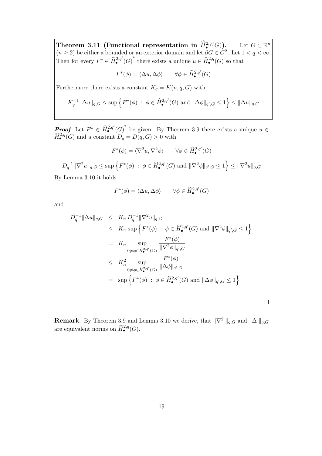Theorem 3.11 (Functional representation in  $\hat{H}^{2,q}(G)$ ). Let  $G \subset \mathbb{R}^n$  $(n \geq 2)$  be either a bounded or an exterior domain and let  $\partial G \in C^2$ . Let  $1 < q < \infty$ . Then for every  $F^* \in \widehat{H}_{\bullet}^{2,q'}(G)^*$  there exists a unique  $u \in \widehat{H}_{\bullet}^{2,q}(G)$  so that

$$
F^*(\phi) = \langle \Delta u, \Delta \phi \rangle \qquad \forall \phi \in \widehat{H}^{2,q'}_{\bullet}(G)
$$

Furthermore there exists a constant  $K_q = K(n, q, G)$  with

$$
K_q^{-1} \|\Delta u\|_{q,G} \leq \sup \{ F^*(\phi) : \phi \in \widehat{H}_{\bullet}^{2,q'}(G) \text{ and } \|\Delta \phi\|_{q',G} \leq 1 \} \leq \|\Delta u\|_{q,G}
$$

**Proof.** Let  $F^* \in \hat{H}_{\bullet}^{2,q'}(G)^*$  be given. By Theorem 3.9 there exists a unique  $u \in \hat{H}_{\bullet}^{2,q}(\mathbb{C})$  $\widehat{H}_{\bullet}^{2,q}(G)$  and a constant  $D_q = D(q, G) > 0$  with

$$
F^*(\phi) = \langle \nabla^2 u, \nabla^2 \phi \rangle \qquad \forall \phi \in \widehat{H}^{2,q'}_{\bullet}(G)
$$

 $D_q^{-1} \|\nabla^2 u\|_{q,G} \leq \sup \Big\{ F^*(\phi) \; : \; \phi \in \widehat{H}^{2,q'}_{\bullet}(G) \text{ and } \|\nabla^2 \phi\|_{q',G} \leq 1 \Big\} \leq \|\nabla^2 u\|_{q,G}$ 

By Lemma 3.10 it holds

$$
F^*(\phi) = \langle \Delta u, \Delta \phi \rangle \qquad \forall \phi \in \widehat{H}^{2,q'}_{\bullet}(G)
$$

and

$$
D_q^{-1} \|\Delta u\|_{q,G} \leq K_n D_q^{-1} \|\nabla^2 u\|_{q,G}
$$
  
\n
$$
\leq K_n \sup \left\{ F^*(\phi) : \phi \in \widehat{H}_{\bullet}^{2,q'}(G) \text{ and } \|\nabla^2 \phi\|_{q',G} \leq 1 \right\}
$$
  
\n
$$
= K_n \sup_{0 \neq \phi \in \widehat{H}_{\bullet}^{2,q'}(G)} \frac{F^*(\phi)}{\|\nabla^2 \phi\|_{q',G}}
$$
  
\n
$$
\leq K_n^2 \sup_{0 \neq \phi \in \widehat{H}_{\bullet}^{2,q'}(G)} \frac{F^*(\phi)}{\|\Delta \phi\|_{q',G}}
$$
  
\n
$$
= \sup \left\{ F^*(\phi) : \phi \in \widehat{H}_{\bullet}^{2,q'}(G) \text{ and } \|\Delta \phi\|_{q',G} \leq 1 \right\}
$$

**Remark** By Theorem 3.9 and Lemma 3.10 we derive, that  $\|\nabla^2 \cdot\|_{q;G}$  and  $\|\Delta \cdot\|_{q;G}$ are equivalent norms on  $\widehat{H}^{2,q}_{\bullet}(G)$ .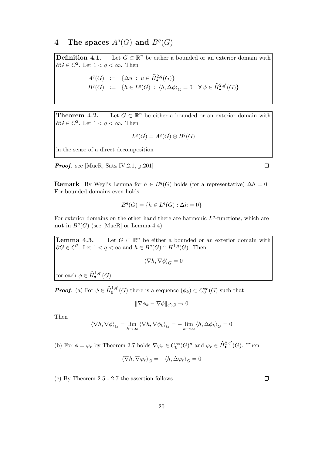## 4 The spaces  $A^q(G)$  and  $B^q(G)$

Definition 4.1. Let  $G \subset \mathbb{R}^n$  be either a bounded or an exterior domain with  $\partial G \in C^2$ . Let  $1 < q < \infty$ . Then

$$
A^q(G) := \{ \Delta u : u \in \widehat{H}^{2,q}_{\bullet}(G) \}
$$
  

$$
B^q(G) := \{ h \in L^q(G) : \langle h, \Delta \phi \rangle_G = 0 \quad \forall \phi \in \widehat{H}^{2,q'}_{\bullet}(G) \}
$$

Theorem  $4.2$ . Let  $G \subset \mathbb{R}^n$  be either a bounded or an exterior domain with  $\partial G \in C^2$ . Let  $1 < q < \infty$ . Then

$$
L^q(G) = A^q(G) \oplus B^q(G)
$$

in the sense of a direct decomposition

Proof. see [MueR, Satz IV.2.1, p.201]

**Remark** By Weyl's Lemma for  $h \in B<sup>q</sup>(G)$  holds (for a representative)  $\Delta h = 0$ . For bounded domains even holds

$$
B^q(G) = \{ h \in L^q(G) : \Delta h = 0 \}
$$

For exterior domains on the other hand there are harmonic  $L<sup>q</sup>$ -functions, which are not in  $B<sup>q</sup>(G)$  (see [MueR] or Lemma 4.4).

**Lemma 4.3.** Let  $G \subset \mathbb{R}^n$  be either a bounded or an exterior domain with  $\partial G \in C^2$ . Let  $1 < q < \infty$  and  $h \in B^q(G) \cap H^{1,q}(G)$ . Then  $\langle \nabla h, \nabla \phi \rangle_G = 0$ for each  $\phi \in \widehat{H}_{\bullet}^{1,q'}(G)$ 

**Proof.** (a) For  $\phi \in \widehat{H}^{1,q'}_0(G)$  there is a sequence  $(\phi_k) \subset C_0^{\infty}(G)$  such that

$$
\|\nabla \phi_k - \nabla \phi\|_{q';G} \to 0
$$

Then

$$
\langle \nabla h, \nabla \phi \rangle_G = \lim_{k \to \infty} \langle \nabla h, \nabla \phi_k \rangle_G = -\lim_{k \to \infty} \langle h, \Delta \phi_k \rangle_G = 0
$$

(b) For  $\phi = \varphi_r$  by Theorem 2.7 holds  $\nabla \varphi_r \in C_0^{\infty}(G)^n$  and  $\varphi_r \in \widehat{H}_{\bullet}^{2,q'}(G)$ . Then

$$
\langle \nabla h, \nabla \varphi_r \rangle_G = -\langle h, \Delta \varphi_r \rangle_G = 0
$$

(c) By Theorem 2.5 - 2.7 the assertion follows.

 $\Box$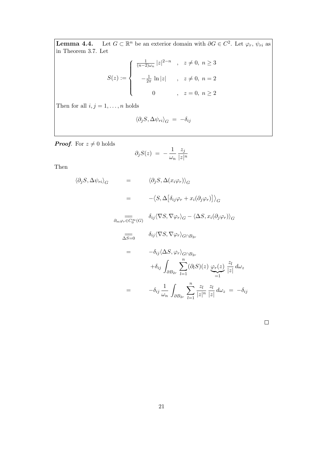**Lemma 4.4.** Let  $G \subset \mathbb{R}^n$  be an exterior domain with  $\partial G \in C^2$ . Let  $\varphi_r$ ,  $\psi_{ri}$  as in Theorem 3.7. Let

$$
S(z) := \begin{cases} \frac{1}{(n-2)\omega_n} |z|^{2-n} , & z \neq 0, n \geq 3 \\ -\frac{1}{2\pi} \ln |z| , & z \neq 0, n = 2 \\ 0 , & z = 0, n \geq 2 \end{cases}
$$

Then for all  $i,j=1,\ldots,n$  holds

$$
\langle \partial_j S, \Delta \psi_{ri} \rangle_G = -\delta_{ij}
$$

**Proof.** For  $z \neq 0$  holds

$$
\partial_j S(z) = -\frac{1}{\omega_n} \frac{z_j}{|z|^n}
$$

Then

$$
\langle \partial_j S, \Delta \psi_{ri} \rangle_G = \langle \partial_j S, \Delta (x_i \varphi_r) \rangle_G
$$
  
\n
$$
= -\langle S, \Delta [\delta_{ij} \varphi_r + x_i (\partial_j \varphi_r)] \rangle_G
$$
  
\n
$$
\overline{\partial_m \varphi_r \in C_0^{\infty}(G)} \quad \delta_{ij} \langle \nabla S, \nabla \varphi_r \rangle_G - \langle \Delta S, x_i (\partial_j \varphi_r) \rangle_G
$$
  
\n
$$
\overline{\Delta S} = 0 \qquad \delta_{ij} \langle \nabla S, \nabla \varphi_r \rangle_{G \cap B_{2r}}
$$
  
\n
$$
= -\delta_{ij} \langle \Delta S, \varphi_r \rangle_{G \cap B_{2r}}
$$
  
\n
$$
+ \delta_{ij} \int_{\partial B_{2r}} \sum_{l=1}^n (\partial_l S)(z) \underbrace{\varphi_r(z)}_{=1} \frac{z_l}{|z|} d\omega_z
$$
  
\n
$$
= -\delta_{ij} \frac{1}{\omega_n} \int_{\partial B_{2r}} \sum_{l=1}^n \frac{z_l}{|z|^n} \frac{z_l}{|z|} d\omega_z = -\delta_{ij}
$$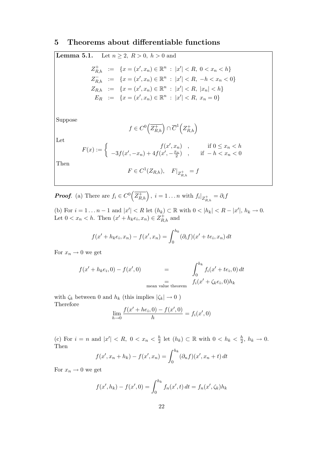## 5 Theorems about differentiable functions

**Lemma 5.1.** Let 
$$
n \ge 2
$$
,  $R > 0$ ,  $h > 0$  and  
\n
$$
Z_{R,h}^+ := \{x = (x', x_n) \in \mathbb{R}^n : |x'| < R, 0 < x_n < h\}
$$
\n
$$
Z_{R,h}^- := \{x = (x', x_n) \in \mathbb{R}^n : |x'| < R, -h < x_n < 0\}
$$
\n
$$
Z_{R,h}^- := \{x = (x', x_n) \in \mathbb{R}^n : |x'| < R, |x_n| < h\}
$$
\n
$$
E_R^- := \{x = (x', x_n) \in \mathbb{R}^n : |x'| < R, x_n = 0\}
$$

Suppose

$$
f \in C^0(\overline{Z_{R,h}^+}) \cap \overline{C}^1(Z_{R,h}^+)
$$

Let

$$
F(x) := \begin{cases} f(x', x_n) & , & \text{if } 0 \le x_n < h \\ -3f(x', -x_n) + 4f(x', -\frac{x_n}{2}) & , & \text{if } -h < x_n < 0 \end{cases}
$$

Then

$$
F \in C^1(Z_{R,h}), \quad F|_{Z_{R,h}^+} = f
$$

**Proof.** (a) There are  $f_i \in C^0(\overline{Z_{R,h}^+})$ ,  $i = 1...n$  with  $f_i|_{Z_{R,h}^+} = \partial_i f_i$ 

(b) For  $i = 1 ... n - 1$  and  $|x'| < R$  let  $(h_k) \subset \mathbb{R}$  with  $0 < |h_k| < R - |x'|$ ,  $h_k \to 0$ . Let  $0 < x_n < h$ . Then  $(x' + h_k e_i, x_n) \in Z_{R,h}^+$  and

$$
f(x' + h_k e_i, x_n) - f(x', x_n) = \int_0^{h_k} (\partial_i f)(x' + t e_i, x_n) dt
$$

For  $x_n \to 0$  we get

$$
f(x' + h_k e_i, 0) - f(x', 0)
$$
  
= 
$$
\int_0^{h_k} f_i(x' + t e_i, 0) dt
$$
  
mean value theorem  

$$
f_i(x' + \zeta_k e_i, 0) h_k
$$

with  $\zeta_k$  between  $0$  and  $h_k$  (this implies  $|\zeta_k|\to 0$  ) Therefore

$$
\lim_{h \to 0} \frac{f(x' + he_i, 0) - f(x', 0)}{h} = f_i(x', 0)
$$

(c) For  $i = n$  and  $|x'| < R$ ,  $0 < x_n < \frac{h}{2}$  $\frac{h}{2}$  let  $(h_k) \subset \mathbb{R}$  with  $0 < h_k < \frac{h}{2}$  $\frac{h}{2}, h_k \to 0.$ Then

$$
f(x', x_n + h_k) - f(x', x_n) = \int_0^{h_k} (\partial_n f)(x', x_n + t) dt
$$

For  $x_n \to 0$  we get

$$
f(x', h_k) - f(x', 0) = \int_0^{h_k} f_n(x', t) dt = f_n(x', \zeta_k) h_k
$$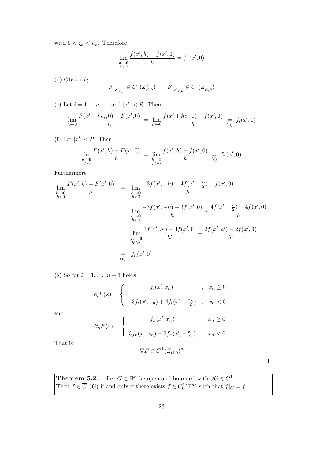with  $0 < \zeta_k < h_k$ . Therefore

$$
\lim_{\substack{h \to 0 \\ h > 0}} \frac{f(x', h) - f(x', 0)}{h} = f_n(x', 0)
$$

(d) Obviously

$$
F|_{Z_{R,h}^+} \in C^1(Z_{R,h}^+) \qquad F|_{Z_{R,h}^-} \in C^1(Z_{R,h}^-)
$$

(e) Let  $i = 1 \dots n - 1$  and  $|x'| < R$ . Then

$$
\lim_{h \to 0} \frac{F(x' + he_i, 0) - F(x', 0)}{h} = \lim_{h \to 0} \frac{f(x' + he_i, 0) - f(x', 0)}{h} = f_i(x', 0)
$$

(f) Let  $|x'| < R$ . Then

$$
\lim_{\substack{h \to 0 \\ h>0}} \frac{F(x', h) - F(x', 0)}{h} = \lim_{\substack{h \to 0 \\ h>0}} \frac{f(x', h) - f(x', 0)}{h} = f_n(x', 0)
$$

Furthermore

$$
\lim_{h \to 0} \frac{F(x', h) - F(x', 0)}{h} = \lim_{h \to 0} \frac{-3f(x', -h) + 4f(x', -\frac{h}{2}) - f(x', 0)}{h}
$$
\n
$$
= \lim_{h \to 0} \frac{-3f(x', -h) + 3f(x', 0)}{h} + \frac{4f(x', -\frac{h}{2}) - 4f(x', 0)}{h}
$$
\n
$$
= \lim_{h \to 0} \frac{3f(x', h') - 3f(x', 0)}{h'} - \frac{2f(x', h') - 2f(x', 0)}{h'}
$$
\n
$$
= f_n(x', 0)
$$
\n
$$
= f_n(x', 0)
$$

(g) So for  $i = 1, \ldots, n-1$  holds

$$
\partial_i F(x) = \begin{cases}\nf_i(x', x_n) & , x_n \ge 0 \\
-3f_i(x', x_n) + 4f_i(x', -\frac{x_n}{2}) & , x_n < 0\n\end{cases}
$$

and

$$
\partial_n F(x) = \begin{cases}\nf_n(x', x_n) & , x_n \ge 0 \\
3f_n(x', x_n) - 2f_n(x', -\frac{x_n}{2}) & , x_n < 0\n\end{cases}
$$

That is

$$
\nabla F \in C^0 \left( Z_{R,h} \right)^n
$$

 $\Box$ 

**Theorem 5.2.** Let  $G \subset \mathbb{R}^n$  be open and bounded with  $\partial G \in C^1$ . Then  $f \in \overline{C}^1(G)$  if and only if there exists  $\tilde{f} \in C_0^1(\mathbb{R}^n)$  such that  $\tilde{f}|_G = f$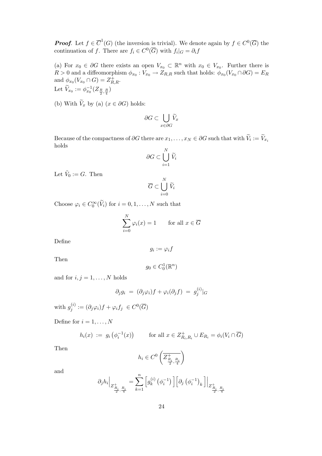**Proof.** Let  $f \in \overline{C}^1(G)$  (the inversion is trivial). We denote again by  $f \in C^0(\overline{G})$  the continuation of f. There are  $f_i \in C^0(\overline{G})$  with  $f_i|_G = \partial_i f$ 

(a) For  $x_0 \in \partial G$  there exists an open  $V_{x_0} \subset \mathbb{R}^n$  with  $x_0 \in V_{x_0}$ . Further there is  $R > 0$  and a diffeomorphism  $\phi_{x_0} : V_{x_0} \to Z_{R,R}$  such that holds:  $\phi_{x_0}(V_{x_0} \cap \partial G) = E_R$ and  $\phi_{x_0}(V_{x_0} \cap G) = Z_{R,R}^+$ . Let  $\widetilde{V}_{x_0} := \phi_{x_0}^{-1}(Z_{\frac{R}{2},\frac{R}{4}})$ 

(b) With  $\widetilde{V}_x$  by (a)  $(x \in \partial G)$  holds:

$$
\partial G \subset \bigcup_{x \in \partial G} \widetilde{V}_x
$$

Because of the compactness of ∂G there are  $x_1, \ldots, x_N \in \partial G$  such that with  $V_i := V_{x_i}$ holds

$$
\partial G \subset \bigcup_{i=1}^N \widetilde{V}_i
$$

Let  $\tilde{V}_0 := G$ . Then

$$
\overline{G} \subset \bigcup_{i=0}^N \widetilde{V}_i
$$

Choose  $\varphi_i \in C_0^{\infty}(\widetilde{V}_i)$  for  $i = 0, 1, ..., N$  such that

$$
\sum_{i=0}^{N} \varphi_i(x) = 1 \quad \text{for all } x \in \overline{G}
$$

Define

$$
g_i := \varphi_i f
$$

Then

$$
g_0\in C_0^1(\mathbb{R}^n)
$$

and for  $i, j = 1, \ldots, N$  holds

$$
\partial_j g_i \;=\; (\partial_j \varphi_i) f + \varphi_i (\partial_j f) \;=\; g_j^{(i)}|_G
$$

with  $g_i^{(i)}$  $j^{(i)}_j := (\partial_j \varphi_i) f + \varphi_i f_j \ \in C^0(\overline{G})$ 

Define for  $i = 1, \ldots, N$ 

$$
h_i(x) := g_i\left(\phi_i^{-1}(x)\right) \qquad \text{for all } x \in Z_{R_i,R_i}^+ \cup E_{R_i} = \phi_i(V_i \cap \overline{G})
$$

Then

$$
h_i\in C^0\left(\overline{Z^+_{\frac{R_i}{2},\frac{R_i}{4}}}\right)
$$

and

$$
\partial_j h_i \Big|_{Z^+_{\frac{R_i}{2},\frac{R_i}{4}}} = \sum_{k=1}^n \left[ g_k^{(i)}\left(\phi_i^{-1}\right) \right] \left[ \partial_j \left(\phi_i^{-1}\right)_k \right] \Big|_{Z^+_{\frac{R_i}{2},\frac{R_i}{4}}}
$$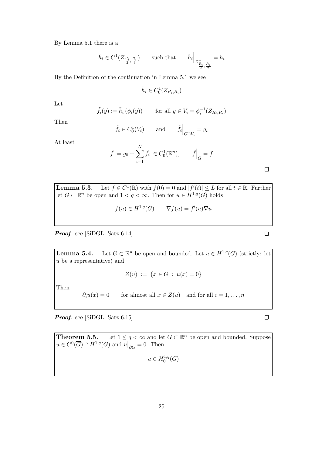By Lemma 5.1 there is a

$$
\tilde{h}_i \in C^1(Z_{\frac{R_i}{2}, \frac{R_i}{4}}) \qquad \text{such that} \qquad \tilde{h}_i \Big|_{Z_{\frac{R_i}{2}, \frac{R_i}{4}}^+} = h_i
$$

By the Definition of the continuation in Lemma 5.1 we see

$$
\tilde{h}_i\in C_0^1(Z_{R_i,R_i})
$$

Let

$$
\tilde{f}_i(y) := \tilde{h}_i(\phi_i(y)) \qquad \text{for all } y \in V_i = \phi_i^{-1}(Z_{R_i, R_i})
$$

Then

$$
\tilde{f}_i \in C_0^1(V_i)
$$
 and  $\tilde{f}_i \Big|_{G \cap V_i} = g_i$ 

At least

$$
\tilde{f} := g_0 + \sum_{i=1}^{N} \tilde{f}_i \in C_0^1(\mathbb{R}^n), \qquad \tilde{f}\Big|_G = f
$$

 $\Box$ 

**Lemma 5.3.** Let  $f \in C^1(\mathbb{R})$  with  $f(0) = 0$  and  $|f'(t)| \leq L$  for all  $t \in \mathbb{R}$ . Further let  $G \subset \mathbb{R}^n$  be open and  $1 < q < \infty$ . Then for  $u \in H^{1,q}(G)$  holds

$$
f(u) \in H^{1,q}(G) \qquad \nabla f(u) = f'(u)\nabla u
$$

Proof. see [SiDGL, Satz 6.14]

Lemma  $5.4$ . Let  $G \subset \mathbb{R}^n$  be open and bounded. Let  $u \in H^{1,q}(G)$  (strictly: let u be a representative) and

$$
Z(u) := \{ x \in G \, : \, u(x) = 0 \}
$$

Then

 $\partial_i u(x) = 0$  for almost all  $x \in Z(u)$  and for all  $i = 1, ..., n$ 

Proof. see [SiDGL, Satz 6.15]

**Theorem 5.5.** Let  $1 \leq q < \infty$  and let  $G \subset \mathbb{R}^n$  be open and bounded. Suppose  $u \in C^0(\overline{G}) \cap H^{1,q}(G)$  and  $u|_{\partial G} = 0$ . Then  $u \in H_0^{1,q}$  $_{0}^{1,q}(G)$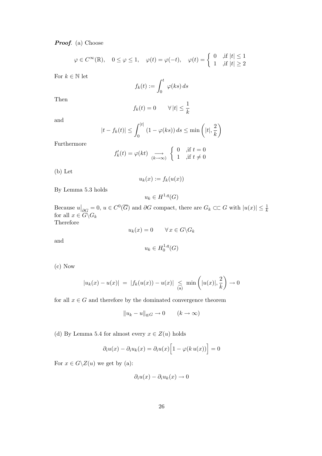Proof. (a) Choose

$$
\varphi \in C^{\infty}(\mathbb{R}), \quad 0 \le \varphi \le 1, \quad \varphi(t) = \varphi(-t), \quad \varphi(t) = \begin{cases} 0 & \text{, if } |t| \le 1 \\ 1 & \text{, if } |t| \ge 2 \end{cases}
$$

For  $k\in\mathbb{N}$  let

$$
f_k(t) := \int_0^t \varphi(ks) \, ds
$$

Then

$$
f_k(t) = 0 \qquad \forall |t| \le \frac{1}{k}
$$

and

$$
|t - f_k(t)| \le \int_0^{|t|} (1 - \varphi(ks)) ds \le \min\left(|t|, \frac{2}{k}\right)
$$

Furthermore

$$
f'_k(t) = \varphi(kt) \xrightarrow[k \to \infty]{} \begin{cases} 0 & \text{,if } t = 0 \\ 1 & \text{,if } t \neq 0 \end{cases}
$$

(b) Let

$$
u_k(x) := f_k(u(x))
$$

By Lemma 5.3 holds

$$
u_k \in H^{1,q}(G)
$$

Because  $u|_{\partial G} = 0$ ,  $u \in C^0(\overline{G})$  and  $\partial G$  compact, there are  $G_k \subset\subset G$  with  $|u(x)| \leq \frac{1}{k}$  for all  $x \in G \backslash G_k$ 

Therefore

$$
u_k(x) = 0 \qquad \forall \, x \in G \backslash G_k
$$

and

$$
u_k \in H_0^{1,q}(G)
$$

(c) Now

$$
|u_k(x) - u(x)| = |f_k(u(x)) - u(x)| \le \min\left(|u(x)|, \frac{2}{k}\right) \to 0
$$

for all  $x\in G$  and therefore by the dominated convergence theorem

$$
||u_k - u||_{q;G} \to 0 \qquad (k \to \infty)
$$

(d) By Lemma 5.4 for almost every  $x \in Z(u)$  holds

$$
\partial_i u(x) - \partial_i u_k(x) = \partial_i u(x) \Big[ 1 - \varphi(k u(x)) \Big] = 0
$$

For  $x \in G \backslash Z(u)$  we get by (a):

$$
\partial_i u(x) - \partial_i u_k(x) \to 0
$$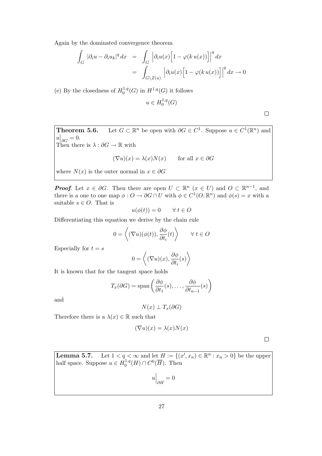Again by the dominated convergence theorem

$$
\int_G |\partial_i u - \partial_i u_k|^q dx = \int_G \left| \partial_i u(x) \left[ 1 - \varphi(k u(x)) \right] \right|^q dx
$$

$$
= \int_{G \setminus Z(u)} \left| \partial_i u(x) \left[ 1 - \varphi(k u(x)) \right] \right|^q dx \to 0
$$

(e) By the closedness of  $H_0^{1,q}$  $1, q(G)$  in  $H^{1,q}(G)$  it follows

$$
u \in H_0^{1,q}(G)
$$

Theorem 5.6. <sup>n</sup> be open with  $\partial G \in C^1$ . Suppose  $u \in C^1(\mathbb{R}^n)$  and  $u|_{\partial G} = 0.$ 

Then there is  $\lambda : \partial G \to \mathbb{R}$  with

$$
(\nabla u)(x) = \lambda(x)N(x) \quad \text{for all } x \in \partial G
$$

where  $N(x)$  is the outer normal in  $x \in \partial G$ 

**Proof.** Let  $x \in \partial G$ . Then there are open  $U \subset \mathbb{R}^n$   $(x \in U)$  and  $O \subset \mathbb{R}^{n-1}$ , and there is a one to one map  $\phi: O \to \partial G \cap U$  with  $\phi \in C^1(O; \mathbb{R}^n)$  and  $\phi(s) = x$  with a suitable  $s \in O$ . That is

$$
u(\phi(t)) = 0 \qquad \forall \ t \in O
$$

Differentiating this equation we derive by the chain rule

$$
0 = \left\langle (\nabla u)(\phi(t)), \frac{\partial \phi}{\partial t_i}(t) \right\rangle \qquad \forall \ t \in O
$$

Especially for  $t = s$ 

$$
0 = \left\langle (\nabla u)(x), \frac{\partial \phi}{\partial t_i}(s) \right\rangle
$$

It is known that for the tangent space holds

$$
T_x(\partial G) = \text{span}\left(\frac{\partial \phi}{\partial t_1}(s), \dots, \frac{\partial \phi}{\partial t_{n-1}}(s)\right)
$$

and

$$
N(x) \perp T_x(\partial G)
$$

Therefore there is a  $\lambda(x) \in \mathbb{R}$  such that

$$
(\nabla u)(x) = \lambda(x)N(x)
$$

 $\Box$ 

**Lemma 5.7.** Let  $1 < q < \infty$  and let  $H := \{(x', x_n) \in \mathbb{R}^n : x_n > 0\}$  be the upper half space. Suppose  $u \in H_0^{1,q}$  $C^1, q(H) \cap C^0(\overline{H})$ . Then

 $u\Big|_{\partial H}=0$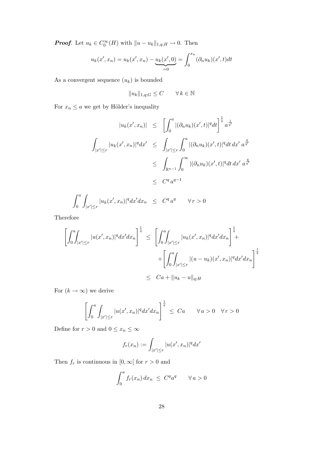**Proof.** Let  $u_k \in C_0^{\infty}(H)$  with  $||u - u_k||_{1,q;H} \to 0$ . Then

$$
u_k(x', x_n) = u_k(x', x_n) - \underbrace{u_k(x', 0)}_{=0} = \int_0^{x_n} (\partial_n u_k)(x', t) dt
$$

As a convergent sequence  $(u_k)$  is bounded

 $||u_k||_{1,q;G} \leq C \qquad \forall k \in \mathbb{N}$ 

For  $x_n \leq a$  we get by Hölder's inequality

$$
|u_k(x',x_n)| \leq \left[ \int_0^a |(\partial_n u_k)(x',t)|^q dt \right]^{\frac{1}{q}} a^{\frac{1}{q'}}
$$
  

$$
\int_{|x'| \leq r} |u_k(x',x_n)|^q dx' \leq \int_{|x'| \leq r} \int_0^a |(\partial_n u_k)(x',t)|^q dt dx' a^{\frac{q}{q'}}
$$
  

$$
\leq \int_{\mathbb{R}^{n-1}} \int_0^\infty |(\partial_n u_k)(x',t)|^q dt dx' a^{\frac{q}{q'}}
$$
  

$$
\leq C^q a^{q-1}
$$

$$
\int_0^a \int_{|x'| \le r} |u_k(x', x_n)|^q dx' dx_n \le C^q a^q \quad \forall r > 0
$$

Therefore

$$
\left[\int_{0}^{a} \int_{|x'| \leq r} |u(x',x_n)|^q dx' dx_n\right]^{\frac{1}{q}} \leq \left[\int_{0}^{a} \int_{|x'| \leq r} |u_k(x',x_n)|^q dx' dx_n\right]^{\frac{1}{q}} +
$$
  
+
$$
\left[\int_{0}^{a} \int_{|x'| \leq r} |(u-u_k)(x',x_n)|^q dx' dx_n\right]^{\frac{1}{q}}
$$
  

$$
\leq C a + ||u_k - u||_{q;H}
$$

For  $(k \to \infty)$  we derive

$$
\left[\int_0^a \int_{|x'| \le r} |u(x',x_n)|^q dx' dx_n\right]^{\frac{1}{q}} \le Ca \qquad \forall a > 0 \quad \forall r > 0
$$

Define for  $r>0$  and  $0\leq x_n\leq \infty$ 

$$
f_r(x_n) := \int_{|x'| \le r} |u(x', x_n)|^q dx'
$$

Then  $f_r$  is continuous in  $[0,\infty[$  for  $r>0$  and

$$
\int_0^a f_r(x_n) dx_n \leq C^q a^q \qquad \forall a > 0
$$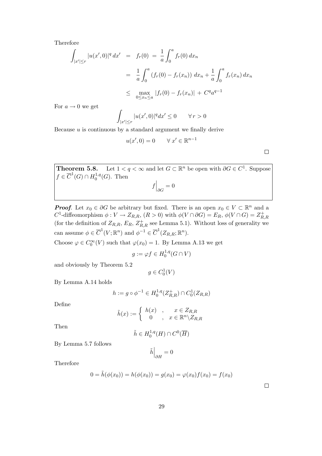Therefore

$$
\int_{|x'| \le r} |u(x',0)|^q dx' = f_r(0) = \frac{1}{a} \int_0^a f_r(0) dx_n
$$
  

$$
= \frac{1}{a} \int_0^a (f_r(0) - f_r(x_n)) dx_n + \frac{1}{a} \int_0^a f_r(x_n) dx_n
$$
  

$$
\le \max_{0 \le x_n \le a} |f_r(0) - f_r(x_n)| + C^q a^{q-1}
$$

For  $a \rightarrow 0$  we get

$$
\int_{|x'| \le r} |u(x',0)|^q dx' \le 0 \qquad \forall \, r > 0
$$

Because  $u$  is continuous by a standard argument we finally derive

$$
u(x',0) = 0 \qquad \forall \ x' \in \mathbb{R}^{n-1}
$$

 $\Box$ 

**Theorem 5.8.** Let  $1 < q < \infty$  and let  $G \subset \mathbb{R}^n$  be open with  $\partial G \in C^1$ . Suppose  $f \in \overline{C}^1(G) \cap H_0^{1,q}$  $_{0}^{1,q}(G)$ . Then  $\overline{1}$  $\overline{0}$ 

$$
f\Big|_{\partial G} = 0
$$

**Proof.** Let  $x_0 \in \partial G$  be arbitrary but fixed. There is an open  $x_0 \in V \subset \mathbb{R}^n$  and a C<sup>1</sup>-diffeomorphism  $\phi: V \to Z_{R,R}$ ,  $(R > 0)$  with  $\phi(V \cap \partial G) = E_R$ ,  $\phi(V \cap G) = Z_R^+$ R,R (for the definition of  $Z_{R,R}$ ,  $E_R$ ,  $Z_{R,R}^+$  see Lemma 5.1). Without loss of generality we can assume  $\phi \in \overline{C}^1(V;\mathbb{R}^n)$  and  $\phi^{-1} \in \overline{C}^1(Z_{R,R};\mathbb{R}^n)$ .

Choose  $\varphi \in C_0^{\infty}(V)$  such that  $\varphi(x_0) = 1$ . By Lemma A.13 we get

$$
g := \varphi f \in H_0^{1,q}(G \cap V)
$$

and obviously by Theorem 5.2

$$
g \in C_0^1(V)
$$

By Lemma A.14 holds

$$
h := g \circ \phi^{-1} \in H_0^{1,q}(Z_{R,R}^+) \cap C_0^1(Z_{R,R})
$$

Define

$$
\tilde{h}(x) := \begin{cases} h(x) & , & x \in Z_{R,R} \\ 0 & , & x \in \mathbb{R}^n \backslash Z_{R,R} \end{cases}
$$

Then

$$
\tilde{h} \in H_0^{1,q}(H) \cap C^0(\overline{H})
$$

By Lemma 5.7 follows

$$
\tilde{h}\Big|_{\partial H}=0
$$

Therefore

$$
0 = \tilde{h}(\phi(x_0)) = h(\phi(x_0)) = g(x_0) = \varphi(x_0)f(x_0) = f(x_0)
$$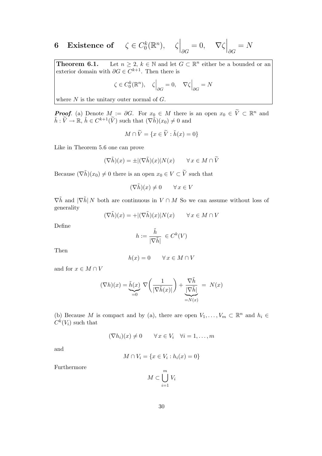#### 6 Existence of  $\zeta \in C_0^k$  $g_0^k(\mathbb{R}^n), \quad \zeta\Big|$  $\overline{\phantom{a}}$  $\partial G$  $= 0, \quad \nabla \zeta$  $\overline{\phantom{a}}$  $\partial G$  $= N$

**Theorem 6.1.** Let  $n \geq 2$ ,  $k \in \mathbb{N}$  and let  $G \subset \mathbb{R}^n$  either be a bounded or an exterior domain with  $\partial G \in C^{k+1}$ . Then there is

$$
\zeta \in C_0^k(\mathbb{R}^n), \quad \zeta \Big|_{\partial G} = 0, \quad \nabla \zeta \Big|_{\partial G} = N
$$

where  $N$  is the unitary outer normal of  $G$ .

**Proof.** (a) Denote  $M := \partial G$ . For  $x_0 \in M$  there is an open  $x_0 \in \tilde{V} \subset \mathbb{R}^n$  and  $\tilde{h}: \tilde{V} \to \mathbb{R}, \tilde{h} \in C^{k+1}(\tilde{V})$  such that  $(\nabla \tilde{h})(x_0) \neq 0$  and

$$
M \cap \widetilde{V} = \{ x \in \widetilde{V} : \widetilde{h}(x) = 0 \}
$$

Like in Theorem 5.6 one can prove

$$
(\nabla \tilde{h})(x) = \pm |(\nabla \tilde{h})(x)| N(x) \qquad \forall x \in M \cap \tilde{V}
$$

Because  $(\nabla \tilde{h})(x_0) \neq 0$  there is an open  $x_0 \in V \subset \tilde{V}$  such that

$$
(\nabla \tilde{h})(x) \neq 0 \qquad \forall x \in V
$$

 $\nabla \tilde{h}$  and  $|\nabla \tilde{h}| N$  both are continuous in  $V \cap M$  So we can assume without loss of generality

$$
(\nabla \tilde{h})(x) = + |(\nabla \tilde{h})(x)| N(x) \qquad \forall x \in M \cap V
$$

Define

$$
h:=\frac{\tilde{h}}{|\nabla \tilde{h}|} \ \in C^k(V)
$$

Then

$$
h(x) = 0 \qquad \forall \, x \in M \cap V
$$

and for  $x \in M \cap V$ 

$$
(\nabla h)(x) = \underbrace{\tilde{h}(x)}_{=0} \nabla \left(\frac{1}{|\nabla \tilde{h}(x)|}\right) + \underbrace{\frac{\nabla \tilde{h}}{|\nabla \tilde{h}|}}_{=N(x)} = N(x)
$$

(b) Because M is compact and by (a), there are open  $V_1, \ldots, V_m \subset \mathbb{R}^n$  and  $h_i \in$  $C^k(V_i)$  such that

$$
(\nabla h_i)(x) \neq 0 \qquad \forall x \in V_i \quad \forall i = 1, \dots, m
$$

and

$$
M \cap V_i = \{ x \in V_i : h_i(x) = 0 \}
$$

Furthermore

$$
M \subset \bigcup_{i=1}^{m} V_i
$$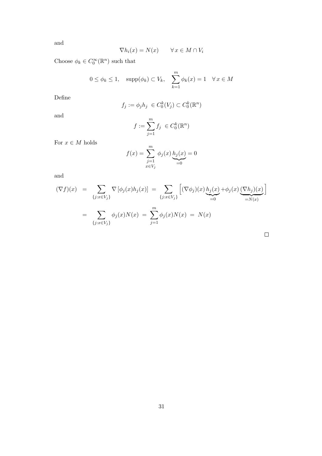and

$$
\nabla h_i(x) = N(x) \qquad \forall \, x \in M \cap V_i
$$

Choose  $\phi_k \in C_0^{\infty}(\mathbb{R}^n)$  such that

$$
0 \le \phi_k \le 1
$$
,  $\text{supp}(\phi_k) \subset V_k$ ,  $\sum_{k=1}^m \phi_k(x) = 1 \quad \forall x \in M$ 

Define

$$
f_j := \phi_j h_j \in C_0^k(V_j) \subset C_0^k(\mathbb{R}^n)
$$

and

$$
f:=\sum_{j=1}^m f_j\ \in C_0^k(\mathbb{R}^n)
$$

For  $x \in M$  holds

$$
f(x) = \sum_{\substack{j=1 \ x \in V_j}}^{m} \phi_j(x) \underbrace{h_j(x)}_{=0} = 0
$$

and

$$
(\nabla f)(x) = \sum_{\{j: x \in V_j\}} \nabla \left[\phi_j(x) h_j(x)\right] = \sum_{\{j: x \in V_j\}} \left[ (\nabla \phi_j)(x) \underbrace{h_j(x)}_{=0} + \phi_j(x) \underbrace{(\nabla h_j)(x)}_{=N(x)} \right]
$$

$$
= \sum_{\{j: x \in V_j\}} \phi_j(x) N(x) = \sum_{j=1}^m \phi_j(x) N(x) = N(x)
$$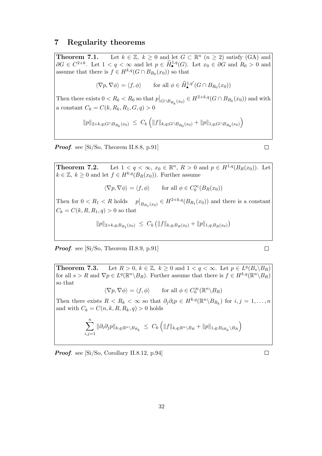#### 7 Regularity theorems

**Theorem 7.1.** Let  $k \in \mathbb{Z}$ ,  $k \geq 0$  and let  $G \subset \mathbb{R}^n$   $(n \geq 2)$  satisfy (GA) and  $\partial G \in C^{2+k}$ . Let  $1 < q < \infty$  and let  $p \in \widehat{H}_{\bullet}^{1,q}(G)$ . Let  $x_0 \in \partial G$  and  $R_0 > 0$  and assume that there is  $f \in H^{k,q}(G \cap B_{R_0}(x_0))$  so that

$$
\langle \nabla p, \nabla \phi \rangle = \langle f, \phi \rangle \quad \text{for all } \phi \in \widehat{H}_{\bullet}^{1,q'}(G \cap B_{R_0}(x_0))
$$

Then there exists  $0 < R_k < R_0$  so that  $p|_{G \cap B_{R_k}(x_0)} \in H^{2+k,q}(G \cap B_{R_k}(x_0))$  and with a constant  $C_k = C(k, R_k, R_1, G, q) > 0$ 

$$
||p||_{2+k,q;G \cap B_{R_k}(x_0)} \leq C_k \left( ||f||_{k,q;G \cap B_{R_0}(x_0)} + ||p||_{1,q;G \cap B_{R_0}(x_0)} \right)
$$

Proof. see [Si/So, Theorem II.8.8, p.91]

**Theorem 7.2.** Let  $1 < q < \infty$ ,  $x_0 \in \mathbb{R}^n$ ,  $R > 0$  and  $p \in H^{1,q}(B_R(x_0))$ . Let  $k \in \mathbb{Z}, k \geq 0$  and let  $f \in H^{k,q}(B_R(x_0))$ . Further assume

$$
\langle \nabla p, \nabla \phi \rangle = \langle f, \phi \rangle \quad \text{for all } \phi \in C_0^{\infty}(B_R(x_0))
$$

Then for  $0 < R_1 < R$  holds  $p|_{B_{R_1}(x_0)} \in H^{2+k,q}(B_{R_1}(x_0))$  and there is a constant  $C_k = C(k, R, R_1, q) > 0$  so that

$$
||p||_{2+k,q;B_{R_1}(x_0)} \leq C_k (||f||_{k,q;B_R(x_0)} + ||p||_{1,q;B_R(x_0)})
$$

**Proof.** see  $[Si/So, Theorem II.8.9, p.91]$ 

**Theorem 7.3.** Let  $R > 0$ ,  $k \in \mathbb{Z}$ ,  $k \geq 0$  and  $1 < q < \infty$ . Let  $p \in L^q(B_s \backslash B_R)$ for all  $s > R$  and  $\nabla p \in L^q(\mathbb{R}^n \setminus B_R)$ . Further assume that there is  $f \in H^{k,q}(\mathbb{R}^n \setminus B_R)$ so that

 $\langle \nabla p, \nabla \phi \rangle = \langle f, \phi \rangle$  for all  $\phi \in C_0^{\infty}(\mathbb{R}^n \backslash B_R)$ 

Then there exists  $R < R_k < \infty$  so that  $\partial_j \partial_i p \in H^{k,q}(\mathbb{R}^n \setminus B_{R_k})$  for  $i, j = 1, ..., n$ and with  $C_k = C(n, k, R, R_k, q) > 0$  holds

$$
\sum_{i,j=1}^n \|\partial_i \partial_j p\|_{k,q;\mathbb{R}^n \setminus B_{R_k}} \ \leq \ C_k \left( \|f\|_{k,q;\mathbb{R}^n \setminus B_R} + \|p\|_{1,q;B_{2R_k} \setminus B_R} \right)
$$

Proof. see [Si/So, Corollary II.8.12, p.94]

 $\Box$ 

 $\Box$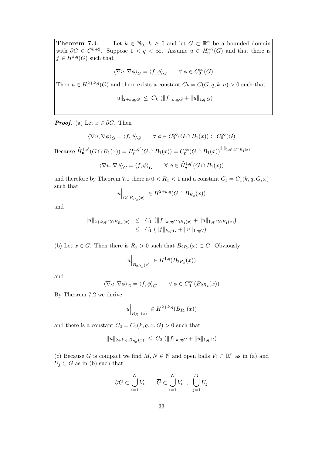**Theorem 7.4.** Let  $k \in \mathbb{N}_0$ ,  $k \geq 0$  and let  $G \subset \mathbb{R}^n$  be a bounded domain with  $\partial G \in C^{k+2}$ . Suppose  $1 < q < \infty$ . Assume  $u \in H_0^{1,q}$  $_{0}^{1,q}(G)$  and that there is  $f \in H^{k,q}(G)$  such that

$$
\langle \nabla u,\nabla \phi\rangle_G=\langle f,\phi\rangle_G\qquad \forall\; \phi\in C_0^\infty(G)
$$

Then  $u \in H^{2+k,q}(G)$  and there exists a constant  $C_k = C(G, q, k, n) > 0$  such that

$$
||u||_{2+k,q;G} \leq C_k (||f||_{k,q;G} + ||u||_{1,q;G})
$$

**Proof.** (a) Let  $x \in \partial G$ . Then

$$
\langle \nabla u, \nabla \phi \rangle_G = \langle f, \phi \rangle_G \qquad \forall \ \phi \in C^\infty_0(G \cap B_1(x)) \subset C^\infty_0(G)
$$

Because  $\widehat{H}_{\bullet}^{1,q'}(G \cap B_1(x)) = H_0^{1,q'}$  $\frac{1}{0}^{1,q'}(G \cap B_1(x)) = \overline{C_0^{\infty}(G \cap B_1(x))}^{\| \cdot \|_{1,q';G \cap B_1(x)}}$ 

$$
\langle \nabla u, \nabla \phi \rangle_G = \langle f, \phi \rangle_G \qquad \forall \ \phi \in \widehat{H}^{1,q'}_{\bullet}(G \cap B_1(x))
$$

and therefore by Theorem 7.1 there is  $0 < R_x < 1$  and a constant  $C_1 = C_1(k, q, G, x)$ such that

$$
u\Big|_{G \cap B_{R_x}(x)} \in H^{2+k,q}(G \cap B_{R_x}(x))
$$

and

$$
||u||_{2+k,q;G \cap B_{R_x}(x)} \leq C_1 (||f||_{k,q;G \cap B_1(x)} + ||u||_{1,q;G \cap B_1(x)})
$$
  
 
$$
\leq C_1 (||f||_{k,q;G} + ||u||_{1,q;G})
$$

(b) Let  $x \in G$ . Then there is  $R_x > 0$  such that  $B_{2R_x}(x) \subset G$ . Obviously

$$
u\Big|_{B_{2R_x}(x)} \in H^{1,q}(B_{2R_x}(x))
$$

and

$$
\langle \nabla u, \nabla \phi \rangle_G = \langle f, \phi \rangle_G \qquad \forall \ \phi \in C_0^{\infty}(B_{2R_x}(x))
$$

By Theorem 7.2 we derive

$$
u\Big|_{B_{R_x}(x)} \in H^{2+k,q}(B_{R_x}(x))
$$

and there is a constant  $C_2 = C_2(k, q, x, G) > 0$  such that

$$
||u||_{2+k,q;B_{R_x}(x)} \leq C_2 (||f||_{k,q;G} + ||u||_{1,q;G})
$$

(c) Because  $\overline{G}$  is compact we find  $M, N \in \mathbb{N}$  and open balls  $V_i \subset \mathbb{R}^n$  as in (a) and  $U_j \subset G$  as in (b) such that

$$
\partial G \subset \bigcup_{i=1}^N V_i \qquad \overline{G} \subset \bigcup_{i=1}^N V_i \ \cup \ \bigcup_{j=1}^M U_j
$$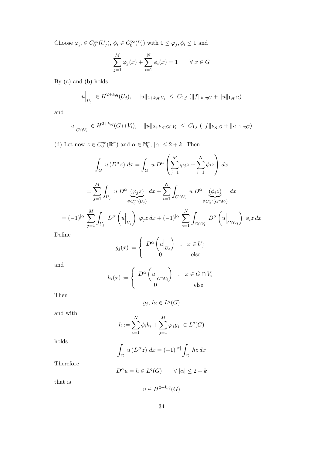Choose  $\varphi_j \in C_0^{\infty}(U_j)$ ,  $\phi_i \in C_0^{\infty}(V_i)$  with  $0 \le \varphi_j, \phi_i \le 1$  and

$$
\sum_{j=1}^{M} \varphi_j(x) + \sum_{i=1}^{N} \phi_i(x) = 1 \qquad \forall \ x \in \overline{G}
$$

By (a) and (b) holds

$$
u\Big|_{U_j} \in H^{2+k,q}(U_j), \quad \|u\|_{2+k,q;U_j} \leq C_{2,j} \left( \|f\|_{k,q;G} + \|u\|_{1,q;G} \right)
$$

and

$$
u\Big|_{G\cap V_i} \in H^{2+k,q}(G\cap V_i), \quad \|u\|_{2+k,q;G\cap V_i} \leq C_{1,i} \left( \|f\|_{k,q;G} + \|u\|_{1,q;G} \right)
$$

(d) Let now  $z \in C_0^{\infty}(\mathbb{R}^n)$  and  $\alpha \in \mathbb{N}_0^n$ ,  $|\alpha| \leq 2 + k$ . Then

$$
\int_{G} u(D^{\alpha}z) dx = \int_{G} u D^{\alpha} \left( \sum_{j=1}^{M} \varphi_{j}z + \sum_{i=1}^{N} \phi_{i}z \right) dx
$$

$$
= \sum_{j=1}^{M} \int_{U_{j}} u D^{\alpha} \underbrace{(\varphi_{j}z)}_{\in C_{0}^{\infty}(U_{j})} dx + \sum_{i=1}^{N} \int_{G \cap V_{i}} u D^{\alpha} \underbrace{(\phi_{i}z)}_{\in C_{0}^{\infty}(G \cap V_{i})} dx
$$

$$
= (-1)^{|\alpha|} \sum_{j=1}^{M} \int_{U_{j}} D^{\alpha} \left( u \Big|_{U_{j}} \right) \varphi_{j}z dx + (-1)^{|\alpha|} \sum_{i=1}^{N} \int_{G \cap V_{i}} D^{\alpha} \left( u \Big|_{G \cap V_{i}} \right) \phi_{i}z dx
$$

Define

$$
g_j(x) := \begin{cases} D^{\alpha} \begin{pmatrix} u \end{pmatrix}_{U_j} & , x \in U_j \\ 0 & \text{else} \end{cases}
$$

and

$$
h_i(x) := \begin{cases} D^{\alpha} \begin{pmatrix} u \end{pmatrix}_{G \cap V_i} & , x \in G \cap V_i \\ 0 & \text{else} \end{cases}
$$

Then

$$
g_j,\,h_i\in L^q(G)
$$

and with

$$
h := \sum_{i=1}^{N} \phi_i h_i + \sum_{j=1}^{M} \varphi_j g_j \in L^q(G)
$$

holds

$$
\int_G u(D^{\alpha}z) dx = (-1)^{|\alpha|} \int_G hz dx
$$

Therefore

$$
D^{\alpha}u = h \in L^{q}(G) \qquad \forall |\alpha| \le 2 + k
$$

that is

$$
u \in H^{2+k,q}(G)
$$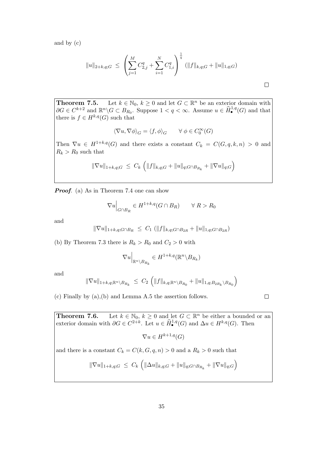and by (c)

$$
||u||_{2+k,q;G} \leq \left(\sum_{j=1}^{M} C_{2,j}^{q} + \sum_{i=1}^{N} C_{1,i}^{q}\right)^{\frac{1}{q}} (||f||_{k,q;G} + ||u||_{1,q;G})
$$

**Theorem 7.5.** Let  $k \in \mathbb{N}_0$ ,  $k \geq 0$  and let  $G \subset \mathbb{R}^n$  be an exterior domain with  $\partial G \in C^{k+2}$  and  $\mathbb{R}^n \backslash G \subset B_{R_0}$ . Suppose  $1 < q < \infty$ . Assume  $u \in \widehat{H}^{1,q}_{\bullet}(G)$  and that there is  $f \in H^{k,q}(G)$  such that

$$
\langle \nabla u,\nabla \phi\rangle_G=\langle f,\phi\rangle_G\qquad \forall\; \phi\in C_0^\infty(G)
$$

Then  $\nabla u \in H^{1+k,q}(G)$  and there exists a constant  $C_k = C(G, q, k, n) > 0$  and  $R_k > R_0$  such that

$$
\|\nabla u\|_{1+k,q;G} \ \leq \ C_k \ \left( \|f\|_{k,q;G} + \|u\|_{q;G \cap B_{R_k}} + \|\nabla u\|_{q;G} \right)
$$

**Proof.** (a) As in Theorem 7.4 one can show

$$
\nabla u\Big|_{G \cap B_R} \in H^{1+k,q}(G \cap B_R) \qquad \forall \ R > R_0
$$

and

$$
\|\nabla u\|_{1+k,q;G\cap B_R} \leq C_1 \left( \|f\|_{k,q;G\cap B_{2R}} + \|u\|_{1,q;G\cap B_{2R}} \right)
$$

(b) By Theorem 7.3 there is  $R_k > R_0$  and  $C_2 > 0$  with

$$
\nabla u\Big|_{\mathbb{R}^n\setminus B_{R_k}}\in H^{1+k,q}(\mathbb{R}^n\setminus B_{R_k})
$$

and

$$
\|\nabla u\|_{1+k,q;\mathbb{R}^n\setminus B_{R_k}} \ \leq \ C_2 \ \Big( \|f\|_{k,q;\mathbb{R}^n\setminus B_{R_0}} + \|u\|_{1,q;B_{2R_k}\setminus B_{R_0}} \Big)
$$

(c) Finally by (a),(b) and Lemma A.5 the assertion follows.

**Theorem 7.6.** Let  $k \in \mathbb{N}_0$ ,  $k \geq 0$  and let  $G \subset \mathbb{R}^n$  be either a bounded or an exterior domain with  $\partial G \in C^{2+k}$ . Let  $u \in \widehat{H}_{\bullet}^{1,q}(G)$  and  $\Delta u \in H^{k,q}(G)$ . Then

 $\nabla u \in H^{k+1,q}(G)$ 

and there is a constant  $C_k = C(k, G, q, n) > 0$  and a  $R_k > 0$  such that

$$
\|\nabla u\|_{1+k,q;G} \ \leq \ C_k \ \left( \|\Delta u\|_{k,q;G} + \|u\|_{q;G \cap B_{R_k}} + \|\nabla u\|_{q;G} \right)
$$

 $\Box$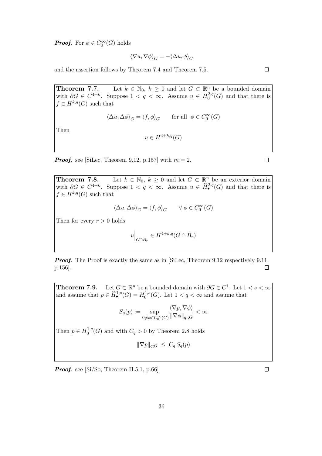**Proof.** For  $\phi \in C_0^{\infty}(G)$  holds

$$
\langle \nabla u,\nabla \phi\rangle_G=-\langle \Delta u,\phi\rangle_G
$$

and the assertion follows by Theorem 7.4 and Theorem 7.5.

**Theorem 7.7.** Let  $k \in \mathbb{N}_0$ ,  $k \geq 0$  and let  $G \subset \mathbb{R}^n$  be a bounded domain with  $\partial G \in C^{4+k}$ . Suppose  $1 < q < \infty$ . Assume  $u \in H_0^{2,q}$  $\binom{2,q}{0}$  and that there is  $f \in H^{k,q}(G)$  such that

$$
\langle \Delta u, \Delta \phi \rangle_G = \langle f, \phi \rangle_G \qquad \text{for all} \ \ \phi \in C^\infty_0(G)
$$

Then

$$
u \in H^{4+k,q}(G)
$$

**Proof.** see [SiLec, Theorem 9.12, p.157] with  $m = 2$ .

**Theorem 7.8.** Let  $k \in \mathbb{N}_0$ ,  $k \geq 0$  and let  $G \subset \mathbb{R}^n$  be an exterior domain with  $\partial G \in C^{4+k}$ . Suppose  $1 < q < \infty$ . Assume  $u \in \widehat{H}_{\bullet}^{2,q}(G)$  and that there is  $f \in H^{k,q}(G)$  such that

$$
\langle \Delta u, \Delta \phi \rangle_G = \langle f, \phi \rangle_G \qquad \forall \; \phi \in C_0^\infty(G)
$$

Then for every  $r > 0$  holds

$$
u\Big|_{G\cap B_r} \in H^{4+k,q}(G\cap B_r)
$$

**Proof.** The Proof is exactly the same as in [SiLec, Theorem 9.12 respectively 9.11, p.156].  $\Box$ 

**Theorem 7.9.** Let  $G \subset \mathbb{R}^n$  be a bounded domain with  $\partial G \in C^1$ . Let  $1 < s < \infty$ and assume that  $p \in \widehat{H}_{\bullet}^{1,s}(G) = H_0^{1,s}$  $0^{1,s}(G)$ . Let  $1 < q < \infty$  and assume that

$$
S_q(p) := \sup_{0 \neq \phi \in C_0^{\infty}(G)} \frac{\langle \nabla p, \nabla \phi \rangle}{\|\nabla \phi\|_{q';G}} < \infty
$$

Then  $p \in H_0^{1,q}$  $C_0^{-1,q}(G)$  and with  $C_q > 0$  by Theorem 2.8 holds

$$
\|\nabla p\|_{q;G} \ \leq \ C_q \, S_q(p)
$$

**Proof.** see  $\left[\text{Si/So}, \text{Theorem II.5.1}, \text{p.66}\right]$ 

 $\Box$ 

 $\Box$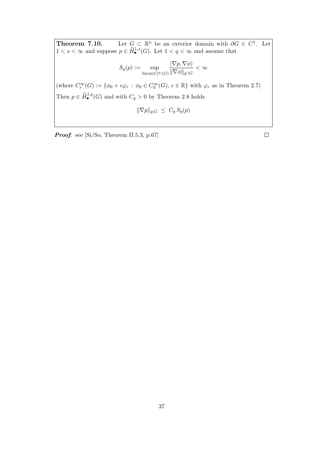**Theorem 7.10.** Let  $G \subset \mathbb{R}^n$  be an exterior domain with  $\partial G \in C^1$ . Let  $1 < s < \infty$  and suppose  $p \in \widehat{H}_{\bullet}^{1,s}(G)$ . Let  $1 < q < \infty$  and assume that

$$
S_q(p) := \sup_{0 \neq \phi \in C_r^{\infty}(G)} \frac{\langle \nabla p, \nabla \phi \rangle}{\|\nabla \phi\|_{q';G}} < \infty
$$

(where  $C_r^{\infty}(G) := \{ \phi_0 + c\varphi_r \, : \, \phi_0 \in C_0^{\infty}(G), \, c \in \mathbb{R} \}$  with  $\varphi_r$  as in Theorem 2.7) Then  $p \in \widehat{H}_{\bullet}^{1,q}(G)$  and with  $C_q > 0$  by Theorem 2.8 holds

$$
\|\nabla p\|_{q;G} \ \leq \ C_q \, S_q(p)
$$

Proof. see [Si/So, Theorem II.5.3, p.67]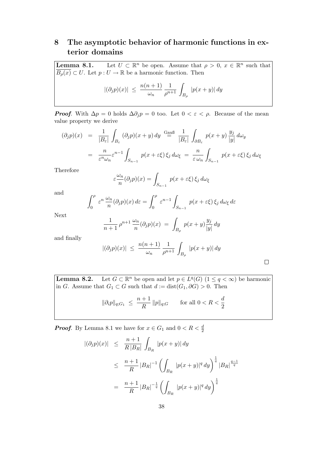## 8 The asymptotic behavior of harmonic functions in exterior domains

Lemma 8.1. Let  $U \subset \mathbb{R}$ <sup>n</sup> be open. Assume that  $\rho > 0$ ,  $x \in \mathbb{R}^n$  such that  $\overline{B_{\rho}(x)} \subset U$ . Let  $p: U \to \mathbb{R}$  be a harmonic function. Then

$$
|(\partial_j p)(x)| \ \leq \ \frac{n(n+1)}{\omega_n} \, \frac{1}{\rho^{n+1}} \, \int_{B_\rho} \ |p(x+y)| \, dy
$$

**Proof.** With  $\Delta p = 0$  holds  $\Delta \partial_j p = 0$  too. Let  $0 < \varepsilon < \rho$ . Because of the mean value property we derive

$$
(\partial_j p)(x) = \frac{1}{|B_{\varepsilon}|} \int_{B_{\varepsilon}} (\partial_j p)(x+y) dy \stackrel{\text{Gauß}}{=} \frac{1}{|B_{\varepsilon}|} \int_{\partial B_{\varepsilon}} p(x+y) \frac{y_j}{|y|} d\omega_y
$$
  

$$
= \frac{n}{\varepsilon^n \omega_n} \varepsilon^{n-1} \int_{S_{n-1}} p(x+\varepsilon \xi) \xi_j d\omega_{\xi} = \frac{n}{\varepsilon \omega_n} \int_{S_{n-1}} p(x+\varepsilon \xi) \xi_j d\omega_{\xi}
$$

Therefore

$$
\varepsilon \frac{\omega_n}{n} (\partial_j p)(x) = \int_{S_{n-1}} p(x + \varepsilon \xi) \, \xi_j \, d\omega_\xi
$$

and

$$
\int_0^{\rho} \varepsilon^n \frac{\omega_n}{n} (\partial_j p)(x) \, d\varepsilon = \int_0^{\rho} \varepsilon^{n-1} \int_{S_{n-1}} p(x + \varepsilon \xi) \, \xi_j \, d\omega_{\xi} \, d\varepsilon
$$

Next

$$
\frac{1}{n+1} \rho^{n+1} \frac{\omega_n}{n} (\partial_j p)(x) = \int_{B_\rho} p(x+y) \frac{y_j}{|y|} dy
$$

and finally

$$
|(\partial_j p)(x)| \ \leq \ \frac{n(n+1)}{\omega_n} \frac{1}{\rho^{n+1}} \int_{B_\rho} |p(x+y)| \, dy
$$

Lemma  $8.2$ . <sup>n</sup> be open and let  $p \in L^q(G)$   $(1 \le q < \infty)$  be harmonic in G. Assume that  $G_1 \subset G$  such that  $d := dist(G_1, \partial G) > 0$ . Then

$$
\|\partial_i p\|_{q;G_1} \ \le\ \frac{n+1}{R} \, \|p\|_{q;G} \qquad \text{for all } 0
$$

**Proof.** By Lemma 8.1 we have for  $x \in G_1$  and  $0 < R < \frac{d}{2}$ 

$$
\begin{array}{rcl} |(\partial_j p)(x)| & \leq & \frac{n+1}{R|B_R|} \int_{B_R} |p(x+y)| \, dy \\ \\ & \leq & \frac{n+1}{R} |B_R|^{-1} \left( \int_{B_R} |p(x+y)|^q \, dy \right)^{\frac{1}{q}} |B_R|^{\frac{q-1}{q}} \\ \\ & = & \frac{n+1}{R} |B_R|^{-\frac{1}{q}} \left( \int_{B_R} |p(x+y)|^q \, dy \right)^{\frac{1}{q}} \end{array}
$$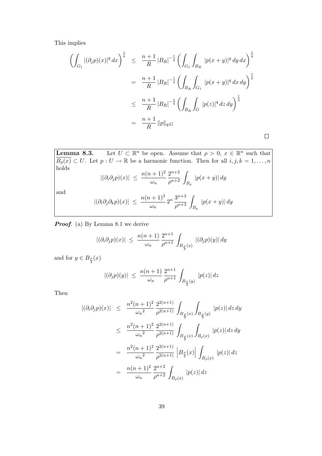This implies

$$
\left(\int_{G_1} |(\partial_j p)(x)|^q dx\right)^{\frac{1}{q}} \leq \frac{n+1}{R} |B_R|^{-\frac{1}{q}} \left(\int_{G_1} \int_{B_R} |p(x+y)|^q dy dx\right)^{\frac{1}{q}}
$$
  

$$
= \frac{n+1}{R} |B_R|^{-\frac{1}{q}} \left(\int_{B_R} \int_{G_1} |p(x+y)|^q dx dy\right)^{\frac{1}{q}}
$$
  

$$
\leq \frac{n+1}{R} |B_R|^{-\frac{1}{q}} \left(\int_{B_R} \int_G |p(z)|^q dz dy\right)^{\frac{1}{q}}
$$
  

$$
= \frac{n+1}{R} ||p||_{q;G}
$$

Lemma  $8.3$ . <sup>n</sup> be open. Assume that  $\rho > 0$ ,  $x \in \mathbb{R}^n$  such that  $\overline{B_{\rho}(x)} \subset U$ . Let  $p: U \to \mathbb{R}$  be a harmonic function. Then for all  $i, j, k = 1, ..., n$ holds  $|(\partial_i \partial_j p)(x)| \ \leq \ \frac{n(n+1)^2}{\omega_n}$  $2^{n+2}$  $\frac{2^{n+2}}{\rho^{n+2}}\int_{B_\rho}$  $|p(x + y)| dy$ and  $|(\partial_i \partial_j \partial_k p)(x)| \ \leq \ \frac{n(n+1)^3}{\omega_n} \, 2^n \, \frac{3^{n+3}}{\rho^{n+3}}$  $\frac{3^{n+3}}{\rho^{n+3}}\int_{B_\rho}$  $|p(x + y)| dy$ 

**Proof.** (a) By Lemma 8.1 we derive

$$
|(\partial_i \partial_j p)(x)| \ \leq \ \frac{n(n+1)}{\omega_n} \frac{2^{n+1}}{\rho^{n+1}} \int_{B_{\frac{\rho}{2}}(x)} \ |(\partial_j p)(y)| \, dy
$$

and for  $y \in B_{\frac{\rho}{2}}(x)$ 

$$
|(\partial_j p)(y)| \ \leq \ \frac{n(n+1)}{\omega_n} \frac{2^{n+1}}{\rho^{n+1}} \int_{B_{\frac{\rho}{2}}(y)} |p(z)| \, dz
$$

Then

$$
\begin{array}{rcl} |(\partial_i \partial_j p)(x)| & \leq & \frac{n^2 (n+1)^2}{\omega_n^2} \frac{2^{2(n+1)}}{\rho^{2(n+1)}} \int_{B_{\frac{\rho}{2}}(x)} \int_{B_{\frac{\rho}{2}}(y)} |p(z)| \, dz \, dy \\ \\ & \leq & \frac{n^2 (n+1)^2}{\omega_n^2} \frac{2^{2(n+1)}}{\rho^{2(n+1)}} \int_{B_{\frac{\rho}{2}}(x)} \int_{B_{\rho}(x)} |p(z)| \, dz \, dy \\ \\ & = & \frac{n^2 (n+1)^2}{\omega_n^2} \frac{2^{2(n+1)}}{\rho^{2(n+1)}} \left| B_{\frac{\rho}{2}}(x) \right| \int_{B_{\rho}(x)} |p(z)| \, dz \\ \\ & = & \frac{n(n+1)^2}{\omega_n} \frac{2^{n+2}}{\rho^{n+2}} \int_{B_{\rho}(x)} |p(z)| \, dz \end{array}
$$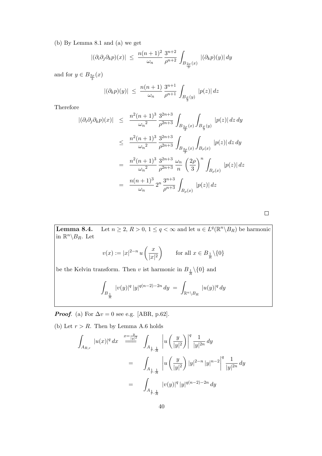(b) By Lemma 8.1 and (a) we get

$$
|(\partial_i \partial_j \partial_k p)(x)| \ \leq \ \frac{n(n+1)^2}{\omega_n} \frac{3^{n+2}}{\rho^{n+2}} \int_{B_{\frac{2\rho}{3}}(x)} |(\partial_k p)(y)| \, dy
$$

and for  $y \in B_{\frac{2\rho}{3}}(x)$ 

$$
|(\partial_k p)(y)| \ \leq \ \frac{n(n+1)}{\omega_n} \frac{3^{n+1}}{\rho^{n+1}} \int_{B_{\frac{\rho}{3}}(y)} |p(z)| \, dz
$$

Therefore

$$
\begin{array}{rcl}\n|(\partial_{i}\partial_{j}\partial_{k}p)(x)| & \leq & \frac{n^{2}(n+1)^{3}}{\omega_{n}^{2}} \frac{3^{2n+3}}{\rho^{2n+3}} \int_{B_{\frac{2\rho}{3}}(x)} \int_{B_{\frac{\rho}{3}}(y)} |p(z)| \, dz \, dy \\
\\ & \leq & \frac{n^{2}(n+1)^{3}}{\omega_{n}^{2}} \frac{3^{2n+3}}{\rho^{2n+3}} \int_{B_{\frac{2\rho}{3}}(x)} \int_{B_{\rho}(x)} |p(z)| \, dz \, dy \\
\\ & = & \frac{n^{2}(n+1)^{3}}{\omega_{n}^{2}} \frac{3^{2n+3}}{\rho^{2n+3}} \frac{\omega_{n}}{n} \left(\frac{2\rho}{3}\right)^{n} \int_{B_{\rho}(x)} |p(z)| \, dz \\
\\ & = & \frac{n(n+1)^{3}}{\omega_{n}} 2^{n} \frac{3^{n+3}}{\rho^{n+3}} \int_{B_{\rho}(x)} |p(z)| \, dz\n\end{array}
$$

 $\Box$ 

**Lemma 8.4.** Let  $n \ge 2$ ,  $R > 0$ ,  $1 \le q < \infty$  and let  $u \in L^q(\mathbb{R}^n \setminus B_R)$  be harmonic in  $\mathbb{R}^n \backslash B_R$ . Let

$$
v(x) := |x|^{2-n} u\left(\frac{x}{|x|^2}\right) \qquad \text{for all } x \in B_{\frac{1}{R}} \setminus \{0\}
$$

be the Kelvin transform. Then v ist harmonic in  $B_{\frac{1}{R}} \setminus \{0\}$  and

$$
\int_{B_{\frac{1}{R}}} |v(y)|^q |y|^{q(n-2)-2n} dy = \int_{\mathbb{R}^n \setminus B_R} |u(y)|^q dy
$$

**Proof.** (a) For  $\Delta v = 0$  see e.g. [ABR, p.62].

(b) Let  $r > R$ . Then by Lemma A.6 holds

Z AR,r |u(x)| q dx x= y |y|2 === <sup>Z</sup> A<sup>1</sup> r , 1 R u y |y| 2 q 1 |y| 2n dy = Z A<sup>1</sup> r , 1 R u y |y| 2 |y| 2−n |y| n−2 q 1 |y| 2n dy = Z A<sup>1</sup> r , 1 R |v(y)| q |y| q(n−2)−2n dy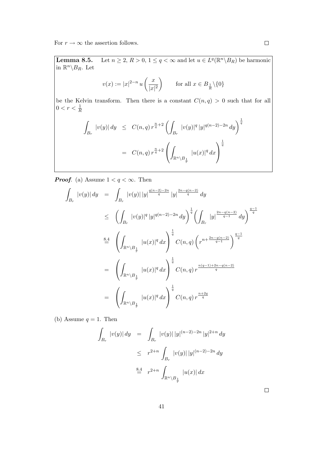For  $r \to \infty$  the assertion follows.

**Lemma 8.5.** Let  $n \ge 2$ ,  $R > 0$ ,  $1 \le q < \infty$  and let  $u \in L^q(\mathbb{R}^n \setminus B_R)$  be harmonic in  $\mathbb{R}^n \backslash B_R$ . Let

$$
v(x) := |x|^{2-n} u\left(\frac{x}{|x|^2}\right) \qquad \text{for all } x \in B_{\frac{1}{R}}\backslash\{0\}
$$

be the Kelvin transform. Then there is a constant  $C(n, q) > 0$  such that for all  $0 < r < \frac{1}{R}$ 

$$
\int_{B_r} |v(y)| dy \leq C(n, q) r^{\frac{n}{q} + 2} \left( \int_{B_r} |v(y)|^q |y|^{q(n-2) - 2n} dy \right)^{\frac{1}{q}}
$$
  

$$
= C(n, q) r^{\frac{n}{q} + 2} \left( \int_{\mathbb{R}^n \setminus B_{\frac{1}{r}}} |u(x)|^q dx \right)^{\frac{1}{q}}
$$

**Proof.** (a) Assume  $1 < q < \infty$ . Then

$$
\int_{B_r} |v(y)| dy = \int_{B_r} |v(y)| |y|^{\frac{q(n-2)-2n}{q}} |y|^{\frac{2n-q(n-2)}{q}} dy
$$
\n
$$
\leq \left( \int_{B_r} |v(y)|^q |y|^{q(n-2)-2n} dy \right)^{\frac{1}{q}} \left( \int_{B_r} |y|^{\frac{2n-q(n-2)}{q-1}} dy \right)^{\frac{q-1}{q}}
$$
\n
$$
\stackrel{8.4}{=} \left( \int_{\mathbb{R}^n \setminus B_{\frac{1}{r}}} |u(x)|^q dx \right)^{\frac{1}{q}} C(n,q) \left( r^{n+\frac{2n-q(n-2)}{q-1}} \right)^{\frac{q-1}{q}}
$$
\n
$$
= \left( \int_{\mathbb{R}^n \setminus B_{\frac{1}{r}}} |u(x)|^q dx \right)^{\frac{1}{q}} C(n,q) r^{\frac{n(q-1)+2n-q(n-2)}{q}}
$$
\n
$$
= \left( \int_{\mathbb{R}^n \setminus B_{\frac{1}{r}}} |u(x)|^q dx \right)^{\frac{1}{q}} C(n,q) r^{\frac{n+2q}{q}}
$$

(b) Assume  $q = 1$ . Then

$$
\int_{B_r} |v(y)| dy = \int_{B_r} |v(y)| |y|^{(n-2)-2n} |y|^{2+n} dy
$$
  
\n
$$
\leq r^{2+n} \int_{B_r} |v(y)| |y|^{(n-2)-2n} dy
$$
  
\n
$$
\stackrel{8.4}{=} r^{2+n} \int_{\mathbb{R}^n \setminus B_{\frac{1}{r}}} |u(x)| dx
$$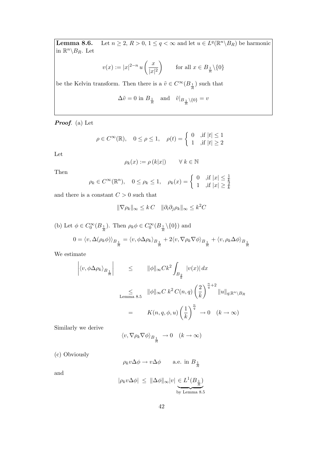**Lemma 8.6.** Let  $n \ge 2$ ,  $R > 0$ ,  $1 \le q < \infty$  and let  $u \in L^q(\mathbb{R}^n \setminus B_R)$  be harmonic in  $\mathbb{R}^n \backslash B_R$ . Let

$$
v(x) := |x|^{2-n} u\left(\frac{x}{|x|^2}\right) \qquad \text{for all } x \in B_{\frac{1}{R}} \setminus \{0\}
$$

be the Kelvin transform. Then there is a  $\tilde{v} \in C^\infty(B_{\frac{1}{R}})$  such that

$$
\Delta \tilde{v} = 0 \text{ in } B_{\frac{1}{R}} \quad \text{and} \quad \tilde{v}|_{B_{\frac{1}{R}} \setminus \{0\}} = v
$$

Proof. (a) Let

$$
\rho \in C^{\infty}(\mathbb{R}), \quad 0 \le \rho \le 1, \quad \rho(t) = \begin{cases} 0 & ,\text{if } |t| \le 1 \\ 1 & ,\text{if } |t| \ge 2 \end{cases}
$$

Let

$$
\rho_k(x) := \rho(k|x|) \qquad \forall \ k \in \mathbb{N}
$$

Then

$$
\rho_k \in C^\infty(\mathbb{R}^n), \quad 0 \le \rho_k \le 1, \quad \rho_k(x) = \begin{cases} 0 & \text{, if } |x| \le \frac{1}{k} \\ 1 & \text{, if } |x| \ge \frac{2}{k} \end{cases}
$$

and there is a constant  $C > 0$  such that

$$
\|\nabla \rho_k\|_{\infty} \le kC \quad \|\partial_i \partial_j \rho_k\|_{\infty} \le k^2C
$$

(b) Let  $\phi \in C_0^{\infty}(B_{\frac{1}{R}})$ . Then  $\rho_k \phi \in C_0^{\infty}(B_{\frac{1}{R}} \setminus \{0\})$  and

$$
0 = \langle v, \Delta(\rho_k \phi) \rangle_{B_{\frac{1}{R}}} = \langle v, \phi \Delta \rho_k \rangle_{B_{\frac{1}{R}}} + 2 \langle v, \nabla \rho_k \nabla \phi \rangle_{B_{\frac{1}{R}}} + \langle v, \rho_k \Delta \phi \rangle_{B_{\frac{1}{R}}}
$$

We estimate

 $\bigg\}$  $\Big\}$  $\bigg\}$  $\mid$ 

$$
\langle v, \phi \Delta \rho_k \rangle_{B_{\frac{1}{R}}}\Big| \leq \|\phi\|_{\infty} C k^2 \int_{B_{\frac{2}{k}}} |v(x)| dx
$$
  
\nLemma 8.5 
$$
\|\phi\|_{\infty} C k^2 C(n, q) \left(\frac{2}{k}\right)^{\frac{n}{q}+2} \|u\|_{q; \mathbb{R}^n \setminus B_R}
$$
  
\n
$$
= K(n, q, \phi, u) \left(\frac{1}{k}\right)^{\frac{n}{q}} \to 0 \quad (k \to \infty)
$$

Similarly we derive

$$
\langle v, \nabla \rho_k \nabla \phi \rangle_{B_{\frac{1}{R}}} \to 0 \quad (k \to \infty)
$$

(c) Obviously

$$
\rho_k v \Delta \phi \to v \Delta \phi
$$
 a.e. in  $B_{\frac{1}{R}}$ 

and

$$
|\rho_k v \Delta \phi| \leq \|\Delta \phi\|_{\infty} |v| \underbrace{\in L^1(B_{\frac{1}{R}})}_{\text{by Lemma 8.5}}
$$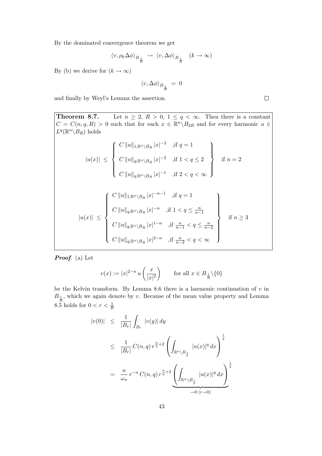By the dominated convergence theorem we get

$$
\langle v, \rho_k \Delta \phi \rangle_{B_{\frac{1}{R}}} \rightarrow \langle v, \Delta \phi \rangle_{B_{\frac{1}{R}}} \quad (k \to \infty)
$$

By (b) we derive for  $(k \to \infty)$ 

$$
\langle v, \Delta \phi \rangle_{B_{\frac{1}{R}}} \; = \; 0
$$

and finally by Weyl's Lemma the assertion.

**Theorem 8.7.** Let  $n \geq 2$ ,  $R > 0$ ,  $1 \leq q < \infty$ . Then there is a constant  $C = C(n, q, R) > 0$  such that for each  $x \in \mathbb{R}^n \backslash B_{2R}$  and for every harmonic  $u \in$  $L^q(\mathbb{R}^n \backslash B_R)$  holds  $|u(x)| \leq$  $\sqrt{ }$  $\int$  $\overline{\mathcal{L}}$  $C ||u||_{1;\mathbb{R}^n \setminus B_R} |x|^{-3}$  , if  $q = 1$  $C \|u\|_{q;\mathbb{R}^n \setminus B_R} |x|^{-2}$  , if  $1 < q \leq 2$  $C \|u\|_{q;\mathbb{R}^n \setminus B_R} |x|^{-1}$  , if  $2 < q < \infty$  $\mathcal{L}$  $\overline{\mathcal{L}}$  $\int$ if  $n = 2$  $|u(x)| \leq$  $\sqrt{ }$  $\int$  $\begin{array}{c} \end{array}$  $C \|u\|_{1;\mathbb{R}^n \setminus B_R} |x|^{-n-1}$  , if  $q = 1$  $C \|u\|_{q;\mathbb{R}^n\setminus B_R} |x|^{-n}$ , if  $1 < q \leq \frac{n}{n-1}$  $C \|u\|_{q;\mathbb{R}^n \setminus B_R} |x|^{1-n}$  , if  $\frac{n}{n-1} < q \le \frac{n}{n-2}$  $C \|u\|_{q;\mathbb{R}^n\setminus B_R} |x|^{2-n}$  , if  $\frac{n}{n-2} < q < \infty$  $\mathcal{L}$  $\overline{\mathcal{L}}$  $\begin{matrix} \end{matrix}$ if  $n \geq 3$ 

Proof. (a) Let

$$
v(x) := |x|^{2-n} u\left(\frac{x}{|x|^2}\right) \qquad \text{for all } x \in B_{\frac{1}{R}} \setminus \{0\}
$$

be the Kelvin transform. By Lemma 8.6 there is a harmonic continuation of  $v$  in  $B_{\frac{1}{R}}$ , which we again denote by v. Because of the mean value property and Lemma 8.5 holds for  $0 < r < \frac{1}{R}$ 

$$
|v(0)| \leq \frac{1}{|B_r|} \int_{B_r} |v(y)| dy
$$
  
\n
$$
\leq \frac{1}{|B_r|} C(n, q) r^{\frac{n}{q} + 2} \left( \int_{\mathbb{R}^n \setminus B_{\frac{1}{r}}} |u(x)|^q dx \right)^{\frac{1}{q}}
$$
  
\n
$$
= \frac{n}{\omega_n} r^{-n} C(n, q) r^{\frac{n}{q} + 2} \underbrace{\left( \int_{\mathbb{R}^n \setminus B_{\frac{1}{r}}} |u(x)|^q dx \right)^{\frac{1}{q}}}
$$
  
\n
$$
\xrightarrow{\rightarrow} 0 \text{ (r \rightarrow 0)}
$$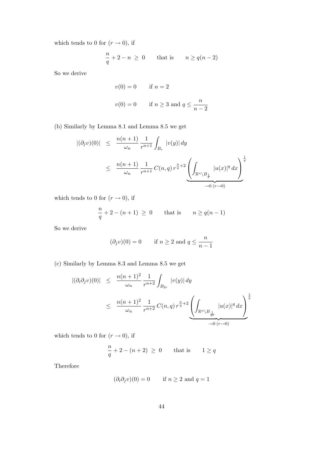which tends to 0 for  $(r \rightarrow 0)$ , if

$$
\frac{n}{q} + 2 - n \ge 0 \quad \text{that is} \quad n \ge q(n-2)
$$

So we derive

$$
v(0) = 0 \qquad \text{if } n = 2
$$
  

$$
v(0) = 0 \qquad \text{if } n \ge 3 \text{ and } q \le \frac{n}{n-2}
$$

(b) Similarly by Lemma 8.1 and Lemma 8.5 we get

$$
|(\partial_j v)(0)| \leq \frac{n(n+1)}{\omega_n} \frac{1}{r^{n+1}} \int_{B_r} |v(y)| dy
$$
  
 
$$
\leq \frac{n(n+1)}{\omega_n} \frac{1}{r^{n+1}} C(n,q) r^{\frac{n}{q}+2} \underbrace{\left(\int_{\mathbb{R}^n \setminus B_{\frac{1}{r}}}|u(x)|^q dx\right)^{\frac{1}{q}}}{\to 0 \quad (r \to 0)}
$$

which tends to 0 for  $(r\rightarrow 0),$  if

$$
\frac{n}{q} + 2 - (n+1) \ge 0 \qquad \text{that is} \qquad n \ge q(n-1)
$$

So we derive

$$
(\partial_j v)(0) = 0 \qquad \text{if } n \ge 2 \text{ and } q \le \frac{n}{n-1}
$$

(c) Similarly by Lemma 8.3 and Lemma 8.5 we get

$$
\begin{array}{rcl} |(\partial_i \partial_j v)(0)| & \leq & \dfrac{n(n+1)^2}{\omega_n} \dfrac{1}{r^{n+2}} \int_{B_{2r}} |v(y)| \, dy \\ \\ & \leq & \dfrac{n(n+1)^2}{\omega_n} \dfrac{1}{r^{n+2}} \, C(n,q) \, r^{\frac{n}{q}+2} \left( \int_{\mathbb{R}^n \setminus B_{\frac{1}{2r}}} |u(x)|^q \, dx \right)^{\frac{1}{q}} \\ & \xrightarrow{\longrightarrow} 0 \, (r \to 0) \end{array}
$$

which tends to 0 for  $(r \rightarrow 0)$ , if

$$
\frac{n}{q} + 2 - (n+2) \ge 0 \quad \text{that is} \quad 1 \ge q
$$

Therefore

$$
(\partial_i \partial_j v)(0) = 0 \quad \text{if } n \ge 2 \text{ and } q = 1
$$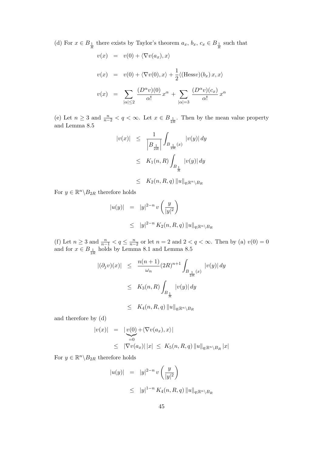(d) For  $x \in B_{\frac{1}{R}}$  there exists by Taylor's theorem  $a_x, b_x, c_x \in B_{\frac{1}{R}}$  such that

$$
v(x) = v(0) + \langle \nabla v(a_x), x \rangle
$$
  

$$
v(x) = v(0) + \langle \nabla v(0), x \rangle + \frac{1}{2} \langle (\text{Hess} v)(b_x) x, x \rangle
$$
  

$$
v(x) = \sum_{|\alpha| \le 2} \frac{(D^{\alpha} v)(0)}{\alpha!} x^{\alpha} + \sum_{|\alpha| = 3} \frac{(D^{\alpha} v)(c_x)}{\alpha!} x^{\alpha}
$$

(e) Let  $n \geq 3$  and  $\frac{n}{n-2} < q < \infty$ . Let  $x \in B_{\frac{1}{2R}}$ . Then by the mean value property and Lemma 8.5

$$
|v(x)| \leq \frac{1}{\left| B_{\frac{1}{2R}} \right|} \int_{B_{\frac{1}{2R}}(x)} |v(y)| dy
$$
  

$$
\leq K_1(n, R) \int_{B_{\frac{1}{R}}}|v(y)| dy
$$
  

$$
\leq K_2(n, R, q) ||u||_{q; \mathbb{R}^n \setminus B_R}
$$

For  $y \in \mathbb{R}^n \backslash B_{2R}$  therefore holds

$$
|u(y)| = |y|^{2-n} v\left(\frac{y}{|y|^2}\right)
$$
  

$$
\leq |y|^{2-n} K_2(n, R, q) ||u||_{q; \mathbb{R}^n \setminus B_R}
$$

(f) Let  $n \geq 3$  and  $\frac{n}{n-1} < q \leq \frac{n}{n-2}$  or let  $n = 2$  and  $2 < q < \infty$ . Then by (a)  $v(0) = 0$ and for  $x \in B_{\frac{1}{2R}}$  holds by Lemma 8.1 and Lemma 8.5

$$
\begin{array}{rcl} |(\partial_j v)(x)| & \leq & \frac{n(n+1)}{\omega_n} (2R)^{n+1} \int_{B_{\frac{1}{2R}}(x)} |v(y)| \, dy \\ \\ & \leq & K_3(n, R) \int_{B_{\frac{1}{R}}} |v(y)| \, dy \\ \\ & \leq & K_4(n, R, q) \, \|u\|_{q; \mathbb{R}^n \setminus B_R} \end{array}
$$

and therefore by (d)

$$
|v(x)| = |v(0) + \langle \nabla v(a_x), x \rangle|
$$
  
\n
$$
\leq |\nabla v(a_x)| |x| \leq K_5(n, R, q) ||u||_{q; \mathbb{R}^n \setminus B_R} |x|
$$

For  $y \in \mathbb{R}^n \backslash B_{2R}$  therefore holds

$$
|u(y)| = |y|^{2-n} v\left(\frac{y}{|y|^2}\right)
$$
  

$$
\leq |y|^{1-n} K_4(n, R, q) ||u||_{q; \mathbb{R}^n \setminus B_R}
$$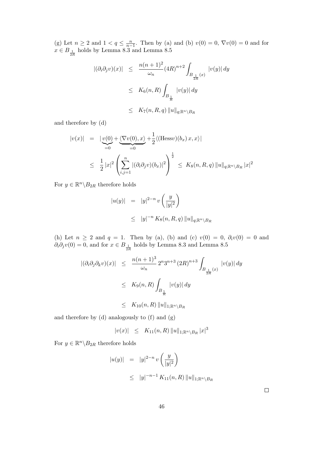(g) Let  $n \ge 2$  and  $1 < q \le \frac{n}{n-1}$ . Then by (a) and (b)  $v(0) = 0$ ,  $\nabla v(0) = 0$  and for  $x \in B_{\frac{1}{2R}}$ holds by Lemma 8.3 and Lemma 8.5

$$
\begin{array}{rcl} |(\partial_i \partial_j v)(x)| & \leq & \dfrac{n(n+1)^2}{\omega_n} (4R)^{n+2} \int_{B_{\frac{1}{2R}}(x)} |v(y)| \, dy \\ \\ & \leq & K_6(n,R) \int_{B_{\frac{1}{R}}} |v(y)| \, dy \\ \\ & \leq & K_7(n,R,q) \, \|u\|_{q; \mathbb{R}^n \setminus B_R} \end{array}
$$

and therefore by (d)

$$
|v(x)| = |\underset{\leq 0}{v(0)} + \underset{\leq 0}{\underbrace{\langle \nabla v(0), x \rangle}} + \frac{1}{2} \langle (\text{Hess}v)(b_x) x, x \rangle|
$$
  

$$
\leq \frac{1}{2} |x|^2 \left( \sum_{i,j=1}^n |(\partial_i \partial_j v)(b_x)|^2 \right)^{\frac{1}{2}} \leq K_8(n, R, q) ||u||_{q; \mathbb{R}^n \setminus B_R} |x|^2
$$

For  $y \in \mathbb{R}^n \backslash B_{2R}$  therefore holds

$$
|u(y)| = |y|^{2-n} v\left(\frac{y}{|y|^2}\right)
$$
  

$$
\leq |y|^{-n} K_8(n, R, q) ||u||_{q; \mathbb{R}^n \setminus B_R}
$$

(h) Let  $n \ge 2$  and  $q = 1$ . Then by (a), (b) and (c)  $v(0) = 0$ ,  $\partial_i v(0) = 0$  and  $\partial_i \partial_j v(0) = 0$ , and for  $x \in B_{\frac{1}{2R}}$  holds by Lemma 8.3 and Lemma 8.5

$$
|(\partial_i \partial_j \partial_k v)(x)| \leq \frac{n(n+1)^3}{\omega_n} 2^n 3^{n+3} (2R)^{n+3} \int_{B_{\frac{1}{2R}}(x)} |v(y)| dy
$$
  

$$
\leq K_9(n, R) \int_{B_{\frac{1}{R}}}|v(y)| dy
$$
  

$$
\leq K_{10}(n, R) ||u||_{1; \mathbb{R}^n \setminus B_R}
$$

and therefore by (d) analogously to (f) and (g)

$$
|v(x)| \leq K_{11}(n,R) ||u||_{1;\mathbb{R}^n \setminus B_R} |x|^3
$$

For  $y \in \mathbb{R}^n \backslash B_{2R}$  therefore holds

$$
|u(y)| = |y|^{2-n} v\left(\frac{y}{|y|^2}\right)
$$
  
\n
$$
\leq |y|^{-n-1} K_{11}(n, R) ||u||_{1; \mathbb{R}^n \setminus B_R}
$$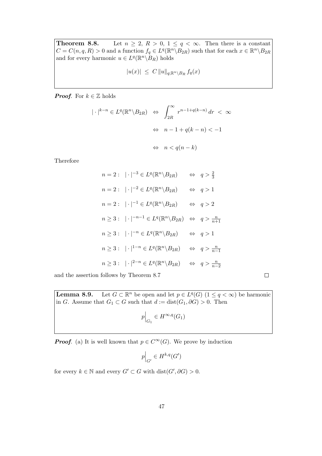**Theorem 8.8.** Let  $n \geq 2$ ,  $R > 0$ ,  $1 \leq q < \infty$ . Then there is a constant  $C = C(n, q, R) > 0$  and a function  $f_q \in L^q(\mathbb{R}^n \setminus B_{2R})$  such that for each  $x \in \mathbb{R}^n \setminus B_{2R}$ and for every harmonic  $u \in L^q(\mathbb{R}^n \backslash \overline{B_R})$  holds

$$
|u(x)| \leq C \|u\|_{q;\mathbb{R}^n \setminus B_R} f_q(x)
$$

**Proof.** For  $k \in \mathbb{Z}$  holds

$$
|\cdot|^{k-n} \in L^{q}(\mathbb{R}^{n} \setminus B_{2R}) \iff \int_{2R}^{\infty} r^{n-1+q(k-n)} dr < \infty
$$

$$
\iff n - 1 + q(k - n) < -1
$$

$$
\iff n < q(n - k)
$$

Therefore

$$
n = 2: |\cdot|^{-3} \in L^{q}(\mathbb{R}^{n} \setminus B_{2R}) \iff q > \frac{2}{3}
$$
  
\n
$$
n = 2: |\cdot|^{-2} \in L^{q}(\mathbb{R}^{n} \setminus B_{2R}) \iff q > 1
$$
  
\n
$$
n = 2: |\cdot|^{-1} \in L^{q}(\mathbb{R}^{n} \setminus B_{2R}) \iff q > 2
$$
  
\n
$$
n \geq 3: |\cdot|^{-n-1} \in L^{q}(\mathbb{R}^{n} \setminus B_{2R}) \iff q > \frac{n}{n+1}
$$
  
\n
$$
n \geq 3: |\cdot|^{-n} \in L^{q}(\mathbb{R}^{n} \setminus B_{2R}) \iff q > 1
$$
  
\n
$$
n \geq 3: |\cdot|^{1-n} \in L^{q}(\mathbb{R}^{n} \setminus B_{2R}) \iff q > \frac{n}{n-1}
$$
  
\n
$$
n \geq 3: |\cdot|^{2-n} \in L^{q}(\mathbb{R}^{n} \setminus B_{2R}) \iff q > \frac{n}{n-2}
$$

and the assertion follows by Theorem 8.7

 $\Box$ 

Lemma  $8.9$ . <sup>n</sup> be open and let  $p \in L^q(G)$   $(1 \le q < \infty)$  be harmonic in G. Assume that  $G_1 \subset G$  such that  $d := dist(G_1, \partial G) > 0$ . Then

$$
p\Big|_{G_1} \in H^{\infty,q}(G_1)
$$

**Proof.** (a) It is well known that  $p \in C^{\infty}(G)$ . We prove by induction

$$
p\Big|_{G'}\in H^{k,q}(G')
$$

for every  $k \in \mathbb{N}$  and every  $G' \subset G$  with  $dist(G', \partial G) > 0$ .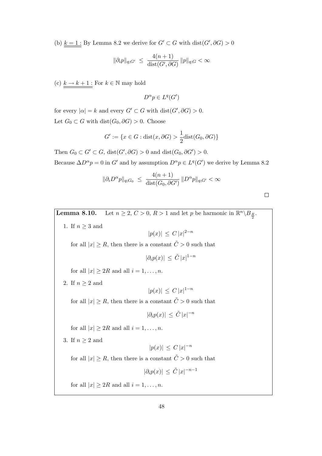(b)  $k = 1$ : By Lemma 8.2 we derive for  $G' \subset G$  with  $dist(G', \partial G) > 0$ 

$$
\|\partial_i p\|_{q;G'} \ \leq \ \frac{4(n+1)}{\text{dist}(G',\partial G)}\, \|p\|_{q;G} < \infty
$$

(c)  $k \to k+1$ : For  $k \in \mathbb{N}$  may hold

$$
D^{\alpha}p \in L^q(G')
$$

for every  $|\alpha| = k$  and every  $G' \subset G$  with  $dist(G', \partial G) > 0$ . Let  $G_0 \subset G$  with dist $(G_0, \partial G) > 0$ . Choose

$$
G' := \{ x \in G : \text{dist}(x, \partial G) > \frac{1}{2} \text{dist}(G_0, \partial G) \}
$$

Then  $G_0 \subset G' \subset G$ , dist $(G', \partial G) > 0$  and dist $(G_0, \partial G') > 0$ .

Because  $\Delta D^{\alpha} p = 0$  in G' and by assumption  $D^{\alpha} p \in L^{q}(G')$  we derive by Lemma 8.2

$$
\|\partial_i D^{\alpha} p\|_{q;G_0} \le \frac{4(n+1)}{\text{dist}(G_0, \partial G')} \|D^{\alpha} p\|_{q;G'} < \infty
$$

**Lemma 8.10.** Let  $n \ge 2$ ,  $C > 0$ ,  $R > 1$  and let p be harmonic in  $\mathbb{R}^n \setminus B_{\frac{R}{2}}$ . 1. If  $n \geq 3$  and  $|p(x)| \leq C |x|^{2-n}$ for all  $|x| \ge R$ , then there is a constant  $\tilde{C} > 0$  such that  $|\partial_i p(x)| \leq \tilde{C} |x|^{1-n}$ for all  $|x| \geq 2R$  and all  $i = 1, \ldots, n$ . 2. If  $n \geq 2$  and  $|p(x)| \leq C |x|^{1-n}$ for all  $|x| \ge R$ , then there is a constant  $\tilde{C} > 0$  such that  $|\partial_i p(x)| \leq \tilde{C} |x|^{-n}$ for all  $|x| \geq 2R$  and all  $i = 1, \ldots, n$ . 3. If  $n \geq 2$  and  $|p(x)| \leq C |x|^{-n}$ for all  $|x| \ge R$ , then there is a constant  $\tilde{C} > 0$  such that  $|\partial_i p(x)| \leq \tilde{C} |x|^{-n-1}$ for all  $|x| \geq 2R$  and all  $i = 1, \ldots, n$ .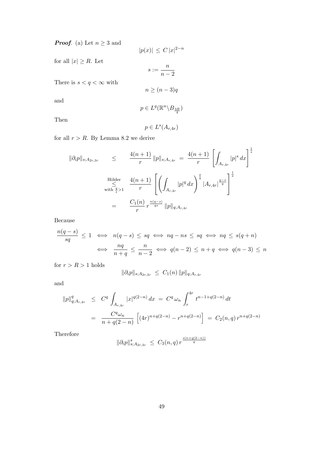**Proof.** (a) Let  $n \geq 3$  and

$$
|p(x)| \le C |x|^{2-n}
$$
 for all  $|x| \ge R$ . Let  

$$
s := \frac{n}{n-2}
$$

There is  $s < q < \infty$  with

$$
n \ge (n-3)q
$$

n  $n-2$ 

and

$$
p\in L^q(\mathbb{R}^n\backslash B_{\frac{3R}{4}})
$$

Then

$$
p \in L^s(A_{r,4r})
$$

for all  $r > R$ . By Lemma 8.2 we derive

$$
\|\partial_i p\|_{s;A_{2r,3r}} \leq \frac{4(n+1)}{r} \|p\|_{s;A_{r,4r}} = \frac{4(n+1)}{r} \left[ \int_{A_{r,4r}} |p|^s dx \right]^{\frac{1}{s}}
$$
  
\nHölder  
\nwith  $\frac{4}{s} > 1$   $\frac{4(n+1)}{r} \left[ \left( \int_{A_{r,4r}} |p|^q dx \right)^{\frac{s}{q}} |A_{r,4r}|^{\frac{q-s}{q}} \right]^{\frac{1}{s}}$   
\n
$$
= \frac{C_1(n)}{r} r^{\frac{n(q-s)}{qs}} \|p\|_{q;A_{r,4r}}
$$

Because

$$
\frac{n(q-s)}{sq} \le 1 \iff n(q-s) \le sq \iff nq - ns \le sq \iff nq \le s(q+n)
$$
  

$$
\iff \frac{nq}{n+q} \le \frac{n}{n-2} \iff q(n-2) \le n+q \iff q(n-3) \le n
$$

for  $r > R > 1$  holds

$$
\|\partial_i p\|_{s;A_{2r,3r}} \ \leq \ C_1(n) \, \|p\|_{q;A_{r,4r}}
$$

and

$$
||p||_{q;A_{r,4r}}^q \leq C^q \int_{A_{r,4r}} |x|^{q(2-n)} dx = C^q \omega_n \int_r^{4r} t^{n-1+q(2-n)} dt
$$
  
= 
$$
\frac{C^q \omega_n}{n+q(2-n)} \left[ (4r)^{n+q(2-n)} - r^{n+q(2-n)} \right] = C_2(n,q) r^{n+q(2-n)}
$$

Therefore

$$
\|\partial_i p\|_{s;A_{2r,3r}}^s \leq C_3(n,q) r^{\frac{s(n+q(2-n))}{q}}
$$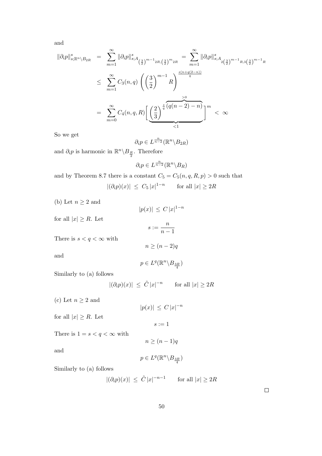and

$$
\|\partial_i p\|_{s;\mathbb{R}^n\setminus B_{2R}}^s = \sum_{m=1}^{\infty} \|\partial_i p\|_{s;A_{\left(\frac{3}{2}\right)^{m-1}2R,\left(\frac{3}{2}\right)^m_{2R}}^s = \sum_{m=1}^{\infty} \|\partial_i p\|_{s;A_{2\left(\frac{3}{2}\right)^{m-1}R,\left(\frac{3}{2}\right)^{m-1}R}}^s
$$
  

$$
\leq \sum_{m=1}^{\infty} C_3(n,q) \left( \left(\frac{3}{2}\right)^{m-1} R \right)^{\frac{s(n+q(2-n))}{q}}
$$
  

$$
= \sum_{m=0}^{\infty} C_4(n,q,R) \left[ \underbrace{\left(\frac{2}{3}\right)^{\frac{s}{q}(q(n-2)-n)}}_{<1} \right]^m < \infty
$$

So we get

$$
\partial_i p \in L^{\frac{n}{n-2}}(\mathbb{R}^n \backslash B_{2R})
$$

and  $\partial_i p$  is harmonic in  $\mathbb{R}^n \backslash B_{\frac{R}{2}}$ . Therefore

$$
\partial_i p \in L^{\frac{n}{n-2}}(\mathbb{R}^n \backslash B_R)
$$

and by Theorem 8.7 there is a constant  $C_5 = C_5(n, q, R, p) > 0$  such that  $|(\partial_i p)(x)| \leq C_5 |x|^{1-n}$  for all  $|x| \geq 2R$ 

(b) Let  $n \geq 2$  and

for

$$
|p(x)| \le C |x|^{1-n}
$$
 for all  $|x| \ge R$ . Let  
\n
$$
s := \frac{n}{n-1}
$$
  
\nThere is  $s < q < \infty$  with  
\n
$$
n \ge (n-2)q
$$
  
\nand  
\n
$$
p \in L^{q}(\mathbb{R}^{n} \setminus B_{\frac{3R}{4}})
$$

Similarly to (a) follows

 $|(\partial_i p)(x)| \leq \tilde{C} |x|^{-n}$  for all  $|x| \geq 2R$ 

(c) Let  $n \geq 2$  and

 $|p(x)| \leq C |x|^{-n}$ 

for all  $|x| \ge R$ . Let

 $s := 1$ 

There is  $1=s< q<\infty$  with

and

$$
p\in L^q(\mathbb{R}^n\backslash B_{\frac{3R}{4}})
$$

 $n \geq (n-1)q$ 

Similarly to (a) follows

$$
|(\partial_i p)(x)| \ \leq \ \tilde{C} \, |x|^{-n-1} \qquad \text{for all } |x| \geq 2R
$$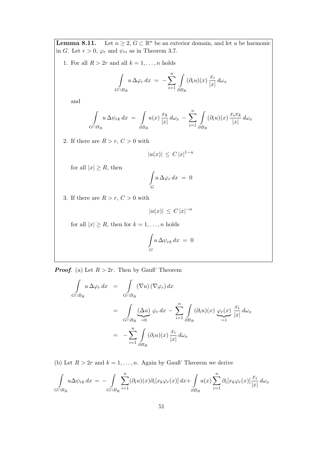**Lemma 8.11.** Let  $n \geq 2$ ,  $G \subset \mathbb{R}^n$  be an exterior domain, and let u be harmonic in G. Let  $r > 0$ ,  $\varphi_r$  and  $\psi_{ri}$  as in Theorem 3.7.

1. For all  $R > 2r$  and all  $k = 1, \ldots, n$  holds

$$
\int_{G \cap B_R} u \, \Delta \varphi_r \, dx = - \sum_{i=1}^n \int_{\partial B_R} (\partial_i u)(x) \, \frac{x_i}{|x|} \, d\omega_x
$$

and

$$
\int_{G \cap B_R} u \, \Delta \psi_{rk} \, dx = \int_{\partial B_R} u(x) \, \frac{x_k}{|x|} \, d\omega_x - \sum_{i=1}^n \int_{\partial B_R} (\partial_i u)(x) \, \frac{x_i x_k}{|x|} \, d\omega_x
$$

2. If there are  $R > r$ ,  $C > 0$  with

$$
|u(x)| \leq C |x|^{1-n}
$$

for all  $|x| \ge R$ , then

$$
\int_G u\,\Delta\varphi_r\,dx\ =\ 0
$$

3. If there are  $R > r$ ,  $C > 0$  with

$$
|u(x)| \leq C |x|^{-n}
$$

for all  $|x| \ge R$ , then for  $k = 1, \ldots, n$  holds

$$
\int_G u \, \Delta \psi_{rk} \, dx \ = \ 0
$$

**Proof.** (a) Let  $R > 2r$ . Then by Gauß' Theorem

$$
\int_{G \cap B_R} u \, \Delta \varphi_r \, dx = \int_{G \cap B_R} (\nabla u) (\nabla \varphi_r) \, dx
$$
\n
$$
= \int_{G \cap B_R} (\Delta u) \, \varphi_r \, dx - \sum_{i=1}^n \int_{\partial B_R} (\partial_i u)(x) \, \varphi_r(x) \, \frac{x_i}{|x|} \, d\omega_x
$$
\n
$$
= - \sum_{i=1}^n \int_{\partial B_R} (\partial_i u)(x) \, \frac{x_i}{|x|} \, d\omega_x
$$

(b) Let  $R > 2r$  and  $k = 1, ..., n$ . Again by Gauß' Theorem we derive

$$
\int_{G \cap B_R} u \Delta \psi_{rk} dx = - \int_{G \cap B_R} \sum_{i=1}^n (\partial_i u)(x) \partial_i [x_k \varphi_r(x)] dx + \int_{\partial B_R} u(x) \sum_{i=1}^n \partial_i [x_k \varphi_r(x)] \frac{x_i}{|x|} d\omega_x
$$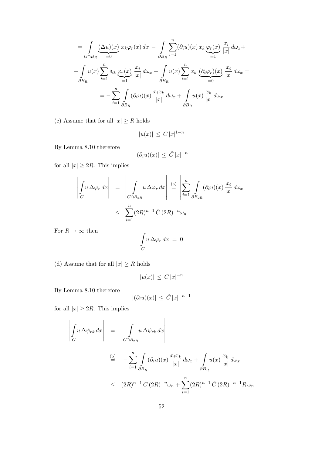$$
= \int_{G \cap B_R} (\Delta u)(x) x_k \varphi_r(x) dx - \int_{\partial B_R} \sum_{i=1}^n (\partial_i u)(x) x_k \varphi_r(x) \frac{x_i}{|x|} d\omega_x +
$$
  
+ 
$$
\int_{\partial B_R} u(x) \sum_{i=1}^n \delta_{ik} \varphi_r(x) \frac{x_i}{|x|} d\omega_x + \int_{\partial B_R} u(x) \sum_{i=1}^n x_k \underbrace{(\partial_i \varphi_r)(x)}_{=0} \frac{x_i}{|x|} d\omega_x =
$$
  
= 
$$
- \sum_{i=1}^n \int_{\partial B_R} (\partial_i u)(x) \frac{x_i x_k}{|x|} d\omega_x + \int_{\partial B_R} u(x) \frac{x_k}{|x|} d\omega_x
$$

(c) Assume that for all  $|x| \ge R$  holds

$$
|u(x)| \leq C |x|^{1-n}
$$

By Lemma 8.10 therefore

$$
|(\partial_i u)(x)| \, \leq \, \tilde{C} \, |x|^{-n}
$$

for all  $|x| \geq 2R$ . This implies

$$
\left| \int_{G} u \, \Delta \varphi_r \, dx \right| = \left| \int_{G \cap B_{2R}} u \, \Delta \varphi_r \, dx \right| \stackrel{\text{(a)}}{=} \left| \sum_{i=1}^n \int_{\partial B_{2R}} (\partial_i u)(x) \, \frac{x_i}{|x|} \, d\omega_x \right|
$$

$$
\leq \sum_{i=1}^n (2R)^{n-1} \tilde{C} (2R)^{-n} \omega_n
$$

For  $R\to\infty$  then

$$
\int_G u \,\Delta \varphi_r \,dx\ =\ 0
$$

(d) Assume that for all  $|x| \ge R$  holds

$$
|u(x)| \leq C |x|^{-n}
$$

By Lemma 8.10 therefore

$$
|(\partial_i u)(x)| \le \tilde{C} |x|^{-n-1}
$$

for all  $|x| \geq 2R$ . This implies

$$
\left| \int_{G} u \, \Delta \psi_{rk} \, dx \right| = \left| \int_{G \cap B_{2R}} u \, \Delta \psi_{rk} \, dx \right|
$$
  
\n
$$
\stackrel{\text{(b)}}{=} \left| -\sum_{i=1}^{n} \int_{\partial B_{R}} (\partial_{i} u)(x) \, \frac{x_{i} x_{k}}{|x|} \, d\omega_{x} + \int_{\partial B_{R}} u(x) \, \frac{x_{k}}{|x|} \, d\omega_{x} \right|
$$
  
\n
$$
\leq (2R)^{n-1} C (2R)^{-n} \omega_{n} + \sum_{i=1}^{n} (2R)^{n-1} \tilde{C} (2R)^{-n-1} R \omega_{n}
$$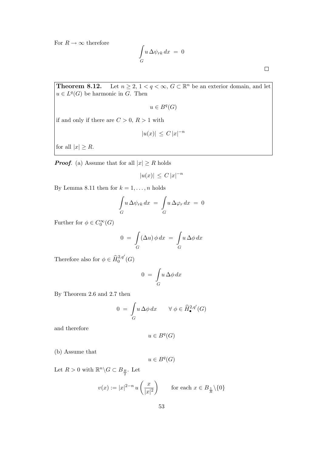For  $R\to\infty$  therefore

$$
\int_G u \,\Delta \psi_{rk} \,dx\ =\ 0
$$

**Theorem 8.12.** Let  $n \geq 2$ ,  $1 < q < \infty$ ,  $G \subset \mathbb{R}^n$  be an exterior domain, and let  $u \in L^q(G)$  be harmonic in G. Then

$$
u \in B^q(G)
$$

if and only if there are  $C > 0$ ,  $R > 1$  with

$$
|u(x)| \, \leq \, C \, |x|^{-n}
$$

for all  $|x| \geq R$ .

**Proof.** (a) Assume that for all  $|x| \geq R$  holds

$$
|u(x)| \leq C |x|^{-n}
$$

By Lemma 8.11 then for  $k = 1, \ldots, n$  holds

$$
\int_G u \,\Delta \psi_{rk} \,dx \ = \ \int_G u \,\Delta \varphi_r \,dx \ = \ 0
$$

Further for  $\phi \in C_0^{\infty}(G)$ 

$$
0 = \int_{G} (\Delta u) \phi \, dx = \int_{G} u \, \Delta \phi \, dx
$$

Therefore also for  $\phi \in \hat{H}^{2,q'}_0(G)$ 

$$
0 = \int_G u \, \Delta \phi \, dx
$$

By Theorem 2.6 and 2.7 then

$$
0 = \int_G u \,\Delta\phi \,dx \qquad \forall \phi \in \widehat{H}^{2,q'}_{\bullet}(G)
$$

and therefore

$$
u \in B^q(G)
$$

(b) Assume that

$$
u\in B^q(G)
$$

Let  $R > 0$  with  $\mathbb{R}^n \backslash G \subset B_{\frac{R}{2}}$ . Let

$$
v(x) := |x|^{2-n} u\left(\frac{x}{|x|^2}\right) \qquad \text{for each } x \in B_{\frac{1}{R}} \setminus \{0\}
$$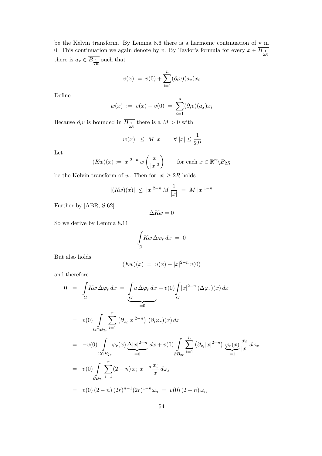be the Kelvin transform. By Lemma 8.6 there is a harmonic continuation of v in 0. This continuation we again denote by v. By Taylor's formula for every  $x \in B_{\frac{1}{2R}}$ there is  $a_x \in B_{\frac{1}{2R}}$  such that

$$
v(x) = v(0) + \sum_{i=1}^{n} (\partial_i v)(a_x) x_i
$$

Define

$$
w(x) := v(x) - v(0) = \sum_{i=1}^{n} (\partial_i v)(a_x) x_i
$$

Because  $\partial_i v$  is bounded in  $B_{\frac{1}{2R}}$  there is a  $M > 0$  with

$$
|w(x)| \le M|x| \qquad \forall |x| \le \frac{1}{2R}
$$

Let

$$
(Kw)(x) := |x|^{2-n} w\left(\frac{x}{|x|^2}\right) \qquad \text{for each } x \in \mathbb{R}^n \setminus B_{2R}
$$

be the Kelvin transform of w. Then for  $|x| \geq 2R$  holds

$$
|(Kw)(x)| \leq |x|^{2-n} M \frac{1}{|x|} = M |x|^{1-n}
$$

Further by [ABR, S.62]

$$
\Delta K w = 0
$$

So we derive by Lemma 8.11

$$
\int\limits_G Kw\,\Delta\varphi_r\,dx\ =\ 0
$$

But also holds

$$
(Kw)(x) = u(x) - |x|^{2-n} v(0)
$$

and therefore

$$
0 = \int_{G} Kw \,\Delta \varphi_r \,dx = \underbrace{\int_{G} u \,\Delta \varphi_r \,dx}_{=0} - v(0) \int_{G} |x|^{2-n} \,(\Delta \varphi_r)(x) \,dx
$$
  
\n
$$
= v(0) \int_{G \cap B_{2r}} \sum_{i=1}^{n} (\partial_{x_i}|x|^{2-n}) \,(\partial_i \varphi_r)(x) \,dx
$$
  
\n
$$
= -v(0) \int_{G \cap B_{2r}} \varphi_r(x) \underbrace{\Delta |x|^{2-n}}_{=0} dx + v(0) \int_{\partial B_{2r}} \sum_{i=1}^{n} (\partial_{x_i}|x|^{2-n}) \underbrace{\varphi_r(x)}_{=1} \frac{x_i}{|x|} \,d\omega_x
$$
  
\n
$$
= v(0) \int_{\partial B_{2r}} \sum_{i=1}^{n} (2-n) x_i |x|^{-n} \frac{x_i}{|x|} \,d\omega_x
$$
  
\n
$$
= v(0) (2-n) (2r)^{n-1} (2r)^{1-n} \omega_n = v(0) (2-n) \omega_n
$$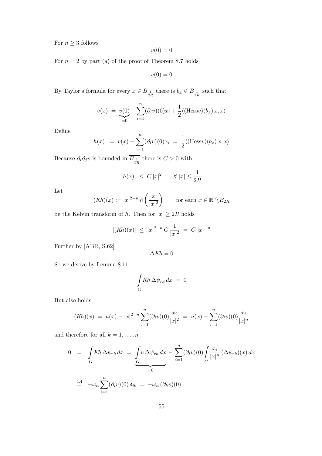For  $n \geq 3$  follows

$$
v(0) = 0
$$

For  $n = 2$  by part (a) of the proof of Theorem 8.7 holds

 $v(0) = 0$ 

By Taylor's formula for every  $x \in B_{\frac{1}{2R}}$  there is  $b_x \in \overline{B_{\frac{1}{2R}}}$  such that

$$
v(x) = \underbrace{v(0)}_{=0} + \sum_{i=1}^{n} (\partial_i v)(0) x_i + \frac{1}{2} \langle (\text{Hess}v)(b_x) x, x \rangle
$$

Define

$$
h(x) := v(x) - \sum_{i=1}^{n} (\partial_i v)(0) x_i = \frac{1}{2} \langle (\text{Hess} v)(b_x) x, x \rangle
$$

Because  $\partial_i \partial_j v$  is bounded in  $B_{\frac{1}{2R}}$  there is  $C > 0$  with

$$
|h(x)| \leq C |x|^2 \qquad \forall |x| \leq \frac{1}{2R}
$$

Let

$$
(Kh)(x) := |x|^{2-n} h\left(\frac{x}{|x|^2}\right) \qquad \text{for each } x \in \mathbb{R}^n \backslash B_{2R}
$$

be the Kelvin transform of h. Then for  $|x| \geq 2R$  holds

$$
|(Kh)(x)| \le |x|^{2-n} C \frac{1}{|x|^2} = C |x|^{-n}
$$

Further by [ABR, S.62]

$$
\Delta K h = 0
$$

So we derive by Lemma 8.11

$$
\int\limits_{G} K\hbar \,\Delta \psi_{rk} \,dx\ =\ 0
$$

But also holds

$$
(Kh)(x) = u(x) - |x|^{2-n} \sum_{i=1}^{n} (\partial_i v)(0) \frac{x_i}{|x|^2} = u(x) - \sum_{i=1}^{n} (\partial_i v)(0) \frac{x_i}{|x|^n}
$$

and therefore for all  $k = 1, \ldots, n$ 

$$
0 = \int_G Kh \Delta \psi_{rk} dx = \int_G u \Delta \psi_{rk} dx - \sum_{i=1}^n (\partial_i v)(0) \int_G \frac{x_i}{|x|^n} (\Delta \psi_{rk})(x) dx
$$
  

$$
\stackrel{4.4}{=} -\omega_n \sum_{i=1}^n (\partial_i v)(0) \delta_{ik} = -\omega_n (\partial_k v)(0)
$$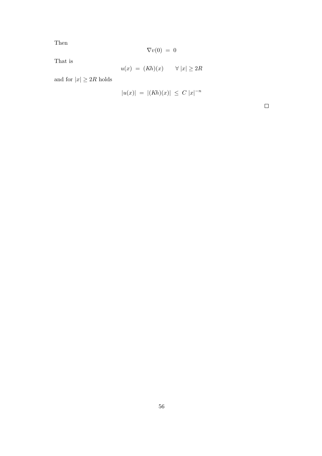Then

$$
\nabla v(0) = 0
$$

That is

$$
u(x) = (Kh)(x) \qquad \forall \ |x| \ge 2R
$$

and for  $|x| \geq 2R$  holds

$$
|u(x)| = |(Kh)(x)| \leq C |x|^{-n}
$$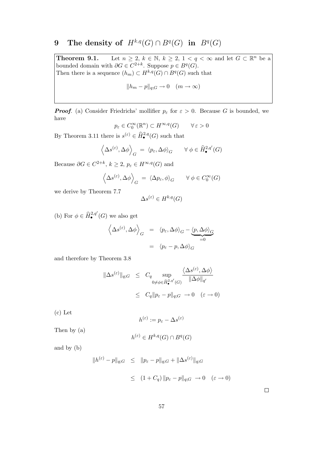## 9 The density of  $H^{k,q}(G) \cap B^q(G)$  in  $B^q(G)$

**Theorem 9.1.** Let  $n \geq 2$ ,  $k \in \mathbb{N}$ ,  $k \geq 2$ ,  $1 < q < \infty$  and let  $G \subset \mathbb{R}^n$  be a bounded domain with  $\partial G \in C^{2+k}$ . Suppose  $p \in B^q(G)$ . Then there is a sequence  $(h_m) \subset H^{k,q}(G) \cap B^q(G)$  such that

$$
||h_m - p||_{q;G} \to 0 \quad (m \to \infty)
$$

**Proof.** (a) Consider Friedrichs' mollifier  $p_{\varepsilon}$  for  $\varepsilon > 0$ . Because G is bounded, we have

$$
p_{\varepsilon} \in C_0^{\infty}(\mathbb{R}^n) \subset H^{\infty,q}(G) \qquad \forall \, \varepsilon > 0
$$

By Theorem 3.11 there is  $s^{(\varepsilon)} \in \widehat{H}^{2,q}_{\bullet}(G)$  such that

$$
\left\langle \Delta s^{(\varepsilon)}, \Delta \phi \right\rangle_G = \left\langle p_\varepsilon, \Delta \phi \right\rangle_G \quad \forall \phi \in \widehat{H}^{2,q'}_{{\bullet}}(G)
$$

Because  $\partial G \in C^{2+k}, k \geq 2, p_{\varepsilon} \in H^{\infty,q}(G)$  and

$$
\left\langle \Delta s^{(\varepsilon)}, \Delta \phi \right\rangle_G = \left\langle \Delta p_{\varepsilon}, \phi \right\rangle_G \quad \forall \phi \in C_0^{\infty}(G)
$$

we derive by Theorem 7.7

$$
\Delta s^{(\varepsilon)} \in H^{k,q}(G)
$$

(b) For  $\phi \in \hat{H}^{2,q'}_\bullet(G)$  we also get

$$
\left\langle \Delta s^{(\varepsilon)}, \Delta \phi \right\rangle_G = \left\langle p_{\varepsilon}, \Delta \phi \right\rangle_G - \underbrace{\left\langle p, \Delta \phi \right\rangle_G}_{=0}
$$

$$
= \left\langle p_{\varepsilon} - p, \Delta \phi \right\rangle_G
$$

and therefore by Theorem 3.8

$$
\|\Delta s^{(\varepsilon)}\|_{q;G} \leq C_q \sup_{0 \neq \phi \in \widehat{H}_{\bullet}^{2,q'}(G)} \frac{\langle \Delta s^{(\varepsilon)}, \Delta \phi \rangle}{\|\Delta \phi\|_{q'}}
$$
  

$$
\leq C_q \|p_{\varepsilon} - p\|_{q;G} \to 0 \quad (\varepsilon \to 0)
$$

(c) Let

$$
h^{(\varepsilon)} := p_{\varepsilon} - \Delta s^{(\varepsilon)}
$$

Then by (a)

$$
h^{(\varepsilon)} \in H^{k,q}(G) \cap B^q(G)
$$

and by (b)

$$
\|h^{(\varepsilon)} - p\|_{q;G} \le \|p_{\varepsilon} - p\|_{q;G} + \|\Delta s^{(\varepsilon)}\|_{q;G}
$$
  

$$
\le (1 + C_q) \|p_{\varepsilon} - p\|_{q;G} \to 0 \quad (\varepsilon \to 0)
$$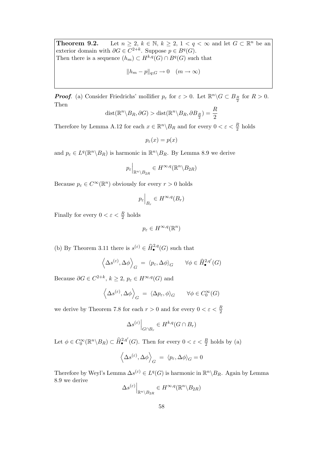**Theorem 9.2.** Let  $n \geq 2$ ,  $k \in \mathbb{N}$ ,  $k \geq 2$ ,  $1 < q < \infty$  and let  $G \subset \mathbb{R}^n$  be an exterior domain with  $\partial G \in C^{2+k}$ . Suppose  $p \in B^q(G)$ . Then there is a sequence  $(h_m) \subset H^{k,q}(G) \cap B^q(G)$  such that

$$
||h_m - p||_{q;G} \to 0 \quad (m \to \infty)
$$

**Proof.** (a) Consider Friedrichs' mollifier  $p_{\varepsilon}$  for  $\varepsilon > 0$ . Let  $\mathbb{R}^n \setminus G \subset B_{\frac{R}{2}}$  for  $R > 0$ . Then

$$
dist(\mathbb{R}^n \setminus B_R, \partial G) > dist(\mathbb{R}^n \setminus B_R, \partial B_{\frac{R}{2}}) = \frac{R}{2}
$$

Therefore by Lemma A.12 for each  $x \in \mathbb{R}^n \backslash B_R$  and for every  $0 < \varepsilon < \frac{R}{2}$  holds

 $p_{\varepsilon}(x) = p(x)$ 

and  $p_{\varepsilon} \in L^{q}(\mathbb{R}^{n} \setminus B_{R})$  is harmonic in  $\mathbb{R}^{n} \setminus B_{R}$ . By Lemma 8.9 we derive

$$
p_{\varepsilon}\Big|_{\mathbb{R}^n\setminus B_{2R}}\in H^{\infty,q}(\mathbb{R}^n\setminus B_{2R})
$$

Because  $p_{\varepsilon} \in C^{\infty}(\mathbb{R}^n)$  obviously for every  $r > 0$  holds

$$
p_{\varepsilon}\Big|_{B_r} \in H^{\infty,q}(B_r)
$$

Finally for every  $0 < \varepsilon < \frac{R}{2}$  holds

$$
p_{\varepsilon} \in H^{\infty,q}(\mathbb{R}^n)
$$

(b) By Theorem 3.11 there is  $s^{(\varepsilon)} \in \widehat{H}^{2,q}_{\bullet}(G)$  such that

$$
\left\langle \Delta s^{(\varepsilon)}, \Delta \phi \right\rangle_G = \left\langle p_\varepsilon, \Delta \phi \right\rangle_G \quad \forall \phi \in \widehat{H}^{2,q'}_{{\bullet}}(G)
$$

Because  $\partial G \in C^{2+k}, k \geq 2, p_{\varepsilon} \in H^{\infty,q}(G)$  and

$$
\left\langle \Delta s^{(\varepsilon)}, \Delta \phi \right\rangle_G = \left\langle \Delta p_{\varepsilon}, \phi \right\rangle_G \quad \forall \phi \in C_0^{\infty}(G)
$$

we derive by Theorem 7.8 for each  $r > 0$  and for every  $0 < \varepsilon < \frac{R}{2}$ 

$$
\Delta s^{(\varepsilon)}\Big|_{G\cap B_r} \in H^{k,q}(G\cap B_r)
$$

Let  $\phi \in C_0^{\infty}(\mathbb{R}^n \setminus B_R) \subset \widehat{H}^{2,q'}_{\bullet}(G)$ . Then for every  $0 < \varepsilon < \frac{R}{2}$  holds by (a)

$$
\left\langle \Delta s^{(\varepsilon)}, \Delta \phi \right\rangle_G = \left\langle p_\varepsilon, \Delta \phi \right\rangle_G = 0
$$

Therefore by Weyl's Lemma  $\Delta s^{(\varepsilon)} \in L^q(G)$  is harmonic in  $\mathbb{R}^n \setminus B_R$ . Again by Lemma 8.9 we derive

$$
\Delta s^{(\varepsilon)}\Big|_{\mathbb{R}^n\setminus B_{2R}}\in H^{\infty,q}(\mathbb{R}^n\setminus B_{2R})
$$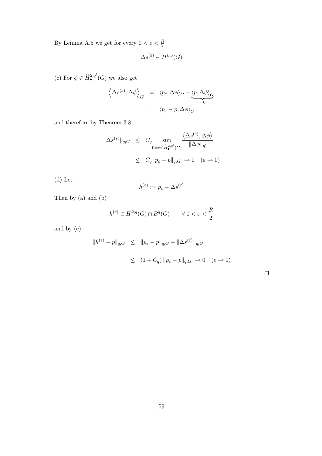By Lemma A.5 we get for every  $0 < \varepsilon < \frac{R}{2}$ 

$$
\Delta s^{(\varepsilon)} \in H^{k,q}(G)
$$

(c) For  $\phi \in \widehat{H}^{2,q'}_\bullet(G)$  we also get

$$
\left\langle \Delta s^{(\varepsilon)}, \Delta \phi \right\rangle_G = \left\langle p_{\varepsilon}, \Delta \phi \right\rangle_G - \underbrace{\left\langle p, \Delta \phi \right\rangle_G}_{=0}
$$

$$
= \left\langle p_{\varepsilon} - p, \Delta \phi \right\rangle_G
$$

and therefore by Theorem 3.8

$$
\|\Delta s^{(\varepsilon)}\|_{q;G} \leq C_q \sup_{0 \neq \phi \in \widehat{H}_{\bullet}^{2,q'}(G)} \frac{\langle \Delta s^{(\varepsilon)}, \Delta \phi \rangle}{\|\Delta \phi\|_{q'}}
$$
  

$$
\leq C_q \|p_{\varepsilon} - p\|_{q;G} \to 0 \quad (\varepsilon \to 0)
$$

(d) Let

$$
h^{(\varepsilon)}:=p_\varepsilon-\Delta s^{(\varepsilon)}
$$

Then by (a) and (b)

$$
h^{(\varepsilon)} \in H^{k,q}(G) \cap B^q(G) \qquad \forall \ 0 < \varepsilon < \frac{R}{2}
$$

and by (c)

$$
\|h^{(\varepsilon)} - p\|_{q;G} \le \|p_{\varepsilon} - p\|_{q;G} + \|\Delta s^{(\varepsilon)}\|_{q;G}
$$
  

$$
\le (1 + C_q) \|p_{\varepsilon} - p\|_{q;G} \to 0 \quad (\varepsilon \to 0)
$$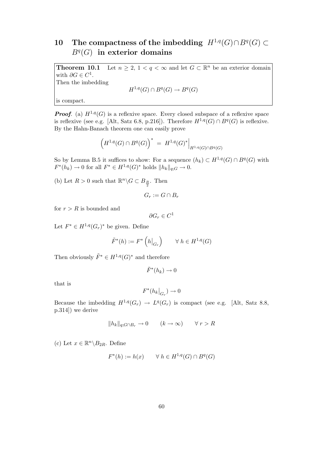# 10 The compactness of the imbedding  $H^{1,q}(G) \cap B^q(G) \subset$  $B<sup>q</sup>(G)$  in exterior domains

**Theorem 10.1** Let  $n \geq 2$ ,  $1 < q < \infty$  and let  $G \subset \mathbb{R}^n$  be an exterior domain with  $\partial G \in C^1$ . Then the imbedding

$$
H^{1,q}(G) \cap B^q(G) \to B^q(G)
$$

is compact.

**Proof.** (a)  $H^{1,q}(G)$  is a reflexive space. Every closed subspace of a reflexive space is reflexive (see e.g. [Alt, Satz 6.8, p.216]). Therefore  $H^{1,q}(G) \cap B^q(G)$  is reflexive. By the Hahn-Banach theorem one can easily prove

$$
\left(H^{1,q}(G)\cap B^q(G)\right)^* = H^{1,q}(G)^*\Big|_{H^{1,q}(G)\cap B^q(G)}
$$

So by Lemma B.5 it suffices to show: For a sequence  $(h_k) \subset H^{1,q}(G) \cap B^q(G)$  with  $F^*(h_k) \to 0$  for all  $F^* \in H^{1,q}(G)^*$  holds  $||h_k||_{q;G} \to 0$ .

(b) Let  $R > 0$  such that  $\mathbb{R}^n \backslash G \subset B_{\frac{R}{2}}$ . Then

$$
G_r := G \cap B_r
$$

for  $r > R$  is bounded and

$$
\partial G_r \in C^1
$$

Let  $F^* \in H^{1,q}(G_r)^*$  be given. Define

$$
\tilde{F}^*(h) := F^*\left(h\big|_{G_r}\right) \qquad \forall \ h \in H^{1,q}(G)
$$

Then obviously  $\tilde{F}^* \in H^{1,q}(G)^*$  and therefore

 $\tilde{F}^*(h_k) \to 0$ 

that is

$$
F^*(h_k|_{G_r}) \to 0
$$

Because the imbedding  $H^{1,q}(G_r) \to L^q(G_r)$  is compact (see e.g. [Alt, Satz 8.8, p.314]) we derive

$$
||h_k||_{q;G \cap B_r} \to 0 \qquad (k \to \infty) \qquad \forall \ r > R
$$

(c) Let  $x \in \mathbb{R}^n \backslash B_{2R}$ . Define

$$
F^*(h) := h(x) \qquad \forall \ h \in H^{1,q}(G) \cap B^q(G)
$$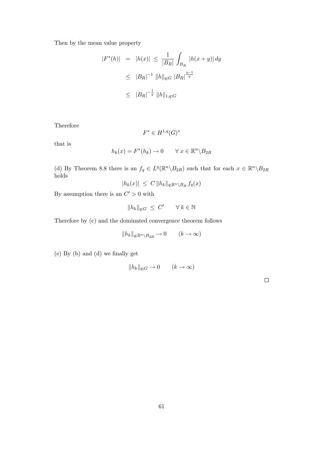Then by the mean value property

$$
|F^*(h)| = |h(x)| \le \frac{1}{|B_R|} \int_{B_R} |h(x+y)| dy
$$
  
\n
$$
\le |B_R|^{-1} ||h||_{q;G} |B_R|^{\frac{q-1}{q}}
$$
  
\n
$$
\le |B_R|^{-\frac{1}{q}} ||h||_{1,q;G}
$$

Therefore

$$
F^* \in H^{1,q}(G)^*
$$

that is

$$
h_k(x) = F^*(h_k) \to 0 \qquad \forall \ x \in \mathbb{R}^n \backslash B_{2R}
$$

(d) By Theorem 8.8 there is an  $f_q \in L^q(\mathbb{R}^n \setminus B_{2R})$  such that for each  $x \in \mathbb{R}^n \setminus B_{2R}$ holds

$$
|h_k(x)| \ \leq \ C \, \|h_k\|_{q; \mathbb{R}^n \setminus B_R} \, f_q(x)
$$

By assumption there is an  $C' > 0$  with

$$
||h_k||_{q;G} \leq C' \qquad \forall \ k \in \mathbb{N}
$$

Therefore by (c) and the dominated convergence theorem follows

$$
||h_k||_{q;\mathbb{R}^n\setminus B_{2R}} \to 0 \qquad (k \to \infty)
$$

(e) By (b) and (d) we finally get

$$
||h_k||_{q;G} \to 0 \qquad (k \to \infty)
$$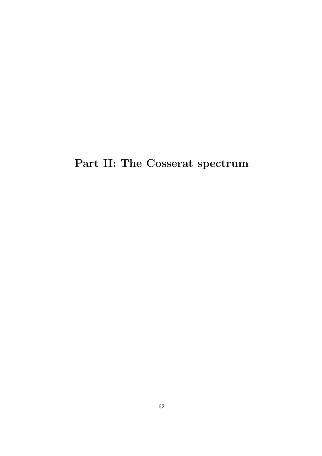Part II: The Cosserat spectrum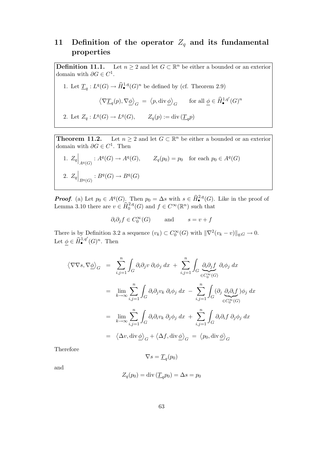## 11 Definition of the operator  $Z_q$  and its fundamental properties

**Definition 11.1.** Let  $n \geq 2$  and let  $G \subset \mathbb{R}^n$  be either a bounded or an exterior domain with  $\partial G \in C^1$ .

1. Let 
$$
\underline{T}_q: L^q(G) \to \widehat{H}^{1,q}_{\bullet}(G)^n
$$
 be defined by (cf. Theorem 2.9)

$$
\left\langle \nabla \underline{T}_q(p), \nabla \underline{\phi} \right\rangle_G = \left\langle p, \text{div} \underline{\phi} \right\rangle_G \quad \text{for all } \underline{\phi} \in \widehat{H}^{1,q'}_{\bullet}(G)^n
$$

2. Let  $Z_q: L^q(G) \to L^q(G)$ ,  $Z_q(p) := \text{div}(\underline{T}_q p)$ 

**Theorem 11.2.** Let  $n \geq 2$  and let  $G \subset \mathbb{R}^n$  be either a bounded or an exterior domain with  $\partial G \in C^1$ . Then

1. 
$$
Z_q|_{A^q(G)}: A^q(G) \to A^q(G), \qquad Z_q(p_0) = p_0 \text{ for each } p_0 \in A^q(G)
$$
  
2.  $Z_q|_{B^q(G)}: B^q(G) \to B^q(G)$ 

**Proof.** (a) Let  $p_0 \in A^q(G)$ . Then  $p_0 = \Delta s$  with  $s \in \widehat{H}^{2,q}_{\bullet}(G)$ . Like in the proof of Lemma 3.10 there are  $v \in \widehat{H}^{2,q}_0(G)$  and  $f \in C^{\infty}(\mathbb{R}^n)$  such that

$$
\partial_i \partial_j f \in C_0^{\infty}(G)
$$
 and  $s = v + f$ 

There is by Definition 3.2 a sequence  $(v_k) \subset C_0^{\infty}(G)$  with  $\|\nabla^2(v_k - v)\|_{q;G} \to 0$ . Let  $\underline{\phi} \in \widehat{H}_{\bullet}^{1,q'}(G)^n$ . Then

$$
\langle \nabla \nabla s, \nabla \underline{\phi} \rangle_G = \sum_{i,j=1}^n \int_G \partial_i \partial_j v \, \partial_i \phi_j \, dx + \sum_{i,j=1}^n \int_G \underbrace{\partial_i \partial_j f}_{\in C_0^{\infty}(G)} \partial_i \phi_j \, dx
$$
  
\n
$$
= \lim_{k \to \infty} \sum_{i,j=1}^n \int_G \partial_i \partial_j v_k \, \partial_i \phi_j \, dx - \sum_{i,j=1}^n \int_G (\partial_j \underbrace{\partial_i \partial_i f}_{\in C_0^{\infty}(G)}) \phi_j \, dx
$$
  
\n
$$
= \lim_{k \to \infty} \sum_{i,j=1}^n \int_G \partial_i \partial_i v_k \, \partial_j \phi_j \, dx + \sum_{i,j=1}^n \int_G \partial_i \partial_i f \, \partial_j \phi_j \, dx
$$
  
\n
$$
= \langle \Delta v, \text{div } \underline{\phi} \rangle_G + \langle \Delta f, \text{div } \underline{\phi} \rangle_G = \langle p_0, \text{div } \underline{\phi} \rangle_G
$$

Therefore

$$
\nabla s = \underline{T}_q(p_0)
$$

and

$$
Z_q(p_0) = \text{div}\left(\underline{T}_q p_0\right) = \Delta s = p_0
$$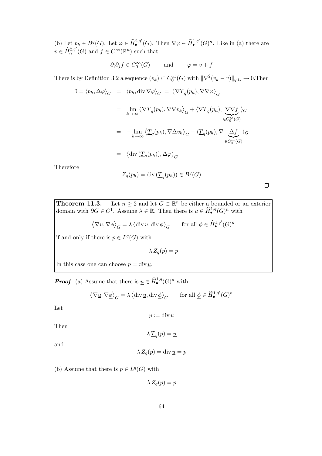(b) Let  $p_h \in B^q(G)$ . Let  $\varphi \in \widehat{H}^{2,q'}_{\bullet}(G)$ . Then  $\nabla \varphi \in \widehat{H}^{1,q'}_{\bullet}(G)^n$ . Like in (a) there are  $v \in \widehat{H}^{2,q'}_0(G)$  and  $f \in C^{\infty}(\mathbb{R}^n)$  such that

$$
\partial_i \partial_j f \in C_0^{\infty}(G)
$$
 and  $\varphi = v + f$ 

There is by Definition 3.2 a sequence  $(v_k) \subset C_0^{\infty}(G)$  with  $\|\nabla^2(v_k - v)\|_{q;G} \to 0$ . Then

$$
0 = \langle p_h, \Delta \varphi \rangle_G = \langle p_h, \text{div } \nabla \varphi \rangle_G = \langle \nabla \underline{T}_q(p_h), \nabla \nabla \varphi \rangle_G
$$
  
\n
$$
= \lim_{k \to \infty} \langle \nabla \underline{T}_q(p_h), \nabla \nabla v_k \rangle_G + \langle \nabla \underline{T}_q(p_h), \underbrace{\nabla \nabla f}_{\in C_0^{\infty}(G)} \rangle_G
$$
  
\n
$$
= -\lim_{k \to \infty} \langle \underline{T}_q(p_h), \nabla \Delta v_k \rangle_G - \langle \underline{T}_q(p_h), \nabla \underbrace{\Delta f}_{\in C_0^{\infty}(G)} \rangle_G
$$
  
\n
$$
= \langle \text{div } (\underline{T}_q(p_h)), \Delta \varphi \rangle_G
$$

Therefore

$$
Z_q(p_h) = \text{div}\left(\underline{T}_q(p_h)\right) \in B^q(G)
$$

 $\Box$ 

**Theorem 11.3.** Let  $n \geq 2$  and let  $G \subset \mathbb{R}^n$  be either a bounded or an exterior domain with  $\partial G \in C^1$ . Assume  $\lambda \in \mathbb{R}$ . Then there is  $\underline{u} \in \widehat{H}^{1,q}_\bullet(G)^n$  with

$$
\left\langle \nabla \underline{u}, \nabla \underline{\phi} \right\rangle_G = \lambda \left\langle \text{div}\, \underline{u}, \text{div}\, \underline{\phi} \right\rangle_G \qquad \text{for all } \underline{\phi} \in \widehat{H}^{1,q'}_\bullet(G)^n
$$

if and only if there is  $p \in L^q(G)$  with

 $\lambda Z_q(p) = p$ 

In this case one can choose  $p = \text{div } u$ .

**Proof.** (a) Assume that there is  $\underline{u} \in \widehat{H}_{\bullet}^{1,q}(G)^n$  with

$$
\left\langle \nabla \underline{u}, \nabla \underline{\phi} \right\rangle_G = \lambda \left\langle \text{div}\, \underline{u}, \text{div}\, \underline{\phi} \right\rangle_G \qquad \text{for all } \underline{\phi} \in \widehat{H}^{1, q^\prime}_\bullet(G)^n
$$

Let

$$
p:=\operatorname{div}\underline{u}
$$

Then

$$
\lambda \underline{T}_q(p) = \underline{u}
$$

and

$$
\lambda Z_q(p) = \operatorname{div} \underline{u} = p
$$

(b) Assume that there is  $p \in L^q(G)$  with

$$
\lambda Z_q(p) = p
$$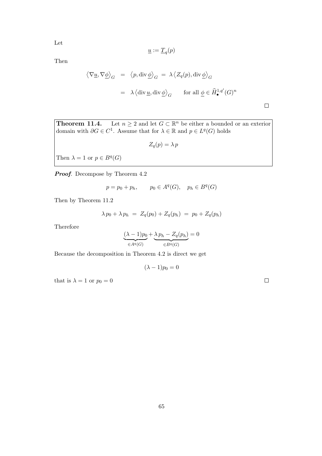Let

$$
\underline{u} := \underline{T}_q(p)
$$

Then

$$
\langle \nabla \underline{u}, \nabla \underline{\phi} \rangle_G = \langle p, \text{div} \underline{\phi} \rangle_G = \lambda \langle Z_q(p), \text{div} \underline{\phi} \rangle_G
$$
  
=  $\lambda \langle \text{div} \underline{u}, \text{div} \underline{\phi} \rangle_G$  for all  $\underline{\phi} \in \widehat{H}_{\bullet}^{1,q'}(G)^n$ 

**Theorem 11.4.** Let 
$$
n \ge 2
$$
 and let  $G \subset \mathbb{R}^n$  be either a bounded or an exterior domain with  $\partial G \in C^1$ . Assume that for  $\lambda \in \mathbb{R}$  and  $p \in L^q(G)$  holds

 $Z_q(p) = \lambda p$ 

Then  $\lambda = 1$  or  $p \in B<sup>q</sup>(G)$ 

**Proof.** Decompose by Theorem 4.2

$$
p = p_0 + p_h, \qquad p_0 \in A^q(G), \quad p_h \in B^q(G)
$$

Then by Theorem 11.2

$$
\lambda p_0 + \lambda p_h = Z_q(p_0) + Z_q(p_h) = p_0 + Z_q(p_h)
$$

Therefore

$$
\underbrace{(\lambda - 1)p_0}_{\in A^q(G)} + \underbrace{\lambda p_h - Z_q(p_h)}_{\in B^q(G)} = 0
$$

Because the decomposition in Theorem 4.2 is direct we get

$$
(\lambda - 1)p_0 = 0
$$

that is  $\lambda=1$  or  $p_0=0$ 

 $\Box$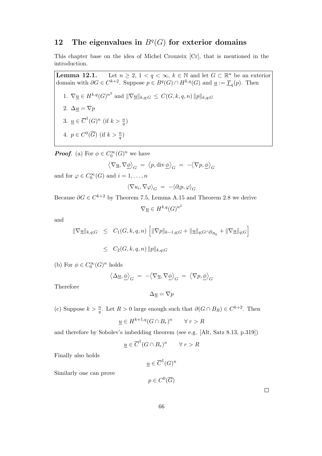## 12 The eigenvalues in  $B<sup>q</sup>(G)$  for exterior domains

This chapter base on the idea of Michel Crouzeix [Cr], that is mentioned in the introduction.

**Lemma 12.1.** Let  $n \geq 2$ ,  $1 < q < \infty$ ,  $k \in \mathbb{N}$  and let  $G \subset \mathbb{R}^n$  be an exterior domain with  $\partial G \in C^{k+2}$ . Suppose  $p \in B^q(G) \cap H^{k,q}(G)$  and  $\underline{u} := \underline{T}_q(p)$ . Then 1.  $\nabla \underline{u} \in H^{k,q}(G)^{n^2}$  and  $\|\nabla \underline{u}\|_{k,q;G} \leq C(G,k,q,n) \|p\|_{k,q;G}$ 2.  $\Delta \underline{u} = \nabla p$ 3.  $\underline{u} \in \overline{C}^1(G)^n$  (if  $k > \frac{n}{q}$ ) 4.  $p \in C^0(\overline{G})$  (if  $k > \frac{n}{q}$ )

**Proof.** (a) For  $\phi \in C_0^{\infty}(G)^n$  we have

$$
\left\langle \nabla \underline{u}, \nabla \underline{\phi} \right\rangle_G = \left\langle p, \operatorname{div} \underline{\phi} \right\rangle_G = - \left\langle \nabla p, \underline{\phi} \right\rangle_G
$$

and for  $\varphi \in C_0^{\infty}(G)$  and  $i = 1, ..., n$ 

$$
\langle \nabla u_i, \nabla \varphi \rangle_G = - \langle \partial_i p, \varphi \rangle_G
$$

Because  $\partial G \in C^{k+2}$  by Theorem 7.5, Lemma A.15 and Theorem 2.8 we derive

$$
\nabla \underline{u} \in H^{k,q}(G)^{n^2}
$$

and

$$
\begin{array}{rcl}\n\|\nabla \underline{u}\|_{k,q;G} & \leq & C_1(G,k,q,n) \left[ \|\nabla p\|_{k-1,q;G} + \|\underline{u}\|_{q;G \cap B_{R_k}} + \|\nabla \underline{u}\|_{q;G} \right] \\
& \leq & C_2(G,k,q,n) \, \|p\|_{k,q;G}\n\end{array}
$$

(b) For  $\phi\in C^\infty_0(G)^n$  holds

$$
\langle \Delta \underline{u}, \underline{\phi} \rangle_G = -\langle \nabla \underline{u}, \nabla \underline{\phi} \rangle_G = \langle \nabla p, \underline{\phi} \rangle_G
$$

Therefore

$$
\Delta \underline{u} = \nabla p
$$

(c) Suppose  $k > \frac{n}{q}$ . Let  $R > 0$  large enough such that  $\partial(G \cap B_R) \in C^{k+2}$ . Then

$$
\underline{u} \in H^{k+1,q}(G \cap B_r)^n \qquad \forall \ r > R
$$

and therefore by Sobolev's imbedding theorem (see e.g. [Alt, Satz 8.13, p.319])

$$
\underline{u} \in \overline{C}^1(G \cap B_r)^n \qquad \forall r > R
$$

Finally also holds

$$
\underline{u} \in \overline{C}^1(G)^n
$$

Similarly one can prove

$$
p\in C^0(\overline{G})
$$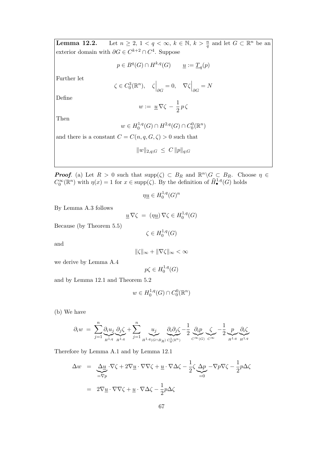**Lemma 12.2.** Let  $n \geq 2$ ,  $1 < q < \infty$ ,  $k \in \mathbb{N}$ ,  $k > \frac{n}{q}$  and let  $G \subset \mathbb{R}^n$  be an exterior domain with  $\partial G \in C^{k+2} \cap C^4$ . Suppose

$$
p \in B^q(G) \cap H^{k,q}(G) \qquad \underline{u} := \underline{T}_q(p)
$$

Further let

$$
\zeta \in C_0^3(\mathbb{R}^n), \quad \zeta \Big|_{\partial G} = 0, \quad \nabla \zeta \Big|_{\partial G} = N
$$

Define

$$
w := \underline{u} \, \nabla \zeta \, - \, \frac{1}{2} \, p \, \zeta
$$

Then

$$
w \in H_0^{1,q}(G) \cap H^{2,q}(G) \cap C_0^{0}(\mathbb{R}^n)
$$

and there is a constant  $C = C(n, q, G, \zeta) > 0$  such that

$$
||w||_{2,q;G} \leq C ||p||_{q;G}
$$

**Proof.** (a) Let  $R > 0$  such that  $\text{supp}(\zeta) \subset B_R$  and  $\mathbb{R}^n \backslash G \subset B_R$ . Choose  $\eta \in$  $C_0^{\infty}(\mathbb{R}^n)$  with  $\eta(x) = 1$  for  $x \in \text{supp}(\zeta)$ . By the definition of  $\widehat{H}^{1,q}_\bullet(G)$  holds

$$
\eta \underline{u} \in H_0^{1,q}(G)^n
$$

By Lemma A.3 follows

$$
\underline{u}\,\nabla\zeta\ =\ (\eta\underline{u})\,\nabla\zeta\in H_0^{1,q}(G)
$$

Because (by Theorem 5.5)

$$
\zeta \in H_0^{1,q}(G)
$$

and

$$
\|\zeta\|_\infty+\|\nabla\zeta\|_\infty<\infty
$$

we derive by Lemma A.4

$$
p\zeta \in H_0^{1,q}(G)
$$

and by Lemma 12.1 and Theorem 5.2

$$
w \in H_0^{1,q}(G) \cap C_0^0(\mathbb{R}^n)
$$

(b) We have

$$
\partial_i w = \sum_{j=1}^n \underbrace{\partial_i u_j}_{H^{1,q}} \underbrace{\partial_j \zeta}_{H^{1,q}} + \sum_{j=1}^n \underbrace{u_j}_{H^{1,q}(G \cap B_R)} \underbrace{\partial_i \partial_j \zeta}_{C^1(\mathbb{R}^n)} - \frac{1}{2} \underbrace{\partial_i p}_{C^{\infty}(G)} \underbrace{\zeta}_{C^{\infty}} - \frac{1}{2} \underbrace{p}_{H^{1,q}} \underbrace{\partial_i \zeta}_{H^{1,q}}.
$$

Therefore by Lemma A.1 and by Lemma 12.1

$$
\Delta w = \underbrace{\Delta u}_{=\nabla p} \cdot \nabla \zeta + 2 \nabla \underline{u} \cdot \nabla \nabla \zeta + \underline{u} \cdot \nabla \Delta \zeta - \frac{1}{2} \zeta \underbrace{\Delta p}_{=0} - \nabla p \nabla \zeta - \frac{1}{2} p \Delta \zeta
$$
  
= 
$$
2 \nabla \underline{u} \cdot \nabla \nabla \zeta + \underline{u} \cdot \nabla \Delta \zeta - \frac{1}{2} p \Delta \zeta
$$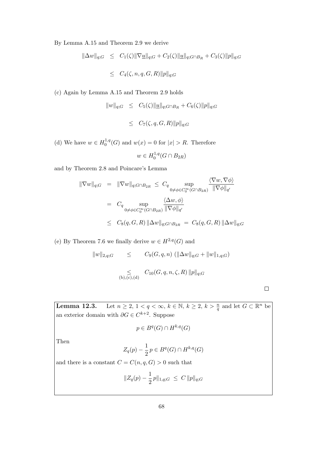By Lemma A.15 and Theorem 2.9 we derive

$$
\|\Delta w\|_{q;G} \leq C_1(\zeta) \|\nabla \underline{u}\|_{q;G} + C_2(\zeta) \|\underline{u}\|_{q;G \cap B_R} + C_3(\zeta) \|p\|_{q;G}
$$
  

$$
\leq C_4(\zeta, n, q, G, R) \|p\|_{q;G}
$$

(c) Again by Lemma A.15 and Theorem 2.9 holds

$$
||w||_{q;G} \leq C_5(\zeta) ||\underline{u}||_{q;G \cap B_R} + C_6(\zeta) ||p||_{q;G}
$$

$$
\leq C_7(\zeta, q, G, R) \|p\|_{q;G}
$$

(d) We have  $w \in H_0^{1,q}$  $0^{1,q}(G)$  and  $w(x) = 0$  for  $|x| > R$ . Therefore

$$
w \in H_0^{1,q}(G \cap B_{2R})
$$

and by Theorem 2.8 and Poincare's Lemma

$$
\begin{array}{rcl}\n\|\nabla w\|_{q;G} & = & \|\nabla w\|_{q;G \cap B_{2R}} \leq C_q \sup_{0 \neq \phi \in C_0^{\infty}(G \cap B_{2R})} \frac{\langle \nabla w, \nabla \phi \rangle}{\|\nabla \phi\|_{q'}} \\
& = & C_q \sup_{0 \neq \phi \in C_0^{\infty}(G \cap B_{2R})} \frac{\langle \Delta w, \phi \rangle}{\|\nabla \phi\|_{q'}} \\
& \leq & C_8(q, G, R) \|\Delta w\|_{q;G \cap B_{2R}} = C_8(q, G, R) \|\Delta w\|_{q;G}\n\end{array}
$$

(e) By Theorem 7.6 we finally derive  $w \in H^{2,q}(G)$  and

$$
||w||_{2,q;G} \leq C_9(G,q,n) (||\Delta w||_{q;G} + ||w||_{1,q;G})
$$
  

$$
\leq C_{10}(G,q,n,\zeta,R) ||p||_{q;G}
$$
  
(b),(c),(d)

 $\Box$ 

**Lemma 12.3.** Let  $n \geq 2, 1 < q < \infty$ ,  $k \in \mathbb{N}$ ,  $k \geq 2$ ,  $k > \frac{n}{q}$  and let  $G \subset \mathbb{R}^n$  be an exterior domain with  $\partial G \in C^{k+2}$ . Suppose

$$
p \in B^q(G) \cap H^{k,q}(G)
$$

Then

$$
Z_q(p) - \frac{1}{2}p \in B^q(G) \cap H^{k,q}(G)
$$

and there is a constant  $C = C(n, q, G) > 0$  such that

$$
||Z_q(p) - \frac{1}{2}p||_{1,q;G} \leq C ||p||_{q;G}
$$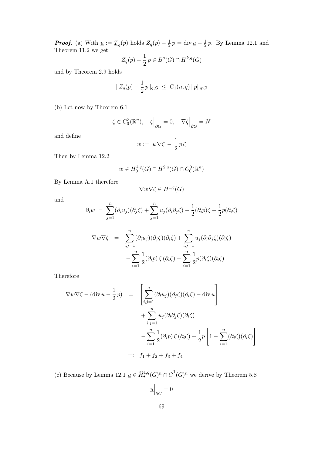**Proof.** (a) With  $\underline{u} := \underline{T}_q(p)$  holds  $Z_q(p) - \frac{1}{2}$  $\frac{1}{2}p = \text{div}\underline{u} - \frac{1}{2}$  $\frac{1}{2}p$ . By Lemma 12.1 and Theorem 11.2 we get

$$
Z_q(p) - \frac{1}{2}p \in B^q(G) \cap H^{k,q}(G)
$$

and by Theorem 2.9 holds

$$
||Z_q(p) - \frac{1}{2}p||_{q;G} \leq C_1(n,q) ||p||_{q;G}
$$

(b) Let now by Theorem 6.1

$$
\zeta \in C_0^3(\mathbb{R}^n), \quad \zeta \Big|_{\partial G} = 0, \quad \nabla \zeta \Big|_{\partial G} = N
$$

and define

$$
w:=\;\underline{u}\,\nabla\zeta\,-\,\frac{1}{2}\,p\,\zeta
$$

Then by Lemma 12.2

$$
w \in H_0^{1,q}(G) \cap H^{2,q}(G) \cap C_0^0(\mathbb{R}^n)
$$

By Lemma A.1 therefore

$$
\nabla w \nabla \zeta \in H^{1,q}(G)
$$

and

$$
\partial_i w = \sum_{j=1}^n (\partial_i u_j)(\partial_j \zeta) + \sum_{j=1}^n u_j(\partial_i \partial_j \zeta) - \frac{1}{2}(\partial_i p)\zeta - \frac{1}{2}p(\partial_i \zeta)
$$

$$
\nabla w \nabla \zeta = \sum_{i,j=1}^{n} (\partial_i u_j)(\partial_j \zeta)(\partial_i \zeta) + \sum_{i,j=1}^{n} u_j(\partial_i \partial_j \zeta)(\partial_i \zeta)
$$

$$
- \sum_{i=1}^{n} \frac{1}{2} (\partial_i p) \zeta (\partial_i \zeta) - \sum_{i=1}^{n} \frac{1}{2} p(\partial_i \zeta)(\partial_i \zeta)
$$

Therefore

$$
\nabla w \nabla \zeta - (\text{div } \underline{u} - \frac{1}{2}p) = \left[ \sum_{i,j=1}^{n} (\partial_i u_j)(\partial_j \zeta)(\partial_i \zeta) - \text{div } \underline{u} \right] + \sum_{i,j=1}^{n} u_j(\partial_i \partial_j \zeta)(\partial_i \zeta) - \sum_{i=1}^{n} \frac{1}{2} (\partial_i p) \zeta (\partial_i \zeta) + \frac{1}{2} p \left[ 1 - \sum_{i=1}^{n} (\partial_i \zeta)(\partial_i \zeta) \right] =: f_1 + f_2 + f_3 + f_4
$$

(c) Because by Lemma 12.1  $\underline{u} \in \widehat{H}_{\bullet}^{1,q}(G)^n \cap \overline{C}^1(G)^n$  we derive by Theorem 5.8

$$
\underline{u}\Big|_{\partial G}=0
$$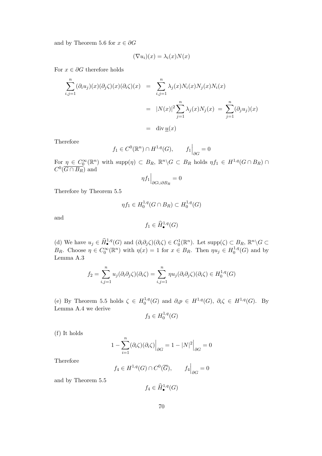and by Theorem 5.6 for  $x \in \partial G$ 

$$
(\nabla u_i)(x) = \lambda_i(x)N(x)
$$

For  $x \in \partial G$  therefore holds

$$
\sum_{i,j=1}^{n} (\partial_i u_j)(x)(\partial_j \zeta)(x)(\partial_i \zeta)(x) = \sum_{i,j=1}^{n} \lambda_j(x) N_i(x) N_j(x) N_i(x)
$$

$$
= |N(x)|^2 \sum_{j=1}^{n} \lambda_j(x) N_j(x) = \sum_{j=1}^{n} (\partial_j u_j)(x)
$$

$$
= \operatorname{div} \underline{u}(x)
$$

Therefore

$$
f_1 \in C^0(\mathbb{R}^n) \cap H^{1,q}(G), \qquad f_1 \Big|_{\partial G} = 0
$$

For  $\eta \in C_0^{\infty}(\mathbb{R}^n)$  with supp $(\eta) \subset B_R$ ,  $\mathbb{R}^n \backslash G \subset B_R$  holds  $\eta f_1 \in H^{1,q}(G \cap B_R) \cap$  $C^0(\overline{G \cap B_R})$  and

$$
\eta f_1\Big|_{\partial G\cup \partial B_R}=0
$$

Therefore by Theorem 5.5

$$
\eta f_1 \in H_0^{1,q}(G \cap B_R) \subset H_0^{1,q}(G)
$$

and

$$
f_1 \in \widehat{H}^{1,q}_{\bullet}(G)
$$

(d) We have  $u_j \in \widehat{H}^{1,q}_{\bullet}(G)$  and  $(\partial_i \partial_j \zeta)(\partial_i \zeta) \in C_0^1(\mathbb{R}^n)$ . Let  $\text{supp}(\zeta) \subset B_R$ ,  $\mathbb{R}^n \setminus G \subset$  $B_R$ . Choose  $\eta \in C_0^{\infty}(\mathbb{R}^n)$  with  $\eta(x) = 1$  for  $x \in B_R$ . Then  $\eta u_j \in H_0^{1,q}$  $i_0^{1,q}(G)$  and by Lemma A.3

$$
f_2 = \sum_{i,j=1}^n u_j(\partial_i \partial_j \zeta)(\partial_i \zeta) = \sum_{i,j=1}^n \eta u_j(\partial_i \partial_j \zeta)(\partial_i \zeta) \in H_0^{1,q}(G)
$$

(e) By Theorem 5.5 holds  $\zeta \in H_0^{1,q}$  $0^{1,q}(G)$  and  $\partial_i p \in H^{1,q}(G)$ ,  $\partial_i \zeta \in H^{1,q}(G)$ . By Lemma A.4 we derive

$$
f_3 \in H_0^{1,q}(G)
$$

(f) It holds

$$
1 - \sum_{i=1}^{n} (\partial_i \zeta)(\partial_i \zeta) \Big|_{\partial G} = 1 - |N|^2 \Big|_{\partial G} = 0
$$

Therefore

$$
f_4 \in H^{1,q}(G) \cap C^0(\overline{G}), \qquad f_4 \Big|_{\partial G} = 0
$$

and by Theorem 5.5

$$
f_4 \in \widehat{H}^{1,q}_{\bullet}(G)
$$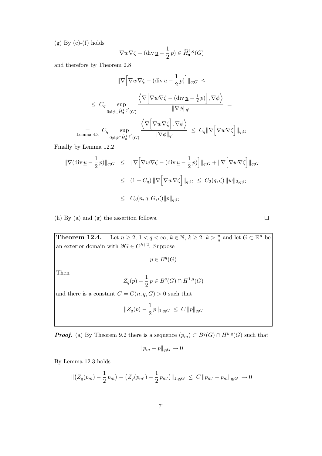$(g)$  By  $(c)-(f)$  holds

$$
\nabla w \nabla \zeta - (\operatorname{div} \underline{u} - \frac{1}{2} p) \in \widehat{H}^{1,q}_{\bullet}(G)
$$

and therefore by Theorem 2.8

$$
\|\nabla \Big[\nabla w \nabla \zeta - (\text{div}\,\underline{u} - \frac{1}{2}p)\Big] \|_{q;G} \le
$$
  

$$
\leq C_q \sup_{0 \neq \phi \in \widehat{H}_{\bullet}^{1,q'}(G)} \frac{\left\langle \nabla \Big[\nabla w \nabla \zeta - (\text{div}\,\underline{u} - \frac{1}{2}p)\Big], \nabla \phi \right\rangle}{\|\nabla \phi\|_{q'}} =
$$
  

$$
\lim_{\text{Lemma 4.3}} C_q \sup_{0 \neq \phi \in \widehat{H}_{\bullet}^{1,q'}(G)} \frac{\left\langle \nabla \Big[\nabla w \nabla \zeta\Big], \nabla \phi \right\rangle}{\|\nabla \phi\|_{q'}} \leq C_q \|\nabla \Big[\nabla w \nabla \zeta\Big] \|_{q;G}
$$

Finally by Lemma 12.2

$$
\begin{array}{rcl} \|\nabla(\operatorname{div}\underline{u}-\frac{1}{2}p)\|_{q;G}&\leq& \|\nabla\Big[\nabla w\nabla\zeta-(\operatorname{div}\underline{u}-\frac{1}{2}p)\Big]\|_{q;G}+\|\nabla\Big[\nabla w\nabla\zeta\Big]\|_{q;G}\\ \\ &\leq& (1+C_q)\,\|\nabla\Big[\nabla w\nabla\zeta\Big]\|_{q;G}\,\leq\,C_2(q,\zeta)\,\|w\|_{2,q;G}\\ \\ &\leq& C_3(n,q,G,\zeta)\|p\|_{q;G} \end{array}
$$

(h) By (a) and (g) the assertion follows.

**Theorem 12.4.** Let  $n \geq 2, 1 < q < \infty$ ,  $k \in \mathbb{N}$ ,  $k \geq 2$ ,  $k > \frac{n}{q}$  and let  $G \subset \mathbb{R}^n$  be an exterior domain with  $\partial G \in C^{k+2}$ . Suppose

$$
p\in B^q(G)
$$

Then

$$
Z_q(p) - \frac{1}{2} p \in B^q(G) \cap H^{1,q}(G)
$$

and there is a constant  $C = C(n, q, G) > 0$  such that

$$
||Z_q(p) - \frac{1}{2}p||_{1,q;G} \leq C ||p||_{q;G}
$$

**Proof.** (a) By Theorem 9.2 there is a sequence  $(p_m) \subset B^q(G) \cap H^{k,q}(G)$  such that

$$
||p_m - p||_{q;G} \to 0
$$

By Lemma 12.3 holds

$$
\| (Z_q(p_m) - \frac{1}{2} p_m) - (Z_q(p_{m'}) - \frac{1}{2} p_{m'}) \|_{1,q;G} \leq C \| p_{m'} - p_m \|_{q;G} \to 0
$$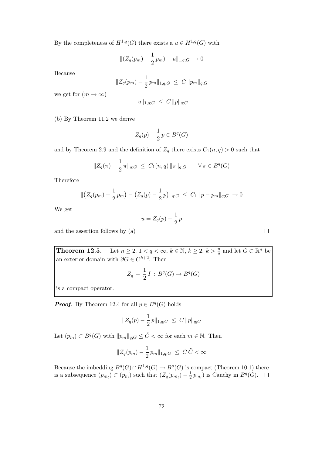By the completeness of  $H^{1,q}(G)$  there exists a  $u \in H^{1,q}(G)$  with

$$
\|(Z_q(p_m) - \frac{1}{2}p_m) - u\|_{1,q;G} \to 0
$$

Because

$$
||Z_q(p_m) - \frac{1}{2} p_m ||_{1,q;G} \leq C ||p_m||_{q;G}
$$

we get for  $(m \to \infty)$ 

$$
||u||_{1,q;G} \leq C ||p||_{q;G}
$$

(b) By Theorem 11.2 we derive

$$
Z_q(p) - \frac{1}{2}p \in B^q(G)
$$

and by Theorem 2.9 and the definition of  $Z_q$  there exists  $C_1(n,q) > 0$  such that

$$
||Z_q(\pi) - \frac{1}{2}\pi||_{q;G} \leq C_1(n,q) ||\pi||_{q;G} \qquad \forall \pi \in B^q(G)
$$

Therefore

$$
\|\big(Z_q(p_m) - \frac{1}{2}p_m\big) - \big(Z_q(p) - \frac{1}{2}p\big)\|_{q;G} \le C_1 \|p - p_m\|_{q;G} \to 0
$$

We get

$$
u = Z_q(p) - \frac{1}{2}p
$$

and the assertion follows by (a)

**Theorem 12.5.** Let  $n \geq 2, 1 < q < \infty$ ,  $k \in \mathbb{N}$ ,  $k \geq 2$ ,  $k > \frac{n}{q}$  and let  $G \subset \mathbb{R}^n$  be an exterior domain with  $\partial G \in C^{k+2}$ . Then

$$
Z_q - \frac{1}{2}I : B^q(G) \to B^q(G)
$$

is a compact operator.

**Proof.** By Theorem 12.4 for all  $p \in B<sup>q</sup>(G)$  holds

$$
||Z_q(p) - \frac{1}{2}p||_{1,q;G} \leq C ||p||_{q;G}
$$

Let  $(p_m) \subset B^q(G)$  with  $||p_m||_{q;G} \leq \tilde{C} < \infty$  for each  $m \in \mathbb{N}$ . Then

$$
||Z_q(p_m) - \frac{1}{2} p_m ||_{1,q;G} \leq C \tilde{C} < \infty
$$

Because the imbedding  $B^q(G) \cap H^{1,q}(G) \to B^q(G)$  is compact (Theorem 10.1) there is a subsequence  $(p_{m_l}) \subset (p_m)$  such that  $(Z_q(p_{m_l}) - \frac{1}{2})$  $\frac{1}{2}p_{m_l}$ ) is Cauchy in  $B^q(G)$ .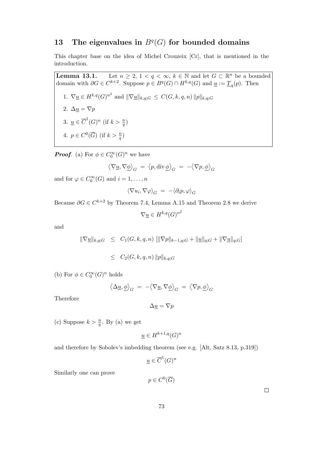## 13 The eigenvalues in  $B<sup>q</sup>(G)$  for bounded domains

This chapter base on the idea of Michel Crouzeix [Cr], that is mentioned in the introduction.

**Lemma 13.1.** Let  $n \geq 2$ ,  $1 < q < \infty$ ,  $k \in \mathbb{N}$  and let  $G \subset \mathbb{R}^n$  be a bounded domain with  $\partial G \in C^{k+2}$ . Suppose  $p \in B^q(G) \cap H^{k,q}(G)$  and  $\underline{u} := \underline{T}_q(p)$ . Then 1.  $\nabla \underline{u} \in H^{k,q}(G)^{n^2}$  and  $\|\nabla \underline{u}\|_{k,q;G} \leq C(G,k,q,n) \|p\|_{k,q;G}$ 2.  $\Delta \underline{u} = \nabla p$ 3.  $\underline{u} \in \overline{C}^1(G)^n$  (if  $k > \frac{n}{q}$ ) 4.  $p \in C^0(\overline{G})$  (if  $k > \frac{n}{q}$ )

**Proof.** (a) For  $\phi \in C_0^{\infty}(G)^n$  we have

$$
\left\langle \nabla \underline{u}, \nabla \underline{\phi} \right\rangle_G \;=\; \left\langle p, \text{div}\, \underline{\phi} \right\rangle_G \;=\; - \left\langle \nabla p, \underline{\phi} \right\rangle_G
$$

and for  $\varphi \in C_0^{\infty}(G)$  and  $i = 1, ..., n$ 

$$
\langle \nabla u_i, \nabla \varphi \rangle_G = - \langle \partial_i p, \varphi \rangle_G
$$

Because  $\partial G \in C^{k+2}$  by Theorem 7.4, Lemma A.15 and Theorem 2.8 we derive

$$
\nabla \underline{u} \in H^{k,q}(G)^{n^2}
$$

and

$$
\|\nabla \underline{u}\|_{k,q;G} \leq C_1(G,k,q,n) \left[ \|\nabla p\|_{k-1,q;G} + \|\underline{u}\|_{q;G} + \|\nabla \underline{u}\|_{q;G} \right]
$$
  

$$
\leq C_2(G,k,q,n) \|p\|_{k,q;G}
$$

(b) For  $\phi\in C^\infty_0(G)^n$  holds

$$
\langle \Delta \underline{u}, \underline{\phi} \rangle_G = -\langle \nabla \underline{u}, \nabla \underline{\phi} \rangle_G = \langle \nabla p, \underline{\phi} \rangle_G
$$

Therefore

$$
\Delta \underline{u} = \nabla p
$$

(c) Suppose  $k > \frac{n}{q}$ . By (a) we get

$$
\underline{u} \in H^{k+1,q}(G)^n
$$

and therefore by Sobolev's imbedding theorem (see e.g. [Alt, Satz 8.13, p.319])

 $\underline{u} \in \overline{C}^1(G)^n$ 

Similarly one can prove

 $p\in C^0(\overline{G})$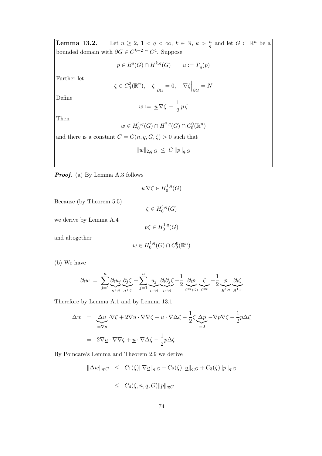**Lemma 13.2.** Let  $n \geq 2, 1 < q < \infty$ ,  $k \in \mathbb{N}$ ,  $k > \frac{n}{q}$  and let  $G \subset \mathbb{R}^n$  be a bounded domain with  $\partial G \in C^{k+2} \cap C^4$ . Suppose

$$
p \in B^q(G) \cap H^{k,q}(G) \qquad \underline{u} := \underline{T}_q(p)
$$

Further let

$$
\zeta \in C_0^3(\mathbb{R}^n), \quad \zeta \Big|_{\partial G} = 0, \quad \nabla \zeta \Big|_{\partial G} = N
$$

Define

$$
w := \underline{u} \, \nabla \zeta - \frac{1}{2} \, p \, \zeta
$$

Then

$$
w \in H_0^{1,q}(G) \cap H^{2,q}(G) \cap C_0^{0}(\mathbb{R}^n)
$$

and there is a constant  $C = C(n, q, G, \zeta) > 0$  such that

$$
||w||_{2,q;G} \leq C ||p||_{q;G}
$$

Proof. (a) By Lemma A.3 follows

$$
\underline{u}\,\nabla\zeta\in H^{1,q}_0(G)
$$

 $_{0}^{1,q}(G)$ 

Because (by Theorem 5.5)

we derive by Lemma A.4

$$
p\zeta \in H_0^{1,q}(G)
$$

 $\zeta \in H_0^{1,q}$ 

and altogether

$$
w \in H_0^{1,q}(G) \cap C_0^0(\mathbb{R}^n)
$$

(b) We have

$$
\partial_i w = \sum_{j=1}^n \underbrace{\partial_i u_j}_{H^{1,q}} \underbrace{\partial_j \zeta}_{H^{1,q}} + \sum_{j=1}^n \underbrace{u_j}_{H^{1,q}} \underbrace{\partial_i \partial_j \zeta}_{H^{1,q}} - \frac{1}{2} \underbrace{\partial_i p}_{C^{\infty}(G)} \underbrace{\zeta}_{C^{\infty}} - \frac{1}{2} \underbrace{p}_{H^{1,q}} \underbrace{\partial_i \zeta}_{H^{1,q}}
$$

Therefore by Lemma A.1 and by Lemma 13.1

$$
\Delta w = \underbrace{\Delta u}_{=\nabla p} \cdot \nabla \zeta + 2 \nabla \underline{u} \cdot \nabla \nabla \zeta + \underline{u} \cdot \nabla \Delta \zeta - \frac{1}{2} \zeta \underbrace{\Delta p}_{=0} - \nabla p \nabla \zeta - \frac{1}{2} p \Delta \zeta
$$
  
= 
$$
2 \nabla \underline{u} \cdot \nabla \nabla \zeta + \underline{u} \cdot \nabla \Delta \zeta - \frac{1}{2} p \Delta \zeta
$$

By Poincare's Lemma and Theorem 2.9 we derive

$$
\|\Delta w\|_{q;G} \leq C_1(\zeta) \|\nabla \underline{u}\|_{q;G} + C_2(\zeta) \|\underline{u}\|_{q;G} + C_3(\zeta) \|p\|_{q;G}
$$

$$
\leq C_4(\zeta, n, q, G) \|p\|_{q;G}
$$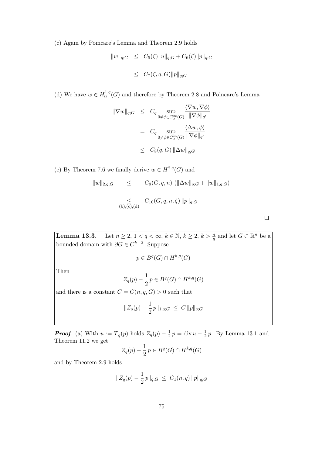(c) Again by Poincare's Lemma and Theorem 2.9 holds

$$
\|w\|_{q;G} \leq C_5(\zeta) \|\underline{u}\|_{q;G} + C_6(\zeta) \|p\|_{q;G}
$$
  

$$
\leq C_7(\zeta, q, G) \|p\|_{q;G}
$$

(d) We have  $w \in H_0^{1,q}$  $_{0}^{1,q}(G)$  and therefore by Theorem 2.8 and Poincare's Lemma

$$
\begin{array}{rcl}\n\|\nabla w\|_{q;G} & \leq & C_q \sup\limits_{0 \neq \phi \in C_0^{\infty}(G)} \frac{\langle \nabla w, \nabla \phi \rangle}{\|\nabla \phi\|_{q'}} \\
& = & C_q \sup\limits_{0 \neq \phi \in C_0^{\infty}(G)} \frac{\langle \Delta w, \phi \rangle}{\|\nabla \phi\|_{q'}} \\
& \leq & C_8(q, G) \|\Delta w\|_{q;G}\n\end{array}
$$

(e) By Theorem 7.6 we finally derive  $w \in H^{2,q}(G)$  and

$$
||w||_{2,q;G} \leq C_9(G,q,n) (||\Delta w||_{q;G} + ||w||_{1,q;G})
$$
  

$$
\leq C_{10}(G,q,n,\zeta) ||p||_{q;G}
$$
  

$$
\leq C_{10}(G,q,n,\zeta) ||p||_{q;G}
$$

**Lemma 13.3.** Let  $n \geq 2$ ,  $1 < q < \infty$ ,  $k \in \mathbb{N}$ ,  $k \geq 2$ ,  $k > \frac{n}{q}$  and let  $G \subset \mathbb{R}^n$  be a bounded domain with  $\partial G \in C^{k+2}$ . Suppose

$$
p \in B^q(G) \cap H^{k,q}(G)
$$

Then

$$
Z_q(p) - \frac{1}{2}p \in B^q(G) \cap H^{k,q}(G)
$$

and there is a constant  $C = C(n, q, G) > 0$  such that

$$
||Z_q(p) - \frac{1}{2}p||_{1,q;G} \leq C ||p||_{q;G}
$$

**Proof.** (a) With  $\underline{u} := \underline{T}_q(p)$  holds  $Z_q(p) - \frac{1}{2}$  $\frac{1}{2}p = \text{div}\,\underline{u} - \frac{1}{2}$  $\frac{1}{2}p$ . By Lemma 13.1 and Theorem 11.2 we get

$$
Z_q(p) - \frac{1}{2}p \in B^q(G) \cap H^{k,q}(G)
$$

and by Theorem 2.9 holds

$$
||Z_q(p) - \frac{1}{2}p||_{q;G} \leq C_1(n,q) ||p||_{q;G}
$$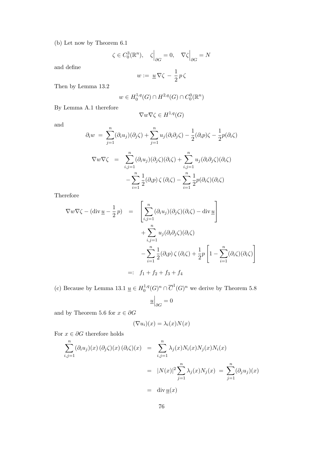(b) Let now by Theorem 6.1

$$
\zeta \in C_0^3(\mathbb{R}^n), \quad \zeta \Big|_{\partial G} = 0, \quad \nabla \zeta \Big|_{\partial G} = N
$$

and define

$$
w:=\;\underline{u}\,\nabla\zeta\,-\,\frac{1}{2}\,p\,\zeta
$$

Then by Lemma 13.2

$$
w \in H_0^{1,q}(G) \cap H^{2,q}(G) \cap C_0^{0}(\mathbb{R}^n)
$$

By Lemma A.1 therefore

$$
\nabla w \nabla \zeta \in H^{1,q}(G)
$$

and

$$
\partial_i w = \sum_{j=1}^n (\partial_i u_j)(\partial_j \zeta) + \sum_{j=1}^n u_j(\partial_i \partial_j \zeta) - \frac{1}{2}(\partial_i p)\zeta - \frac{1}{2}p(\partial_i \zeta)
$$
  

$$
\nabla w \nabla \zeta = \sum_{i,j=1}^n (\partial_i u_j)(\partial_j \zeta)(\partial_i \zeta) + \sum_{i,j=1}^n u_j(\partial_i \partial_j \zeta)(\partial_i \zeta)
$$
  

$$
- \sum_{i=1}^n \frac{1}{2}(\partial_i p) \zeta(\partial_i \zeta) - \sum_{i=1}^n \frac{1}{2}p(\partial_i \zeta)(\partial_i \zeta)
$$

Therefore

$$
\nabla w \nabla \zeta - (\text{div } \underline{u} - \frac{1}{2}p) = \left[ \sum_{i,j=1}^{n} (\partial_i u_j)(\partial_j \zeta)(\partial_i \zeta) - \text{div } \underline{u} \right] + \sum_{i,j=1}^{n} u_j(\partial_i \partial_j \zeta)(\partial_i \zeta) - \sum_{i=1}^{n} \frac{1}{2} (\partial_i p) \zeta (\partial_i \zeta) + \frac{1}{2} p \left[ 1 - \sum_{i=1}^{n} (\partial_i \zeta)(\partial_i \zeta) \right] =: f_1 + f_2 + f_3 + f_4
$$

(c) Because by Lemma 13.1  $\underline{u} \in H_0^{1,q}$  $\overline{C}^{1,q}(G)^n \cap \overline{C}^1(G)^n$  we derive by Theorem 5.8  $u\Big|_{\partial G}=0$ 

and by Theorem 5.6 for  $x \in \partial G$ 

$$
(\nabla u_i)(x)=\lambda_i(x)N(x)
$$

For  $x \in \partial G$  therefore holds

$$
\sum_{i,j=1}^{n} (\partial_i u_j)(x) (\partial_j \zeta)(x) (\partial_i \zeta)(x) = \sum_{i,j=1}^{n} \lambda_j(x) N_i(x) N_j(x) N_i(x)
$$
  

$$
= |N(x)|^2 \sum_{j=1}^{n} \lambda_j(x) N_j(x) = \sum_{j=1}^{n} (\partial_j u_j)(x)
$$
  

$$
= \text{div } \underline{u}(x)
$$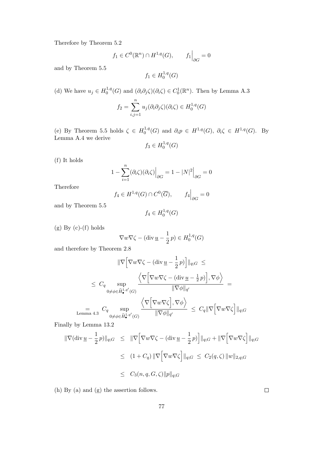Therefore by Theorem 5.2

$$
f_1 \in C^0(\mathbb{R}^n) \cap H^{1,q}(G), \qquad f_1 \Big|_{\partial G} = 0
$$

and by Theorem 5.5

$$
f_1 \in H_0^{1,q}(G)
$$

(d) We have  $u_j \in H_0^{1,q}$  $C_0^{1,q}(G)$  and  $(\partial_i \partial_j \zeta)(\partial_i \zeta) \in C_0^1(\mathbb{R}^n)$ . Then by Lemma A.3

$$
f_2 = \sum_{i,j=1}^n u_j(\partial_i \partial_j \zeta)(\partial_i \zeta) \in H_0^{1,q}(G)
$$

(e) By Theorem 5.5 holds  $\zeta \in H_0^{1,q}$  $0^{1,q}(G)$  and  $\partial_i p \in H^{1,q}(G)$ ,  $\partial_i \zeta \in H^{1,q}(G)$ . By Lemma A.4 we derive 1,q

$$
f_3 \in H_0^{1,q}(G)
$$

(f) It holds

$$
1 - \sum_{i=1}^{n} (\partial_i \zeta)(\partial_i \zeta) \Big|_{\partial G} = 1 - |N|^2 \Big|_{\partial G} = 0
$$

Therefore

$$
f_4\in H^{1,q}(G)\cap C^0(\overline{G}),\qquad f_4\Big|_{\partial G}=0
$$

and by Theorem 5.5

$$
f_4 \in H_0^{1,q}(G)
$$

 $(g) By (c)-(f) holds$ 

$$
\nabla w \nabla \zeta - (\text{div } \underline{u} - \frac{1}{2}p) \in H_0^{1,q}(G)
$$

and therefore by Theorem 2.8

$$
\|\nabla \Big[\nabla w \nabla \zeta - (\text{div}\,\underline{u} - \frac{1}{2}p)\Big] \|_{q;G} \le
$$
  

$$
\leq C_q \sup_{0 \neq \phi \in \hat{H}_{\bullet}^{1,q'}(G)} \frac{\left\langle \nabla \Big[\nabla w \nabla \zeta - (\text{div}\,\underline{u} - \frac{1}{2}p)\Big], \nabla \phi \right\rangle}{\|\nabla \phi\|_{q'}} =
$$
  

$$
\lim_{\text{Lemma 4.3}} C_q \sup_{0 \neq \phi \in \hat{H}_{\bullet}^{1,q'}(G)} \frac{\left\langle \nabla \Big[\nabla w \nabla \zeta\Big], \nabla \phi \right\rangle}{\|\nabla \phi\|_{q'}} \leq C_q \|\nabla \Big[\nabla w \nabla \zeta\Big] \|_{q;G}
$$

Finally by Lemma 13.2

$$
\begin{aligned} \|\nabla(\operatorname{div}\underline{u} - \frac{1}{2}p)\|_{q;G} &\leq \|\nabla \Big[\nabla w \nabla \zeta - (\operatorname{div}\underline{u} - \frac{1}{2}p)\Big] \|_{q;G} + \|\nabla \Big[\nabla w \nabla \zeta\Big] \|_{q;G} \\ &\leq (1 + C_q) \|\nabla \Big[\nabla w \nabla \zeta\Big] \|_{q;G} \leq C_2(q, \zeta) \, \|w\|_{2,q;G} \\ &\leq C_3(n, q, G, \zeta) \|p\|_{q;G} \end{aligned}
$$

(h) By (a) and (g) the assertion follows.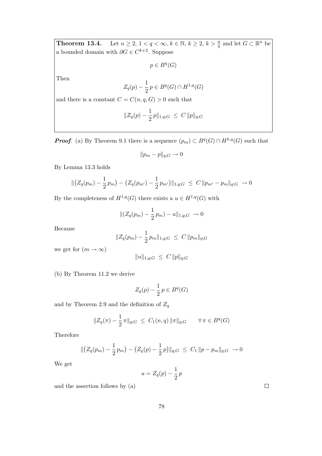**Theorem 13.4.** Let  $n \geq 2, 1 < q < \infty$ ,  $k \in \mathbb{N}$ ,  $k \geq 2$ ,  $k > \frac{n}{q}$  and let  $G \subset \mathbb{R}^n$  be a bounded domain with  $\partial G \in C^{k+2}$ . Suppose

 $p \in B^q(G)$ 

Then

$$
Z_q(p) - \frac{1}{2}p \in B^q(G) \cap H^{1,q}(G)
$$

and there is a constant  $C = C(n, q, G) > 0$  such that

$$
||Z_q(p) - \frac{1}{2}p||_{1,q;G} \leq C ||p||_{q;G}
$$

**Proof.** (a) By Theorem 9.1 there is a sequence  $(p_m) \subset B^q(G) \cap H^{k,q}(G)$  such that

$$
||p_m - p||_{q;G} \to 0
$$

By Lemma 13.3 holds

$$
\| (Z_q(p_m) - \frac{1}{2} p_m) - (Z_q(p_{m'}) - \frac{1}{2} p_{m'}) \|_{1,q;G} \leq C \| p_{m'} - p_m \|_{q;G} \to 0
$$

By the completeness of  $H^{1,q}(G)$  there exists a  $u \in H^{1,q}(G)$  with

$$
\|(Z_q(p_m) - \frac{1}{2}p_m) - u\|_{1,q;G} \to 0
$$

Because

$$
||Z_q(p_m) - \frac{1}{2} p_m ||_{1,q;G} \leq C ||p_m||_{q;G}
$$

we get for  $(m \to \infty)$ 

$$
||u||_{1,q;G} \leq C ||p||_{q;G}
$$

(b) By Theorem 11.2 we derive

$$
Z_q(p) - \frac{1}{2}p \in B^q(G)
$$

and by Theorem 2.9 and the definition of  $Z_q$ 

$$
||Z_q(\pi) - \frac{1}{2}\pi||_{q;G} \leq C_1(n,q) ||\pi||_{q;G} \qquad \forall \pi \in B^q(G)
$$

Therefore

$$
\| (Z_q(p_m) - \frac{1}{2} p_m) - (Z_q(p) - \frac{1}{2} p) \|_{q;G} \le C_1 \| p - p_m \|_{q;G} \to 0
$$

We get

$$
u = Z_q(p) - \frac{1}{2}p
$$

and the assertion follows by (a)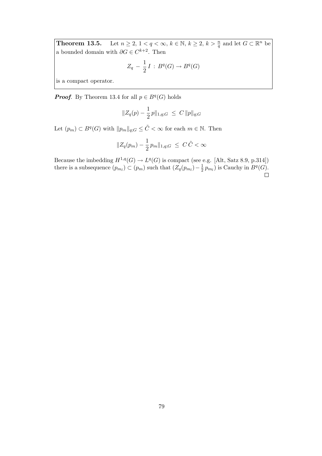**Theorem 13.5.** Let  $n \geq 2, 1 < q < \infty$ ,  $k \in \mathbb{N}$ ,  $k \geq 2$ ,  $k > \frac{n}{q}$  and let  $G \subset \mathbb{R}^n$  be a bounded domain with  $\partial G \in C^{k+2}$ . Then

$$
Z_q - \frac{1}{2} I : B^q(G) \to B^q(G)
$$

is a compact operator.

**Proof.** By Theorem 13.4 for all  $p \in B<sup>q</sup>(G)$  holds

$$
||Z_q(p) - \frac{1}{2}p||_{1,q;G} \leq C ||p||_{q;G}
$$

Let  $(p_m) \subset B^q(G)$  with  $||p_m||_{q;G} \leq \tilde{C} < \infty$  for each  $m \in \mathbb{N}$ . Then

$$
||Z_q(p_m) - \frac{1}{2} p_m ||_{1,q;G} \leq C\tilde{C} < \infty
$$

Because the imbedding  $H^{1,q}(G) \to L^q(G)$  is compact (see e.g. [Alt, Satz 8.9, p.314]) there is a subsequence  $(p_{m_l}) \subset (p_m)$  such that  $(Z_q(p_{m_l}) - \frac{1}{2})$  $\frac{1}{2}p_{m_l}$ ) is Cauchy in  $B^q(G)$ .  $\Box$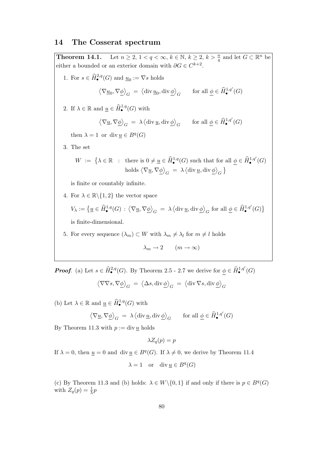### 14 The Cosserat spectrum

**Theorem 14.1.** Let  $n \geq 2$ ,  $1 < q < \infty$ ,  $k \in \mathbb{N}$ ,  $k \geq 2$ ,  $k > \frac{n}{q}$  and let  $G \subset \mathbb{R}^n$  be either a bounded or an exterior domain with  $\partial G \in C^{k+2}$ . 1. For  $s \in \widehat{H}_{\bullet}^{2,q}(G)$  and  $\underline{u}_0 := \nabla s$  holds  $\left\langle \nabla \underline{u}_0, \nabla \underline{\phi} \right\rangle_G = \left\langle \text{div } \underline{u}_0, \text{div } \underline{\phi} \right\rangle_G \text{ for all } \underline{\phi} \in \widehat{H}^{1,q'}_\bullet(G)$ 2. If  $\lambda \in \mathbb{R}$  and  $\underline{u} \in \widehat{H}_{\bullet}^{1,q}(G)$  with  $\left\langle \nabla \underline{u}, \nabla \underline{\phi} \right\rangle_G = \lambda \left\langle \text{div} \underline{u}, \text{div} \underline{\phi} \right\rangle_G \text{ for all } \underline{\phi} \in \widehat{H}^{1,q'}_\bullet(G)$ then  $\lambda = 1$  or div  $\underline{u} \in B^q(G)$ 3. The set  $W := \{ \lambda \in \mathbb{R} : \text{ there is } 0 \neq \underline{u} \in \widehat{H}_{\bullet}^{1,q}(G) \text{ such that for all } \underline{\phi} \in \widehat{H}_{\bullet}^{1,q'}(G) \}$ holds  $\big\langle \nabla \underline{u}, \nabla \underline{\phi} \big\rangle_G \ = \ \lambda \, \big\langle \text{div} \, \underline{u}, \text{div} \, \underline{\phi} \big\rangle_G \ \big\}$ is finite or countably infinite. 4. For  $\lambda \in \mathbb{R} \backslash \{1,2\}$  the vector space  $V_{\lambda} := \left\{ \underline{u} \in \widehat{H}^{1,q}_{\bullet}(G) : \left\langle \nabla \underline{u}, \nabla \underline{\phi} \right\rangle_G = \lambda \left\langle \mathrm{div} \, \underline{u}, \mathrm{div} \, \underline{\phi} \right\rangle_G \text{ for all } \underline{\phi} \in \widehat{H}^{1,q'}_{\bullet}(G) \right\}$ is finite-dimensional. 5. For every sequence  $(\lambda_m) \subset W$  with  $\lambda_m \neq \lambda_l$  for  $m \neq l$  holds

$$
\lambda_m \to 2 \qquad (m \to \infty)
$$

**Proof.** (a) Let  $s \in \widehat{H}_{\bullet}^{2,q}(G)$ . By Theorem 2.5 - 2.7 we derive for  $\underline{\phi} \in \widehat{H}_{\bullet}^{1,q'}(G)$ 

$$
\left\langle \nabla \nabla s, \nabla \underline{\phi} \right\rangle_G \;=\; \left\langle \Delta s, \text{div}\, \underline{\phi} \right\rangle_G \;=\; \left\langle \text{div}\, \nabla s, \text{div}\, \underline{\phi} \right\rangle_G
$$

(b) Let  $\lambda \in \mathbb{R}$  and  $\underline{u} \in \widehat{H}_{\bullet}^{1,q}(G)$  with

$$
\left\langle \nabla \underline{u}, \nabla \underline{\phi} \right\rangle_G \ = \ \lambda \left\langle \text{div}\, \underline{u}, \text{div}\, \underline{\phi} \right\rangle_G \qquad \text{for all $\underline{\phi} \in \widehat{H}^{\smash{1,q'}}_{{\bullet}}(G)$}
$$

By Theorem 11.3 with  $p := div \underline{u}$  holds

$$
\lambda Z_q(p) = p
$$

If  $\lambda = 0$ , then  $\underline{u} = 0$  and div  $\underline{u} \in B<sup>q</sup>(G)$ . If  $\lambda \neq 0$ , we derive by Theorem 11.4

$$
\lambda = 1 \quad \text{or} \quad \text{div } \underline{u} \in B^q(G)
$$

(c) By Theorem 11.3 and (b) holds:  $\lambda \in W \setminus \{0, 1\}$  if and only if there is  $p \in B<sup>q</sup>(G)$ with  $Z_q(p) = \frac{1}{\lambda}p$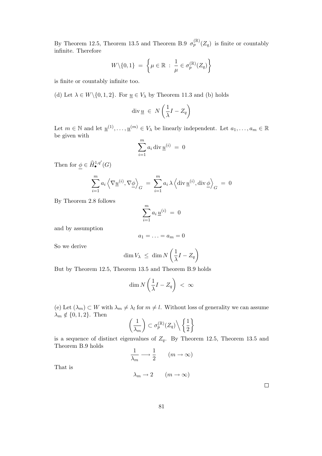By Theorem 12.5, Theorem 13.5 and Theorem B.9  $\sigma_p^{(\mathbb{R})}(Z_q)$  is finite or countably infinite. Therefore

$$
W \setminus \{0, 1\} = \left\{ \mu \in \mathbb{R} : \frac{1}{\mu} \in \sigma_p^{(\mathbb{R})}(Z_q) \right\}
$$

is finite or countably infinite too.

(d) Let  $\lambda \in W \setminus \{0, 1, 2\}$ . For  $\underline{u} \in V_{\lambda}$  by Theorem 11.3 and (b) holds

$$
\operatorname{div} \underline{u} \ \in \ N\left(\frac{1}{\lambda}I - Z_q\right)
$$

Let  $m \in \mathbb{N}$  and let  $\underline{u}^{(1)}, \ldots, \underline{u}^{(m)} \in V_{\lambda}$  be linearly independent. Let  $a_1, \ldots, a_m \in \mathbb{R}$ be given with

$$
\sum_{i=1}^{m} a_i \operatorname{div} \underline{u}^{(i)} = 0
$$

Then for  $\underline{\phi} \in \widehat{H}_{\bullet}^{1,q'}(G)$ 

$$
\sum_{i=1}^{m} a_i \left\langle \nabla \underline{u}^{(i)}, \nabla \underline{\phi} \right\rangle_G = \sum_{i=1}^{m} a_i \lambda \left\langle \operatorname{div} \underline{u}^{(i)}, \operatorname{div} \underline{\phi} \right\rangle_G = 0
$$

By Theorem 2.8 follows

$$
\sum_{i=1}^{m} a_i \, \underline{u}^{(i)} \ = \ 0
$$

and by assumption

$$
a_1=\ldots=a_m=0
$$

So we derive

$$
\dim V_{\lambda} \leq \dim N \left( \frac{1}{\lambda} I - Z_q \right)
$$

But by Theorem 12.5, Theorem 13.5 and Theorem B.9 holds

$$
\dim N\left(\frac{1}{\lambda}I - Z_q\right) < \infty
$$

(e) Let  $(\lambda_m) \subset W$  with  $\lambda_m \neq \lambda_l$  for  $m \neq l$ . Without loss of generality we can assume  $\lambda_m \notin \{0, 1, 2\}$ . Then

$$
\left(\frac{1}{\lambda_m}\right) \subset \sigma_p^{(\mathbb{R})}(Z_q) \setminus \left\{\frac{1}{2}\right\}
$$

is a sequence of distinct eigenvalues of  $Z_q$ . By Theorem 12.5, Theorem 13.5 and Theorem B.9 holds

$$
\frac{1}{\lambda_m} \longrightarrow \frac{1}{2} \qquad (m \to \infty)
$$

That is

$$
\lambda_m \to 2 \qquad (m \to \infty)
$$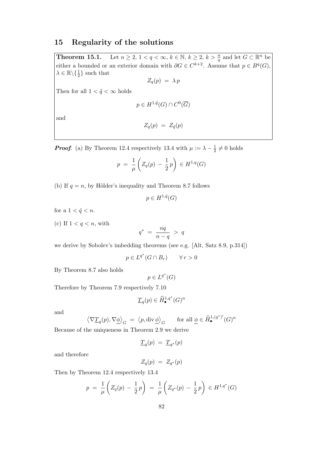### 15 Regularity of the solutions

**Theorem 15.1.** Let  $n \geq 2$ ,  $1 < q < \infty$ ,  $k \in \mathbb{N}$ ,  $k \geq 2$ ,  $k > \frac{n}{q}$  and let  $G \subset \mathbb{R}^n$  be either a bounded or an exterior domain with  $\partial G \in C^{k+2}$ . Assume that  $p \in B<sup>q</sup>(G)$ ,  $\lambda \in \mathbb{R} \backslash \{\frac{1}{2}\}$  such that

$$
Z_q(p) = \lambda p
$$

Then for all  $1 < \tilde{q} < \infty$  holds

$$
p \in H^{1,\tilde{q}}(G) \cap C^0(\overline{G})
$$

and

$$
Z_q(p) = Z_{\tilde{q}}(p)
$$

**Proof.** (a) By Theorem 12.4 respectively 13.4 with  $\mu := \lambda - \frac{1}{2}$  $\frac{1}{2} \neq 0$  holds

$$
p = \frac{1}{\mu} \left( Z_q(p) - \frac{1}{2} p \right) \in H^{1,q}(G)
$$

(b) If  $q = n$ , by Hölder's inequality and Theorem 8.7 follows

$$
p \in H^{1,\hat{q}}(G)
$$

for a  $1 < \hat{q} < n$ .

(c) If  $1 < q < n$ , with

$$
q^* = \frac{nq}{n-q} > q
$$

we derive by Sobolev's imbedding theorems (see e.g. [Alt, Satz 8.9, p.314])

$$
p \in L^{q^*}(G \cap B_r) \qquad \forall \, r > 0
$$

By Theorem 8.7 also holds

 $p\in L^{q^*}(G)$ 

Therefore by Theorem 7.9 respectively 7.10

$$
\underline{T}_q(p) \in \widehat{H}^{1,q^*}_{\bullet}(G)^n
$$

and

$$
\left\langle \nabla \underline{T}_q(p), \nabla \underline{\phi} \right\rangle_G = \left\langle p, \operatorname{div} \underline{\phi} \right\rangle_G \quad \text{for all } \underline{\phi} \in \widehat{H}^{1, (q^*)'}_{\bullet}(G)^n
$$

Because of the uniqueness in Theorem 2.9 we derive

$$
\underline{T}_q(p) = \underline{T}_{q^*}(p)
$$

and therefore

$$
Z_q(p) \;=\; Z_{q^*}(p)
$$

Then by Theorem 12.4 respectively 13.4

$$
p = \frac{1}{\mu} \left( Z_q(p) - \frac{1}{2} p \right) = \frac{1}{\mu} \left( Z_{q^*}(p) - \frac{1}{2} p \right) \in H^{1,q^*}(G)
$$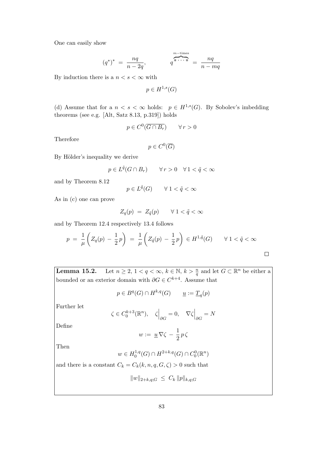One can easily show

$$
(q^*)^* = \frac{nq}{n-2q}, \qquad \qquad q^{\text{m-times}} = \frac{nq}{n-mq}
$$

By induction there is a  $n < s < \infty$  with

 $p \in H^{1,s}(G)$ 

(d) Assume that for a  $n < s < \infty$  holds:  $p \in H^{1,s}(G)$ . By Sobolev's imbedding theorems (see e.g. [Alt, Satz 8.13, p.319]) holds

$$
p \in C^0(\overline{G \cap B_r}) \qquad \forall \, r > 0
$$

Therefore

$$
p \in C^0(\overline{G})
$$

By Hölder's inequality we derive

$$
p \in L^{\tilde{q}}(G \cap B_r) \qquad \forall \, r > 0 \quad \forall \, 1 < \tilde{q} < \infty
$$

and by Theorem 8.12

$$
p\in L^{\tilde{q}}(G)\qquad\forall\ 1<\tilde{q}<\infty
$$

As in (c) one can prove

$$
Z_q(p) = Z_{\tilde{q}}(p) \qquad \forall \ 1 < \tilde{q} < \infty
$$

and by Theorem 12.4 respectively 13.4 follows

$$
p = \frac{1}{\mu} \left( Z_q(p) - \frac{1}{2}p \right) = \frac{1}{\mu} \left( Z_{\tilde{q}}(p) - \frac{1}{2}p \right) \in H^{1,\tilde{q}}(G) \qquad \forall \ 1 < \tilde{q} < \infty
$$

**Lemma 15.2.** Let  $n \geq 2$ ,  $1 < q < \infty$ ,  $k \in \mathbb{N}$ ,  $k > \frac{n}{q}$  and let  $G \subset \mathbb{R}^n$  be either a bounded or an exterior domain with  $\partial G \in C^{k+4}$ . Assume that

$$
p \in B^q(G) \cap H^{k,q}(G) \qquad \underline{u} := \underline{T}_q(p)
$$

Further let

$$
\zeta \in C_0^{k+3}(\mathbb{R}^n), \quad \zeta \Big|_{\partial G} = 0, \quad \nabla \zeta \Big|_{\partial G} = N
$$

Define

$$
w := \underline{u} \, \nabla \zeta \, - \, \frac{1}{2} \, p \, \zeta
$$

Then

$$
w \in H_0^{1,q}(G) \cap H^{2+k,q}(G) \cap C_0^0(\mathbb{R}^n)
$$

and there is a constant  $C_k = C_k(k, n, q, G, \zeta) > 0$  such that

$$
||w||_{2+k,q;G} \leq C_k ||p||_{k,q;G}
$$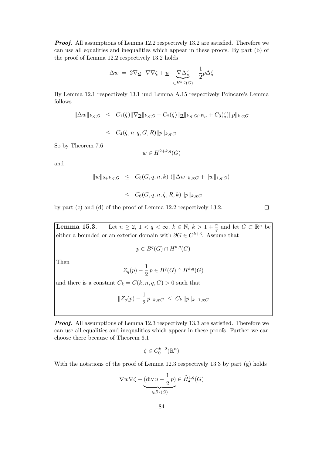**Proof.** All assumptions of Lemma 12.2 respectively 13.2 are satisfied. Therefore we can use all equalities and inequalities which appear in these proofs. By part (b) of the proof of Lemma 12.2 respectively 13.2 holds

$$
\Delta w = 2 \nabla \underline{u} \cdot \nabla \nabla \zeta + \underline{u} \cdot \underbrace{\nabla \Delta \zeta}_{\in H^{k,q}(G)} - \frac{1}{2} p \Delta \zeta
$$

By Lemma 12.1 respectively 13.1 und Lemma A.15 respectively Poincare's Lemma follows

 $\|\Delta w\|_{k,q;G} \leq C_1(\zeta) \|\nabla \underline{u}\|_{k,q;G} + C_2(\zeta) \|\underline{u}\|_{k,q;G \cap B_R} + C_3(\zeta) \|p\|_{k,q;G}$ 

 $\leq C_4(\zeta, n, q, G, R) ||p||_{k,q;G}$ 

So by Theorem 7.6

 $w \in H^{2+k,q}(G)$ 

and

$$
||w||_{2+k,q;G} \leq C_5(G, q, n, k) (||\Delta w||_{k,q;G} + ||w||_{1,q;G})
$$
  

$$
\leq C_6(G, q, n, \zeta, R, k) ||p||_{k,q;G}
$$

by part (c) and (d) of the proof of Lemma 12.2 respectively 13.2.

 $\Box$ 

**Lemma 15.3.** Let  $n \geq 2, 1 < q < \infty$ ,  $k \in \mathbb{N}$ ,  $k > 1 + \frac{n}{q}$  and let  $G \subset \mathbb{R}^n$  be either a bounded or an exterior domain with  $\partial G \in C^{k+3}$ . Assume that

$$
p \in B^q(G) \cap H^{k,q}(G)
$$

Then

$$
Z_q(p) - \frac{1}{2}p \in B^q(G) \cap H^{k,q}(G)
$$

and there is a constant  $C_k = C(k, n, q, G) > 0$  such that

$$
||Z_q(p) - \frac{1}{2}p||_{k,q;G} \leq C_k ||p||_{k-1,q;G}
$$

**Proof.** All assumptions of Lemma 12.3 respectively 13.3 are satisfied. Therefore we can use all equalities and inequalities which appear in these proofs. Further we can choose there because of Theorem 6.1

$$
\zeta \in C^{k+2}_0(\mathbb{R}^n)
$$

With the notations of the proof of Lemma 12.3 respectively 13.3 by part (g) holds

$$
\nabla w \nabla \zeta - \underbrace{(\text{div}\, \underline{u} - \frac{1}{2}\,p)}_{\in B^q(G)} \in \widehat{H}_{\bullet}^{1,q}(G)
$$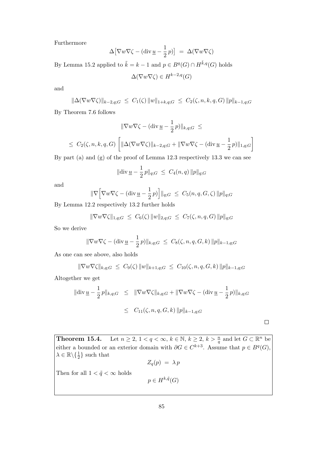Furthermore

$$
\Delta \big[ \nabla w \nabla \zeta - (\operatorname{div} \underline{u} - \frac{1}{2} p) \big] = \Delta (\nabla w \nabla \zeta)
$$

By Lemma 15.2 applied to  $\tilde{k} = k - 1$  and  $p \in B<sup>q</sup>(G) \cap H^{\tilde{k},q}(G)$  holds

$$
\Delta(\nabla w \nabla \zeta) \in H^{k-2,q}(G)
$$

and

$$
\|\Delta(\nabla w\nabla\zeta)\|_{k-2,q;G} \leq C_1(\zeta) \|w\|_{1+k,q;G} \leq C_2(\zeta,n,k,q,G) \|p\|_{k-1,q;G}
$$

By Theorem 7.6 follows

$$
\|\nabla w\nabla \zeta - (\text{div}\,\underline{u} - \frac{1}{2}p)\|_{k,q;G} \le
$$
  

$$
\leq C_2(\zeta, n, k, q, G) \left[ \|\Delta(\nabla w\nabla \zeta)\|_{k-2,q;G} + \|\nabla w\nabla \zeta - (\text{div}\,\underline{u} - \frac{1}{2}p)\|_{1,q;G} \right]
$$

By part (a) and (g) of the proof of Lemma 12.3 respectively 13.3 we can see

$$
\|\text{div}\,\underline{u} - \frac{1}{2}\,p\|_{q;G} \ \leq \ C_4(n,q)\,\|p\|_{q;G}
$$

and

$$
\|\nabla \Big[\nabla w \nabla \zeta - (\text{div}\,\underline{u} - \frac{1}{2}p)\Big] \|_{q;G} \leq C_5(n,q,G,\zeta) \|p\|_{q;G}
$$

By Lemma 12.2 respectively 13.2 further holds

$$
\|\nabla w\nabla\zeta\|_{1,q;G} \ \leq \ C_6(\zeta) \|w\|_{2,q;G} \ \leq \ C_7(\zeta,n,q,G) \|p\|_{q;G}
$$

So we derive

$$
\|\nabla w\nabla \zeta - (\text{div}\,\underline{u} - \frac{1}{2}p)\|_{k,q;G} \leq C_8(\zeta, n, q, G, k) \|p\|_{k-1,q;G}
$$

As one can see above, also holds

$$
\|\nabla w\nabla\zeta\|_{k,q;G} \leq C_9(\zeta) \|w\|_{k+1,q;G} \leq C_{10}(\zeta,n,q,G,k) \|p\|_{k-1,q;G}
$$

Altogether we get

$$
\|\text{div}\,\underline{u} - \frac{1}{2}p\|_{k,q;G} \leq \|\nabla w\nabla\zeta\|_{k,q;G} + \|\nabla w\nabla\zeta - (\text{div}\,\underline{u} - \frac{1}{2}p)\|_{k,q;G}
$$
  

$$
\leq C_{11}(\zeta, n, q, G, k) \|p\|_{k-1,q;G}
$$

 $\Box$ 

**Theorem 15.4.** Let  $n \geq 2, 1 < q < \infty$ ,  $k \in \mathbb{N}$ ,  $k \geq 2$ ,  $k > \frac{n}{q}$  and let  $G \subset \mathbb{R}^n$  be either a bounded or an exterior domain with  $\partial G \in C^{k+3}$ . Assume that  $p \in B<sup>q</sup>(G)$ ,  $\lambda \in \mathbb{R} \backslash \{\frac{1}{2}\}$  such that

$$
Z_q(p) \;=\; \lambda \, p
$$

Then for all  $1 < \tilde{q} < \infty$  holds

$$
p \in H^{k,\tilde{q}}(G)
$$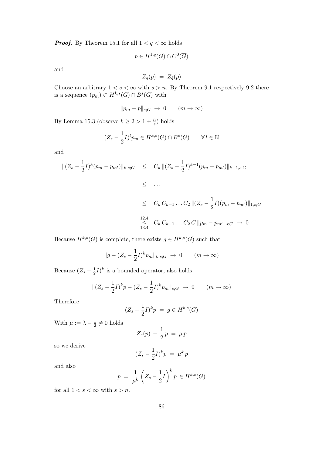**Proof.** By Theorem 15.1 for all  $1 < \tilde{q} < \infty$  holds

$$
p \in H^{1,\tilde{q}}(G) \cap C^0(\overline{G})
$$

and

$$
Z_q(p) = Z_{\tilde{q}}(p)
$$

Choose an arbitrary  $1 < s < \infty$  with  $s > n$ . By Theorem 9.1 respectively 9.2 there is a sequence  $(p_m) \subset H^{k,s}(G) \cap B^s(G)$  with

$$
||p_m - p||_{s;G} \to 0 \qquad (m \to \infty)
$$

By Lemma 15.3 (observe  $k \geq 2 > 1 + \frac{n}{s}$ ) holds

$$
(Z_s - \frac{1}{2}I)^l p_m \in H^{k,s}(G) \cap B^s(G) \qquad \forall l \in \mathbb{N}
$$

and

$$
\begin{array}{rcl} \|(Z_s - \frac{1}{2}I)^k (p_m - p_{m'})\|_{k,s;G} & \leq & C_k \|(Z_s - \frac{1}{2}I)^{k-1} (p_m - p_{m'})\|_{k-1,s;G} \\ & \leq & \dots \\ & \leq & C_k \, C_{k-1} \dots C_2 \, \|(Z_s - \frac{1}{2}I)(p_m - p_{m'})\|_{1,s;G} \\ & \leq & C_k \, C_{k-1} \dots C_2 \, C \, \|p_m - p_{m'}\|_{s;G} \, \to \, 0 \end{array}
$$

Because  $H^{k,s}(G)$  is complete, there exists  $g \in H^{k,s}(G)$  such that

$$
||g - (Z_s - \frac{1}{2}I)^k p_m||_{k,s;G} \rightarrow 0 \qquad (m \rightarrow \infty)
$$

Because  $(Z_s - \frac{1}{2})$  $\frac{1}{2}I)^k$  is a bounded operator, also holds

$$
\|(Z_s - \frac{1}{2}I)^k p - (Z_s - \frac{1}{2}I)^k p_m\|_{s;G} \to 0 \qquad (m \to \infty)
$$

Therefore

$$
(Z_s - \frac{1}{2}I)^k p = g \in H^{k,s}(G)
$$

With  $\mu := \lambda - \frac{1}{2}$  $\frac{1}{2} \neq 0$  holds

$$
Z_s(p) - \frac{1}{2}p = \mu p
$$

so we derive

$$
(Z_s - \frac{1}{2}I)^k p = \mu^k p
$$

and also

$$
p = \frac{1}{\mu^k} \left( Z_s - \frac{1}{2}I \right)^k p \in H^{k,s}(G)
$$

for all  $1 < s < \infty$  with  $s > n$ .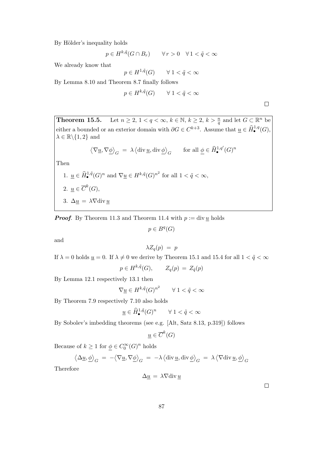By Hölder's inequality holds

$$
p \in H^{k, \tilde{q}}(G \cap B_r) \qquad \forall \, r > 0 \quad \forall \, 1 < \tilde{q} < \infty
$$

We already know that

$$
p \in H^{1,\tilde{q}}(G) \qquad \forall \ 1 < \tilde{q} < \infty
$$

By Lemma 8.10 and Theorem 8.7 finally follows

$$
p \in H^{k, \tilde{q}}(G) \qquad \forall \ 1 < \tilde{q} < \infty
$$

**Theorem 15.5.** Let  $n \geq 2, 1 < q < \infty$ ,  $k \in \mathbb{N}$ ,  $k \geq 2$ ,  $k > \frac{n}{q}$  and let  $G \subset \mathbb{R}^n$  be either a bounded or an exterior domain with  $\partial G \in C^{k+3}$ . Assume that  $\underline{u} \in \widehat{H}_{\bullet}^{1,q}(G)$ ,  $\lambda \in \mathbb{R} \backslash \{1,2\}$  and

$$
\left\langle \nabla \underline{u}, \nabla \underline{\phi} \right\rangle_G \ = \ \lambda \left\langle \text{div} \, \underline{u}, \text{div} \, \underline{\phi} \right\rangle_G \qquad \text{for all } \underline{\phi} \in \widehat{H}^{1,q}_\bullet(G)^n
$$

Then

\n- 1. 
$$
\underline{u} \in \widehat{H}_{\bullet}^{1,\tilde{q}}(G)^n
$$
 and  $\nabla \underline{u} \in H^{k,\tilde{q}}(G)^{n^2}$  for all  $1 < \tilde{q} < \infty$ ,
\n- 2.  $\underline{u} \in \overline{C}^k(G)$ ,
\n- 3.  $\Delta \underline{u} = \lambda \nabla \text{div} \underline{u}$
\n

**Proof.** By Theorem 11.3 and Theorem 11.4 with  $p := \text{div } \underline{u}$  holds

$$
p \in B^q(G)
$$

and

$$
\lambda Z_q(p) = p
$$

If  $\lambda = 0$  holds  $\underline{u} = 0$ . If  $\lambda \neq 0$  we derive by Theorem 15.1 and 15.4 for all  $1 < \tilde{q} < \infty$ 

$$
p \in H^{k, \tilde{q}}(G), \qquad Z_q(p) \,=\, Z_{\tilde{q}}(p)
$$

By Lemma 12.1 respectively 13.1 then

$$
\nabla \underline{u} \in H^{k, \tilde{q}}(G)^{n^2} \qquad \forall \ 1 < \tilde{q} < \infty
$$

By Theorem 7.9 respectively 7.10 also holds

$$
\underline{u} \in \widehat{H}^{1,\tilde{q}}_{\bullet}(G)^n \qquad \forall \ 1 < \tilde{q} < \infty
$$

By Sobolev's imbedding theorems (see e.g. [Alt, Satz 8.13, p.319]) follows

$$
\underline{u} \in \overline{C}^k(G)
$$

Because of  $k \geq 1$  for  $\underline{\phi} \in C_0^{\infty}(G)^n$  holds

$$
\langle \Delta \underline{u}, \underline{\phi} \rangle_G = -\langle \nabla \underline{u}, \nabla \underline{\phi} \rangle_G = -\lambda \langle \operatorname{div} \underline{u}, \operatorname{div} \underline{\phi} \rangle_G = \lambda \langle \nabla \operatorname{div} \underline{u}, \underline{\phi} \rangle_G
$$

Therefore

$$
\Delta \underline{u} = \lambda \nabla \text{div} \, \underline{u}
$$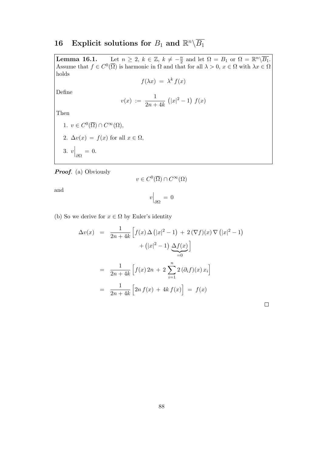# 16 Explicit solutions for  $B_1$  and  $\mathbb{R}^n \backslash \overline{B_1}$

**Lemma 16.1.** Let  $n \geq 2$ ,  $k \in \mathbb{Z}$ ,  $k \neq -\frac{n}{2}$  $\frac{n}{2}$  and let  $\Omega = B_1$  or  $\Omega = \mathbb{R}^n \backslash \overline{B_1}$ . Assume that  $f \in C^0(\overline{\Omega})$  is harmonic in  $\Omega$  and that for all  $\lambda > 0, x \in \Omega$  with  $\lambda x \in \Omega$ holds

$$
f(\lambda x) = \lambda^k f(x)
$$

Define

$$
v(x) := \frac{1}{2n+4k} (|x|^2 - 1) f(x)
$$

Then

1. 
$$
v \in C^0(\overline{\Omega}) \cap C^{\infty}(\Omega)
$$
,  
\n2.  $\Delta v(x) = f(x)$  for all  $x \in \Omega$ ,  
\n3.  $v\Big|_{\partial\Omega} = 0$ .

Proof. (a) Obviously

$$
v\in C^0(\overline{\Omega})\cap C^\infty(\Omega)
$$

and

$$
v\Big|_{\partial\Omega}=0
$$

(b) So we derive for  $x \in \Omega$  by Euler's identity

$$
\Delta v(x) = \frac{1}{2n + 4k} \left[ f(x) \Delta (|x|^2 - 1) + 2(\nabla f)(x) \nabla (|x|^2 - 1) + (|x|^2 - 1) \Delta f(x) \right]
$$

$$
= \frac{1}{2n + 4k} \left[ f(x) 2n + 2 \sum_{i=1}^n 2(\partial_i f)(x) x_i \right]
$$

$$
= \frac{1}{2n + 4k} \left[ 2n f(x) + 4k f(x) \right] = f(x)
$$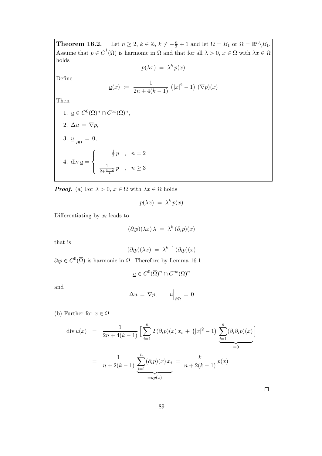**Theorem 16.2.** Let  $n \geq 2$ ,  $k \in \mathbb{Z}$ ,  $k \neq -\frac{n}{2} + 1$  and let  $\Omega = B_1$  or  $\Omega = \mathbb{R}^n \setminus \overline{B_1}$ . Assume that  $p \in \overline{C}^1(\Omega)$  is harmonic in  $\Omega$  and that for all  $\lambda > 0, x \in \Omega$  with  $\lambda x \in \Omega$ holds

$$
p(\lambda x) = \lambda^k p(x)
$$

Define

$$
\underline{u}(x) := \frac{1}{2n + 4(k-1)} (|x|^2 - 1) (\nabla p)(x)
$$

Then

1. 
$$
\underline{u} \in C^0(\overline{\Omega})^n \cap C^{\infty}(\Omega)^n
$$
,  
\n2.  $\Delta \underline{u} = \nabla p$ ,  
\n3.  $\underline{u}\Big|_{\partial \Omega} = 0$ ,  
\n4.  $\operatorname{div} \underline{u} = \begin{cases} \frac{\frac{1}{2}p}{\frac{1}{2} + \frac{n-2}{k}}p, & n \geq 3 \end{cases}$ 

**Proof.** (a) For  $\lambda > 0$ ,  $x \in \Omega$  with  $\lambda x \in \Omega$  holds

$$
p(\lambda x) = \lambda^k p(x)
$$

Differentiating by  $x_i$  leads to

$$
(\partial_i p)(\lambda x)\,\lambda\ =\ \lambda^k\,(\partial_i p)(x)
$$

that is

$$
(\partial_i p)(\lambda x) \; = \; \lambda^{k-1} \, (\partial_i p)(x)
$$

 $\partial_i p \in C^0(\overline{\Omega})$  is harmonic in  $\Omega$ . Therefore by Lemma 16.1

$$
\underline{u}\in C^0(\overline{\Omega})^n\cap C^\infty(\Omega)^n
$$

and

$$
\Delta \underline{u} = \nabla p, \qquad \underline{u}\Big|_{\partial \Omega} = 0
$$

(b) Further for  $x \in \Omega$ 

$$
\operatorname{div} \underline{u}(x) = \frac{1}{2n + 4(k - 1)} \left[ \sum_{i=1}^{n} 2 (\partial_i p)(x) x_i + (|x|^2 - 1) \underbrace{\sum_{i=1}^{n} (\partial_i \partial_i p)(x)}_{=0} \right]
$$

$$
= \frac{1}{n + 2(k - 1)} \underbrace{\sum_{i=1}^{n} (\partial_i p)(x) x_i}_{=kp(x)} = \frac{k}{n + 2(k - 1)} p(x)
$$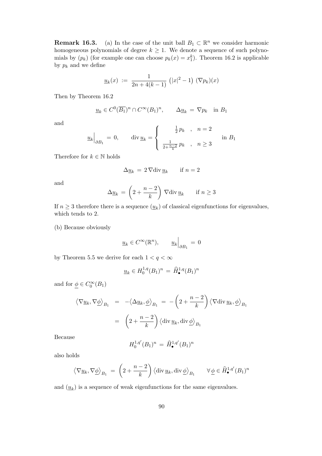**Remark 16.3.** (a) In the case of the unit ball  $B_1 \subset \mathbb{R}^n$  we consider harmonic homogeneous polynomials of degree  $k \geq 1$ . We denote a sequence of such polynomials by  $(p_k)$  (for example one can choose  $p_k(x) = x_1^k$ ). Theorem 16.2 is applicable by  $p_k$  and we define

$$
\underline{u}_k(x) := \frac{1}{2n + 4(k-1)} (|x|^2 - 1) (\nabla p_k)(x)
$$

Then by Theorem 16.2

$$
\underline{u}_k \in C^0(\overline{B_1})^n \cap C^\infty(B_1)^n, \qquad \Delta \underline{u}_k = \nabla p_k \quad \text{in } B_1
$$

and

$$
\underline{u}_k\Big|_{\partial B_1} \, = \, 0, \qquad \text{div}\,\underline{u}_k = \left\{ \begin{array}{c c c} \frac{1}{2}\,p_k & , & n = 2\\ & & \\ \frac{1}{2+\frac{n-2}{k}}\,p_k & , & n \geq 3 \end{array} \right. \quad \text{in} \,\, B_1
$$

Therefore for  $k \in \mathbb{N}$  holds

$$
\Delta \underline{u}_k = 2 \nabla \text{div} \, \underline{u}_k \qquad \text{if } n = 2
$$

and

$$
\Delta \underline{u}_k = \left(2 + \frac{n-2}{k}\right) \nabla \operatorname{div} \underline{u}_k \quad \text{if } n \ge 3
$$

If  $n \geq 3$  therefore there is a sequence  $(\underline{u}_k)$  of classical eigenfunctions for eigenvalues, which tends to 2.

(b) Because obviously

$$
\underline{u}_k \in C^\infty(\mathbb{R}^n), \qquad \underline{u}_k\Big|_{\partial B_1} = 0
$$

by Theorem 5.5 we derive for each  $1 < q < \infty$ 

$$
\underline{u}_k \in H_0^{1,q}(B_1)^n = \widehat{H}^{1,q}_{\bullet}(B_1)^n
$$

and for  $\underline{\phi} \in C_0^{\infty}(B_1)$ 

$$
\langle \nabla \underline{u}_k, \nabla \underline{\phi} \rangle_{B_1} = -\langle \Delta \underline{u}_k, \underline{\phi} \rangle_{B_1} = -\left(2 + \frac{n-2}{k}\right) \langle \nabla \operatorname{div} \underline{u}_k, \underline{\phi} \rangle_{B_1}
$$

$$
= \left(2 + \frac{n-2}{k}\right) \langle \operatorname{div} \underline{u}_k, \operatorname{div} \underline{\phi} \rangle_{B_1}
$$

Because

$$
H_0^{1,q'}(B_1)^n = \widehat{H}_{\bullet}^{1,q'}(B_1)^n
$$

also holds

$$
\left\langle \nabla \underline{u}_k, \nabla \underline{\phi} \right\rangle_{B_1} = \left( 2 + \frac{n-2}{k} \right) \left\langle \operatorname{div} \underline{u}_k, \operatorname{div} \underline{\phi} \right\rangle_{B_1} \qquad \forall \underline{\phi} \in \widehat{H}^{1,q'}_{\bullet}(B_1)^n
$$

and  $(\underline{u}_k)$  is a sequence of weak eigenfunctions for the same eigenvalues.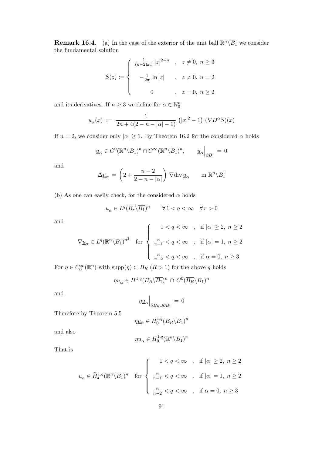**Remark 16.4.** (a) In the case of the exterior of the unit ball  $\mathbb{R}^n\backslash\overline{B_1}$  we consider the fundamental solution

$$
S(z) := \begin{cases} \frac{1}{(n-2)\omega_n} |z|^{2-n} , & z \neq 0, n \geq 3 \\ -\frac{1}{2\pi} \ln |z| , & z \neq 0, n = 2 \\ 0 , & z = 0, n \geq 2 \end{cases}
$$

and its derivatives. If  $n \geq 3$  we define for  $\alpha \in \mathbb{N}_0^n$ 

$$
\underline{u}_{\alpha}(x) := \frac{1}{2n + 4(2 - n - |\alpha| - 1)} (|x|^2 - 1) (\nabla D^{\alpha} S)(x)
$$

If  $n = 2$ , we consider only  $|\alpha| \geq 1$ . By Theorem 16.2 for the considered  $\alpha$  holds

$$
\underline{u}_{\alpha} \in C^0(\mathbb{R}^n \setminus B_1)^n \cap C^{\infty}(\mathbb{R}^n \setminus \overline{B_1})^n, \qquad \underline{u}_{\alpha}\Big|_{\partial B_1} = 0
$$

and

$$
\Delta \underline{u}_{\alpha} = \left( 2 + \frac{n-2}{2-n-|\alpha|} \right) \nabla \operatorname{div} \underline{u}_{\alpha} \quad \text{in } \mathbb{R}^n \backslash \overline{B_1}
$$

(b) As one can easily check, for the considered  $\alpha$  holds

$$
\underline{u}_{\alpha} \in L^q(B_r \backslash \overline{B_1})^n \qquad \forall \, 1 < q < \infty \quad \forall \, r > 0
$$

and

$$
\nabla \underline{u}_{\alpha} \in L^{q}(\mathbb{R}^{n} \setminus \overline{B_{1}})^{n^{2}} \quad \text{for} \quad \begin{cases} \quad 1 < q < \infty & , \quad \text{if } |\alpha| \geq 2, \ n \geq 2 \\ \\ \frac{n}{n-1} < q < \infty & , \quad \text{if } |\alpha| = 1, \ n \geq 2 \\ \\ \frac{n}{n-2} < q < \infty & , \quad \text{if } \alpha = 0, \ n \geq 3 \end{cases}
$$

For  $\eta \in C_0^{\infty}(\mathbb{R}^n)$  with  $\text{supp}(\eta) \subset B_R$   $(R > 1)$  for the above q holds

$$
\eta \underline{u}_{\alpha} \in H^{1,q}(B_R \backslash \overline{B_1})^n \cap C^0(\overline{B_R} \backslash B_1)^n
$$

and

$$
\eta \underline{u}_{\alpha}\Big|_{\partial B_R \cup \partial B_1} = 0
$$

Therefore by Theorem 5.5

$$
\eta \underline{u}_{\alpha} \in H_0^{1,q}(B_R \backslash \overline{B_1})^n
$$

and also

$$
\eta \underline{u}_\alpha \in H^{1,q}_0(\mathbb{R}^n \backslash \overline{B_1})^n
$$

That is

$$
\underline{u}_{\alpha} \in \widehat{H}_{\bullet}^{1,q}(\mathbb{R}^{n} \setminus \overline{B_{1}})^{n} \quad \text{for} \quad \begin{cases} \quad 1 < q < \infty & , \quad \text{if } |\alpha| \geq 2, \ n \geq 2 \\ \\ \frac{n}{n-1} < q < \infty & , \quad \text{if } |\alpha| = 1, \ n \geq 2 \\ \\ \frac{n}{n-2} < q < \infty & , \quad \text{if } \alpha = 0, \ n \geq 3 \end{cases}
$$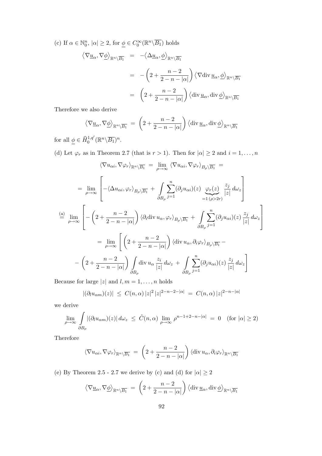(c) If  $\alpha \in \mathbb{N}_0^n$ ,  $|\alpha| \geq 2$ , for  $\underline{\phi} \in C_0^{\infty}(\mathbb{R}^n \backslash \overline{B_1})$  holds

$$
\langle \nabla \underline{u}_{\alpha}, \nabla \underline{\phi} \rangle_{\mathbb{R}^{n} \setminus \overline{B_{1}}} = -\langle \Delta \underline{u}_{\alpha}, \underline{\phi} \rangle_{\mathbb{R}^{n} \setminus \overline{B_{1}}}
$$
  

$$
= -\left(2 + \frac{n-2}{2-n-|\alpha|}\right) \langle \nabla \text{div} \underline{u}_{\alpha}, \underline{\phi} \rangle_{\mathbb{R}^{n} \setminus \overline{B_{1}}}
$$
  

$$
= \left(2 + \frac{n-2}{2-n-|\alpha|}\right) \langle \text{div} \underline{u}_{\alpha}, \text{div} \underline{\phi} \rangle_{\mathbb{R}^{n} \setminus \overline{B_{1}}}
$$

Therefore we also derive

$$
\left\langle \nabla \underline{u}_{\alpha}, \nabla \underline{\phi} \right\rangle_{\mathbb{R}^n \setminus \overline{B_1}} = \left( 2 + \frac{n-2}{2-n-|\alpha|} \right) \left\langle \operatorname{div} \underline{u}_{\alpha}, \operatorname{div} \underline{\phi} \right\rangle_{\mathbb{R}^n \setminus \overline{B_1}}
$$

for all  $\underline{\phi} \in \widehat{H}_0^{1,q'}(\mathbb{R}^n \backslash \overline{B_1})^n$ .

(d) Let  $\varphi_r$  as in Theorem 2.7 (that is  $r > 1$ ). Then for  $|\alpha| \ge 2$  and  $i = 1, ..., n$ 

$$
\langle \nabla u_{\alpha i}, \nabla \varphi_r \rangle_{\mathbb{R}^n \setminus \overline{B_1}} = \lim_{\rho \to \infty} \langle \nabla u_{\alpha i}, \nabla \varphi_r \rangle_{B_\rho \setminus \overline{B_1}} =
$$
  
\n
$$
= \lim_{\rho \to \infty} \left[ -\langle \Delta u_{\alpha i}, \varphi_r \rangle_{B_\rho \setminus \overline{B_1}} + \int_{\partial B_\rho} \sum_{j=1}^n (\partial_j u_{\alpha i})(z) \underbrace{\varphi_r(z)}_{=1 (\rho > 2r)} \frac{z_j}{|z|} d\omega_z \right]
$$
  
\n
$$
\stackrel{\text{(a)}}{=} \lim_{\rho \to \infty} \left[ -\left( 2 + \frac{n-2}{2-n-|\alpha|} \right) \langle \partial_i \operatorname{div} u_{\alpha}, \varphi_r \rangle_{B_\rho \setminus \overline{B_1}} + \int_{\partial B_\rho} \sum_{j=1}^n (\partial_j u_{\alpha i})(z) \frac{z_j}{|z|} d\omega_z \right]
$$
  
\n
$$
= \lim_{\rho \to \infty} \left[ \left( 2 + \frac{n-2}{2-n-|\alpha|} \right) \langle \operatorname{div} u_{\alpha}, \partial_i \varphi_r \rangle_{B_\rho \setminus \overline{B_1}} - \right.
$$
  
\n
$$
- \left( 2 + \frac{n-2}{2-n-|\alpha|} \right) \int_{\partial B_\rho} \operatorname{div} u_{\alpha} \frac{z_i}{|z|} d\omega_z + \int_{\partial B_\rho} \sum_{j=1}^n (\partial_j u_{\alpha i})(z) \frac{z_j}{|z|} d\omega_z \right]
$$

Because for large  $|z|$  and  $l, m = 1, \ldots, n$  holds

$$
|(\partial_l u_{\alpha m})(z)| \leq C(n,\alpha) |z|^2 |z|^{2-n-2-|\alpha|} = C(n,\alpha) |z|^{2-n-|\alpha|}
$$

we derive

$$
\lim_{\rho \to \infty} \int_{\partial B_{\rho}} |(\partial_l u_{\alpha m})(z)| d\omega_z \leq \tilde{C}(n, \alpha) \lim_{\rho \to \infty} \rho^{n-1+2-n-|\alpha|} = 0 \quad \text{(for } |\alpha| \geq 2\text{)}
$$

Therefore

$$
\langle \nabla u_{\alpha i}, \nabla \varphi_r \rangle_{\mathbb{R}^n \setminus \overline{B_1}} = \left( 2 + \frac{n-2}{2-n-|\alpha|} \right) \langle \operatorname{div} u_{\alpha}, \partial_i \varphi_r \rangle_{\mathbb{R}^n \setminus \overline{B_1}}
$$

(e) By Theorem 2.5 - 2.7 we derive by (c) and (d) for  $|\alpha| \ge 2$ 

$$
\left\langle \nabla \underline{u}_{\alpha}, \nabla \underline{\phi} \right\rangle_{\mathbb{R}^n \setminus \overline{B_1}} \ = \ \left( 2 + \frac{n-2}{2-n-|\alpha|} \right) \left\langle \operatorname{div} \underline{u}_{\alpha}, \operatorname{div} \underline{\phi} \right\rangle_{\mathbb{R}^n \setminus \overline{B_1}}
$$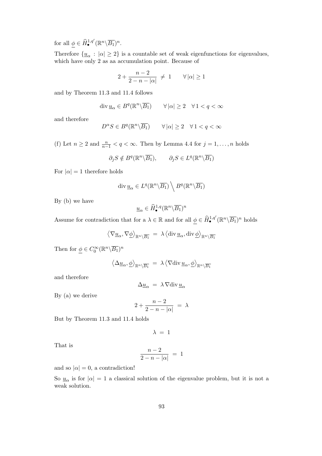for all  $\underline{\phi} \in \widehat{H}_{\bullet}^{1,q'}(\mathbb{R}^n \backslash \overline{B_1})^n$ .

Therefore  $\{\underline{u}_{\alpha} : |\alpha| \geq 2\}$  is a countable set of weak eigenfunctions for eigenvalues, which have only 2 as aa accumulation point. Because of

$$
2 + \frac{n-2}{2 - n - |\alpha|} \neq 1 \qquad \forall |\alpha| \geq 1
$$

and by Theorem 11.3 and 11.4 follows

$$
\operatorname{div} \underline{u}_{\alpha} \in B^q(\mathbb{R}^n \backslash \overline{B_1}) \qquad \forall |\alpha| \ge 2 \quad \forall 1 < q < \infty
$$

and therefore

$$
D^{\alpha}S \in B^{q}(\mathbb{R}^{n}\backslash \overline{B_{1}}) \qquad \forall |\alpha| \ge 2 \quad \forall 1 < q < \infty
$$

(f) Let  $n \geq 2$  and  $\frac{n}{n-1} < q < \infty$ . Then by Lemma 4.4 for  $j = 1, ..., n$  holds

$$
\partial_j S \notin B^q(\mathbb{R}^n \backslash \overline{B_1}), \qquad \partial_j S \in L^q(\mathbb{R}^n \backslash \overline{B_1})
$$

For  $|\alpha|=1$  therefore holds

$$
\operatorname{div} \underline{u}_{\alpha} \in L^{q}(\mathbb{R}^{n} \backslash \overline{B_1}) \setminus B^{q}(\mathbb{R}^{n} \backslash \overline{B_1})
$$

By (b) we have

$$
\underline{u}_{\alpha} \in \widehat{H}^{1,q}_{\bullet}(\mathbb{R}^n \backslash \overline{B_1})^n
$$

Assume for contradiction that for a  $\lambda \in \mathbb{R}$  and for all  $\underline{\phi} \in \widehat{H}_{\bullet}^{1,q'}(\mathbb{R}^n \setminus \overline{B_1})^n$  holds

$$
\langle \nabla \underline{u}_{\alpha}, \nabla \underline{\phi} \rangle_{\mathbb{R}^n \setminus \overline{B_1}} = \lambda \langle \operatorname{div} \underline{u}_{\alpha}, \operatorname{div} \underline{\phi} \rangle_{\mathbb{R}^n \setminus \overline{B_1}}
$$

Then for  $\underline{\phi} \in C_0^{\infty} (\mathbb{R}^n \backslash \overline{B_1})^n$ 

$$
\langle \Delta \underline{u}_{\alpha}, \underline{\phi} \rangle_{\mathbb{R}^n \setminus \overline{B_1}} \ = \ \lambda \langle \nabla \text{div} \, \underline{u}_{\alpha}, \underline{\phi} \rangle_{\mathbb{R}^n \setminus \overline{B_1}}
$$

and therefore

$$
\Delta \underline{u}_{\alpha} = \lambda \nabla \text{div} \, \underline{u}_{\alpha}
$$

By (a) we derive

$$
2+\frac{n-2}{2-n-|\alpha|} = \lambda
$$

But by Theorem 11.3 and 11.4 holds

 $\lambda = 1$ 

That is

$$
\frac{n-2}{2-n-|\alpha|} = 1
$$

and so  $|\alpha|=0$ , a contradiction!

So  $\underline{u}_{\alpha}$  is for  $|\alpha| = 1$  a classical solution of the eigenvalue problem, but it is not a weak solution.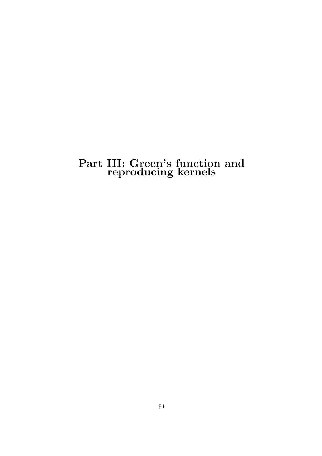## Part III: Green's function and reproducing kernels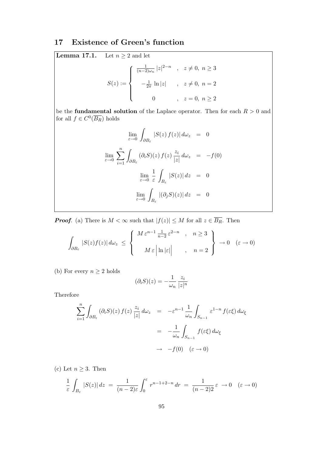## 17 Existence of Green's function

**Lemma 17.1.** Let  $n \geq 2$  and let

$$
S(z) := \begin{cases} \frac{1}{(n-2)\omega_n} |z|^{2-n} , & z \neq 0, n \ge 3 \\ -\frac{1}{2\pi} \ln |z| , & z \neq 0, n = 2 \\ 0 , & z = 0, n \ge 2 \end{cases}
$$

be the **fundamental solution** of the Laplace operator. Then for each  $R > 0$  and for all  $f \in C^0(\overline{B_R})$  holds

$$
\lim_{\varepsilon \to 0} \int_{\partial B_{\varepsilon}} |S(z) f(z)| d\omega_z = 0
$$
  

$$
\lim_{\varepsilon \to 0} \sum_{i=1}^n \int_{\partial B_{\varepsilon}} (\partial_i S)(z) f(z) \frac{z_i}{|z|} d\omega_z = -f(0)
$$
  

$$
\lim_{\varepsilon \to 0} \frac{1}{\varepsilon} \int_{B_{\varepsilon}} |S(z)| dz = 0
$$
  

$$
\lim_{\varepsilon \to 0} \int_{B_{\varepsilon}} |(\partial_j S)(z)| dz = 0
$$

**Proof.** (a) There is  $M < \infty$  such that  $|f(z)| \leq M$  for all  $z \in \overline{B_R}$ . Then

$$
\int_{\partial B_{\varepsilon}} |S(z)f(z)| \, d\omega_z \leq \left\{ \begin{array}{c} M \, \varepsilon^{n-1} \frac{1}{n-2} \, \varepsilon^{2-n} \quad , \quad n \geq 3 \\ M \, \varepsilon \, \left| \ln |\varepsilon| \right| \quad , \quad n=2 \end{array} \right\} \to 0 \quad (\varepsilon \to 0)
$$

(b) For every  $n \geq 2$  holds

$$
(\partial_i S)(z) = -\frac{1}{\omega_n} \frac{z_i}{|z|^n}
$$

Therefore

$$
\sum_{i=1}^{n} \int_{\partial B_{\varepsilon}} (\partial_{i}S)(z) f(z) \frac{z_{i}}{|z|} d\omega_{z} = -\varepsilon^{n-1} \frac{1}{\omega_{n}} \int_{S_{n-1}} \varepsilon^{1-n} f(\varepsilon \xi) d\omega_{\xi}
$$

$$
= -\frac{1}{\omega_{n}} \int_{S_{n-1}} f(\varepsilon \xi) d\omega_{\xi}
$$

$$
\to -f(0) (\varepsilon \to 0)
$$

(c) Let  $n \geq 3$ . Then

$$
\frac{1}{\varepsilon} \int_{B_{\varepsilon}} |S(z)| dz = \frac{1}{(n-2)\varepsilon} \int_0^{\varepsilon} r^{n-1+2-n} dr = \frac{1}{(n-2)2} \varepsilon \to 0 \quad (\varepsilon \to 0)
$$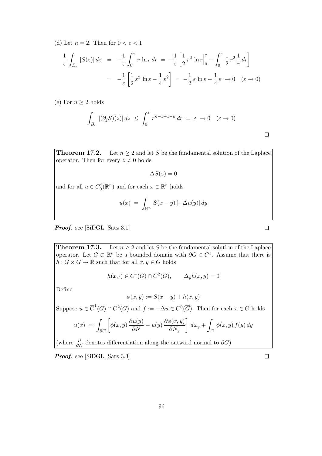(d) Let  $n = 2$ . Then for  $0 < \varepsilon < 1$ 

$$
\frac{1}{\varepsilon} \int_{B_{\varepsilon}} |S(z)| dz = -\frac{1}{\varepsilon} \int_0^{\varepsilon} r \ln r dr = -\frac{1}{\varepsilon} \left[ \frac{1}{2} r^2 \ln r \Big|_0^{\varepsilon} - \int_0^{\varepsilon} \frac{1}{2} r^2 \frac{1}{r} dr \right]
$$

$$
= -\frac{1}{\varepsilon} \left[ \frac{1}{2} \varepsilon^2 \ln \varepsilon - \frac{1}{4} \varepsilon^2 \right] = -\frac{1}{2} \varepsilon \ln \varepsilon + \frac{1}{4} \varepsilon \to 0 \quad (\varepsilon \to 0)
$$

(e) For  $n \geq 2$  holds

$$
\int_{B_{\varepsilon}} |(\partial_j S)(z)| dz \leq \int_0^{\varepsilon} r^{n-1+1-n} dr = \varepsilon \to 0 \quad (\varepsilon \to 0)
$$

**Theorem 17.2.** Let  $n \geq 2$  and let S be the fundamental solution of the Laplace operator. Then for every  $z \neq 0$  holds

 $\Delta S(z) = 0$ 

and for all  $u \in C_0^2(\mathbb{R}^n)$  and for each  $x \in \mathbb{R}^n$  holds

$$
u(x) = \int_{\mathbb{R}^n} S(x - y) \left[ -\Delta u(y) \right] dy
$$

Proof. see [SiDGL, Satz 3.1]

**Theorem 17.3.** Let  $n > 2$  and let S be the fundamental solution of the Laplace operator. Let  $G \subset \mathbb{R}^n$  be a bounded domain with  $\partial G \in C^1$ . Assume that there is  $h: G \times \overline{G} \to \mathbb{R}$  such that for all  $x, y \in G$  holds

$$
h(x, \cdot) \in \overline{C}^1(G) \cap C^2(G), \qquad \Delta_y h(x, y) = 0
$$

Define

$$
\phi(x, y) := S(x - y) + h(x, y)
$$

Suppose  $u \in \overline{C}^1(G) \cap C^2(G)$  and  $f := -\Delta u \in C^0(\overline{G})$ . Then for each  $x \in G$  holds

$$
u(x) = \int_{\partial G} \left[ \phi(x, y) \frac{\partial u(y)}{\partial N} - u(y) \frac{\partial \phi(x, y)}{\partial N_y} \right] d\omega_y + \int_G \phi(x, y) f(y) dy
$$

(where  $\frac{\partial}{\partial N}$  denotes differentiation along the outward normal to  $\partial G$ )

Proof. see [SiDGL, Satz 3.3]

 $\Box$ 

 $\Box$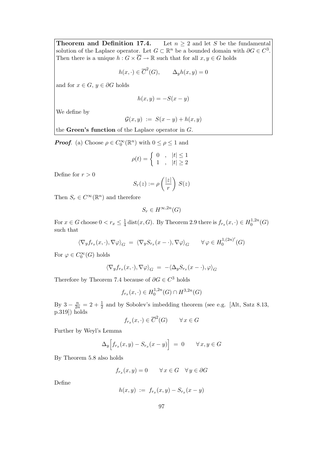**Theorem and Definition 17.4.** Let  $n \geq 2$  and let S be the fundamental solution of the Laplace operator. Let  $G \subset \mathbb{R}^n$  be a bounded domain with  $\partial G \in C^3$ . Then there is a unique  $h: G \times \overline{G} \to \mathbb{R}$  such that for all  $x, y \in G$  holds

$$
h(x, \cdot) \in \overline{C}^{2}(G), \qquad \Delta_{y}h(x, y) = 0
$$

and for  $x \in G$ ,  $y \in \partial G$  holds

$$
h(x, y) = -S(x - y)
$$

We define by

$$
\mathcal{G}(x,y) := S(x-y) + h(x,y)
$$

the Green's function of the Laplace operator in G.

**Proof.** (a) Choose  $\rho \in C_0^{\infty}(\mathbb{R}^n)$  with  $0 \le \rho \le 1$  and

$$
\rho(t) = \begin{cases} 0, & |t| \le 1 \\ 1, & |t| \ge 2 \end{cases}
$$

Define for  $r > 0$ 

$$
S_r(z) := \rho\left(\frac{|z|}{r}\right) S(z)
$$

Then  $S_r \in C^{\infty}(\mathbb{R}^n)$  and therefore

$$
S_r \in H^{\infty,2n}(G)
$$

For  $x \in G$  choose  $0 < r_x \leq \frac{1}{4}$  $\frac{1}{4}$  dist $(x, G)$ . By Theorem 2.9 there is  $f_{r_x}(x, \cdot) \in H_0^{1, 2n}$  $_{0}^{1,2n}(G)$ such that

$$
\langle \nabla_y f_{r_x}(x,\cdot), \nabla \varphi \rangle_G = \langle \nabla_y S_{r_x}(x-\cdot), \nabla \varphi \rangle_G \qquad \forall \varphi \in H_0^{1,(2n)'}(G)
$$

For  $\varphi \in C_0^{\infty}(G)$  holds

$$
\langle \nabla_y f_{r_x}(x,\cdot), \nabla \varphi \rangle_G = -\langle \Delta_y S_{r_x}(x-\cdot), \varphi \rangle_G
$$

Therefore by Theorem 7.4 because of  $\partial G \in C^3$  holds

$$
f_{r_x}(x, \cdot) \in H_0^{1,2n}(G) \cap H^{3,2n}(G)
$$

By  $3 - \frac{n}{2n} = 2 + \frac{1}{2}$  and by Sobolev's imbedding theorem (see e.g. [Alt, Satz 8.13,  $p.319$ ) holds

$$
f_{r_x}(x, \cdot) \in \overline{C}^2(G) \qquad \forall x \in G
$$

Further by Weyl's Lemma

$$
\Delta_y \Big[ f_{r_x}(x, y) - S_{r_x}(x - y) \Big] = 0 \qquad \forall \, x, y \in G
$$

By Theorem 5.8 also holds

$$
f_{r_x}(x, y) = 0 \qquad \forall \, x \in G \quad \forall \, y \in \partial G
$$

Define

$$
h(x, y) := f_{r_x}(x, y) - S_{r_x}(x - y)
$$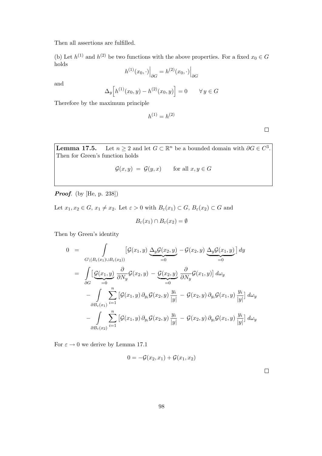Then all assertions are fulfilled.

(b) Let  $h^{(1)}$  and  $h^{(2)}$  be two functions with the above properties. For a fixed  $x_0 \in G$ holds

$$
h^{(1)}(x_0,\cdot)\Big|_{\partial G} = h^{(2)}(x_0,\cdot)\Big|_{\partial G}
$$

and

$$
\Delta_y \Big[ h^{(1)}(x_0, y) - h^{(2)}(x_0, y) \Big] = 0 \qquad \forall y \in G
$$

Therefore by the maximum principle

 $h^{(1)} = h^{(2)}$ 

 $\Box$ 

**Lemma 17.5.** Let  $n \geq 2$  and let  $G \subset \mathbb{R}^n$  be a bounded domain with  $\partial G \in C^3$ . Then for Green's function holds

$$
\mathcal{G}(x, y) = \mathcal{G}(y, x) \quad \text{for all } x, y \in G
$$

**Proof.** (by [He, p. 238])

Let  $x_1, x_2 \in G$ ,  $x_1 \neq x_2$ . Let  $\varepsilon > 0$  with  $B_{\varepsilon}(x_1) \subset G$ ,  $B_{\varepsilon}(x_2) \subset G$  and

$$
B_{\varepsilon}(x_1) \cap B_{\varepsilon}(x_2) = \emptyset
$$

Then by Green's identity

$$
0 = \int_{G \setminus (B_{\varepsilon}(x_1) \cup B_{\varepsilon}(x_2))} \left[ \mathcal{G}(x_1, y) \underbrace{\Delta_y \mathcal{G}(x_2, y)}_{=0} - \mathcal{G}(x_2, y) \underbrace{\Delta_y \mathcal{G}(x_1, y)}_{=0} \right] dy
$$
  
\n
$$
= \int_{\partial G} \left[ \underbrace{\mathcal{G}(x_1, y)}_{=0} \frac{\partial}{\partial N_y} \mathcal{G}(x_2, y) - \underbrace{\mathcal{G}(x_2, y)}_{=0} \frac{\partial}{\partial N_y} \mathcal{G}(x_1, y) \right] d\omega_y
$$
  
\n
$$
- \int_{\partial B_{\varepsilon}(x_1)} \sum_{i=1}^n \left[ \mathcal{G}(x_1, y) \partial_{y_i} \mathcal{G}(x_2, y) \frac{y_i}{|y|} - \mathcal{G}(x_2, y) \partial_{y_i} \mathcal{G}(x_1, y) \frac{y_i}{|y|} \right] d\omega_y
$$
  
\n
$$
- \int_{\partial B_{\varepsilon}(x_2)} \sum_{i=1}^n \left[ \mathcal{G}(x_1, y) \partial_{y_i} \mathcal{G}(x_2, y) \frac{y_i}{|y|} - \mathcal{G}(x_2, y) \partial_{y_i} \mathcal{G}(x_1, y) \frac{y_i}{|y|} \right] d\omega_y
$$

For  $\varepsilon \to 0$  we derive by Lemma 17.1

$$
0 = -\mathcal{G}(x_2, x_1) + \mathcal{G}(x_1, x_2)
$$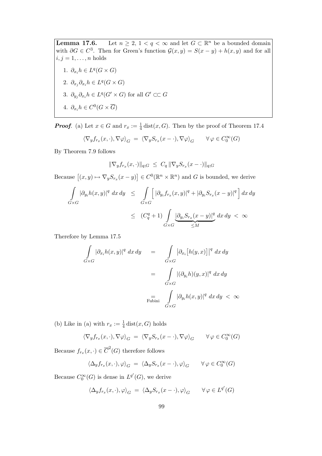**Lemma 17.6.** Let  $n \geq 2$ ,  $1 < q < \infty$  and let  $G \subset \mathbb{R}^n$  be a bounded domain with  $\partial G \in C^3$ . Then for Green's function  $\mathcal{G}(x, y) = S(x - y) + h(x, y)$  and for all  $i, j = 1, \ldots, n$  holds 1.  $\partial_{x_i} h \in L^q(G \times G)$ 2.  $\partial_{x_j}\partial_{x_i}h \in L^q(G\times G)$ 3.  $\partial_{y_j}\partial_{x_i}h \in L^q(G' \times G)$  for all  $G' \subset\subset G$ 4.  $\partial_{x_i} h \in C^0(G \times \overline{G})$ 

**Proof.** (a) Let  $x \in G$  and  $r_x := \frac{1}{4}$  dist $(x, G)$ . Then by the proof of Theorem 17.4

$$
\langle \nabla_y f_{r_x}(x, \cdot), \nabla \varphi \rangle_G = \langle \nabla_y S_{r_x}(x - \cdot), \nabla \varphi \rangle_G \qquad \forall \varphi \in C_0^{\infty}(G)
$$

By Theorem 7.9 follows

$$
\|\nabla_y f_{r_x}(x,\cdot)\|_{q;G} \ \leq \ C_q \, \|\nabla_y S_{r_x}(x-\cdot)\|_{q;G}
$$

Because  $[(x, y) \mapsto \nabla_y S_{r_x}(x - y)] \in C^0(\mathbb{R}^n \times \mathbb{R}^n)$  and G is bounded, we derive

$$
\int_{G\times G} |\partial_{y_i} h(x,y)|^q \, dx \, dy \leq \int_{G\times G} \left[ |\partial_{y_i} f_{r_x}(x,y)|^q + |\partial_{y_i} S_{r_x}(x-y)|^q \right] dx \, dy
$$
\n
$$
\leq (C_q^q + 1) \int_{G\times G} \underbrace{|\partial_{y_i} S_{r_x}(x-y)|^q}_{\leq M} dx \, dy < \infty
$$

Therefore by Lemma 17.5

$$
\int_{G \times G} |\partial_{x_i} h(x, y)|^q dx dy = \int_{G \times G} |\partial_{x_i} [h(y, x)]|^q dx dy
$$

$$
= \int_{G \times G} |(\partial_{y_i} h)(y, x)|^q dx dy
$$

$$
= \int_{F \text{ubini}} |\partial_{y_i} h(x, y)|^q dx dy < \infty
$$

(b) Like in (a) with  $r_x := \frac{1}{4} \text{dist}(x, G)$  holds

$$
\langle \nabla_y f_{r_x}(x, \cdot), \nabla \varphi \rangle_G = \langle \nabla_y S_{r_x}(x - \cdot), \nabla \varphi \rangle_G \qquad \forall \varphi \in C_0^{\infty}(G)
$$

Because  $f_{r_x}(x, \cdot) \in \overline{C}^2(G)$  therefore follows

$$
\langle \Delta_y f_{r_x}(x,\cdot), \varphi \rangle_G = \langle \Delta_y S_{r_x}(x-\cdot), \varphi \rangle_G \qquad \forall \varphi \in C_0^{\infty}(G)
$$

Because  $C_0^{\infty}(G)$  is dense in  $L^{q'}(G)$ , we derive

$$
\langle \Delta_y f_{r_x}(x, \cdot), \varphi \rangle_G = \langle \Delta_y S_{r_x}(x - \cdot), \varphi \rangle_G \qquad \forall \varphi \in L^{q'}(G)
$$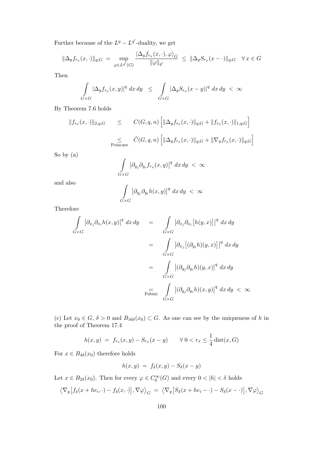Further because of the  $L^q - L^{q'}$ -duality, we get

$$
\|\Delta_y f_{r_x}(x,\cdot)\|_{q;G} = \sup_{\varphi \in L^{q'}(G)} \frac{\langle \Delta_y f_{r_x}(x,\cdot),\varphi \rangle_G}{\|\varphi\|_{q'}} \le \|\Delta_y S_{r_x}(x-\cdot)\|_{q;G} \quad \forall \, x \in G
$$

Then

$$
\int\limits_{G\times G} |\Delta_y f_{r_x}(x,y)|^q\ dx\ dy\ \leq\ \int\limits_{G\times G} |\Delta_y S_{r_x}(x-y)|^q\ dx\, dy\ <\ \infty
$$

By Theorem 7.6 holds

$$
||f_{r_x}(x,\cdot)||_{2,q;G} \leq C(G,q,n) \left[ ||\Delta_y f_{r_x}(x,\cdot)||_{q;G} + ||f_{r_x}(x,\cdot)||_{1,q;G} \right]
$$
  

$$
\leq \tilde{C}(G,q,n) \left[ ||\Delta_y f_{r_x}(x,\cdot)||_{q;G} + ||\nabla_y f_{r_x}(x,\cdot)||_{q;G} \right]
$$
  
Poincare

So by (a)

$$
\int\limits_{G\times G} \left|\partial_{y_j}\partial_{y_i} f_{r_x}(x,y)\right|^q\,dx\,dy\,\,<\,\infty
$$

and also

$$
\int\limits_{G\times G} |\partial_{y_j}\partial_{y_i}h(x,y)|^q\ dx\,dy\ <\ \infty
$$

Therefore

$$
\int_{G \times G} |\partial_{x_j} \partial_{x_i} h(x, y)|^q dx dy = \int_{G \times G} |\partial_{x_j} \partial_{x_i} [h(y, x)]|^q dx dy
$$
  
\n
$$
= \int_{G \times G} |\partial_{x_j} [(\partial_{y_i} h)(y, x)]|^q dx dy
$$
  
\n
$$
= \int_{G \times G} |(\partial_{y_j} \partial_{y_i} h)(y, x)|^q dx dy
$$
  
\n
$$
= \int_{G \times G} |(\partial_{y_j} \partial_{y_i} h)(x, y)|^q dx dy < \infty
$$

(c) Let  $x_0 \in G$ ,  $\delta > 0$  and  $B_{16\delta}(x_0) \subset G$ . As one can see by the uniqueness of h in the proof of Theorem 17.4

$$
h(x, y) = f_{r_x}(x, y) - S_{r_x}(x - y) \qquad \forall \ 0 < r_x \le \frac{1}{4} \text{dist}(x, G)
$$

For  $x \in B_{4\delta}(x_0)$  therefore holds

$$
h(x,y) = f_{\delta}(x,y) - S_{\delta}(x-y)
$$

Let  $x \in B_{2\delta}(x_0)$ . Then for every  $\varphi \in C_0^{\infty}(G)$  and every  $0 < |h| < \delta$  holds

$$
\langle \nabla_y [f_\delta(x+he_i, \cdot) - f_\delta(x, \cdot)], \nabla \varphi \rangle_G = \langle \nabla_y [S_\delta(x+he_i - \cdot) - S_\delta(x- \cdot)], \nabla \varphi \rangle_G
$$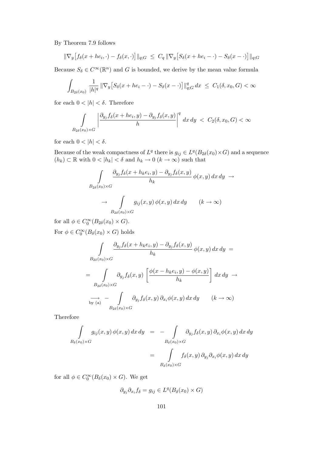By Theorem 7.9 follows

$$
\|\nabla_y[f_\delta(x+he_i,\cdot)-f_\delta(x,\cdot)]\|_{q;G}\ \le\ C_q\,\|\nabla_y[S_\delta(x+he_i-\cdot)-S_\delta(x-\cdot)]\|_{q;G}
$$

Because  $S_{\delta} \in C^{\infty}(\mathbb{R}^n)$  and G is bounded, we derive by the mean value formula

$$
\int_{B_{2\delta}(x_0)} \frac{1}{|h|^q} \|\nabla_y [S_{\delta}(x + he_i - \cdot) - S_{\delta}(x - \cdot)]\|_{q;G}^q dx \le C_1(\delta, x_0, G) < \infty
$$

for each  $0 < |h| < \delta$ . Therefore

$$
\int_{B_{2\delta}(x_0)\times G}\left|\frac{\partial_{y_j}f_\delta(x+he_i,y)-\partial_{y_j}f_\delta(x,y)}{h}\right|^q\,dx\,dy\,<\,C_2(\delta,x_0,G)<\infty
$$

for each  $0 < |h| < \delta$ .

Because of the weak compactness of  $L^q$  there is  $g_{ij} \in L^q(B_{2\delta}(x_0) \times G)$  and a sequence  $(h_k) \subset \mathbb{R}$  with  $0 < |h_k| < \delta$  and  $h_k \to 0$   $(k \to \infty)$  such that

$$
\int_{B_{2\delta}(x_0)\times G} \frac{\partial_{y_j} f_\delta(x+h_k e_i, y) - \partial_{y_j} f_\delta(x, y)}{h_k} \phi(x, y) dx dy \to
$$
  

$$
\to \int_{B_{2\delta}(x_0)\times G} g_{ij}(x, y) \phi(x, y) dx dy \qquad (k \to \infty)
$$

for all  $\phi \in C_0^{\infty}(B_{2\delta}(x_0) \times G)$ .

For  $\phi \in C_0^{\infty}(B_\delta(x_0) \times G)$  holds

$$
\int_{B_{2\delta}(x_0)\times G} \frac{\partial_{y_j} f_\delta(x+h_k e_i, y) - \partial_{y_j} f_\delta(x, y)}{h_k} \phi(x, y) dx dy =
$$
\n
$$
= \int_{B_{2\delta}(x_0)\times G} \partial_{y_j} f_\delta(x, y) \left[ \frac{\phi(x-h_k e_i, y) - \phi(x, y)}{h_k} \right] dx dy \to
$$
\n
$$
\int_{\text{by (a)}} - \int_{B_{2\delta}(x_0)\times G} \partial_{y_j} f_\delta(x, y) \partial_{x_i} \phi(x, y) dx dy \qquad (k \to \infty)
$$

Therefore

$$
\int_{B_{\delta}(x_0)\times G} g_{ij}(x, y) \phi(x, y) dx dy = - \int_{B_{\delta}(x_0)\times G} \partial_{y_j} f_{\delta}(x, y) \partial_{x_i} \phi(x, y) dx dy
$$
\n
$$
= \int_{B_{\delta}(x_0)\times G} f_{\delta}(x, y) \partial_{y_j} \partial_{x_i} \phi(x, y) dx dy
$$

for all  $\phi \in C_0^{\infty}(B_\delta(x_0) \times G)$ . We get

$$
\partial_{y_j}\partial_{x_i}f_\delta = g_{ij} \in L^q(B_\delta(x_0) \times G)
$$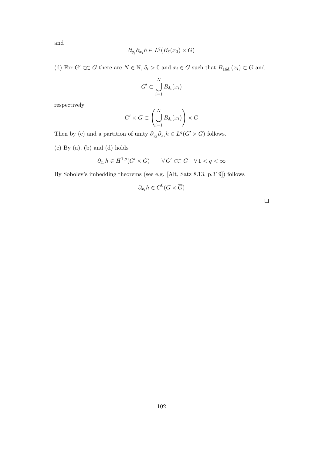and

$$
\partial_{y_j}\partial_{x_i}h \in L^q(B_\delta(x_0)\times G)
$$

(d) For  $G' \subset\subset G$  there are  $N \in \mathbb{N}$ ,  $\delta_i > 0$  and  $x_i \in G$  such that  $B_{16\delta_i}(x_i) \subset G$  and

$$
G' \subset \bigcup_{i=1}^N B_{\delta_i}(x_i)
$$

respectively

$$
G' \times G \subset \left(\bigcup_{i=1}^N B_{\delta_i}(x_i)\right) \times G
$$

Then by (c) and a partition of unity  $\partial_{y_j}\partial_{x_i}h \in L^q(G' \times G)$  follows.

(e) By (a), (b) and (d) holds

$$
\partial_{x_i}h\in H^{1,q}(G'\times G)\qquad\forall\,G'\subset\subset G\quad\forall\,1
$$

By Sobolev's imbedding theorems (see e.g. [Alt, Satz 8.13, p.319]) follows

$$
\partial_{x_i} h \in C^0(G \times \overline{G})
$$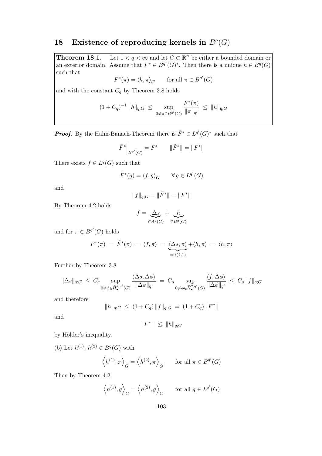## 18 Existence of reproducing kernels in  $B<sup>q</sup>(G)$

**Theorem 18.1.** Let  $1 < q < \infty$  and let  $G \subset \mathbb{R}^n$  be either a bounded domain or an exterior domain. Assume that  $F^* \in B^{q'}(G)^*$ . Then there is a unique  $h \in B^q(G)$ such that

 $F^*(\pi) = \langle h, \pi \rangle_G$  for all  $\pi \in B^{q'}(G)$ 

and with the constant  $C_q$  by Theorem 3.8 holds

$$
(1+C_q)^{-1} \|h\|_{q;G} \ \leq \ \sup_{0 \neq \pi \in B^{q'}(G)} \frac{F^*(\pi)}{\|\pi\|_{q'}} \ \leq \ \|h\|_{q;G}
$$

**Proof.** By the Hahn-Banach-Theorem there is  $\tilde{F}^* \in L^{q'}(G)^*$  such that

$$
\tilde{F}^*\Big|_{B^{q'}(G)} = F^* \qquad \|\tilde{F}^*\| = \|F^*\|
$$

There exists  $f \in L^q(G)$  such that

$$
\tilde{F}^*(g) = \langle f, g \rangle_G \qquad \forall \, g \in L^{q'}(G)
$$

and

$$
\|f\|_{q;G}=\|\tilde{F}^*\|=\|F^*\|
$$

By Theorem 4.2 holds

$$
f = \underbrace{\Delta s}_{\in A^q(G)} + \underbrace{h}_{\in B^q(G)}
$$

and for  $\pi \in B^{q'}(G)$  holds

$$
F^*(\pi) = \tilde{F}^*(\pi) = \langle f, \pi \rangle = \underbrace{\langle \Delta s, \pi \rangle}_{=0 \, (4.1)} + \langle h, \pi \rangle = \langle h, \pi \rangle
$$

Further by Theorem 3.8

$$
\|\Delta s\|_{q;G} \leq C_q \sup_{0 \neq \phi \in \widehat{H}_{\bullet}^{2,q'}(G)} \frac{\langle \Delta s, \Delta \phi \rangle}{\|\Delta \phi\|_{q'}} = C_q \sup_{0 \neq \phi \in \widehat{H}_{\bullet}^{2,q'}(G)} \frac{\langle f, \Delta \phi \rangle}{\|\Delta \phi\|_{q'}} \leq C_q \|f\|_{q;G}
$$

and therefore

$$
||h||_{q;G} \ \leq \ (1+C_q) \, ||f||_{q;G} \ = \ (1+C_q) \, ||F^*||
$$

and

$$
||F^*|| \le ||h||_{q;G}
$$

by Hölder's inequality.

(b) Let  $h^{(1)}$ ,  $h^{(2)} \in B^q(G)$  with

$$
\langle h^{(1)}, \pi \rangle_G = \langle h^{(2)}, \pi \rangle_G
$$
 for all  $\pi \in B^{q'}(G)$ 

Then by Theorem 4.2

$$
\langle h^{(1)}, g \rangle_G = \langle h^{(2)}, g \rangle_G
$$
 for all  $g \in L^{q'}(G)$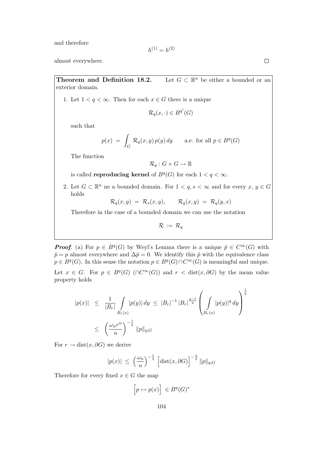and therefore

$$
h^{(1)} = h^{(2)}
$$

almost everywhere.

Theorem and Definition 18.2. Let  $G \subset \mathbb{R}^n$  be either a bounded or an exterior domain.

1. Let  $1 < q < \infty$ . Then for each  $x \in G$  there is a unique

$$
\mathcal{R}_q(x,\cdot) \in B^{q'}(G)
$$

such that

$$
p(x) = \int_G \mathcal{R}_q(x, y) p(y) dy \quad \text{a.e. for all } p \in B^q(G)
$$

The function

$$
\mathcal{R}_q: G \times G \to \mathbb{R}
$$

is called **reproducing kernel** of  $B<sup>q</sup>(G)$  for each  $1 < q < \infty$ .

2. Let  $G \subset \mathbb{R}^n$  ne a bounded domain. For  $1 \lt q, s \lt \infty$  and for every  $x, y \in G$ holds

$$
\mathcal{R}_q(x,y) = \mathcal{R}_s(x,y), \qquad \mathcal{R}_q(x,y) = \mathcal{R}_q(y,x)
$$

Therefore in the case of a bounded domain we can use the notation

$$
\mathcal{R}\,:=\,\mathcal{R}_q
$$

**Proof.** (a) For  $p \in B^q(G)$  by Weyl's Lemma there is a unique  $\tilde{p} \in C^{\infty}(G)$  with  $\tilde{p} = p$  almost everywhere and  $\Delta \tilde{p} = 0$ . We identify this  $\tilde{p}$  with the equivalence class  $p \in B<sup>q</sup>(G)$ . In this sense the notation  $p \in B<sup>q</sup>(G) \cap C^{\infty}(G)$  is meaningful and unique. Let  $x \in G$ . For  $p \in B^q(G)$  ( $\cap C^{\infty}(G)$ ) and  $r < \text{dist}(x, \partial G)$  by the mean value property holds

$$
|p(x)| \leq \frac{1}{|B_r|} \int_{B_r(x)} |p(y)| dy \leq |B_r|^{-1} |B_r|^{\frac{q-1}{q}} \left( \int_{B_r(x)} |p(y)|^q dy \right)^{\frac{1}{q}}
$$
  

$$
\leq \left( \frac{\omega_n r^n}{n} \right)^{-\frac{1}{q}} ||p||_{q;G}
$$

For  $r \to \text{dist}(x, \partial G)$  we derive

$$
|p(x)| \leq \left(\frac{\omega_n}{n}\right)^{-\frac{1}{q}} \left[ \text{dist}(x, \partial G) \right]^{-\frac{n}{q}} ||p||_{q;G}
$$

Therefore for every fixed  $x \in G$  the map

$$
\Big[p \mapsto p(x)\Big] \ \in B^q(G)^*
$$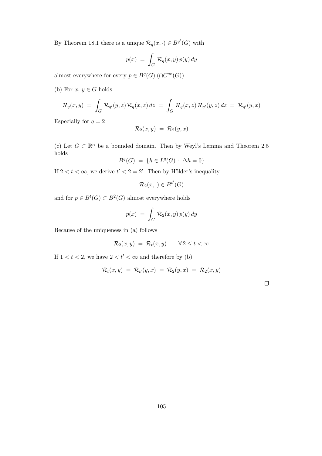By Theorem 18.1 there is a unique  $\mathcal{R}_q(x, \cdot) \in B^{q'}(G)$  with

$$
p(x) = \int_G \mathcal{R}_q(x, y) p(y) dy
$$

almost everywhere for every  $p \in B<sup>q</sup>(G)$  (∩ $C<sup>\infty</sup>(G)$ )

(b) For  $x, y \in G$  holds

$$
\mathcal{R}_q(x,y) = \int_G \mathcal{R}_{q'}(y,z) \mathcal{R}_q(x,z) dz = \int_G \mathcal{R}_q(x,z) \mathcal{R}_{q'}(y,z) dz = \mathcal{R}_{q'}(y,x)
$$

Especially for  $q = 2$ 

$$
\mathcal{R}_2(x,y) = \mathcal{R}_2(y,x)
$$

(c) Let  $G \subset \mathbb{R}^n$  be a bounded domain. Then by Weyl's Lemma and Theorem 2.5 holds

$$
B^{q}(G) = \{ h \in L^{q}(G) : \Delta h = 0 \}
$$

If  $2 < t < \infty$ , we derive  $t' < 2 = 2'$ . Then by Hölder's inequality

$$
\mathcal{R}_2(x,\cdot)\in B^{t'}(G)
$$

and for  $p \in B^t(G) \subset B^2(G)$  almost everywhere holds

$$
p(x) = \int_G \mathcal{R}_2(x, y) p(y) dy
$$

Because of the uniqueness in (a) follows

$$
\mathcal{R}_2(x,y) = \mathcal{R}_t(x,y) \qquad \forall \, 2 \le t < \infty
$$

If  $1 < t < 2$ , we have  $2 < t' < \infty$  and therefore by (b)

$$
\mathcal{R}_t(x,y) = \mathcal{R}_{t'}(y,x) = \mathcal{R}_2(y,x) = \mathcal{R}_2(x,y)
$$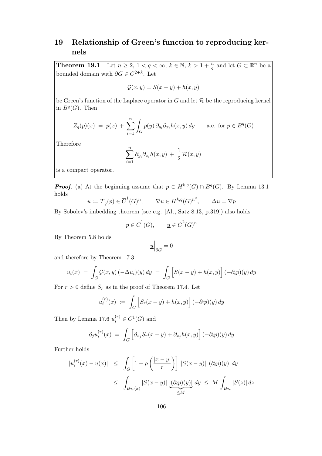## 19 Relationship of Green's function to reproducing kernels

**Theorem 19.1** Let  $n \geq 2$ ,  $1 < q < \infty$ ,  $k \in \mathbb{N}$ ,  $k > 1 + \frac{n}{q}$  and let  $G \subset \mathbb{R}^n$  be a bounded domain with  $\partial G \in C^{2+k}$ . Let

$$
\mathcal{G}(x,y) = S(x-y) + h(x,y)
$$

be Green's function of the Laplace operator in  $G$  and let  $\mathcal R$  be the reproducing kernel in  $B^q(G)$ . Then

$$
Z_q(p)(x) = p(x) + \sum_{i=1}^n \int_G p(y) \, \partial_{y_i} \partial_{x_i} h(x, y) \, dy \quad \text{a.e. for } p \in B^q(G)
$$

Therefore

$$
\sum_{i=1}^n \partial_{y_i} \partial_{x_i} h(x, y) + \frac{1}{2} \mathcal{R}(x, y)
$$

is a compact operator.

**Proof.** (a) At the beginning assume that  $p \in H^{k,q}(G) \cap B^q(G)$ . By Lemma 13.1 holds

$$
\underline{u} := \underline{T}_q(p) \in \overline{C}^1(G)^n, \qquad \nabla \underline{u} \in H^{k,q}(G)^{n^2}, \qquad \Delta \underline{u} = \nabla p
$$

By Sobolev's imbedding theorem (see e.g. [Alt, Satz 8.13, p.319]) also holds

$$
p \in \overline{C}^1(G), \qquad \underline{u} \in \overline{C}^2(G)^n
$$

By Theorem 5.8 holds

$$
\underline{u}\Big|_{\partial G}=0
$$

and therefore by Theorem 17.3

$$
u_i(x) = \int_G \mathcal{G}(x, y) \left( -\Delta u_i \right)(y) \, dy = \int_G \left[ S(x - y) + h(x, y) \right] \left( -\partial_i p \right)(y) \, dy
$$

For  $r > 0$  define  $S_r$  as in the proof of Theorem 17.4. Let

$$
u_i^{(r)}(x) := \int_G \left[ S_r(x-y) + h(x,y) \right] (-\partial_i p)(y) dy
$$

Then by Lemma 17.6  $u_i^{(r)} \in C^1(G)$  and

$$
\partial_j u_i^{(r)}(x) = \int_G \left[ \partial_{x_j} S_r(x - y) + \partial_{x_j} h(x, y) \right] (-\partial_i p)(y) dy
$$

Further holds

$$
|u_i^{(r)}(x) - u(x)| \le \int_G \left[1 - \rho\left(\frac{|x-y|}{r}\right)\right] |S(x-y)| |(\partial_i p)(y)| dy
$$
  

$$
\le \int_{B_{2r}(x)} |S(x-y)| \underbrace{|(\partial_i p)(y)|}_{\le M} dy \le M \int_{B_{2r}} |S(z)| dz
$$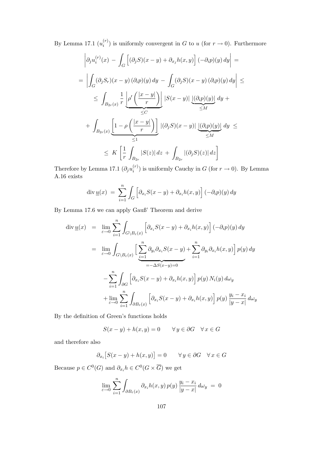By Lemma 17.1  $(u_i^{(r)}$  $i^{(r)}$ ) is uniformly convergent in G to u (for  $r \to 0$ ). Furthermore

$$
\begin{aligned}\n\left| \partial_j u_i^{(r)}(x) - \int_G \left[ (\partial_j S)(x - y) + \partial_{x_j} h(x, y) \right] (-\partial_i p)(y) \, dy \right| &= \\
&= \left| \int_G (\partial_j S_r)(x - y) (\partial_i p)(y) \, dy - \int_G (\partial_j S)(x - y) (\partial_i p)(y) \, dy \right| \le \\
&\le \int_{B_{2r}(x)} \frac{1}{r} \underbrace{\left| \rho' \left( \frac{|x - y|}{r} \right) \right|}_{\leq C} \left| S(x - y) \right| \underbrace{\left[ (\partial_i p)(y) \right]}_{\leq M} dy + \\
&+ \int_{B_{2r}(x)} \underbrace{\left[ 1 - \rho \left( \frac{|x - y|}{r} \right) \right]}_{\leq 1} \left| (\partial_j S)(x - y) \right| \underbrace{\left[ (\partial_i p)(y) \right]}_{\leq M} dy \le \\
&\le K \left[ \frac{1}{r} \int_{B_{2r}} |S(z)| \, dz + \int_{B_{2r}} |(\partial_j S)(z)| \, dz \right]\n\end{aligned}
$$

Therefore by Lemma 17.1  $(\partial_j u_i^{(r)})$  $i^{(r)}$ ) is uniformly Cauchy in G (for  $r \to 0$ ). By Lemma A.16 exists

$$
\operatorname{div} \underline{u}(x) = \sum_{i=1}^{n} \int_{G} \left[ \partial_{x_i} S(x - y) + \partial_{x_i} h(x, y) \right] (-\partial_i p)(y) dy
$$

By Lemma 17.6 we can apply Gauß' Theorem and derive

$$
\operatorname{div} \underline{u}(x) = \lim_{\varepsilon \to 0} \sum_{i=1}^{n} \int_{G \setminus B_{\varepsilon}(x)} \left[ \partial_{x_i} S(x - y) + \partial_{x_i} h(x, y) \right] (-\partial_i p)(y) dy
$$
  
\n
$$
= \lim_{\varepsilon \to 0} \int_{G \setminus B_{\varepsilon}(x)} \left[ \sum_{i=1}^{n} \partial_{y_i} \partial_{x_i} S(x - y) + \sum_{i=1}^{n} \partial_{y_i} \partial_{x_i} h(x, y) \right] p(y) dy
$$
  
\n
$$
- \sum_{i=1}^{n} \int_{\partial G} \left[ \partial_{x_i} S(x - y) + \partial_{x_i} h(x, y) \right] p(y) N_i(y) dy
$$
  
\n
$$
+ \lim_{\varepsilon \to 0} \sum_{i=1}^{n} \int_{\partial B_{\varepsilon}(x)} \left[ \partial_{x_i} S(x - y) + \partial_{x_i} h(x, y) \right] p(y) \frac{y_i - x_i}{|y - x|} dw_y
$$

By the definition of Green's functions holds

$$
S(x - y) + h(x, y) = 0 \qquad \forall y \in \partial G \quad \forall x \in G
$$

and therefore also

$$
\partial_{x_i}[S(x-y) + h(x,y)] = 0 \qquad \forall y \in \partial G \quad \forall x \in G
$$

Because  $p \in C^0(G)$  and  $\partial_{x_i} h \in C^0(G \times \overline{G})$  we get

$$
\lim_{\varepsilon \to 0} \sum_{i=1}^n \int_{\partial B_{\varepsilon}(x)} \partial_{x_i} h(x, y) p(y) \frac{y_i - x_i}{|y - x|} d\omega_y = 0
$$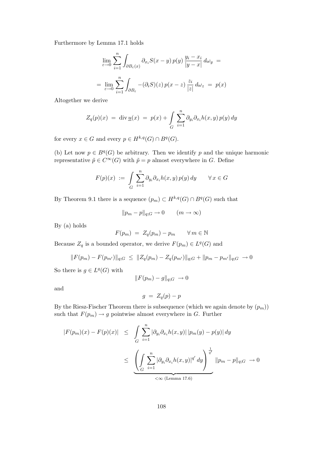Furthermore by Lemma 17.1 holds

$$
\lim_{\varepsilon \to 0} \sum_{i=1}^{n} \int_{\partial B_{\varepsilon}(x)} \partial_{x_i} S(x - y) p(y) \frac{y_i - x_i}{|y - x|} d\omega_y =
$$

$$
= \lim_{\varepsilon \to 0} \sum_{i=1}^{n} \int_{\partial B_{\varepsilon}} -(\partial_i S)(z) p(x - z) \frac{z_i}{|z|} d\omega_z = p(x)
$$

Altogether we derive

$$
Z_q(p)(x) = \operatorname{div} \underline{u}(x) = p(x) + \int_G \sum_{i=1}^n \partial_{y_i} \partial_{x_i} h(x, y) p(y) dy
$$

for every  $x \in G$  and every  $p \in H^{k,q}(G) \cap B^q(G)$ .

(b) Let now  $p \in B<sup>q</sup>(G)$  be arbitrary. Then we identify p and the unique harmonic representative  $\tilde{p} \in C^{\infty}(G)$  with  $\tilde{p} = p$  almost everywhere in G. Define

$$
F(p)(x) := \int_G \sum_{i=1}^n \partial_{y_i} \partial_{x_i} h(x, y) p(y) dy \qquad \forall x \in G
$$

By Theorem 9.1 there is a sequence  $(p_m) \subset H^{k,q}(G) \cap B^q(G)$  such that

$$
||p_m - p||_{q;G} \to 0 \qquad (m \to \infty)
$$

By (a) holds

$$
F(p_m) = Z_q(p_m) - p_m \qquad \forall m \in \mathbb{N}
$$

Because  $Z_q$  is a bounded operator, we derive  $F(p_m) \in L^q(G)$  and

$$
||F(p_m) - F(p_{m'})||_{q;G} \le ||Z_q(p_m) - Z_q(p_{m'})||_{q;G} + ||p_m - p_{m'}||_{q;G} \to 0
$$

So there is  $g \in L^q(G)$  with

$$
||F(p_m) - g||_{q;G} \rightarrow 0
$$

and

$$
g = Z_q(p) - p
$$

By the Riesz-Fischer Theorem there is subsequence (which we again denote by  $(p_m)$ ) such that  $F(p_m) \to g$  pointwise almost everywhere in G. Further

$$
|F(p_m)(x) - F(p)(x)| \leq \int_G \sum_{i=1}^n |\partial_{y_i} \partial_{x_i} h(x, y)| |p_m(y) - p(y)| dy
$$
  

$$
\leq \underbrace{\left(\int_G \sum_{i=1}^n |\partial_{y_i} \partial_{x_i} h(x, y)|^{q'} dy\right)^{\frac{1}{q'}}}_{\text{&(Lemma 17.6)}} ||p_m - p||_{q;G} \to 0
$$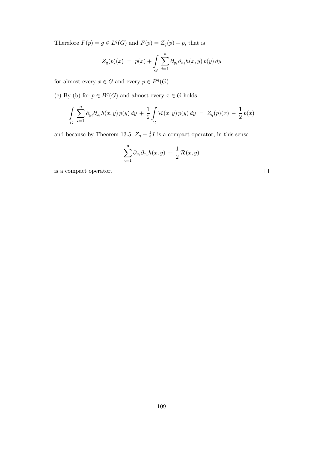Therefore  $F(p) = g \in L^q(G)$  and  $F(p) = Z_q(p) - p$ , that is

$$
Z_q(p)(x) = p(x) + \int_G \sum_{i=1}^n \partial_{y_i} \partial_{x_i} h(x, y) p(y) dy
$$

for almost every  $x \in G$  and every  $p \in B<sup>q</sup>(G)$ .

(c) By (b) for  $p \in B<sup>q</sup>(G)$  and almost every  $x \in G$  holds

$$
\int_{G} \sum_{i=1}^{n} \partial_{y_i} \partial_{x_i} h(x, y) p(y) dy + \frac{1}{2} \int_{G} \mathcal{R}(x, y) p(y) dy = Z_q(p)(x) - \frac{1}{2} p(x)
$$

and because by Theorem 13.5  $Z_q - \frac{1}{2}$  $\frac{1}{2}I$  is a compact operator, in this sense

$$
\sum_{i=1}^n \partial_{y_i} \partial_{x_i} h(x, y) + \frac{1}{2} \mathcal{R}(x, y)
$$

is a compact operator.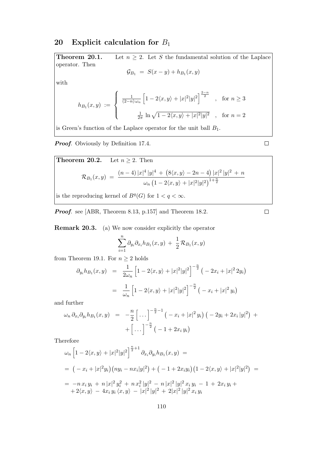#### 20 Explicit calculation for  $B_1$

**Theorem 20.1.** Let  $n \geq 2$ . Let S the fundamental solution of the Laplace operator. Then  $\mathcal{G}_{B_1} = S(x-y) + h_{B_1}(x, y)$ with  $h_{B_1}(x, y) :=$  $\sqrt{ }$  $\int$  $\overline{\mathcal{L}}$ 1  $(2-n)$   $ω_n$  $\left[1-2\langle x,y\rangle+|x|^2|y|^2\right]^{\frac{2-n}{2}}$ , for  $n\geq 3$ 1  $\frac{1}{2\pi} \ln \sqrt{1 - 2\langle x, y \rangle + |x|^2 |y|^2}$ , for  $n = 2$ 

is Green's function of the Laplace operator for the unit ball  $B_1$ .

Proof. Obviously by Definition 17.4.

**Theorem 20.2.** Let 
$$
n \ge 2
$$
. Then  
\n
$$
\mathcal{R}_{B_1}(x, y) = \frac{(n-4)|x|^4 |y|^4 + (8\langle x, y \rangle - 2n - 4) |x|^2 |y|^2 + n}{\omega_n (1 - 2\langle x, y \rangle + |x|^2 |y|^2)^{1 + \frac{n}{2}}}
$$

is the reproducing kernel of  $B<sup>q</sup>(G)$  for  $1 < q < \infty$ .

Proof. see [ABR, Theorem 8.13, p.157] and Theorem 18.2.

Remark 20.3. (a) We now consider explicitly the operator

$$
\sum_{i=1}^n \partial_{y_i} \partial_{x_i} h_{B_1}(x, y) + \frac{1}{2} \mathcal{R}_{B_1}(x, y)
$$

from Theorem 19.1. For  $n \geq 2$  holds

$$
\partial_{y_i} h_{B_1}(x, y) = \frac{1}{2\omega_n} \left[ 1 - 2\langle x, y \rangle + |x|^2 |y|^2 \right]^{-\frac{n}{2}} \left( -2x_i + |x|^2 2y_i \right)
$$

$$
= \frac{1}{\omega_n} \left[ 1 - 2\langle x, y \rangle + |x|^2 |y|^2 \right]^{-\frac{n}{2}} \left( -x_i + |x|^2 y_i \right)
$$

and further

$$
\omega_n \, \partial_{x_i} \partial_{y_i} h_{B_1}(x, y) = -\frac{n}{2} \left[ \dots \right]^{-\frac{n}{2}-1} \left( -x_i + |x|^2 y_i \right) \left( -2y_i + 2x_i |y|^2 \right) + \left[ \dots \right]^{-\frac{n}{2}} \left( -1 + 2x_i y_i \right)
$$

Therefore

$$
\omega_n \left[ 1 - 2\langle x, y \rangle + |x|^2 |y|^2 \right]^{\frac{n}{2}+1} \partial_{x_i} \partial_{y_i} h_{B_1}(x, y) =
$$
\n
$$
= \left( -x_i + |x|^2 y_i \right) \left( n y_i - n x_i |y|^2 \right) + \left( -1 + 2 x_i y_i \right) \left( 1 - 2\langle x, y \rangle + |x|^2 |y|^2 \right) =
$$
\n
$$
= -n x_i y_i + n |x|^2 y_i^2 + n x_i^2 |y|^2 - n |x|^2 |y|^2 x_i y_i - 1 + 2 x_i y_i +
$$
\n
$$
+ 2\langle x, y \rangle - 4 x_i y_i \langle x, y \rangle - |x|^2 |y|^2 + 2|x|^2 |y|^2 x_i y_i
$$

 $\Box$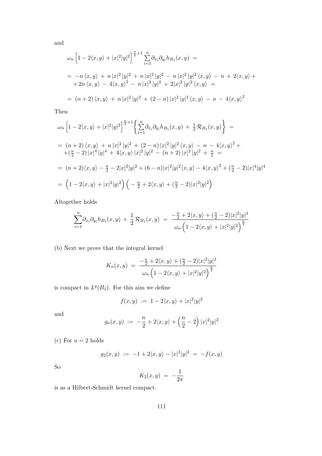and

$$
\omega_n \left[ 1 - 2\langle x, y \rangle + |x|^2 |y|^2 \right]^{\frac{n}{2}+1} \sum_{i=1}^n \partial_{x_i} \partial_{y_i} h_{B_1}(x, y) =
$$
\n
$$
= -n \langle x, y \rangle + n |x|^2 |y|^2 + n |x|^2 |y|^2 - n |x|^2 |y|^2 \langle x, y \rangle - n + 2\langle x, y \rangle +
$$
\n
$$
+ 2n \langle x, y \rangle - 4\langle x, y \rangle^2 - n |x|^2 |y|^2 + 2|x|^2 |y|^2 \langle x, y \rangle =
$$
\n
$$
= (n+2) \langle x, y \rangle + n |x|^2 |y|^2 + (2-n) |x|^2 |y|^2 \langle x, y \rangle - n - 4\langle x, y \rangle^2
$$

Then

$$
\omega_n \left[ 1 - 2\langle x, y \rangle + |x|^2 |y|^2 \right]^{\frac{n}{2}+1} \left\{ \sum_{i=1}^n \partial_{x_i} \partial_{y_i} h_{B_1}(x, y) + \frac{1}{2} \mathcal{R}_{B_1}(x, y) \right\} =
$$
  
\n
$$
= (n+2) \langle x, y \rangle + n |x|^2 |y|^2 + (2-n) |x|^2 |y|^2 \langle x, y \rangle - n - 4 \langle x, y \rangle^2 +
$$
  
\n
$$
+ (\frac{n}{2} - 2) |x|^4 |y|^4 + 4 \langle x, y \rangle |x|^2 |y|^2 - (n+2) |x|^2 |y|^2 + \frac{n}{2} =
$$
  
\n
$$
= (n+2) \langle x, y \rangle - \frac{n}{2} - 2|x|^2 |y|^2 + (6-n) |x|^2 |y|^2 \langle x, y \rangle - 4 \langle x, y \rangle^2 + (\frac{n}{2} - 2) |x|^4 |y|^4
$$
  
\n
$$
= \left( 1 - 2 \langle x, y \rangle + |x|^2 |y|^2 \right) \left( -\frac{n}{2} + 2 \langle x, y \rangle + (\frac{n}{2} - 2) |x|^2 |y|^2 \right)
$$

Altogether holds

$$
\sum_{i=1}^{n} \partial_{x_i} \partial_{y_i} h_{B_1}(x, y) + \frac{1}{2} \mathcal{R}_{B_1}(x, y) = \frac{-\frac{n}{2} + 2\langle x, y \rangle + (\frac{n}{2} - 2)|x|^2|y|^2}{\omega_n \left(1 - 2\langle x, y \rangle + |x|^2|y|^2\right)^{\frac{n}{2}}}
$$

(b) Next we prove that the integral kernel

$$
K_n(x,y) = \frac{-\frac{n}{2} + 2\langle x, y \rangle + (\frac{n}{2} - 2)|x|^2|y|^2}{\omega_n \left(1 - 2\langle x, y \rangle + |x|^2|y|^2\right)^{\frac{n}{2}}}
$$

is compact in  $L^q(B_1)$ . For this aim we define

$$
f(x,y) := 1 - 2\langle x, y \rangle + |x|^2 |y|^2
$$

and

$$
g_n(x,y) := -\frac{n}{2} + 2\langle x,y\rangle + \left(\frac{n}{2} - 2\right)|x|^2|y|^2
$$

(c) For  $n = 2$  holds

$$
g_2(x,y) := -1 + 2\langle x, y \rangle - |x|^2 |y|^2 = -f(x,y)
$$

So

$$
K_2(x,y) = -\frac{1}{2\pi}
$$

is as a Hilbert-Schmidt kernel compact.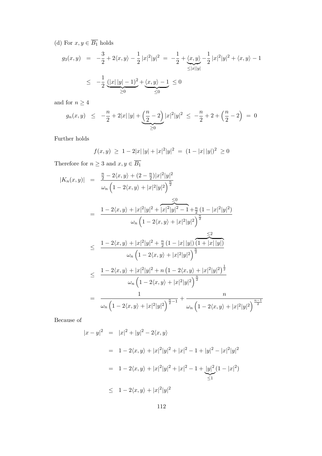(d) For  $x, y \in \overline{B_1}$  holds

$$
g_3(x, y) = -\frac{3}{2} + 2\langle x, y \rangle - \frac{1}{2} |x|^2 |y|^2 = -\frac{1}{2} + \underbrace{\langle x, y \rangle}_{\le |x||y|} - \frac{1}{2} |x|^2 |y|^2 + \langle x, y \rangle - 1
$$
  

$$
\leq -\frac{1}{2} \underbrace{(|x||y| - 1)^2}_{\ge 0} + \underbrace{\langle x, y \rangle - 1}_{\le 0} \leq 0
$$

and for  $n\geq 4$ 

$$
g_n(x,y) \leq -\frac{n}{2} + 2|x| |y| + \underbrace{\left(\frac{n}{2} - 2\right)}_{\geq 0} |x|^2 |y|^2 \leq -\frac{n}{2} + 2 + \left(\frac{n}{2} - 2\right) = 0
$$

Further holds

$$
f(x,y) \ge 1 - 2|x| |y| + |x|^2 |y|^2 = (1 - |x| |y|)^2 \ge 0
$$

Therefore for  $n\geq 3$  and  $x,y\in \overline{B_1}$ 

$$
|K_n(x,y)| = \frac{\frac{n}{2} - 2\langle x,y \rangle + (2 - \frac{n}{2})|x|^2|y|^2}{\omega_n \left(1 - 2\langle x,y \rangle + |x|^2|y|^2\right)^{\frac{n}{2}}}
$$
  
\n
$$
= \frac{1 - 2\langle x,y \rangle + |x|^2|y|^2 + |x|^2|y|^2 - 1 + \frac{n}{2}(1 - |x|^2|y|^2)}{\omega_n \left(1 - 2\langle x,y \rangle + |x|^2|y|^2\right)^{\frac{n}{2}}}
$$
  
\n
$$
\leq \frac{1 - 2\langle x,y \rangle + |x|^2|y|^2 + \frac{n}{2}(1 - |x||y|)\left(1 + |x||y|\right)}{\omega_n \left(1 - 2\langle x,y \rangle + |x|^2|y|^2\right)^{\frac{n}{2}}}
$$
  
\n
$$
\leq \frac{1 - 2\langle x,y \rangle + |x|^2|y|^2 + n\left(1 - 2\langle x,y \rangle + |x|^2|y|^2\right)^{\frac{n}{2}}}{\omega_n \left(1 - 2\langle x,y \rangle + |x|^2|y|^2\right)^{\frac{n}{2}}}
$$
  
\n
$$
= \frac{1}{\omega_n \left(1 - 2\langle x,y \rangle + |x|^2|y|^2\right)^{\frac{n}{2}-1}} + \frac{n}{\omega_n \left(1 - 2\langle x,y \rangle + |x|^2|y|^2\right)^{\frac{n-1}{2}}}
$$

Because of

$$
|x - y|^2 = |x|^2 + |y|^2 - 2\langle x, y \rangle
$$
  
= 1 - 2\langle x, y \rangle + |x|^2|y|^2 + |x|^2 - 1 + |y|^2 - |x|^2|y|^2  
= 1 - 2\langle x, y \rangle + |x|^2|y|^2 + |x|^2 - 1 + |y|^2(1 - |x|^2)  
\le 1 - 2\langle x, y \rangle + |x|^2|y|^2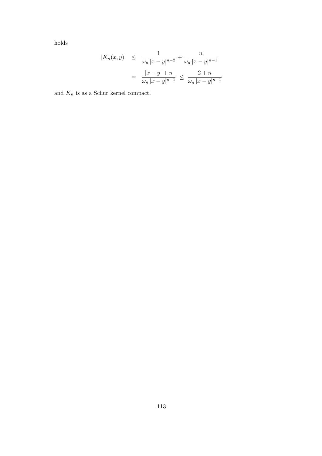holds

$$
|K_n(x, y)| \le \frac{1}{\omega_n |x - y|^{n-2}} + \frac{n}{\omega_n |x - y|^{n-1}}
$$
  
= 
$$
\frac{|x - y| + n}{\omega_n |x - y|^{n-1}} \le \frac{2 + n}{\omega_n |x - y|^{n-1}}
$$

and  $\mathcal{K}_n$  is as a Schur kernel compact.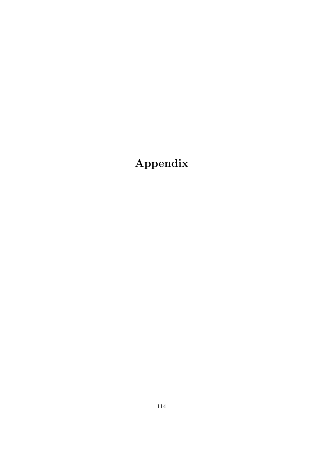# Appendix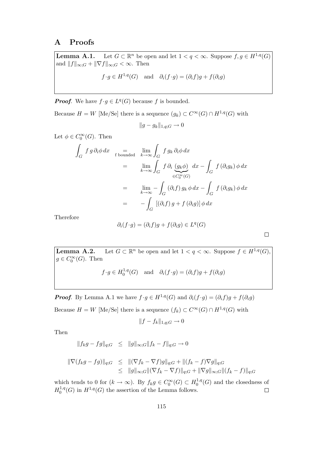## A Proofs

Lemma A.1. Let  $G \subset \mathbb{R}^n$  be open and let  $1 < q < \infty$ . Suppose  $f, g \in H^{1,q}(G)$ and  $||f||_{\infty;G} + ||\nabla f||_{\infty;G} < \infty$ . Then

$$
f \cdot g \in H^{1,q}(G)
$$
 and  $\partial_i(f \cdot g) = (\partial_i f)g + f(\partial_i g)$ 

**Proof.** We have  $f \cdot g \in L^q(G)$  because f is bounded.

Because  $H = W$  [Me/Se] there is a sequence  $(g_k) \subset C^{\infty}(G) \cap H^{1,q}(G)$  with

$$
||g - g_k||_{1,q;G} \to 0
$$

Let  $\phi \in C_0^{\infty}(G)$ . Then

$$
\int_{G} f g \partial_{i} \phi dx = \lim_{k \to \infty} \int_{G} f g_{k} \partial_{i} \phi dx
$$
\n
$$
= \lim_{k \to \infty} \int_{G} f \partial_{i} \underbrace{(g_{k} \phi)}_{\in C_{0}^{\infty}(G)} dx - \int_{G} f (\partial_{i} g_{k}) \phi dx
$$
\n
$$
= \lim_{k \to \infty} - \int_{G} (\partial_{i} f) g_{k} \phi dx - \int_{G} f (\partial_{i} g_{k}) \phi dx
$$
\n
$$
= - \int_{G} [(\partial_{i} f) g + f (\partial_{i} g)] \phi dx
$$

Therefore

$$
\partial_i(f \cdot g) = (\partial_i f)g + f(\partial_i g) \in L^q(G)
$$

 $\Box$ 

Lemma A.2. Let  $G \subset \mathbb{R}^n$  be open and let  $1 < q < \infty$ . Suppose  $f \in H^{1,q}(G)$ ,  $g \in C_0^{\infty}(G)$ . Then

$$
f \cdot g \in H_0^{1,q}(G)
$$
 and  $\partial_i(f \cdot g) = (\partial_i f)g + f(\partial_i g)$ 

**Proof.** By Lemma A.1 we have  $f \cdot g \in H^{1,q}(G)$  and  $\partial_i(f \cdot g) = (\partial_i f)g + f(\partial_i g)$ Because  $H = W$  [Me/Se] there is a sequence  $(f_k) \subset C^{\infty}(G) \cap H^{1,q}(G)$  with

$$
||f - f_k||_{1,q;G} \to 0
$$

Then

$$
||f_k g - fg||_{q;G} \le ||g||_{\infty;G} ||f_k - f||_{q;G} \to 0
$$

$$
\|\nabla(f_kg - fg)\|_{q;G} \leq \|(\nabla f_k - \nabla f)g\|_{q;G} + \|(f_k - f)\nabla g\|_{q;G} \leq \|g\|_{\infty;G} \|(\nabla f_k - \nabla f)\|_{q;G} + \|\nabla g\|_{\infty;G} \|f_k - f\|_{q;G}
$$

which tends to 0 for  $(k \to \infty)$ . By  $f_k g \in C_0^{\infty}(G) \subset H_0^{1,q}$  $\binom{1,q}{0}(G)$  and the closedness of  $H_0^{1,q}$  $0^{1,q}(G)$  in  $H^{1,q}(G)$  the assertion of the Lemma follows.  $\Box$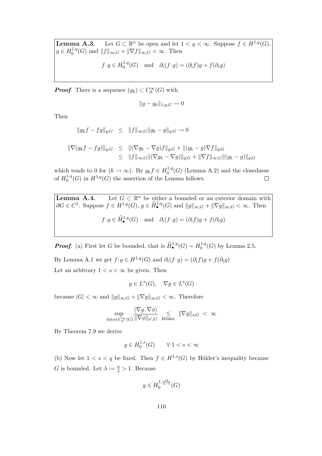**Lemma A.3.** Let  $G \subset \mathbb{R}^n$  be open and let  $1 < q < \infty$ . Suppose  $f \in H^{1,q}(G)$ ,  $g \in H_0^{1,q}$  $\int_0^{1,q}(G)$  and  $||f||_{\infty;G} + ||\nabla f||_{\infty;G} < \infty$ . Then  $f \cdot g \in H_0^{1,q}$  $\partial_0^{-1,q}(G)$  and  $\partial_i(f \cdot g) = (\partial_i f)g + f(\partial_i g)$ 

**Proof.** There is a sequence  $(g_k) \subset C_0^{\infty}(G)$  with

$$
||g - g_k||_{1,q;G} \to 0
$$

Then

$$
||g_k f - f g||_{q;G} \le ||f||_{\infty;G} ||g_k - g||_{q;G} \to 0
$$

$$
\|\nabla (g_k f - f g)\|_{q;G} \leq \|(\nabla g_k - \nabla g)f\|_{q;G} + \|(g_k - g)\nabla f\|_{q;G} \leq \|f\|_{\infty;G} \|(\nabla g_k - \nabla g)\|_{q;G} + \|\nabla f\|_{\infty;G} \|(g_k - g)\|_{q;G}
$$

which tends to 0 for  $(k \to \infty)$ . By  $g_k f \in H_0^{1,q}$  $0^{1,q}(G)$  (Lemma A.2) and the closedness of  $H_0^{1,q}$  $0^{1,q}(G)$  in  $H^{1,q}(G)$  the assertion of the Lemma follows.  $\Box$ 

**Lemma A.4.** Let  $G \subset \mathbb{R}$ Let  $G \subset \mathbb{R}^n$  be either a bounded or an exterior domain with  $\partial G \in C^1$ . Suppose  $f \in H^{1,q}(G)$ ,  $g \in \widehat{H}_{\bullet}^{1,q}(G)$  and  $||g||_{\infty;G} + ||\nabla g||_{\infty;G} < \infty$ . Then  $f \cdot g \in \widehat{H}_{\bullet}^{1,q}(G)$  and  $\partial_i(f \cdot g) = (\partial_i f)g + f(\partial_i g)$ 

**Proof.** (a) First let G be bounded, that is  $\widehat{H}_{\bullet}^{1,q}(G) = H_0^{1,q}$  $_{0}^{1,q}(G)$  by Lemma 2.5.

By Lemma A.1 we get  $f \cdot g \in H^{1,q}(G)$  and  $\partial_i(f \cdot g) = (\partial_i f)g + f(\partial_i g)$ Let an arbitrary  $1 < s < \infty$  be given. Then

$$
g \in L^s(G), \quad \nabla g \in L^s(G)
$$

because  $|G| < \infty$  and  $||g||_{\infty;G} + ||\nabla g||_{\infty;G} < \infty$ . Therefore

$$
\sup_{0 \neq \phi \in C_0^{\infty}(G)} \frac{\langle \nabla g, \nabla \phi \rangle}{\|\nabla \phi\|_{s';G}} \leq \leq \|\nabla g\|_{s;G} < \infty
$$

By Theorem 7.9 we derive

$$
g \in H_0^{1,s}(G) \qquad \forall \ 1 < s < \infty
$$

(b) Now let  $1 < s < q$  be fixed. Then  $f \in H^{1,s}(G)$  by Hölder's inequality because G is bounded. Let  $\lambda := \frac{q}{s} > 1$ . Because

$$
g\in H_0^{1,\frac{s\lambda}{\lambda-1}}(G)
$$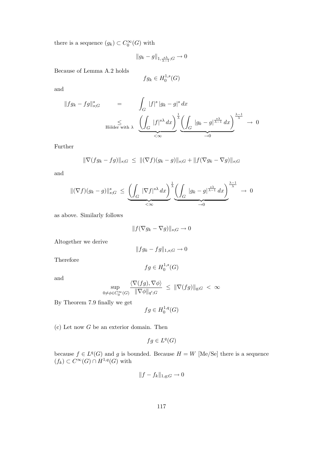there is a sequence  $(g_k) \subset C_0^{\infty}(G)$  with

$$
||g_k - g||_{1, \frac{s\lambda}{\lambda - 1}; G} \to 0
$$

Because of Lemma A.2 holds

$$
fg_k \in H_0^{1,s}(G)
$$

and

$$
||fg_k - fg||_{s;G}^s = \int_G |f|^s |g_k - g|^s dx
$$
  
 
$$
\leq \int_G |f|^s |g_k - g|^s dx \frac{\left(\int_G |f|^{s\lambda} dx\right)^{\frac{1}{\lambda}} \left(\int_G |g_k - g|^{\frac{s\lambda}{\lambda - 1}} dx\right)^{\frac{\lambda - 1}{\lambda}}}{\left(\int_G |g_k - g|^{\frac{s\lambda}{\lambda - 1}} dx\right)^{\frac{\lambda - 1}{\lambda}}} \to 0
$$

Further

$$
\|\nabla (fg_k - fg)\|_{s;G} \le \|(\nabla f)(g_k - g)\|_{s;G} + \|f(\nabla g_k - \nabla g)\|_{s;G}
$$

and

$$
\|(\nabla f)(g_k - g)\|_{s;G}^s \le \underbrace{\left(\int_G |\nabla f|^{s\lambda} dx\right)^{\frac{1}{\lambda}} \left(\int_G |g_k - g|^{\frac{s\lambda}{\lambda - 1}} dx\right)^{\frac{\lambda - 1}{\lambda}}}_{\prec \infty} \to 0
$$

as above. Similarly follows

$$
\|f(\nabla g_k-\nabla g)\|_{s;G}\to 0
$$

Altogether we derive

$$
||fg_k - fg||_{1,s;G} \to 0
$$

Therefore

$$
fg\in H_0^{1,s}(G)
$$

$$
\quad\text{and}\quad
$$

$$
\sup_{0 \neq \phi \in C_0^{\infty}(G)} \frac{\langle \nabla(fg), \nabla \phi \rangle}{\|\nabla \phi\|_{q';G}} \ \leq \ \|\nabla(fg)\|_{q;G} \ < \ \infty
$$

By Theorem 7.9 finally we get

$$
fg\in H_0^{1,q}(G)
$$

(c) Let now G be an exterior domain. Then

$$
fg \in L^q(G)
$$

because  $f \in L^q(G)$  and g is bounded. Because  $H = W$  [Me/Se] there is a sequence  $(f_k) \subset C^{\infty}(G) \cap H^{1,q}(G)$  with

$$
||f - f_k||_{1,q;G} \to 0
$$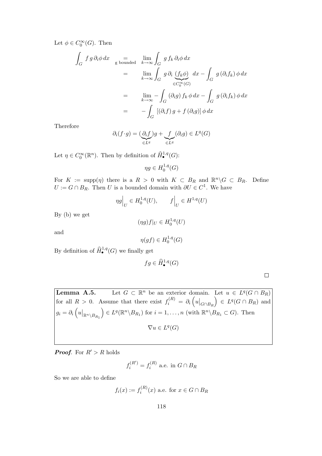Let  $\phi \in C_0^{\infty}(G)$ . Then

$$
\int_{G} f g \partial_{i} \phi dx = \lim_{k \to \infty} \int_{G} g f_{k} \partial_{i} \phi dx
$$
\n
$$
= \lim_{k \to \infty} \int_{G} g \partial_{i} \underbrace{(f_{k} \phi)}_{\in C_{0}^{\infty}(G)} dx - \int_{G} g (\partial_{i} f_{k}) \phi dx
$$
\n
$$
= \lim_{k \to \infty} - \int_{G} (\partial_{i} g) f_{k} \phi dx - \int_{G} g (\partial_{i} f_{k}) \phi dx
$$
\n
$$
= - \int_{G} [(\partial_{i} f) g + f (\partial_{i} g)] \phi dx
$$

Therefore

$$
\partial_i(f \cdot g) = \underbrace{(\partial_i f)}_{\in L^q} g + \underbrace{f}_{\in L^q} (\partial_i g) \in L^q(G)
$$

Let  $\eta \in C_0^{\infty}(\mathbb{R}^n)$ . Then by definition of  $\widehat{H}_{\bullet}^{1,q}(G)$ :

$$
\eta g \in H_0^{1,q}(G)
$$

For  $K := \text{supp}(\eta)$  there is a  $R > 0$  with  $K \subset B_R$  and  $\mathbb{R}^n \backslash G \subset B_R$ . Define  $U := G \cap B_R$ . Then U is a bounded domain with  $\partial U \in C^1$ . We have

$$
\eta g\Big|_U \in H_0^{1,q}(U), \qquad f\Big|_U \in H^{1,q}(U)
$$

By (b) we get

$$
(\eta g)f|_{U} \in H_0^{1,q}(U)
$$

and

$$
\eta(gf) \in H_0^{1,q}(G)
$$

By definition of  $\widehat{H}^{1,q}_{\bullet}(G)$  we finally get

$$
fg\in \widehat{H}^{1,q}_{\bullet}(G)
$$

 $\Box$ 

Lemma A.5. <sup>n</sup> be an exterior domain. Let  $u \in L^q(G \cap B_R)$ for all  $R > 0$ . Assume that there exist  $f_i^{(R)} = \partial_i \left( u \big|_{G \cap B_R} \right)$  $\Big) \in L^q(G \cap B_R)$  and  $g_i = \partial_i \left(u\big|_{\mathbb{R}^n \setminus B_{R_1}}\right)$  $\Big) \in L^q(\mathbb{R}^n \setminus B_{R_1})$  for  $i = 1, \ldots, n$  (with  $\mathbb{R}^n \setminus B_{R_1} \subset G$ ). Then  $\nabla u \in L^q(G)$ 

**Proof.** For  $R' > R$  holds

$$
f_i^{(R')} = f_i^{(R)} \text{ a.e. in } G \cap B_R
$$

So we are able to define

$$
f_i(x) := f_i^{(R)}(x)
$$
 a.e. for  $x \in G \cap B_R$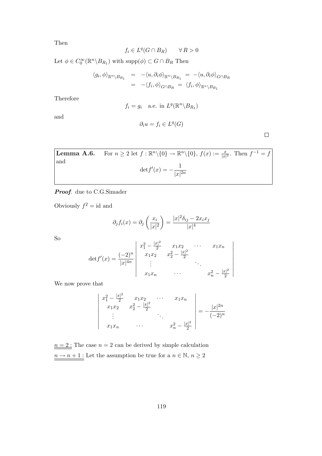Then

$$
f_i \in L^q(G \cap B_R) \qquad \forall R > 0
$$

Let  $\phi \in C_0^{\infty}(\mathbb{R}^n \backslash B_{R_1})$  with  $\text{supp}(\phi) \subset G \cap B_R$  Then

$$
\langle g_i, \phi \rangle_{\mathbb{R}^n \setminus B_{R_1}} = -\langle u, \partial_i \phi \rangle_{\mathbb{R}^n \setminus B_{R_1}} = -\langle u, \partial_i \phi \rangle_{G \cap B_R}
$$
  
=  $-\langle f_i, \phi \rangle_{G \cap B_R} = \langle f_i, \phi \rangle_{\mathbb{R}^n \setminus B_{R_1}}$ 

Therefore

$$
f_i = g_i
$$
 a.e. in  $L^q(\mathbb{R}^n \setminus B_{R_1})$ 

and

$$
\partial_i u = f_i \in L^q(G)
$$

 $\Box$ 

**Lemma A.6.** For 
$$
n \geq 2
$$
 let  $f : \mathbb{R}^n \setminus \{0\} \to \mathbb{R}^n \setminus \{0\}, f(x) := \frac{x}{|x|^2}$ . Then  $f^{-1} = f$  and  $\det f'(x) = -\frac{1}{|x|^{2n}}$ 

Proof. due to C.G.Simader

Obviously  $f^2 = id$  and

$$
\partial_j f_i(x) = \partial_j \left( \frac{x_i}{|x|^2} \right) = \frac{|x|^2 \delta_{ij} - 2x_i x_j}{|x|^4}
$$

So

 $\overline{\phantom{a}}$ 

$$
\det f'(x) = \frac{(-2)^n}{|x|^{4n}} \begin{vmatrix} x_1^2 - \frac{|x|^2}{2} & x_1x_2 & \cdots & x_1x_n \\ x_1x_2 & x_2^2 - \frac{|x|^2}{2} & \cdots & x_1x_n \\ \vdots & \vdots & \ddots & \vdots \\ x_1x_n & \cdots & x_n^2 - \frac{|x|^2}{2} \end{vmatrix}
$$

We now prove that

$$
\begin{vmatrix} x_1^2 - \frac{|x|^2}{2} & x_1x_2 & \cdots & x_1x_n \\ x_1x_2 & x_2^2 - \frac{|x|^2}{2} & \cdots & x_1x_n \\ \vdots & \ddots & \ddots & \vdots \\ x_1x_n & \cdots & x_n^2 - \frac{|x|^2}{2} \end{vmatrix} = -\frac{|x|^{2n}}{(-2)^n}
$$

 $n = 2$ : The case  $n = 2$  can be derived by simple calculation  $\underline{n\rightarrow n+1}$  .<br>Let the assumption be true for a  $n\in\mathbb{N},\,n\geq 2$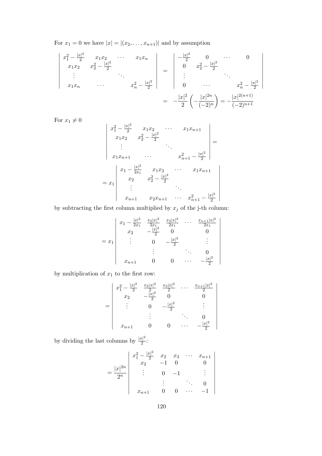For  $x_1 = 0$  we have  $|x| = |(x_2, \ldots, x_{n+1})|$  and by assumption

$$
\begin{vmatrix}\nx_1^2 - \frac{|x|^2}{2} & x_1x_2 & \cdots & x_1x_n \\
x_1x_2 & x_2^2 - \frac{|x|^2}{2} & & \\
\vdots & \ddots & \ddots & \vdots \\
x_1x_n & \cdots & x_n^2 - \frac{|x|^2}{2}\n\end{vmatrix} = \begin{vmatrix}\n-\frac{|x|^2}{2} & 0 & \cdots & 0 \\
0 & x_2^2 - \frac{|x|^2}{2} & & \\
\vdots & \ddots & \ddots & \vdots \\
0 & \cdots & x_n^2 - \frac{|x|^2}{2}\n\end{vmatrix}
$$
\n
$$
= -\frac{|x|^2}{2} \left(-\frac{|x|^{2n}}{(-2)^n}\right) = -\frac{|x|^{2(n+1)}}{(-2)^{n+1}}
$$

For  $x_1 \neq 0$ 

$$
\begin{vmatrix} x_1^2 - \frac{|x|^2}{2} & x_1x_2 & \cdots & x_1x_{n+1} \\ x_1x_2 & x_2^2 - \frac{|x|^2}{2} & & \\ \vdots & & \ddots & \\ x_1x_{n+1} & \cdots & x_{n+1}^2 - \frac{|x|^2}{2} \\ x_1 - \frac{|x|^2}{2x_1} & x_1x_2 & \cdots & x_1x_{n+1} \\ x_2 & x_2^2 - \frac{|x|^2}{2} & & \\ \vdots & & \ddots & \\ x_{n+1} & x_2x_{n+1} & \cdots & x_{n+1}^2 - \frac{|x|^2}{2} \end{vmatrix} =
$$

by subtracting the first column multiplied by  $\boldsymbol{x}_j$  of the j-th column:

$$
= x_1 \begin{vmatrix} x_1 - \frac{|x|^2}{2x_1} & \frac{x_2|x|^2}{2x_1} & \frac{x_3|x|^2}{2x_1} & \cdots & \frac{x_{n+1}|x|^2}{2x_1} \\ x_2 & -\frac{|x|^2}{2} & 0 & 0 \\ \vdots & 0 & -\frac{|x|^2}{2} & \vdots \\ x_{n+1} & 0 & 0 & \cdots & -\frac{|x|^2}{2} \end{vmatrix}
$$

 $\overline{\phantom{a}}$  $\overline{\phantom{a}}$  $\overline{\phantom{a}}$  $\overline{\phantom{a}}$  $\overline{\phantom{a}}$  $\overline{\phantom{a}}$  $\overline{\phantom{a}}$  $\overline{\phantom{a}}$  $\overline{\phantom{a}}$  $\overline{\phantom{a}}$  $\overline{\phantom{a}}$  $\overline{\phantom{a}}$  $\overline{\phantom{a}}$ 

 $\overline{\phantom{a}}$  $\overline{\phantom{a}}$  $\overline{\phantom{a}}$  $\overline{\phantom{a}}$  $\overline{\phantom{a}}$  $\overline{\phantom{a}}$  $\overline{\phantom{a}}$  $\overline{\phantom{a}}$  $\overline{\phantom{a}}$  $\overline{\phantom{a}}$  $\overline{\phantom{a}}$  $\vert$ 

by multiplication of  $\boldsymbol{x}_1$  to the first row:

$$
= \begin{vmatrix} x_1^2 - \frac{|x|^2}{2} & \frac{x_2|x|^2}{2} & \frac{x_3|x|^2}{2} & \cdots & \frac{x_{n+1}|x|^2}{2} \\ x_2 & -\frac{|x|^2}{2} & 0 & 0 \\ \vdots & 0 & -\frac{|x|^2}{2} & \vdots \\ x_{n+1} & 0 & 0 & \cdots & -\frac{|x|^2}{2} \end{vmatrix}
$$

by dividing the last columns by  $\frac{|x|^2}{2}$  $rac{v_1}{2}$ :

$$
= \frac{|x|^{2n}}{2^n} \begin{vmatrix} x_1^2 - \frac{|x|^2}{2} & x_2 & x_3 & \cdots & x_{n+1} \\ x_2 & -1 & 0 & 0 \\ \vdots & 0 & -1 & \vdots \\ x_{n+1} & 0 & 0 & \cdots & -1 \end{vmatrix}
$$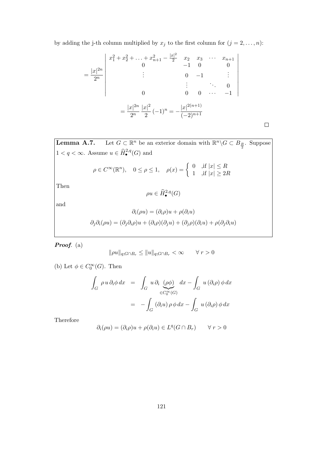by adding the j-th column multiplied by  $x_j$  to the first column for  $(j = 2, \ldots, n)$ :

$$
= \frac{|x|^{2n}}{2^n} \begin{vmatrix} x_1^2 + x_2^2 + \dots + x_{n+1}^2 - \frac{|x|^2}{2} & x_2 & x_3 & \cdots & x_{n+1} \\ 0 & 0 & -1 & 0 & 0 \\ \vdots & \vdots & \ddots & 0 & \vdots \\ 0 & 0 & 0 & \cdots & -1 \end{vmatrix}
$$

$$
= \frac{|x|^{2n}}{2^n} \frac{|x|^2}{2} (-1)^n = -\frac{|x|^{2(n+1)}}{(-2)^{n+1}}
$$

 $\Box$ 

**Lemma A.7.** Let  $G \subset \mathbb{R}^n$  be an exterior domain with  $\mathbb{R}^n \backslash G \subset B_{\frac{R}{2}}$ . Suppose  $1 < q < \infty$ . Assume  $u \in \widehat{H}^{2,q}_{\bullet}(G)$  and

$$
\rho \in C^{\infty}(\mathbb{R}^n), \quad 0 \le \rho \le 1, \quad \rho(x) = \begin{cases} 0 & \text{, if } |x| \le R \\ 1 & \text{, if } |x| \ge 2R \end{cases}
$$

Then

$$
\rho u \in \widehat{H}^{2,q}_{\bullet}(G)
$$

and

$$
\partial_i(\rho u) = (\partial_i \rho)u + \rho(\partial_i u)
$$

$$
\partial_j \partial_i(\rho u) = (\partial_j \partial_i \rho)u + (\partial_i \rho)(\partial_j u) + (\partial_j \rho)(\partial_i u) + \rho(\partial_j \partial_i u)
$$

Proof. (a)

$$
\|\rho u\|_{q;G\cap B_r}\leq \|u\|_{q;G\cap B_r}<\infty \qquad \forall \; r>0
$$

(b) Let  $\phi \in C_0^{\infty}(G)$ . Then

$$
\int_{G} \rho u \, \partial_{i} \phi \, dx = \int_{G} u \, \partial_{i} \underbrace{(\rho \phi)}_{\in C_{0}^{\infty}(G)} dx - \int_{G} u \, (\partial_{i} \rho) \phi \, dx
$$
\n
$$
= - \int_{G} (\partial_{i} u) \rho \phi \, dx - \int_{G} u \, (\partial_{i} \rho) \phi \, dx
$$

Therefore

$$
\partial_i(\rho u) = (\partial_i \rho)u + \rho(\partial_i u) \in L^q(G \cap B_r) \qquad \forall r > 0
$$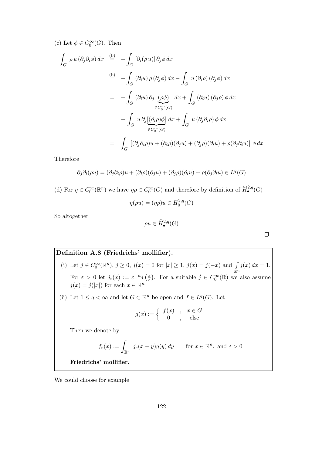(c) Let  $\phi \in C_0^{\infty}(G)$ . Then

$$
\int_{G} \rho u(\partial_{j}\partial_{i}\phi) dx \stackrel{\text{(b)}}{=} -\int_{G} [\partial_{i}(\rho u)] \partial_{j}\phi dx
$$
\n
$$
\stackrel{\text{(b)}}{=} -\int_{G} (\partial_{i}u) \rho (\partial_{j}\phi) dx - \int_{G} u(\partial_{i}\rho) (\partial_{j}\phi) dx
$$
\n
$$
= -\int_{G} (\partial_{i}u) \partial_{j} \underbrace{(\rho \phi)}_{\in C_{0}^{\infty}(G)} dx + \int_{G} (\partial_{i}u) (\partial_{j}\rho) \phi dx
$$
\n
$$
- \int_{G} u \partial_{j} \underbrace{[(\partial_{i}\rho)\phi]}_{\in C_{0}^{\infty}(G)} dx + \int_{G} u(\partial_{j}\partial_{i}\rho) \phi dx
$$
\n
$$
= \int_{G} [(\partial_{j}\partial_{i}\rho)u + (\partial_{i}\rho)(\partial_{j}u) + (\partial_{j}\rho)(\partial_{i}u) + \rho(\partial_{j}\partial_{i}u)] \phi dx
$$

Therefore

$$
\partial_j \partial_i(\rho u) = (\partial_j \partial_i \rho)u + (\partial_i \rho)(\partial_j u) + (\partial_j \rho)(\partial_i u) + \rho(\partial_j \partial_i u) \in L^q(G)
$$

(d) For  $\eta \in C_0^{\infty}(\mathbb{R}^n)$  we have  $\eta \rho \in C_0^{\infty}(G)$  and therefore by definition of  $\widehat{H}^{2,q}_{\bullet}(G)$ 

$$
\eta(\rho u) = (\eta \rho)u \in H_0^{2,q}(G)
$$

So altogether

$$
\rho u \in \widehat{H}^{2,q}_{\bullet}(G)
$$

 $\Box$ 

**Definition A.8 (Friedrichs' mollifier).**  
\n(i) Let 
$$
j \in C_0^{\infty}(\mathbb{R}^n)
$$
,  $j \ge 0$ ,  $j(x) = 0$  for  $|x| \ge 1$ ,  $j(x) = j(-x)$  and  $\int_{\mathbb{R}^n} j(x) dx = 1$ .  
\nFor  $\varepsilon > 0$  let  $j_{\varepsilon}(x) := \varepsilon^{-n} j\left(\frac{x}{\varepsilon}\right)$ . For a suitable  $\tilde{j} \in C_0^{\infty}(\mathbb{R})$  we also assume  $j(x) = \tilde{j}(|x|)$  for each  $x \in \mathbb{R}^n$   
\n(ii) Let  $1 \le q < \infty$  and let  $G \subset \mathbb{R}^n$  be open and  $f \in L^q(G)$ . Let

$$
g(x) := \begin{cases} f(x) & , x \in G \\ 0 & , \text{else} \end{cases}
$$

Then we denote by

$$
f_{\varepsilon}(x) := \int_{\mathbb{R}^n} j_{\varepsilon}(x - y) g(y) \, dy \quad \text{for } x \in \mathbb{R}^n, \text{ and } \varepsilon > 0
$$

Friedrichs' mollifier.

We could choose for example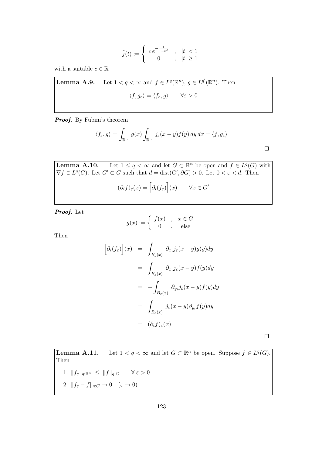$$
\tilde{j}(t) := \begin{cases}\n c e^{-\frac{1}{1-t^2}} & , & |t| < 1 \\
 0 & , & |t| \ge 1\n\end{cases}
$$

with a suitable  $c \in \mathbb{R}$ 

**Lemma A.9.** Let  $1 < q < \infty$  and  $f \in L^q(\mathbb{R}^n)$ ,  $g \in L^{q'}(\mathbb{R}^n)$ . Then  $\langle f, g_{\varepsilon} \rangle = \langle f_{\varepsilon}, g \rangle \qquad \forall \varepsilon > 0$ 

Proof. By Fubini's theorem

$$
\langle f_{\varepsilon}, g \rangle = \int_{\mathbb{R}^n} g(x) \int_{\mathbb{R}^n} j_{\varepsilon}(x - y) f(y) dy dx = \langle f, g_{\varepsilon} \rangle
$$

**Lemma A.10.** Let  $1 \leq q < \infty$  and let  $G \subset \mathbb{R}^n$  be open and  $f \in L^q(G)$  with  $\nabla f \in L^q(G)$ . Let  $G' \subset G$  such that  $d = \text{dist}(G', \partial G) > 0$ . Let  $0 < \varepsilon < d$ . Then

$$
(\partial_i f)_{\varepsilon}(x) = \left[\partial_i (f_{\varepsilon})\right](x) \qquad \forall x \in G'
$$

Proof. Let

$$
g(x) := \begin{cases} f(x) & , x \in G \\ 0 & , \text{else} \end{cases}
$$

Then

$$
\begin{aligned}\n\left[\partial_i(f_{\varepsilon})\right](x) &= \int_{B_{\varepsilon}(x)} \partial_{x_i} j_{\varepsilon}(x-y) g(y) dy \\
&= \int_{B_{\varepsilon}(x)} \partial_{x_i} j_{\varepsilon}(x-y) f(y) dy \\
&= -\int_{B_{\varepsilon}(x)} \partial_{y_i} j_{\varepsilon}(x-y) f(y) dy \\
&= \int_{B_{\varepsilon}(x)} j_{\varepsilon}(x-y) \partial_{y_i} f(y) dy \\
&= (\partial_i f)_{\varepsilon}(x)\n\end{aligned}
$$

 $\Box$ 

 $\Box$ 

**Lemma A.11.** Let  $1 < q < \infty$  and let  $G \subset \mathbb{R}^n$  be open. Suppose  $f \in L^q(G)$ . Then

1. 
$$
||f_{\varepsilon}||_{q;\mathbb{R}^n} \le ||f||_{q;G} \quad \forall \varepsilon > 0
$$
  
2.  $||f_{\varepsilon} - f||_{q;G} \to 0 \quad (\varepsilon \to 0)$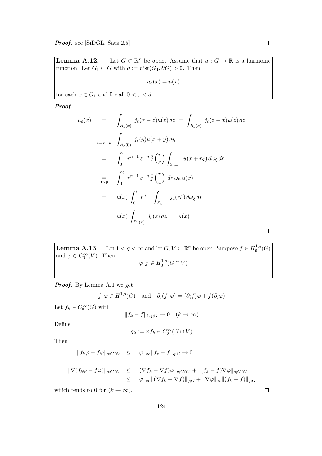$\Box$ 

Lemma  $A.12$ . Let  $G \subset \mathbb{R}^n$  be open. Assume that  $u : G \to \mathbb{R}$  is a harmonic function. Let  $G_1 \subset G$  with  $d := dist(G_1, \partial G) > 0$ . Then

 $u_{\varepsilon}(x) = u(x)$ 

for each  $x\in G_1$  and for all  $0<\varepsilon < d$ 

Proof.

$$
u_{\varepsilon}(x) = \int_{B_{\varepsilon}(x)} j_{\varepsilon}(x - z)u(z) dz = \int_{B_{\varepsilon}(x)} j_{\varepsilon}(z - x)u(z) dz
$$
  
\n
$$
= \int_{B_{\varepsilon}(0)} j_{\varepsilon}(y)u(x + y) dy
$$
  
\n
$$
= \int_{0}^{\varepsilon} r^{n-1} \varepsilon^{-n} \tilde{j}(\frac{r}{\varepsilon}) \int_{S_{n-1}} u(x + r\xi) d\omega_{\xi} dr
$$
  
\n
$$
= \int_{0}^{\varepsilon} r^{n-1} \varepsilon^{-n} \tilde{j}(\frac{r}{\varepsilon}) dr \omega_{n} u(x)
$$
  
\n
$$
= u(x) \int_{0}^{\varepsilon} r^{n-1} \int_{S_{n-1}} j_{\varepsilon}(r\xi) d\omega_{\xi} dr
$$
  
\n
$$
= u(x) \int_{B_{\varepsilon}(x)} j_{\varepsilon}(z) dz = u(x)
$$

**Lemma A.13.** Let  $1 < q < \infty$  and let  $G, V \subset \mathbb{R}^n$  be open. Suppose  $f \in H_0^{1,q}$  $^{1,q}_{0}(G)$ and  $\varphi \in C_0^{\infty}(V)$ . Then  $\varphi \cdot f \in H_0^{1,q}$  $\big\{ \begin{matrix} 1, q_0 \end{matrix} (G \cap V) \big\}$ 

Proof. By Lemma A.1 we get

 $f \cdot \varphi \in H^{1,q}(G)$  and  $\partial_i(f \cdot \varphi) = (\partial_i f)\varphi + f(\partial_i \varphi)$ 

Let  $f_k \in C_0^{\infty}(G)$  with

$$
||f_k - f||_{1,q;G} \to 0 \quad (k \to \infty)
$$

Define

$$
g_k := \varphi f_k \in C_0^{\infty}(G \cap V)
$$

Then

$$
||f_k \varphi - f\varphi||_{q;G \cap V} \le ||\varphi||_{\infty} ||f_k - f||_{q;G} \to 0
$$

$$
\begin{array}{rcl}\n|\nabla (f_k \varphi - f \varphi) \|_{q;G \cap V} & \leq & \| (\nabla f_k - \nabla f) \varphi \|_{q;G \cap V} + \| (f_k - f) \nabla \varphi \|_{q;G \cap V} \\
& \leq & \| \varphi \|_{\infty} \| (\nabla f_k - \nabla f) \|_{q;G} + \| \nabla \varphi \|_{\infty} \| (f_k - f) \|_{q;G}\n\end{array}
$$

which tends to 0 for  $(k \to \infty)$ .

 $\Box$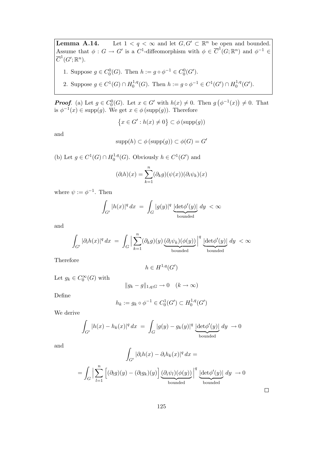**Lemma A.14.** Let  $1 < q < \infty$  and let  $G, G' \subset \mathbb{R}^n$  be open and bounded. Assume that  $\phi: G \to G'$  is a C<sup>1</sup>-diffeomorphism with  $\phi \in \overline{C}^1(G; \mathbb{R}^n)$  and  $\phi^{-1} \in$  $\overline{C}^1(G';\mathbb{R}^n).$ 

- 1. Suppose  $g \in C_0^0(G)$ . Then  $h := g \circ \phi^{-1} \in C_0^0(G')$ .
- 2. Suppose  $g \in C^1(G) \cap H_0^{1,q}$ <sup>1,q</sup>(G). Then  $h := g \circ \phi^{-1} \in C^1(G') \cap H_0^{1,q}$  $^{1,q}_{0}(G^{\prime}).$

**Proof.** (a) Let  $g \in C_0^0(G)$ . Let  $x \in G'$  with  $h(x) \neq 0$ . Then  $g(\phi^{-1}(x)) \neq 0$ . That is  $\phi^{-1}(x) \in \text{supp}(g)$ . We get  $x \in \phi(\text{supp}(g))$ . Therefore

$$
\{x \in G' : h(x) \neq 0\} \subset \phi(\mathrm{supp}(g))
$$

and

$$
supp(h) \subset \phi(supp(g)) \subset \phi(G) = G'
$$

(b) Let  $g \in C^1(G) \cap H_0^{1,q}$  $0^{1,q}(G)$ . Obviously  $h \in C^1(G')$  and

$$
(\partial_i h)(x) = \sum_{k=1}^n (\partial_k g)(\psi(x))(\partial_i \psi_k)(x)
$$

where  $\psi := \phi^{-1}$ . Then

$$
\int_{G'} |h(x)|^q dx = \int_G |g(y)|^q \underbrace{\left|\det_{\phi'(y)}\right|}_{\text{bounded}} dy < \infty
$$

and

$$
\int_{G'} |\partial_i h(x)|^q dx = \int_G \Big|\sum_{k=1}^n (\partial_k g)(y) \underbrace{(\partial_i \psi_k)(\phi(y))}_{\text{bounded}}\Big|^q \underbrace{|\text{det}\phi'(y)|}_{\text{bounded}} dy < \infty
$$

Therefore

$$
h \in H^{1,q}(G')
$$

Let  $g_k \in C_0^{\infty}(G)$  with

$$
||g_k - g||_{1,q;G} \to 0 \quad (k \to \infty)
$$

Define

$$
h_k := g_k \circ \phi^{-1} \in C_0^1(G') \subset H_0^{1,q}(G')
$$

We derive

$$
\int_{G'} |h(x) - h_k(x)|^q dx = \int_G |g(y) - g_k(y)|^q \underbrace{|\det \phi'(y)|}_{\text{bounded}} dy \to 0
$$

and

$$
\int_{G'} |\partial_i h(x) - \partial_i h_k(x)|^q dx =
$$
\n
$$
= \int_G \Big| \sum_{l=1}^n \left[ (\partial_l g)(y) - (\partial_l g_k)(y) \right] \underbrace{(\partial_i \psi_l)(\phi(y))}_{\text{bounded}} \Big|^q \underbrace{\left| \det \phi'(y) \right|}_{\text{bounded}} dy \to 0
$$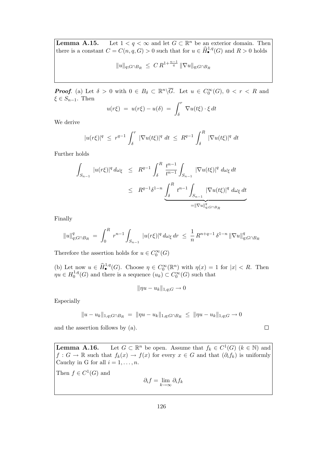**Lemma A.15.** Let  $1 < q < \infty$  and let  $G \subset \mathbb{R}^n$  be an exterior domain. Then there is a constant  $C = C(n, q, G) > 0$  such that for  $u \in \widehat{H}^{1,q}_{\bullet}(G)$  and  $R > 0$  holds

$$
||u||_{q;G \cap B_R} \ \leq \ C \, R^{1 + \frac{n-1}{q}} \, ||\nabla u||_{q;G \cap B_R}
$$

**Proof.** (a) Let  $\delta > 0$  with  $0 \in B_{\delta} \subset \mathbb{R}^n \setminus \overline{G}$ . Let  $u \in C_0^{\infty}(G)$ ,  $0 < r < R$  and  $\xi \in S_{n-1}$ . Then

$$
u(r\xi) = u(r\xi) - u(\delta) = \int_{\delta}^{r} \nabla u(t\xi) \cdot \xi dt
$$

We derive

$$
|u(r\xi)|^{q} \ \leq \ r^{q-1} \ \int_{\delta}^{r} \ |\nabla u(t\xi)|^{q} \ dt \ \leq \ R^{q-1} \ \int_{\delta}^{R} \ |\nabla u(t\xi)|^{q} \ dt
$$

Further holds

$$
\int_{S_{n-1}} |u(r\xi)|^q d\omega_{\xi} \leq R^{q-1} \int_{\delta}^R \frac{t^{n-1}}{t^{n-1}} \int_{S_{n-1}} |\nabla u(t\xi)|^q d\omega_{\xi} dt
$$
\n
$$
\leq R^{q-1} \delta^{1-n} \underbrace{\int_{\delta}^R t^{n-1} \int_{S_{n-1}} |\nabla u(t\xi)|^q d\omega_{\xi} dt}_{= \|\nabla u\|_{q; G \cap B_R}^q}
$$

Finally

$$
||u||_{q;G \cap B_R}^q = \int_0^R r^{n-1} \int_{S_{n-1}} |u(r\xi)|^q d\omega_{\xi} dr \leq \frac{1}{n} R^{n+q-1} \delta^{1-n} ||\nabla u||_{q;G \cap B_R}^q
$$

Therefore the assertion holds for  $u \in C_0^{\infty}(G)$ 

(b) Let now  $u \in \widehat{H}^{1,q}_{\bullet}(G)$ . Choose  $\eta \in C_0^{\infty}(\mathbb{R}^n)$  with  $\eta(x) = 1$  for  $|x| < R$ . Then  $\mu u \in H_0^{1,q}$  $0^{1,q}(G)$  and there is a sequence  $(u_k) \subset C_0^{\infty}(G)$  such that

$$
\|\eta u - u_k\|_{1,q;G} \to 0
$$

Especially

$$
||u - u_k||_{1,q;G \cap B_R} = ||\eta u - u_k||_{1,q;G \cap B_R} \le ||\eta u - u_k||_{1,q;G} \to 0
$$

and the assertion follows by (a).

**Lemma A.16.** Let  $G \subset \mathbb{R}^n$  be open. Assume that  $f_k \in C^1(G)$  ( $k \in \mathbb{N}$ ) and  $f: G \to \mathbb{R}$  such that  $f_k(x) \to f(x)$  for every  $x \in G$  and that  $(\partial_i f_k)$  is uniformly Cauchy in G for all  $i = 1, \ldots, n$ .

Then  $f \in C^1(G)$  and

$$
\partial_i f = \lim_{k \to \infty} \partial_i f_k
$$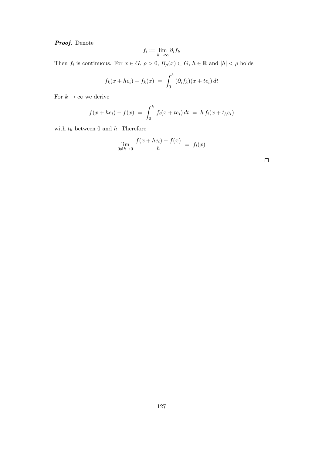Proof. Denote

$$
f_i := \lim_{k \to \infty} \partial_i f_k
$$

Then  $f_i$  is continuous. For  $x \in G$ ,  $\rho > 0$ ,  $B_\rho(x) \subset G$ ,  $h \in \mathbb{R}$  and  $|h| < \rho$  holds

$$
f_k(x + he_i) - f_k(x) = \int_0^h (\partial_i f_k)(x + te_i) dt
$$

For  $k \to \infty$  we derive

$$
f(x + he_i) - f(x) = \int_0^h f_i(x + te_i) dt = h f_i(x + t_h e_i)
$$

with  $t_h$  between 0 and  $h$ . Therefore

$$
\lim_{0 \neq h \to 0} \frac{f(x + he_i) - f(x)}{h} = f_i(x)
$$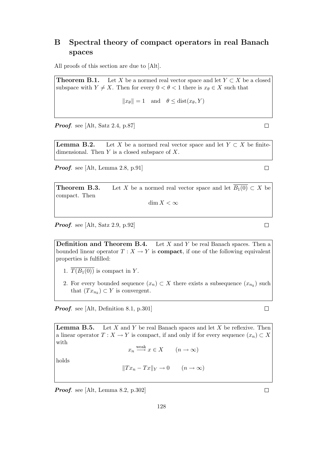## B Spectral theory of compact operators in real Banach spaces

All proofs of this section are due to [Alt].

**Theorem B.1.** Let X be a normed real vector space and let  $Y \subset X$  be a closed subspace with  $Y \neq X$ . Then for every  $0 < \theta < 1$  there is  $x_{\theta} \in X$  such that

$$
||x_{\theta}|| = 1
$$
 and  $\theta \leq \text{dist}(x_{\theta}, Y)$ 

**Proof.** see [Alt, Satz 2.4, p.87]

**Lemma B.2.** Let X be a normed real vector space and let  $Y \subset X$  be finitedimensional. Then  $Y$  is a closed subspace of  $X$ .

**Proof.** see [Alt, Lemma 2.8, p.91]

**Theorem B.3.** Let X be a normed real vector space and let  $\overline{B_1(0)} \subset X$  be compact. Then

 $\dim X < \infty$ 

Proof. see [Alt, Satz 2.9, p.92]

**Definition and Theorem B.4.** Let  $X$  and  $Y$  be real Banach spaces. Then a bounded linear operator  $T : X \to Y$  is **compact**, if one of the following equivalent properties is fulfilled:

- 1.  $\overline{T(B_1(0))}$  is compact in Y.
- 2. For every bounded sequence  $(x_n) \subset X$  there exists a subsequence  $(x_{n_k})$  such that  $(T x_{n_k}) \subset Y$  is convergent.

Proof. see [Alt, Definition 8.1, p.301]

**Lemma B.5.** Let X and Y be real Banach spaces and let X be reflexive. Then a linear operator  $T : X \to Y$  is compact, if and only if for every sequence  $(x_n) \subset X$ with

 $x_n \xrightarrow{\text{weak}} x \in X \qquad (n \to \infty)$ 

holds

$$
||Tx_n - Tx||_Y \to 0 \qquad (n \to \infty)
$$

Proof. see [Alt, Lemma 8.2, p.302]

 $\Box$ 

 $\Box$ 

 $\Box$ 

 $\Box$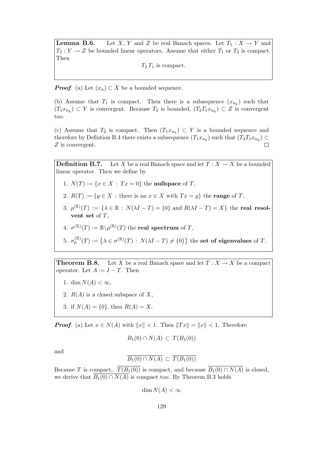**Lemma B.6.** Let X, Y and Z be real Banach spaces. Let  $T_1 : X \to Y$  and  $T_2: Y \to Z$  be bounded linear operators. Assume that either  $T_1$  or  $T_2$  is compact. Then

 $T_2 T_1$  is compact.

**Proof.** (a) Let  $(x_n) \subset X$  be a bounded sequence.

(b) Assume that  $T_1$  is compact. Then there is a subsequence  $(x_{n_k})$  such that  $(T_1x_{n_k}) \subset Y$  is convergent. Because  $T_2$  is bounded,  $(T_2T_1x_{n_k}) \subset Z$  is convergent too.

(c) Assume that  $T_2$  is compact. Then  $(T_1x_{n_k}) \subset Y$  is a bounded sequence and therefore by Defintion B.4 there exists a subsequence  $(T_1 x_{n_k})$  such that  $(T_2 T_1 x_{n_k}) \subset$ Z is convergent.  $\Box$ 

**Definition B.7.** Let X be a real Banach space and let  $T : X \to X$  be a bounded linear operator. Then we define by

- 1.  $N(T) := \{x \in X : Tx = 0\}$  the nullspace of T,
- 2.  $R(T) := \{y \in X : \text{there is an } x \in X \text{ with } Tx = y\} \text{ the range of } T,$
- 3.  $\rho^{(\mathbb{R})}(T) := {\lambda \in \mathbb{R} : N(\lambda I T) = {0} \text{ and } R(\lambda I T) = X}$  the real resolvent set of  $T$ .
- 4.  $\sigma^{(\mathbb{R})}(T) := \mathbb{R} \backslash \rho^{(\mathbb{R})}(T)$  the real spectrum of T,
- 5.  $\sigma_p^{(\mathbb{R})}(T) := \{ \lambda \in \sigma^{(\mathbb{R})}(T) : N(\lambda I T) \neq \{0\} \}$  the set of eigenvalues of T.

**Theorem B.8.** Let X be a real Banach space and let  $T : X \to X$  be a compact operator. Let  $A := I - T$ . Then

- 1. dim  $N(A) < \infty$ ,
- 2.  $R(A)$  is a closed subspace of X,
- 3. if  $N(A) = \{0\}$ , then  $R(A) = X$ .

**Proof.** (a) Let  $x \in N(A)$  with  $||x|| < 1$ . Then  $||Tx|| = ||x|| < 1$ . Therefore

 $B_1(0) \cap N(A) \subset T(B_1(0))$ 

and

$$
\overline{B_1(0) \cap N(A)} \subset \overline{T(B_1(0))}
$$

Because T is compact,  $\overline{T(B_1(0))}$  is compact, and because  $\overline{B_1(0) \cap N(A)}$  is closed, we derive that  $\overline{B_1(0) \cap N(A)}$  is compact too. By Theorem B.3 holds

 $\dim N(A) < \infty$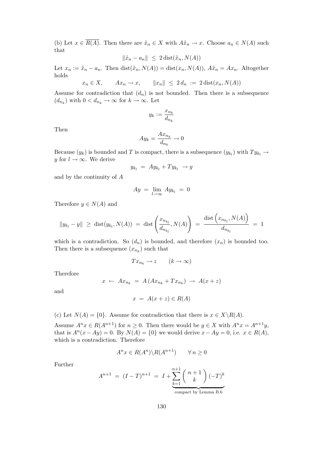(b) Let  $x \in \overline{R(A)}$ . Then there are  $\tilde{x}_n \in X$  with  $A\tilde{x}_n \to x$ . Choose  $a_n \in N(A)$  such that

$$
\|\tilde{x}_n - a_n\| \leq 2 \operatorname{dist}(\tilde{x}_n, N(A))
$$

Let  $x_n := \tilde{x}_n - a_n$ . Then  $dist(\tilde{x}_n, N(A)) = dist(x_n, N(A)), A\tilde{x}_n = Ax_n$ . Altogether holds

$$
x_n \in X, \qquad Ax_n \to x, \qquad ||x_n|| \le 2 d_n := 2 \operatorname{dist}(x_n, N(A))
$$

Assume for contradiction that  $(d_n)$  is not bounded. Then there is a subsequence  $(d_{n_k})$  with  $0 < d_{n_k} \to \infty$  for  $k \to \infty$ . Let

$$
y_k:=\frac{x_{n_k}}{d_{n_k}}
$$

Then

$$
Ay_k = \frac{Ax_{n_k}}{d_{n_k}} \to 0
$$

Because  $(y_k)$  is bounded and T is compact, there is a subsequence  $(y_{k_l})$  with  $Ty_{k_l} \rightarrow$ y for  $l \to \infty$ . We derive

$$
y_{k_l} = Ay_{k_l} + Ty_{k_l} \rightarrow y
$$

and by the continuity of A

$$
Ay = \lim_{l \to \infty} Ay_{k_l} = 0
$$

Therefore  $y \in N(A)$  and

$$
||y_{k_l} - y|| \geq \text{dist}(y_{k_l}, N(A)) = \text{dist}\left(\frac{x_{n_{k_l}}}{d_{n_{k_l}}}, N(A)\right) = \frac{\text{dist}\left(x_{n_{k_l}}, N(A)\right)}{d_{n_{k_l}}} = 1
$$

which is a contradiction. So  $(d_n)$  is bounded, and therefore  $(x_n)$  is bounded too. Then there is a subsequence  $(x_{n_k})$  such that

$$
Tx_{n_k}\to z \qquad (k\to\infty)
$$

Therefore

$$
x \leftarrow Ax_{n_k} = A\left(Ax_{n_k} + Tx_{n_k}\right) \rightarrow A(x+z)
$$

and

$$
x = A(x + z) \in R(A)
$$

(c) Let  $N(A) = \{0\}$ . Assume for contradiction that there is  $x \in X \backslash R(A)$ .

Assume  $A^n x \in R(A^{n+1})$  for  $n \ge 0$ . Then there would be  $y \in X$  with  $A^n x = A^{n+1}y$ , that is  $A^{n}(x - Ay) = 0$ . By  $N(A) = \{0\}$  we would derive  $x - Ay = 0$ , i.e.  $x \in R(A)$ , which is a contradiction. Therefore

$$
A^n x \in R(A^n) \backslash R(A^{n+1}) \qquad \forall n \ge 0
$$

Further

$$
A^{n+1} = (I - T)^{n+1} = I + \underbrace{\sum_{k=1}^{n+1} \binom{n+1}{k} (-T)^k}_{\text{compact by Lemma B.6}}
$$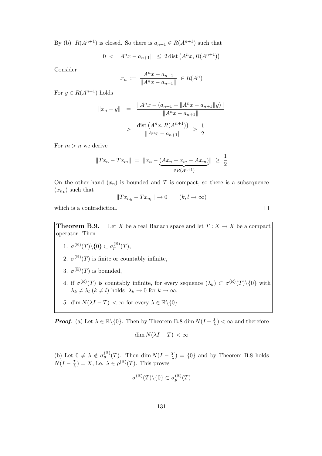By (b)  $R(A^{n+1})$  is closed. So there is  $a_{n+1} \in R(A^{n+1})$  such that

$$
0 \, < \, \|A^n x - a_{n+1}\| \, \le \, 2 \, \text{dist}\left(A^n x, R(A^{n+1})\right)
$$

Consider

$$
x_n := \frac{A^n x - a_{n+1}}{\|A^n x - a_{n+1}\|} \in R(A^n)
$$

For  $y \in R(A^{n+1})$  holds

$$
||x_n - y|| = \frac{||A^n x - (a_{n+1} + ||A^n x - a_{n+1}||y)||}{||A^n x - a_{n+1}||}
$$
  
\n
$$
\geq \frac{\text{dist}(A^n x, R(A^{n+1}))}{||A^n x - a_{n+1}||} \geq \frac{1}{2}
$$

For  $m > n$  we derive

$$
||Tx_n - Tx_m|| = ||x_n - (Ax_n + x_m - Ax_m)|| \ge \frac{1}{2}
$$

On the other hand  $(x_n)$  is bounded and T is compact, so there is a subsequence  $(x_{n_k})$  such that

$$
||Tx_{n_k} - Tx_{n_l}|| \to 0 \qquad (k, l \to \infty)
$$

which is a contradiction.

**Theorem B.9.** Let X be a real Banach space and let  $T : X \to X$  be a compact operator. Then

- 1.  $\sigma^{(\mathbb{R})}(T)\backslash\{0\} \subset \sigma_p^{(\mathbb{R})}(T)$ ,
- 2.  $\sigma^{(\mathbb{R})}(T)$  is finite or countably infinite,
- 3.  $\sigma^{(\mathbb{R})}(T)$  is bounded,
- 4. if  $\sigma^{(\mathbb{R})}(T)$  is countably infinite, for every sequence  $(\lambda_k) \subset \sigma^{(\mathbb{R})}(T) \setminus \{0\}$  with  $\lambda_k \neq \lambda_l \ (k \neq l) \text{ holds } \ \lambda_k \to 0 \text{ for } k \to \infty,$
- 5. dim  $N(\lambda I T) < \infty$  for every  $\lambda \in \mathbb{R} \setminus \{0\}.$

**Proof.** (a) Let  $\lambda \in \mathbb{R} \setminus \{0\}$ . Then by Theorem B.8 dim  $N(I - \frac{7}{\lambda})$  $(\frac{T}{\lambda}) < \infty$  and therefore

$$
\dim N(\lambda I - T) < \infty
$$

(b) Let  $0 \neq \lambda \notin \sigma_p^{(\mathbb{R})}(T)$ . Then dim  $N(I - \frac{7}{\lambda})$  $(\frac{T}{\lambda}) = \{0\}$  and by Theorem B.8 holds  $N(I - \frac{T}{\lambda})$  $(\frac{T}{\lambda}) = X$ , i.e.  $\lambda \in \rho^{(\mathbb{R})}(T)$ . This proves

$$
\sigma^{(\mathbb{R})}(T)\backslash\{0\}\subset \sigma^{(\mathbb{R})}_p(T)
$$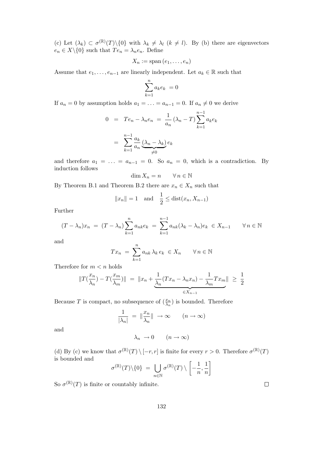(c) Let  $(\lambda_k) \subset \sigma^{(\mathbb{R})}(T) \setminus \{0\}$  with  $\lambda_k \neq \lambda_l$   $(k \neq l)$ . By (b) there are eigenvectors  $e_n \in X \backslash \{0\}$  such that  $Te_n = \lambda_n e_n$ . Define

$$
X_n := \mathrm{span}\,(e_1,\ldots,e_n)
$$

Assume that  $e_1, \ldots, e_{n-1}$  are linearly independent. Let  $a_k \in \mathbb{R}$  such that

$$
\sum_{k=1}^{n} a_k e_k = 0
$$

If  $a_n = 0$  by assumption holds  $a_1 = \ldots = a_{n-1} = 0$ . If  $a_n \neq 0$  we derive

$$
0 = Te_n - \lambda_n e_n = \frac{1}{a_n} (\lambda_n - T) \sum_{k=1}^{n-1} a_k e_k
$$

$$
= \sum_{k=1}^{n-1} \frac{a_k}{a_n} \underbrace{(\lambda_n - \lambda_k)}_{\neq 0} e_k
$$

and therefore  $a_1 = \ldots = a_{n-1} = 0$ . So  $a_n = 0$ , which is a contradiction. By induction follows

$$
\dim X_n = n \qquad \forall \, n \in \mathbb{N}
$$

By Theorem B.1 and Theorem B.2 there are  $x_n \in X_n$  such that

$$
||x_n|| = 1
$$
 and  $\frac{1}{2} \leq \text{dist}(x_n, X_{n-1})$ 

Further

$$
(T - \lambda_n)x_n = (T - \lambda_n) \sum_{k=1}^n a_{nk} e_k = \sum_{k=1}^{n-1} a_{nk} (\lambda_k - \lambda_n) e_k \in X_{n-1} \quad \forall n \in \mathbb{N}
$$

and

$$
Tx_n = \sum_{k=1}^n a_{nk} \lambda_k e_k \in X_n \qquad \forall n \in \mathbb{N}
$$

Therefore for  $m < n$  holds

$$
||T(\frac{x_n}{\lambda_n}) - T(\frac{x_m}{\lambda_m})|| = ||x_n + \underbrace{\frac{1}{\lambda_n}(Tx_n - \lambda_n x_n) - \frac{1}{\lambda_m}Tx_m}_{\in X_{n-1}}|| \ge \frac{1}{2}
$$

Because T is compact, no subsequence of  $(\frac{x_n}{\lambda_n})$  is bounded. Therefore

$$
\frac{1}{|\lambda_n|} = \|\frac{x_n}{\lambda_n}\| \to \infty \qquad (n \to \infty)
$$

and

$$
\lambda_n \to 0 \qquad (n \to \infty)
$$

(d) By (c) we know that  $\sigma^{(\mathbb{R})}(T) \setminus [-r, r]$  is finite for every  $r > 0$ . Therefore  $\sigma^{(\mathbb{R})}(T)$ is bounded and

$$
\sigma^{(\mathbb{R})}(T)\backslash\{0\} = \bigcup_{n\in\mathbb{N}} \sigma^{(\mathbb{R})}(T)\setminus \left[-\frac{1}{n},\frac{1}{n}\right]
$$

So  $\sigma^{(\mathbb{R})}(T)$  is finite or countably infinite.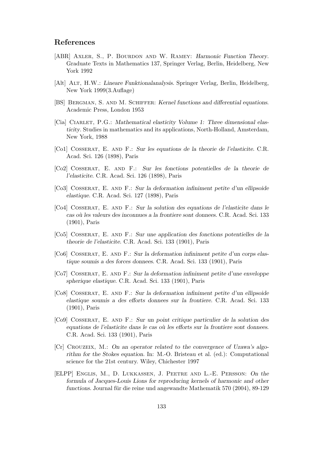#### References

- [ABR] Axler, S., P. Bourdon and W. Ramey: Harmonic Function Theory. Graduate Texts in Mathematics 137, Springer Verlag, Berlin, Heidelberg, New York 1992
- [Alt] Alt, H.W.: Lineare Funktionalanalysis. Springer Verlag, Berlin, Heidelberg, New York 1999(3.Auflage)
- [BS] Bergman, S. and M. Schiffer: Kernel functions and differential equations. Academic Press, London 1953
- [Cia] CIARLET, P.G.: Mathematical elasticity Volume 1: Three dimensional elasticity. Studies in mathematics and its applications, North-Holland, Amsterdam, New York, 1988
- [Co1] Cosserat, E. and F.: Sur les equations de la theorie de l'elasticite. C.R. Acad. Sci. 126 (1898), Paris
- [Co2] Cosserat, E. and F.: Sur les fonctions potentielles de la theorie de l'elasticite. C.R. Acad. Sci. 126 (1898), Paris
- [Co3] Cosserat, E. and F.: Sur la deformation infiniment petite d'un ellipsoide elastique. C.R. Acad. Sci. 127 (1898), Paris
- [Co4] Cosserat, E. and F.: Sur la solution des equations de l'elasticite dans le cas où les valeurs des inconnues a la frontiere sont donnees. C.R. Acad. Sci. 133 (1901), Paris
- [Co5] Cosserat, E. and F.: Sur une application des fonctions potentielles de la theorie de l'elasticite. C.R. Acad. Sci. 133 (1901), Paris
- [Co6] Cosserat, E. and F.: Sur la deformation infiniment petite d'un corps elastique soumis a des forces donnees. C.R. Acad. Sci. 133 (1901), Paris
- [Co7] Cosserat, E. and F.: Sur la deformation infiniment petite d'une enveloppe spherique elastique. C.R. Acad. Sci. 133 (1901), Paris
- [Co8] Cosserat, E. and F.: Sur la deformation infiniment petite d'un ellipsoide elastique soumis a des efforts donnees sur la frontiere. C.R. Acad. Sci. 133 (1901), Paris
- [Co9] Cosserat, E. and F.: Sur un point critique particulier de la solution des equations de l'elasticite dans le cas où les efforts sur la frontiere sont donnees. C.R. Acad. Sci. 133 (1901), Paris
- [Cr] Crouzeix, M.: On an operator related to the convergence of Uzawa's algorithm for the Stokes equation. In: M.-O. Bristeau et al. (ed.): Computational science for the 21st century. Wiley, Chichester 1997
- [ELPP] Englis, M., D. Lukkassen, J. Peetre and L.-E. Persson: On the formula of Jacques-Louis Lions for reproducing kernels of harmonic and other functions. Journal für die reine und angewandte Mathematik 570 (2004), 89-129